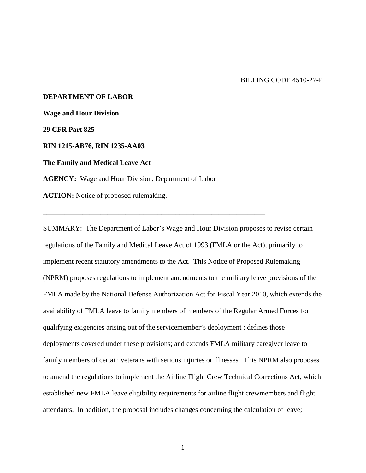BILLING CODE 4510-27-P

## **DEPARTMENT OF LABOR**

**Wage and Hour Division** 

**29 CFR Part 825**

**RIN 1215-AB76, RIN 1235-AA03**

**The Family and Medical Leave Act** 

**AGENCY:** Wage and Hour Division, Department of Labor

\_\_\_\_\_\_\_\_\_\_\_\_\_\_\_\_\_\_\_\_\_\_\_\_\_\_\_\_\_\_\_\_\_\_\_\_\_\_\_\_\_\_\_\_\_\_\_\_\_\_\_\_\_\_\_\_\_\_\_\_\_\_

**ACTION:** Notice of proposed rulemaking.

SUMMARY: The Department of Labor's Wage and Hour Division proposes to revise certain regulations of the Family and Medical Leave Act of 1993 (FMLA or the Act), primarily to implement recent statutory amendments to the Act. This Notice of Proposed Rulemaking (NPRM) proposes regulations to implement amendments to the military leave provisions of the FMLA made by the National Defense Authorization Act for Fiscal Year 2010, which extends the availability of FMLA leave to family members of members of the Regular Armed Forces for qualifying exigencies arising out of the servicemember's deployment ; defines those deployments covered under these provisions; and extends FMLA military caregiver leave to family members of certain veterans with serious injuries or illnesses. This NPRM also proposes to amend the regulations to implement the Airline Flight Crew Technical Corrections Act, which established new FMLA leave eligibility requirements for airline flight crewmembers and flight attendants. In addition, the proposal includes changes concerning the calculation of leave;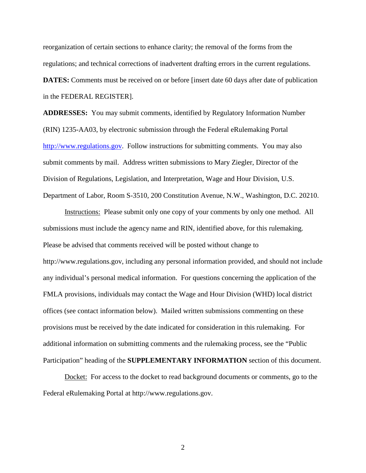reorganization of certain sections to enhance clarity; the removal of the forms from the regulations; and technical corrections of inadvertent drafting errors in the current regulations. **DATES:** Comments must be received on or before [insert date 60 days after date of publication in the FEDERAL REGISTER].

**ADDRESSES:** You may submit comments, identified by Regulatory Information Number (RIN) 1235-AA03, by electronic submission through the Federal eRulemaking Portal [http://www.regulations.gov.](http://www.regulations.gov/) Follow instructions for submitting comments. You may also submit comments by mail. Address written submissions to Mary Ziegler, Director of the Division of Regulations, Legislation, and Interpretation, Wage and Hour Division, U.S. Department of Labor, Room S-3510, 200 Constitution Avenue, N.W., Washington, D.C. 20210.

Instructions: Please submit only one copy of your comments by only one method. All submissions must include the agency name and RIN, identified above, for this rulemaking. Please be advised that comments received will be posted without change to http://www.regulations.gov, including any personal information provided, and should not include any individual's personal medical information. For questions concerning the application of the FMLA provisions, individuals may contact the Wage and Hour Division (WHD) local district offices (see contact information below). Mailed written submissions commenting on these provisions must be received by the date indicated for consideration in this rulemaking. For additional information on submitting comments and the rulemaking process, see the "Public Participation" heading of the **SUPPLEMENTARY INFORMATION** section of this document.

Docket: For access to the docket to read background documents or comments, go to the Federal eRulemaking Portal at http://www.regulations.gov.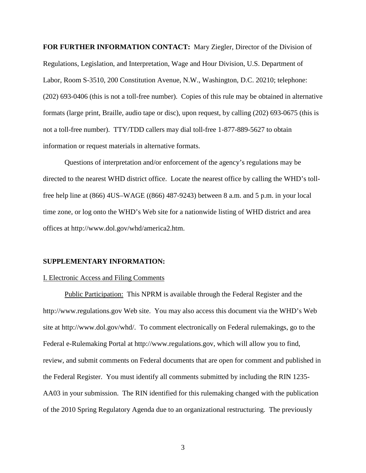**FOR FURTHER INFORMATION CONTACT:** Mary Ziegler, Director of the Division of Regulations, Legislation, and Interpretation, Wage and Hour Division, U.S. Department of Labor, Room S-3510, 200 Constitution Avenue, N.W., Washington, D.C. 20210; telephone: (202) 693-0406 (this is not a toll-free number). Copies of this rule may be obtained in alternative formats (large print, Braille, audio tape or disc), upon request, by calling (202) 693-0675 (this is not a toll-free number). TTY/TDD callers may dial toll-free 1-877-889-5627 to obtain information or request materials in alternative formats.

Questions of interpretation and/or enforcement of the agency's regulations may be directed to the nearest WHD district office. Locate the nearest office by calling the WHD's tollfree help line at (866) 4US–WAGE ((866) 487-9243) between 8 a.m. and 5 p.m. in your local time zone, or log onto the WHD's Web site for a nationwide listing of WHD district and area offices at http://www.dol.gov/whd/america2.htm.

#### **SUPPLEMENTARY INFORMATION:**

#### I. Electronic Access and Filing Comments

Public Participation: This NPRM is available through the Federal Register and the http://www.regulations.gov Web site. You may also access this document via the WHD's Web site at http://www.dol.gov/whd/. To comment electronically on Federal rulemakings, go to the Federal e-Rulemaking Portal at http://www.regulations.gov, which will allow you to find, review, and submit comments on Federal documents that are open for comment and published in the Federal Register. You must identify all comments submitted by including the RIN 1235- AA03 in your submission. The RIN identified for this rulemaking changed with the publication of the 2010 Spring Regulatory Agenda due to an organizational restructuring. The previously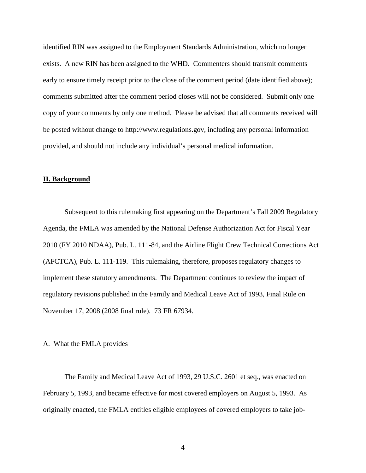identified RIN was assigned to the Employment Standards Administration, which no longer exists. A new RIN has been assigned to the WHD. Commenters should transmit comments early to ensure timely receipt prior to the close of the comment period (date identified above); comments submitted after the comment period closes will not be considered. Submit only one copy of your comments by only one method. Please be advised that all comments received will be posted without change to http://www.regulations.gov, including any personal information provided, and should not include any individual's personal medical information.

## **II. Background**

Subsequent to this rulemaking first appearing on the Department's Fall 2009 Regulatory Agenda, the FMLA was amended by the National Defense Authorization Act for Fiscal Year 2010 (FY 2010 NDAA), Pub. L. 111-84, and the Airline Flight Crew Technical Corrections Act (AFCTCA), Pub. L. 111-119. This rulemaking, therefore, proposes regulatory changes to implement these statutory amendments. The Department continues to review the impact of regulatory revisions published in the Family and Medical Leave Act of 1993, Final Rule on November 17, 2008 (2008 final rule). 73 FR 67934.

#### A. What the FMLA provides

The Family and Medical Leave Act of 1993, 29 U.S.C. 2601 et seq., was enacted on February 5, 1993, and became effective for most covered employers on August 5, 1993. As originally enacted, the FMLA entitles eligible employees of covered employers to take job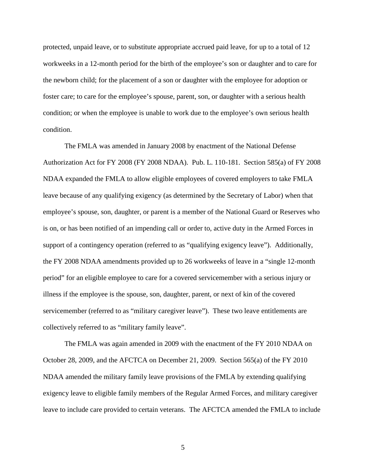protected, unpaid leave, or to substitute appropriate accrued paid leave, for up to a total of 12 workweeks in a 12-month period for the birth of the employee's son or daughter and to care for the newborn child; for the placement of a son or daughter with the employee for adoption or foster care; to care for the employee's spouse, parent, son, or daughter with a serious health condition; or when the employee is unable to work due to the employee's own serious health condition.

The FMLA was amended in January 2008 by enactment of the National Defense Authorization Act for FY 2008 (FY 2008 NDAA). Pub. L. 110-181. Section 585(a) of FY 2008 NDAA expanded the FMLA to allow eligible employees of covered employers to take FMLA leave because of any qualifying exigency (as determined by the Secretary of Labor) when that employee's spouse, son, daughter, or parent is a member of the National Guard or Reserves who is on, or has been notified of an impending call or order to, active duty in the Armed Forces in support of a contingency operation (referred to as "qualifying exigency leave"). Additionally, the FY 2008 NDAA amendments provided up to 26 workweeks of leave in a "single 12-month period" for an eligible employee to care for a covered servicemember with a serious injury or illness if the employee is the spouse, son, daughter, parent, or next of kin of the covered servicemember (referred to as "military caregiver leave"). These two leave entitlements are collectively referred to as "military family leave".

The FMLA was again amended in 2009 with the enactment of the FY 2010 NDAA on October 28, 2009, and the AFCTCA on December 21, 2009. Section 565(a) of the FY 2010 NDAA amended the military family leave provisions of the FMLA by extending qualifying exigency leave to eligible family members of the Regular Armed Forces, and military caregiver leave to include care provided to certain veterans. The AFCTCA amended the FMLA to include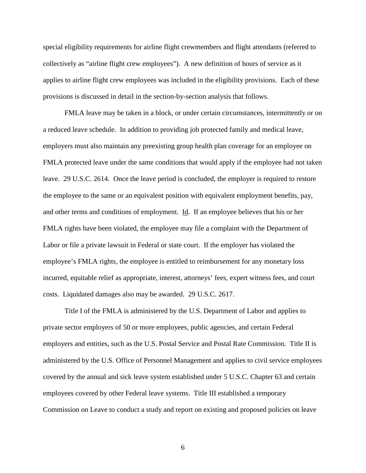special eligibility requirements for airline flight crewmembers and flight attendants (referred to collectively as "airline flight crew employees"). A new definition of hours of service as it applies to airline flight crew employees was included in the eligibility provisions. Each of these provisions is discussed in detail in the section-by-section analysis that follows.

FMLA leave may be taken in a block, or under certain circumstances, intermittently or on a reduced leave schedule. In addition to providing job protected family and medical leave, employers must also maintain any preexisting group health plan coverage for an employee on FMLA protected leave under the same conditions that would apply if the employee had not taken leave. 29 U.S.C. 2614. Once the leave period is concluded, the employer is required to restore the employee to the same or an equivalent position with equivalent employment benefits, pay, and other terms and conditions of employment. **Id**. If an employee believes that his or her FMLA rights have been violated, the employee may file a complaint with the Department of Labor or file a private lawsuit in Federal or state court. If the employer has violated the employee's FMLA rights, the employee is entitled to reimbursement for any monetary loss incurred, equitable relief as appropriate, interest, attorneys' fees, expert witness fees, and court costs. Liquidated damages also may be awarded. 29 U.S.C. 2617.

Title I of the FMLA is administered by the U.S. Department of Labor and applies to private sector employers of 50 or more employees, public agencies, and certain Federal employers and entities, such as the U.S. Postal Service and Postal Rate Commission. Title II is administered by the U.S. Office of Personnel Management and applies to civil service employees covered by the annual and sick leave system established under 5 U.S.C. Chapter 63 and certain employees covered by other Federal leave systems. Title III established a temporary Commission on Leave to conduct a study and report on existing and proposed policies on leave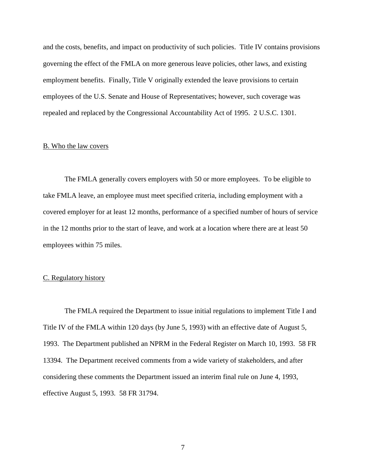and the costs, benefits, and impact on productivity of such policies. Title IV contains provisions governing the effect of the FMLA on more generous leave policies, other laws, and existing employment benefits. Finally, Title V originally extended the leave provisions to certain employees of the U.S. Senate and House of Representatives; however, such coverage was repealed and replaced by the Congressional Accountability Act of 1995. 2 U.S.C. 1301.

## B. Who the law covers

The FMLA generally covers employers with 50 or more employees. To be eligible to take FMLA leave, an employee must meet specified criteria, including employment with a covered employer for at least 12 months, performance of a specified number of hours of service in the 12 months prior to the start of leave, and work at a location where there are at least 50 employees within 75 miles.

## C. Regulatory history

The FMLA required the Department to issue initial regulations to implement Title I and Title IV of the FMLA within 120 days (by June 5, 1993) with an effective date of August 5, 1993. The Department published an NPRM in the Federal Register on March 10, 1993. 58 FR 13394. The Department received comments from a wide variety of stakeholders, and after considering these comments the Department issued an interim final rule on June 4, 1993, effective August 5, 1993. 58 FR 31794.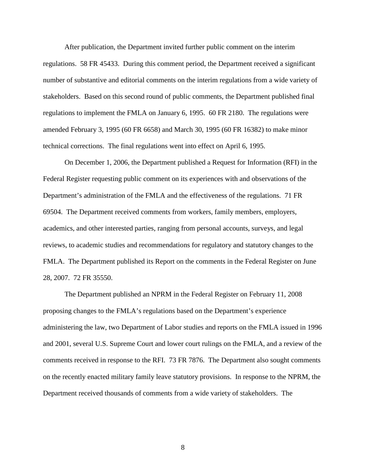After publication, the Department invited further public comment on the interim regulations. 58 FR 45433. During this comment period, the Department received a significant number of substantive and editorial comments on the interim regulations from a wide variety of stakeholders. Based on this second round of public comments, the Department published final regulations to implement the FMLA on January 6, 1995. 60 FR 2180. The regulations were amended February 3, 1995 (60 FR 6658) and March 30, 1995 (60 FR 16382) to make minor technical corrections. The final regulations went into effect on April 6, 1995.

On December 1, 2006, the Department published a Request for Information (RFI) in the Federal Register requesting public comment on its experiences with and observations of the Department's administration of the FMLA and the effectiveness of the regulations. 71 FR 69504. The Department received comments from workers, family members, employers, academics, and other interested parties, ranging from personal accounts, surveys, and legal reviews, to academic studies and recommendations for regulatory and statutory changes to the FMLA. The Department published its Report on the comments in the Federal Register on June 28, 2007. 72 FR 35550.

The Department published an NPRM in the Federal Register on February 11, 2008 proposing changes to the FMLA's regulations based on the Department's experience administering the law, two Department of Labor studies and reports on the FMLA issued in 1996 and 2001, several U.S. Supreme Court and lower court rulings on the FMLA, and a review of the comments received in response to the RFI. 73 FR 7876. The Department also sought comments on the recently enacted military family leave statutory provisions. In response to the NPRM, the Department received thousands of comments from a wide variety of stakeholders. The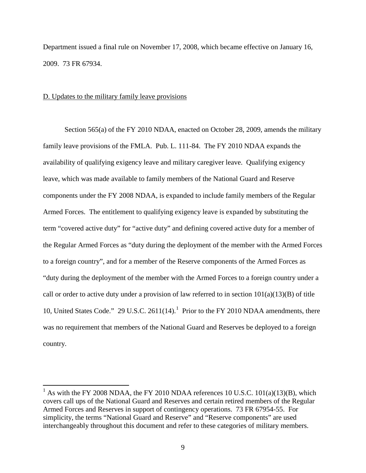Department issued a final rule on November 17, 2008, which became effective on January 16, 2009. 73 FR 67934.

## D. Updates to the military family leave provisions

Section 565(a) of the FY 2010 NDAA, enacted on October 28, 2009, amends the military family leave provisions of the FMLA. Pub. L. 111-84. The FY 2010 NDAA expands the availability of qualifying exigency leave and military caregiver leave. Qualifying exigency leave, which was made available to family members of the National Guard and Reserve components under the FY 2008 NDAA, is expanded to include family members of the Regular Armed Forces. The entitlement to qualifying exigency leave is expanded by substituting the term "covered active duty" for "active duty" and defining covered active duty for a member of the Regular Armed Forces as "duty during the deployment of the member with the Armed Forces to a foreign country", and for a member of the Reserve components of the Armed Forces as "duty during the deployment of the member with the Armed Forces to a foreign country under a call or order to active duty under a provision of law referred to in section  $101(a)(13)(B)$  of title [1](#page-8-0)0, United States Code." 29 U.S.C. 2611(14).<sup>1</sup> Prior to the FY 2010 NDAA amendments, there was no requirement that members of the National Guard and Reserves be deployed to a foreign country.

<span id="page-8-0"></span><sup>&</sup>lt;sup>1</sup> As with the FY 2008 NDAA, the FY 2010 NDAA references 10 U.S.C. 101(a)(13)(B), which covers call ups of the National Guard and Reserves and certain retired members of the Regular Armed Forces and Reserves in support of contingency operations. 73 FR 67954-55. For simplicity, the terms "National Guard and Reserve" and "Reserve components" are used interchangeably throughout this document and refer to these categories of military members.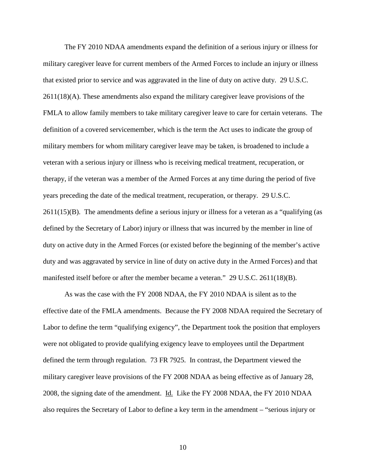The FY 2010 NDAA amendments expand the definition of a serious injury or illness for military caregiver leave for current members of the Armed Forces to include an injury or illness that existed prior to service and was aggravated in the line of duty on active duty. 29 U.S.C. 2611(18)(A). These amendments also expand the military caregiver leave provisions of the FMLA to allow family members to take military caregiver leave to care for certain veterans. The definition of a covered servicemember, which is the term the Act uses to indicate the group of military members for whom military caregiver leave may be taken, is broadened to include a veteran with a serious injury or illness who is receiving medical treatment, recuperation, or therapy, if the veteran was a member of the Armed Forces at any time during the period of five years preceding the date of the medical treatment, recuperation, or therapy. 29 U.S.C. 2611(15)(B). The amendments define a serious injury or illness for a veteran as a "qualifying (as defined by the Secretary of Labor) injury or illness that was incurred by the member in line of duty on active duty in the Armed Forces (or existed before the beginning of the member's active duty and was aggravated by service in line of duty on active duty in the Armed Forces) and that manifested itself before or after the member became a veteran." 29 U.S.C. 2611(18)(B).

As was the case with the FY 2008 NDAA, the FY 2010 NDAA is silent as to the effective date of the FMLA amendments. Because the FY 2008 NDAA required the Secretary of Labor to define the term "qualifying exigency", the Department took the position that employers were not obligated to provide qualifying exigency leave to employees until the Department defined the term through regulation. 73 FR 7925. In contrast, the Department viewed the military caregiver leave provisions of the FY 2008 NDAA as being effective as of January 28, 2008, the signing date of the amendment. Id. Like the FY 2008 NDAA, the FY 2010 NDAA also requires the Secretary of Labor to define a key term in the amendment – "serious injury or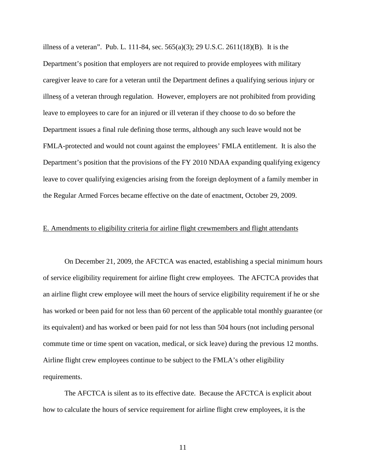illness of a veteran". Pub. L. 111-84, sec. 565(a)(3); 29 U.S.C. 2611(18)(B). It is the Department's position that employers are not required to provide employees with military caregiver leave to care for a veteran until the Department defines a qualifying serious injury or illness of a veteran through regulation. However, employers are not prohibited from providing leave to employees to care for an injured or ill veteran if they choose to do so before the Department issues a final rule defining those terms, although any such leave would not be FMLA-protected and would not count against the employees' FMLA entitlement. It is also the Department's position that the provisions of the FY 2010 NDAA expanding qualifying exigency leave to cover qualifying exigencies arising from the foreign deployment of a family member in the Regular Armed Forces became effective on the date of enactment, October 29, 2009.

# E. Amendments to eligibility criteria for airline flight crewmembers and flight attendants

On December 21, 2009, the AFCTCA was enacted, establishing a special minimum hours of service eligibility requirement for airline flight crew employees. The AFCTCA provides that an airline flight crew employee will meet the hours of service eligibility requirement if he or she has worked or been paid for not less than 60 percent of the applicable total monthly guarantee (or its equivalent) and has worked or been paid for not less than 504 hours (not including personal commute time or time spent on vacation, medical, or sick leave) during the previous 12 months. Airline flight crew employees continue to be subject to the FMLA's other eligibility requirements.

The AFCTCA is silent as to its effective date. Because the AFCTCA is explicit about how to calculate the hours of service requirement for airline flight crew employees, it is the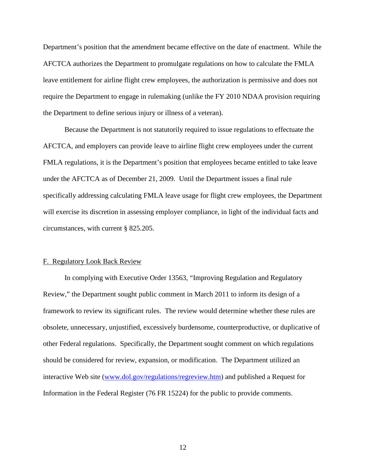Department's position that the amendment became effective on the date of enactment. While the AFCTCA authorizes the Department to promulgate regulations on how to calculate the FMLA leave entitlement for airline flight crew employees, the authorization is permissive and does not require the Department to engage in rulemaking (unlike the FY 2010 NDAA provision requiring the Department to define serious injury or illness of a veteran).

Because the Department is not statutorily required to issue regulations to effectuate the AFCTCA, and employers can provide leave to airline flight crew employees under the current FMLA regulations, it is the Department's position that employees became entitled to take leave under the AFCTCA as of December 21, 2009. Until the Department issues a final rule specifically addressing calculating FMLA leave usage for flight crew employees, the Department will exercise its discretion in assessing employer compliance, in light of the individual facts and circumstances, with current § 825.205.

#### F. Regulatory Look Back Review

In complying with Executive Order 13563, "Improving Regulation and Regulatory Review," the Department sought public comment in March 2011 to inform its design of a framework to review its significant rules. The review would determine whether these rules are obsolete, unnecessary, unjustified, excessively burdensome, counterproductive, or duplicative of other Federal regulations. Specifically, the Department sought comment on which regulations should be considered for review, expansion, or modification. The Department utilized an interactive Web site ([www.dol.gov/regulations/regreview.htm\)](http://www.dol.gov/regulations/regreview.htm) and published a Request for Information in the Federal Register (76 FR 15224) for the public to provide comments.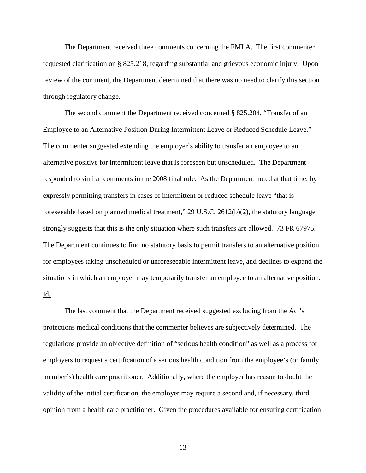The Department received three comments concerning the FMLA. The first commenter requested clarification on § 825.218, regarding substantial and grievous economic injury. Upon review of the comment, the Department determined that there was no need to clarify this section through regulatory change.

The second comment the Department received concerned § 825.204, "Transfer of an Employee to an Alternative Position During Intermittent Leave or Reduced Schedule Leave." The commenter suggested extending the employer's ability to transfer an employee to an alternative positive for intermittent leave that is foreseen but unscheduled. The Department responded to similar comments in the 2008 final rule. As the Department noted at that time, by expressly permitting transfers in cases of intermittent or reduced schedule leave "that is foreseeable based on planned medical treatment," 29 U.S.C. 2612(b)(2), the statutory language strongly suggests that this is the only situation where such transfers are allowed. 73 FR 67975. The Department continues to find no statutory basis to permit transfers to an alternative position for employees taking unscheduled or unforeseeable intermittent leave, and declines to expand the situations in which an employer may temporarily transfer an employee to an alternative position. Id.

The last comment that the Department received suggested excluding from the Act's protections medical conditions that the commenter believes are subjectively determined. The regulations provide an objective definition of "serious health condition" as well as a process for employers to request a certification of a serious health condition from the employee's (or family member's) health care practitioner. Additionally, where the employer has reason to doubt the validity of the initial certification, the employer may require a second and, if necessary, third opinion from a health care practitioner. Given the procedures available for ensuring certification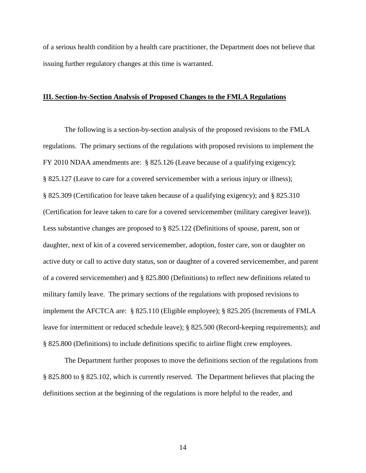of a serious health condition by a health care practitioner, the Department does not believe that issuing further regulatory changes at this time is warranted.

## **III. Section-by-Section Analysis of Proposed Changes to the FMLA Regulations**

The following is a section-by-section analysis of the proposed revisions to the FMLA regulations. The primary sections of the regulations with proposed revisions to implement the FY 2010 NDAA amendments are: § 825.126 (Leave because of a qualifying exigency); § 825.127 (Leave to care for a covered servicemember with a serious injury or illness); § 825.309 (Certification for leave taken because of a qualifying exigency); and § 825.310 (Certification for leave taken to care for a covered servicemember (military caregiver leave)). Less substantive changes are proposed to § 825.122 (Definitions of spouse, parent, son or daughter, next of kin of a covered servicemember, adoption, foster care, son or daughter on active duty or call to active duty status, son or daughter of a covered servicemember, and parent of a covered servicemember) and § 825.800 (Definitions) to reflect new definitions related to military family leave. The primary sections of the regulations with proposed revisions to implement the AFCTCA are: § 825.110 (Eligible employee); § 825.205 (Increments of FMLA leave for intermittent or reduced schedule leave); § 825.500 (Record-keeping requirements); and § 825.800 (Definitions) to include definitions specific to airline flight crew employees.

The Department further proposes to move the definitions section of the regulations from § 825.800 to § 825.102, which is currently reserved. The Department believes that placing the definitions section at the beginning of the regulations is more helpful to the reader, and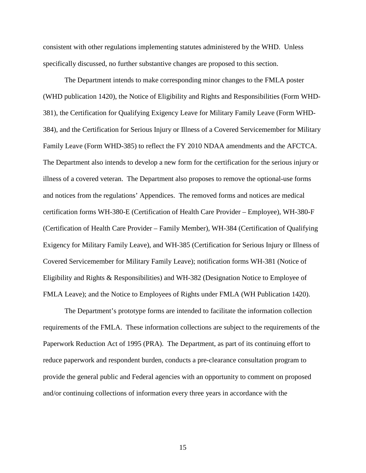consistent with other regulations implementing statutes administered by the WHD. Unless specifically discussed, no further substantive changes are proposed to this section.

The Department intends to make corresponding minor changes to the FMLA poster (WHD publication 1420), the Notice of Eligibility and Rights and Responsibilities (Form WHD-381), the Certification for Qualifying Exigency Leave for Military Family Leave (Form WHD-384), and the Certification for Serious Injury or Illness of a Covered Servicemember for Military Family Leave (Form WHD-385) to reflect the FY 2010 NDAA amendments and the AFCTCA. The Department also intends to develop a new form for the certification for the serious injury or illness of a covered veteran. The Department also proposes to remove the optional-use forms and notices from the regulations' Appendices. The removed forms and notices are medical certification forms WH-380-E (Certification of Health Care Provider – Employee), WH-380-F (Certification of Health Care Provider – Family Member), WH-384 (Certification of Qualifying Exigency for Military Family Leave), and WH-385 (Certification for Serious Injury or Illness of Covered Servicemember for Military Family Leave); notification forms WH-381 (Notice of Eligibility and Rights & Responsibilities) and WH-382 (Designation Notice to Employee of FMLA Leave); and the Notice to Employees of Rights under FMLA (WH Publication 1420).

The Department's prototype forms are intended to facilitate the information collection requirements of the FMLA. These information collections are subject to the requirements of the Paperwork Reduction Act of 1995 (PRA). The Department, as part of its continuing effort to reduce paperwork and respondent burden, conducts a pre-clearance consultation program to provide the general public and Federal agencies with an opportunity to comment on proposed and/or continuing collections of information every three years in accordance with the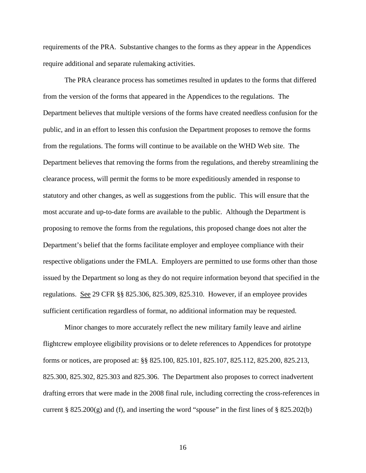requirements of the PRA. Substantive changes to the forms as they appear in the Appendices require additional and separate rulemaking activities.

The PRA clearance process has sometimes resulted in updates to the forms that differed from the version of the forms that appeared in the Appendices to the regulations. The Department believes that multiple versions of the forms have created needless confusion for the public, and in an effort to lessen this confusion the Department proposes to remove the forms from the regulations. The forms will continue to be available on the WHD Web site. The Department believes that removing the forms from the regulations, and thereby streamlining the clearance process, will permit the forms to be more expeditiously amended in response to statutory and other changes, as well as suggestions from the public. This will ensure that the most accurate and up-to-date forms are available to the public. Although the Department is proposing to remove the forms from the regulations, this proposed change does not alter the Department's belief that the forms facilitate employer and employee compliance with their respective obligations under the FMLA. Employers are permitted to use forms other than those issued by the Department so long as they do not require information beyond that specified in the regulations. See 29 CFR §§ 825.306, 825.309, 825.310. However, if an employee provides sufficient certification regardless of format, no additional information may be requested.

Minor changes to more accurately reflect the new military family leave and airline flightcrew employee eligibility provisions or to delete references to Appendices for prototype forms or notices, are proposed at: §§ 825.100, 825.101, 825.107, 825.112, 825.200, 825.213, 825.300, 825.302, 825.303 and 825.306. The Department also proposes to correct inadvertent drafting errors that were made in the 2008 final rule, including correcting the cross-references in current §  $825.200(g)$  and (f), and inserting the word "spouse" in the first lines of §  $825.202(b)$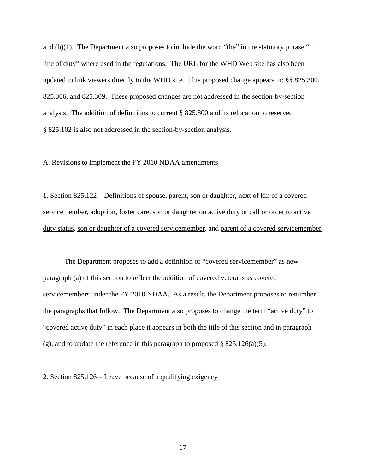and (b)(1). The Department also proposes to include the word "the" in the statutory phrase "in line of duty" where used in the regulations. The URL for the WHD Web site has also been updated to link viewers directly to the WHD site. This proposed change appears in: §§ 825.300, 825.306, and 825.309. These proposed changes are not addressed in the section-by-section analysis. The addition of definitions to current § 825.800 and its relocation to reserved § 825.102 is also not addressed in the section-by-section analysis.

# A. Revisions to implement the FY 2010 NDAA amendments

1. Section 825.122—Definitions of spouse, parent, son or daughter, next of kin of a covered servicemember, adoption, foster care, son or daughter on active duty or call or order to active duty status, son or daughter of a covered servicemember, and parent of a covered servicemember

The Department proposes to add a definition of "covered servicemember" as new paragraph (a) of this section to reflect the addition of covered veterans as covered servicemembers under the FY 2010 NDAA. As a result, the Department proposes to renumber the paragraphs that follow. The Department also proposes to change the term "active duty" to "covered active duty" in each place it appears in both the title of this section and in paragraph (g), and to update the reference in this paragraph to proposed  $\S 825.126(a)(5)$ .

2. Section 825.126 – Leave because of a qualifying exigency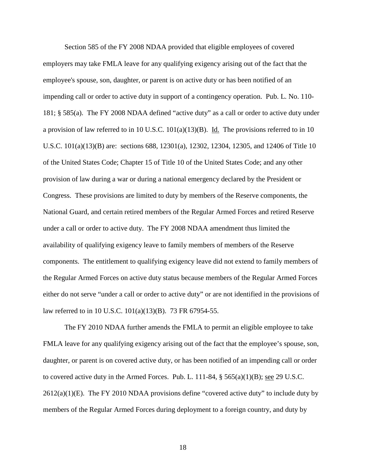Section 585 of the FY 2008 NDAA provided that eligible employees of covered employers may take FMLA leave for any qualifying exigency arising out of the fact that the employee's spouse, son, daughter, or parent is on active duty or has been notified of an impending call or order to active duty in support of a contingency operation. Pub. L. No. 110- 181; § 585(a). The FY 2008 NDAA defined "active duty" as a call or order to active duty under a provision of law referred to in 10 U.S.C.  $101(a)(13)(B)$ . Id. The provisions referred to in 10 U.S.C. 101(a)(13)(B) are: sections 688, 12301(a), 12302, 12304, 12305, and 12406 of Title 10 of the United States Code; Chapter 15 of Title 10 of the United States Code; and any other provision of law during a war or during a national emergency declared by the President or Congress. These provisions are limited to duty by members of the Reserve components, the National Guard, and certain retired members of the Regular Armed Forces and retired Reserve under a call or order to active duty. The FY 2008 NDAA amendment thus limited the availability of qualifying exigency leave to family members of members of the Reserve components. The entitlement to qualifying exigency leave did not extend to family members of the Regular Armed Forces on active duty status because members of the Regular Armed Forces either do not serve "under a call or order to active duty" or are not identified in the provisions of law referred to in 10 U.S.C. 101(a)(13)(B). 73 FR 67954-55.

The FY 2010 NDAA further amends the FMLA to permit an eligible employee to take FMLA leave for any qualifying exigency arising out of the fact that the employee's spouse, son, daughter, or parent is on covered active duty, or has been notified of an impending call or order to covered active duty in the Armed Forces. Pub. L.  $111-84$ ,  $\S 565(a)(1)(B)$ ; see 29 U.S.C.  $2612(a)(1)(E)$ . The FY 2010 NDAA provisions define "covered active duty" to include duty by members of the Regular Armed Forces during deployment to a foreign country, and duty by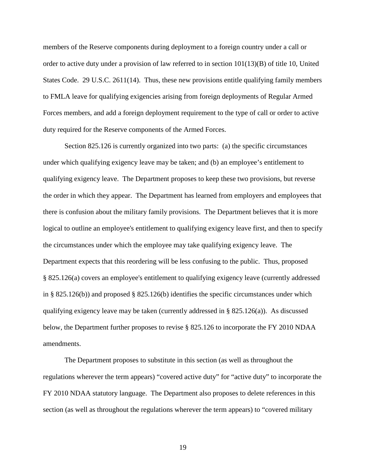members of the Reserve components during deployment to a foreign country under a call or order to active duty under a provision of law referred to in section 101(13)(B) of title 10, United States Code. 29 U.S.C. 2611(14). Thus, these new provisions entitle qualifying family members to FMLA leave for qualifying exigencies arising from foreign deployments of Regular Armed Forces members, and add a foreign deployment requirement to the type of call or order to active duty required for the Reserve components of the Armed Forces.

Section 825.126 is currently organized into two parts: (a) the specific circumstances under which qualifying exigency leave may be taken; and (b) an employee's entitlement to qualifying exigency leave. The Department proposes to keep these two provisions, but reverse the order in which they appear. The Department has learned from employers and employees that there is confusion about the military family provisions. The Department believes that it is more logical to outline an employee's entitlement to qualifying exigency leave first, and then to specify the circumstances under which the employee may take qualifying exigency leave. The Department expects that this reordering will be less confusing to the public. Thus, proposed § 825.126(a) covers an employee's entitlement to qualifying exigency leave (currently addressed in § 825.126(b)) and proposed § 825.126(b) identifies the specific circumstances under which qualifying exigency leave may be taken (currently addressed in  $\S$  825.126(a)). As discussed below, the Department further proposes to revise § 825.126 to incorporate the FY 2010 NDAA amendments.

The Department proposes to substitute in this section (as well as throughout the regulations wherever the term appears) "covered active duty" for "active duty" to incorporate the FY 2010 NDAA statutory language. The Department also proposes to delete references in this section (as well as throughout the regulations wherever the term appears) to "covered military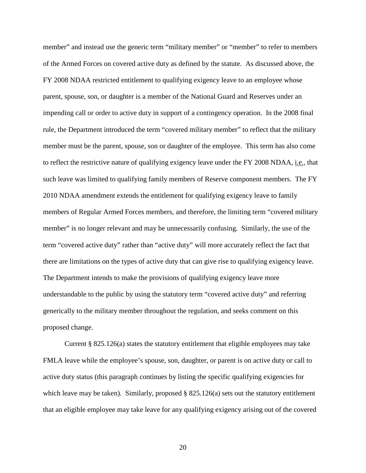member" and instead use the generic term "military member" or "member" to refer to members of the Armed Forces on covered active duty as defined by the statute. As discussed above, the FY 2008 NDAA restricted entitlement to qualifying exigency leave to an employee whose parent, spouse, son, or daughter is a member of the National Guard and Reserves under an impending call or order to active duty in support of a contingency operation. In the 2008 final rule, the Department introduced the term "covered military member" to reflect that the military member must be the parent, spouse, son or daughter of the employee. This term has also come to reflect the restrictive nature of qualifying exigency leave under the FY 2008 NDAA, *i.e.*, that such leave was limited to qualifying family members of Reserve component members. The FY 2010 NDAA amendment extends the entitlement for qualifying exigency leave to family members of Regular Armed Forces members, and therefore, the limiting term "covered military member" is no longer relevant and may be unnecessarily confusing. Similarly, the use of the term "covered active duty" rather than "active duty" will more accurately reflect the fact that there are limitations on the types of active duty that can give rise to qualifying exigency leave. The Department intends to make the provisions of qualifying exigency leave more understandable to the public by using the statutory term "covered active duty" and referring generically to the military member throughout the regulation, and seeks comment on this proposed change.

Current § 825.126(a) states the statutory entitlement that eligible employees may take FMLA leave while the employee's spouse, son, daughter, or parent is on active duty or call to active duty status (this paragraph continues by listing the specific qualifying exigencies for which leave may be taken). Similarly, proposed  $\S$  825.126(a) sets out the statutory entitlement that an eligible employee may take leave for any qualifying exigency arising out of the covered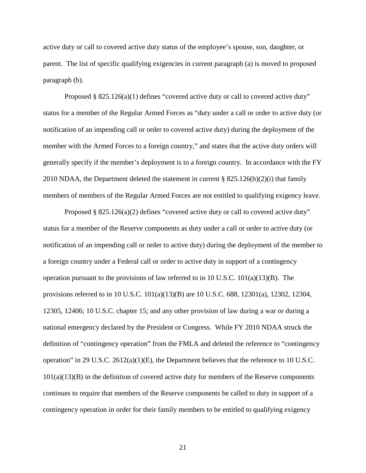active duty or call to covered active duty status of the employee's spouse, son, daughter, or parent. The list of specific qualifying exigencies in current paragraph (a) is moved to proposed paragraph (b).

Proposed § 825.126(a)(1) defines "covered active duty or call to covered active duty" status for a member of the Regular Armed Forces as "duty under a call or order to active duty (or notification of an impending call or order to covered active duty) during the deployment of the member with the Armed Forces to a foreign country," and states that the active duty orders will generally specify if the member's deployment is to a foreign country. In accordance with the FY 2010 NDAA, the Department deleted the statement in current  $\S 825.126(b)(2)(i)$  that family members of members of the Regular Armed Forces are not entitled to qualifying exigency leave.

Proposed § 825.126(a)(2) defines "covered active duty or call to covered active duty" status for a member of the Reserve components as duty under a call or order to active duty (or notification of an impending call or order to active duty) during the deployment of the member to a foreign country under a Federal call or order to active duty in support of a contingency operation pursuant to the provisions of law referred to in 10 U.S.C. 101(a)(13)(B). The provisions referred to in 10 U.S.C. 101(a)(13)(B) are 10 U.S.C. 688, 12301(a), 12302, 12304, 12305, 12406; 10 U.S.C. chapter 15; and any other provision of law during a war or during a national emergency declared by the President or Congress. While FY 2010 NDAA struck the definition of "contingency operation" from the FMLA and deleted the reference to "contingency operation" in 29 U.S.C. 2612(a)(1)(E), the Department believes that the reference to 10 U.S.C.  $101(a)(13)(B)$  in the definition of covered active duty for members of the Reserve components continues to require that members of the Reserve components be called to duty in support of a contingency operation in order for their family members to be entitled to qualifying exigency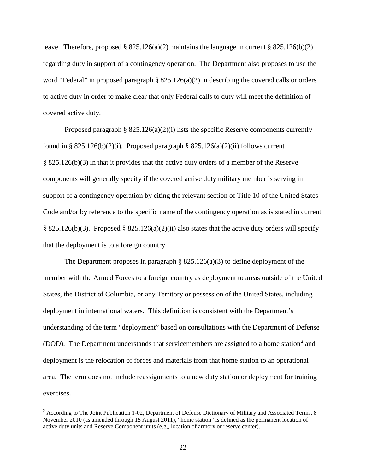leave. Therefore, proposed § 825.126(a)(2) maintains the language in current § 825.126(b)(2) regarding duty in support of a contingency operation. The Department also proposes to use the word "Federal" in proposed paragraph  $\S 825.126(a)(2)$  in describing the covered calls or orders to active duty in order to make clear that only Federal calls to duty will meet the definition of covered active duty.

Proposed paragraph  $\S$  825.126(a)(2)(i) lists the specific Reserve components currently found in § 825.126(b)(2)(i). Proposed paragraph § 825.126(a)(2)(ii) follows current § 825.126(b)(3) in that it provides that the active duty orders of a member of the Reserve components will generally specify if the covered active duty military member is serving in support of a contingency operation by citing the relevant section of Title 10 of the United States Code and/or by reference to the specific name of the contingency operation as is stated in current § 825.126(b)(3). Proposed § 825.126(a)(2)(ii) also states that the active duty orders will specify that the deployment is to a foreign country.

The Department proposes in paragraph  $\S$  825.126(a)(3) to define deployment of the member with the Armed Forces to a foreign country as deployment to areas outside of the United States, the District of Columbia, or any Territory or possession of the United States, including deployment in international waters. This definition is consistent with the Department's understanding of the term "deployment" based on consultations with the Department of Defense (DOD). The Department understands that servicemembers are assigned to a home station<sup>[2](#page-21-0)</sup> and deployment is the relocation of forces and materials from that home station to an operational area. The term does not include reassignments to a new duty station or deployment for training exercises.

<span id="page-21-0"></span> $2$  According to The Joint Publication 1-02, Department of Defense Dictionary of Military and Associated Terms, 8 November 2010 (as amended through 15 August 2011), "home station" is defined as the permanent location of active duty units and Reserve Component units (e.g,, location of armory or reserve center).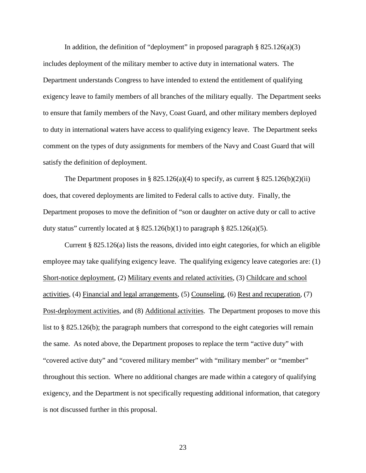In addition, the definition of "deployment" in proposed paragraph  $\S$  825.126(a)(3) includes deployment of the military member to active duty in international waters. The Department understands Congress to have intended to extend the entitlement of qualifying exigency leave to family members of all branches of the military equally. The Department seeks to ensure that family members of the Navy, Coast Guard, and other military members deployed to duty in international waters have access to qualifying exigency leave. The Department seeks comment on the types of duty assignments for members of the Navy and Coast Guard that will satisfy the definition of deployment.

The Department proposes in § 825.126(a)(4) to specify, as current § 825.126(b)(2)(ii) does, that covered deployments are limited to Federal calls to active duty. Finally, the Department proposes to move the definition of "son or daughter on active duty or call to active duty status" currently located at  $\S$  825.126(b)(1) to paragraph  $\S$  825.126(a)(5).

Current § 825.126(a) lists the reasons, divided into eight categories, for which an eligible employee may take qualifying exigency leave. The qualifying exigency leave categories are: (1) Short-notice deployment, (2) Military events and related activities, (3) Childcare and school activities, (4) Financial and legal arrangements, (5) Counseling, (6) Rest and recuperation, (7) Post-deployment activities, and (8) Additional activities. The Department proposes to move this list to § 825.126(b); the paragraph numbers that correspond to the eight categories will remain the same. As noted above, the Department proposes to replace the term "active duty" with "covered active duty" and "covered military member" with "military member" or "member" throughout this section. Where no additional changes are made within a category of qualifying exigency, and the Department is not specifically requesting additional information, that category is not discussed further in this proposal.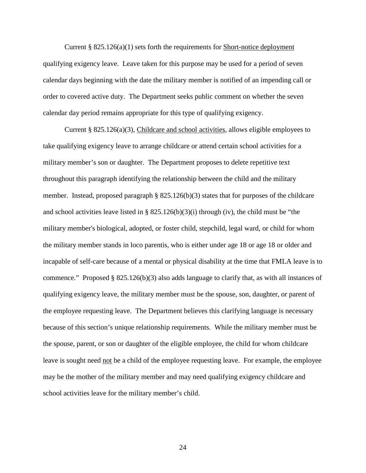Current  $\S 825.126(a)(1)$  sets forth the requirements for Short-notice deployment qualifying exigency leave. Leave taken for this purpose may be used for a period of seven calendar days beginning with the date the military member is notified of an impending call or order to covered active duty. The Department seeks public comment on whether the seven calendar day period remains appropriate for this type of qualifying exigency.

Current § 825.126(a)(3), Childcare and school activities, allows eligible employees to take qualifying exigency leave to arrange childcare or attend certain school activities for a military member's son or daughter. The Department proposes to delete repetitive text throughout this paragraph identifying the relationship between the child and the military member. Instead, proposed paragraph  $\S$  825.126(b)(3) states that for purposes of the childcare and school activities leave listed in §  $825.126(b)(3)(i)$  through (iv), the child must be "the military member's biological, adopted, or foster child, stepchild, legal ward, or child for whom the military member stands in loco parentis, who is either under age 18 or age 18 or older and incapable of self-care because of a mental or physical disability at the time that FMLA leave is to commence." Proposed § 825.126(b)(3) also adds language to clarify that, as with all instances of qualifying exigency leave, the military member must be the spouse, son, daughter, or parent of the employee requesting leave. The Department believes this clarifying language is necessary because of this section's unique relationship requirements. While the military member must be the spouse, parent, or son or daughter of the eligible employee, the child for whom childcare leave is sought need not be a child of the employee requesting leave. For example, the employee may be the mother of the military member and may need qualifying exigency childcare and school activities leave for the military member's child.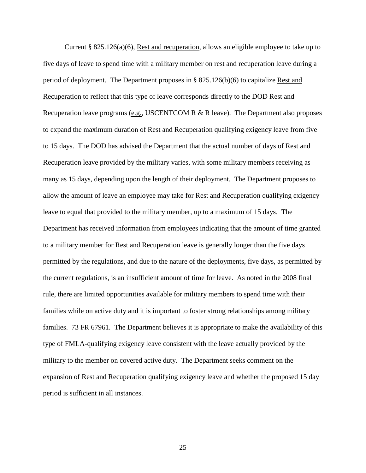Current § 825.126(a)(6), Rest and recuperation, allows an eligible employee to take up to five days of leave to spend time with a military member on rest and recuperation leave during a period of deployment. The Department proposes in § 825.126(b)(6) to capitalize Rest and Recuperation to reflect that this type of leave corresponds directly to the DOD Rest and Recuperation leave programs (e.g., USCENTCOM R & R leave). The Department also proposes to expand the maximum duration of Rest and Recuperation qualifying exigency leave from five to 15 days. The DOD has advised the Department that the actual number of days of Rest and Recuperation leave provided by the military varies, with some military members receiving as many as 15 days, depending upon the length of their deployment. The Department proposes to allow the amount of leave an employee may take for Rest and Recuperation qualifying exigency leave to equal that provided to the military member, up to a maximum of 15 days. The Department has received information from employees indicating that the amount of time granted to a military member for Rest and Recuperation leave is generally longer than the five days permitted by the regulations, and due to the nature of the deployments, five days, as permitted by the current regulations, is an insufficient amount of time for leave. As noted in the 2008 final rule, there are limited opportunities available for military members to spend time with their families while on active duty and it is important to foster strong relationships among military families. 73 FR 67961. The Department believes it is appropriate to make the availability of this type of FMLA-qualifying exigency leave consistent with the leave actually provided by the military to the member on covered active duty. The Department seeks comment on the expansion of Rest and Recuperation qualifying exigency leave and whether the proposed 15 day period is sufficient in all instances.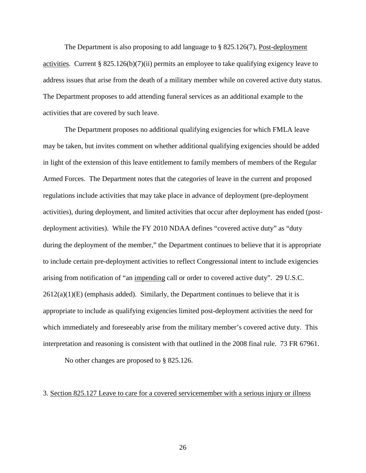The Department is also proposing to add language to § 825.126(7), Post-deployment activities. Current § 825.126(b)(7)(ii) permits an employee to take qualifying exigency leave to address issues that arise from the death of a military member while on covered active duty status. The Department proposes to add attending funeral services as an additional example to the activities that are covered by such leave.

The Department proposes no additional qualifying exigencies for which FMLA leave may be taken, but invites comment on whether additional qualifying exigencies should be added in light of the extension of this leave entitlement to family members of members of the Regular Armed Forces. The Department notes that the categories of leave in the current and proposed regulations include activities that may take place in advance of deployment (pre-deployment activities), during deployment, and limited activities that occur after deployment has ended (postdeployment activities). While the FY 2010 NDAA defines "covered active duty" as "duty during the deployment of the member," the Department continues to believe that it is appropriate to include certain pre-deployment activities to reflect Congressional intent to include exigencies arising from notification of "an impending call or order to covered active duty". 29 U.S.C.  $2612(a)(1)(E)$  (emphasis added). Similarly, the Department continues to believe that it is appropriate to include as qualifying exigencies limited post-deployment activities the need for which immediately and foreseeably arise from the military member's covered active duty. This interpretation and reasoning is consistent with that outlined in the 2008 final rule. 73 FR 67961.

No other changes are proposed to § 825.126.

3. Section 825.127 Leave to care for a covered servicemember with a serious injury or illness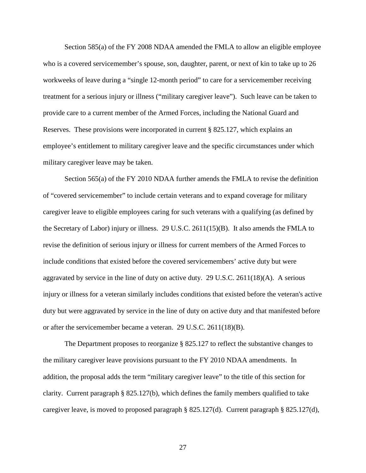Section 585(a) of the FY 2008 NDAA amended the FMLA to allow an eligible employee who is a covered servicemember's spouse, son, daughter, parent, or next of kin to take up to 26 workweeks of leave during a "single 12-month period" to care for a servicemember receiving treatment for a serious injury or illness ("military caregiver leave"). Such leave can be taken to provide care to a current member of the Armed Forces, including the National Guard and Reserves. These provisions were incorporated in current § 825.127, which explains an employee's entitlement to military caregiver leave and the specific circumstances under which military caregiver leave may be taken.

Section 565(a) of the FY 2010 NDAA further amends the FMLA to revise the definition of "covered servicemember" to include certain veterans and to expand coverage for military caregiver leave to eligible employees caring for such veterans with a qualifying (as defined by the Secretary of Labor) injury or illness. 29 U.S.C. 2611(15)(B). It also amends the FMLA to revise the definition of serious injury or illness for current members of the Armed Forces to include conditions that existed before the covered servicemembers' active duty but were aggravated by service in the line of duty on active duty. 29 U.S.C. 2611(18)(A). A serious injury or illness for a veteran similarly includes conditions that existed before the veteran's active duty but were aggravated by service in the line of duty on active duty and that manifested before or after the servicemember became a veteran. 29 U.S.C. 2611(18)(B).

The Department proposes to reorganize § 825.127 to reflect the substantive changes to the military caregiver leave provisions pursuant to the FY 2010 NDAA amendments. In addition, the proposal adds the term "military caregiver leave" to the title of this section for clarity. Current paragraph § 825.127(b), which defines the family members qualified to take caregiver leave, is moved to proposed paragraph § 825.127(d). Current paragraph § 825.127(d),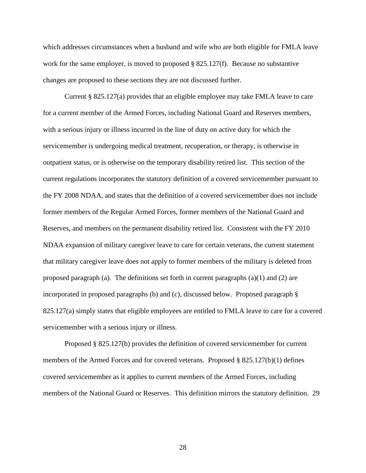which addresses circumstances when a husband and wife who are both eligible for FMLA leave work for the same employer, is moved to proposed § 825.127(f). Because no substantive changes are proposed to these sections they are not discussed further.

Current § 825.127(a) provides that an eligible employee may take FMLA leave to care for a current member of the Armed Forces, including National Guard and Reserves members, with a serious injury or illness incurred in the line of duty on active duty for which the servicemember is undergoing medical treatment, recuperation, or therapy, is otherwise in outpatient status, or is otherwise on the temporary disability retired list. This section of the current regulations incorporates the statutory definition of a covered servicemember pursuant to the FY 2008 NDAA, and states that the definition of a covered servicemember does not include former members of the Regular Armed Forces, former members of the National Guard and Reserves, and members on the permanent disability retired list. Consistent with the FY 2010 NDAA expansion of military caregiver leave to care for certain veterans, the current statement that military caregiver leave does not apply to former members of the military is deleted from proposed paragraph (a). The definitions set forth in current paragraphs (a)(1) and (2) are incorporated in proposed paragraphs (b) and (c), discussed below. Proposed paragraph § 825.127(a) simply states that eligible employees are entitled to FMLA leave to care for a covered servicemember with a serious injury or illness.

Proposed § 825.127(b) provides the definition of covered servicemember for current members of the Armed Forces and for covered veterans. Proposed § 825.127(b)(1) defines covered servicemember as it applies to current members of the Armed Forces, including members of the National Guard or Reserves. This definition mirrors the statutory definition. 29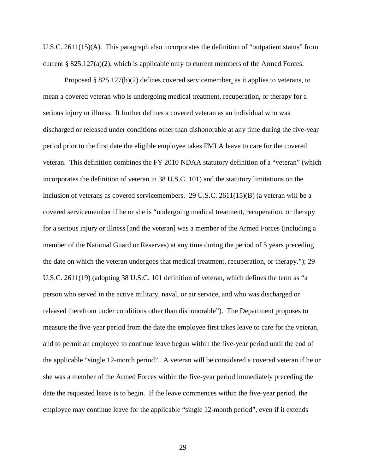U.S.C. 2611(15)(A). This paragraph also incorporates the definition of "outpatient status" from current § 825.127(a)(2), which is applicable only to current members of the Armed Forces.

Proposed § 825.127(b)(2) defines covered servicemember, as it applies to veterans, to mean a covered veteran who is undergoing medical treatment, recuperation, or therapy for a serious injury or illness. It further defines a covered veteran as an individual who was discharged or released under conditions other than dishonorable at any time during the five-year period prior to the first date the eligible employee takes FMLA leave to care for the covered veteran. This definition combines the FY 2010 NDAA statutory definition of a "veteran" (which incorporates the definition of veteran in 38 U.S.C. 101) and the statutory limitations on the inclusion of veterans as covered servicemembers. 29 U.S.C. 2611(15)(B) (a veteran will be a covered servicemember if he or she is "undergoing medical treatment, recuperation, or therapy for a serious injury or illness [and the veteran] was a member of the Armed Forces (including a member of the National Guard or Reserves) at any time during the period of 5 years preceding the date on which the veteran undergoes that medical treatment, recuperation, or therapy."); 29 U.S.C. 2611(19) (adopting 38 U.S.C. 101 definition of veteran, which defines the term as "a person who served in the active military, naval, or air service, and who was discharged or released therefrom under conditions other than dishonorable"). The Department proposes to measure the five-year period from the date the employee first takes leave to care for the veteran, and to permit an employee to continue leave begun within the five-year period until the end of the applicable "single 12-month period". A veteran will be considered a covered veteran if he or she was a member of the Armed Forces within the five-year period immediately preceding the date the requested leave is to begin. If the leave commences within the five-year period, the employee may continue leave for the applicable "single 12-month period", even if it extends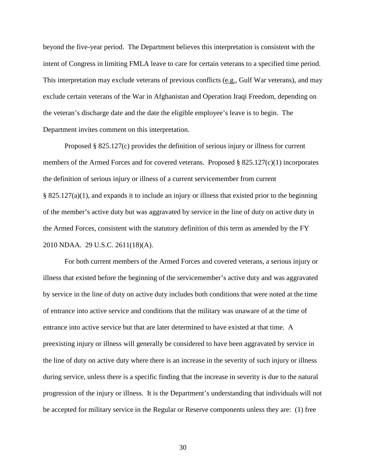beyond the five-year period. The Department believes this interpretation is consistent with the intent of Congress in limiting FMLA leave to care for certain veterans to a specified time period. This interpretation may exclude veterans of previous conflicts (e.g., Gulf War veterans), and may exclude certain veterans of the War in Afghanistan and Operation Iraqi Freedom, depending on the veteran's discharge date and the date the eligible employee's leave is to begin. The Department invites comment on this interpretation.

Proposed § 825.127(c) provides the definition of serious injury or illness for current members of the Armed Forces and for covered veterans. Proposed  $\S 825.127(c)(1)$  incorporates the definition of serious injury or illness of a current servicemember from current § 825.127(a)(1), and expands it to include an injury or illness that existed prior to the beginning of the member's active duty but was aggravated by service in the line of duty on active duty in the Armed Forces, consistent with the statutory definition of this term as amended by the FY 2010 NDAA. 29 U.S.C. 2611(18)(A).

For both current members of the Armed Forces and covered veterans, a serious injury or illness that existed before the beginning of the servicemember's active duty and was aggravated by service in the line of duty on active duty includes both conditions that were noted at the time of entrance into active service and conditions that the military was unaware of at the time of entrance into active service but that are later determined to have existed at that time. A preexisting injury or illness will generally be considered to have been aggravated by service in the line of duty on active duty where there is an increase in the severity of such injury or illness during service, unless there is a specific finding that the increase in severity is due to the natural progression of the injury or illness. It is the Department's understanding that individuals will not be accepted for military service in the Regular or Reserve components unless they are: (1) free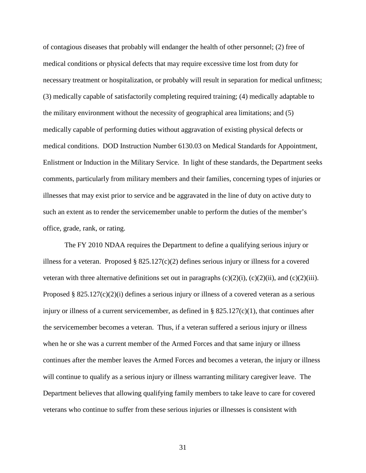of contagious diseases that probably will endanger the health of other personnel; (2) free of medical conditions or physical defects that may require excessive time lost from duty for necessary treatment or hospitalization, or probably will result in separation for medical unfitness; (3) medically capable of satisfactorily completing required training; (4) medically adaptable to the military environment without the necessity of geographical area limitations; and (5) medically capable of performing duties without aggravation of existing physical defects or medical conditions. DOD Instruction Number 6130.03 on Medical Standards for Appointment, Enlistment or Induction in the Military Service. In light of these standards, the Department seeks comments, particularly from military members and their families, concerning types of injuries or illnesses that may exist prior to service and be aggravated in the line of duty on active duty to such an extent as to render the servicemember unable to perform the duties of the member's office, grade, rank, or rating.

The FY 2010 NDAA requires the Department to define a qualifying serious injury or illness for a veteran. Proposed  $\S$  825.127(c)(2) defines serious injury or illness for a covered veteran with three alternative definitions set out in paragraphs  $(c)(2)(i)$ ,  $(c)(2)(ii)$ , and  $(c)(2)(iii)$ . Proposed § 825.127(c)(2)(i) defines a serious injury or illness of a covered veteran as a serious injury or illness of a current servicemember, as defined in  $\S 825.127(c)(1)$ , that continues after the servicemember becomes a veteran. Thus, if a veteran suffered a serious injury or illness when he or she was a current member of the Armed Forces and that same injury or illness continues after the member leaves the Armed Forces and becomes a veteran, the injury or illness will continue to qualify as a serious injury or illness warranting military caregiver leave. The Department believes that allowing qualifying family members to take leave to care for covered veterans who continue to suffer from these serious injuries or illnesses is consistent with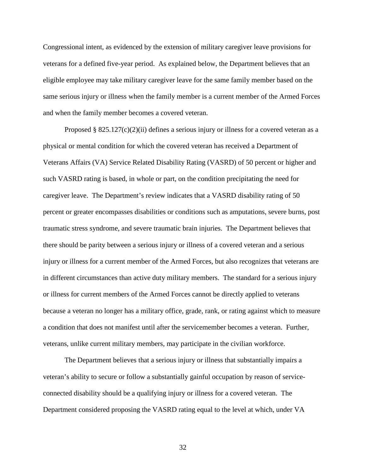Congressional intent, as evidenced by the extension of military caregiver leave provisions for veterans for a defined five-year period. As explained below, the Department believes that an eligible employee may take military caregiver leave for the same family member based on the same serious injury or illness when the family member is a current member of the Armed Forces and when the family member becomes a covered veteran.

Proposed § 825.127(c)(2)(ii) defines a serious injury or illness for a covered veteran as a physical or mental condition for which the covered veteran has received a Department of Veterans Affairs (VA) Service Related Disability Rating (VASRD) of 50 percent or higher and such VASRD rating is based, in whole or part, on the condition precipitating the need for caregiver leave. The Department's review indicates that a VASRD disability rating of 50 percent or greater encompasses disabilities or conditions such as amputations, severe burns, post traumatic stress syndrome, and severe traumatic brain injuries. The Department believes that there should be parity between a serious injury or illness of a covered veteran and a serious injury or illness for a current member of the Armed Forces, but also recognizes that veterans are in different circumstances than active duty military members. The standard for a serious injury or illness for current members of the Armed Forces cannot be directly applied to veterans because a veteran no longer has a military office, grade, rank, or rating against which to measure a condition that does not manifest until after the servicemember becomes a veteran. Further, veterans, unlike current military members, may participate in the civilian workforce.

The Department believes that a serious injury or illness that substantially impairs a veteran's ability to secure or follow a substantially gainful occupation by reason of serviceconnected disability should be a qualifying injury or illness for a covered veteran. The Department considered proposing the VASRD rating equal to the level at which, under VA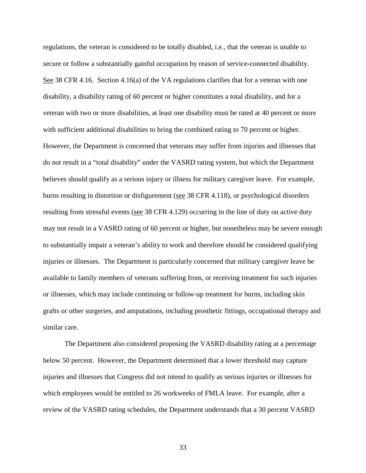regulations, the veteran is considered to be totally disabled, i.e., that the veteran is unable to secure or follow a substantially gainful occupation by reason of service-connected disability. See 38 CFR 4.16. Section 4.16(a) of the VA regulations clarifies that for a veteran with one disability, a disability rating of 60 percent or higher constitutes a total disability, and for a veteran with two or more disabilities, at least one disability must be rated at 40 percent or more with sufficient additional disabilities to bring the combined rating to 70 percent or higher. However, the Department is concerned that veterans may suffer from injuries and illnesses that do not result in a "total disability" under the VASRD rating system, but which the Department believes should qualify as a serious injury or illness for military caregiver leave. For example, burns resulting in distortion or disfigurement (see 38 CFR 4.118), or psychological disorders resulting from stressful events (see 38 CFR 4.129) occurring in the line of duty on active duty may not result in a VASRD rating of 60 percent or higher, but nonetheless may be severe enough to substantially impair a veteran's ability to work and therefore should be considered qualifying injuries or illnesses. The Department is particularly concerned that military caregiver leave be available to family members of veterans suffering from, or receiving treatment for such injuries or illnesses, which may include continuing or follow-up treatment for burns, including skin grafts or other surgeries, and amputations, including prosthetic fittings, occupational therapy and similar care.

The Department also considered proposing the VASRD disability rating at a percentage below 50 percent. However, the Department determined that a lower threshold may capture injuries and illnesses that Congress did not intend to qualify as serious injuries or illnesses for which employees would be entitled to 26 workweeks of FMLA leave. For example, after a review of the VASRD rating schedules, the Department understands that a 30 percent VASRD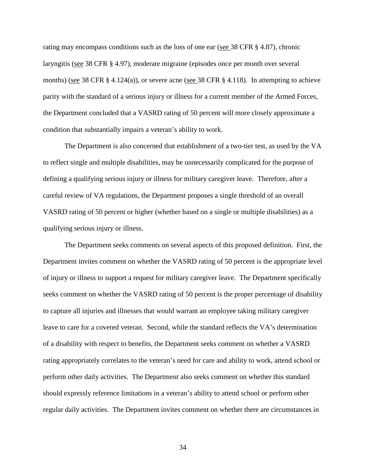rating may encompass conditions such as the loss of one ear (see 38 CFR § 4.87), chronic laryngitis (see 38 CFR § 4.97), moderate migraine (episodes once per month over several months) (see 38 CFR § 4.124(a)), or severe acne (see 38 CFR § 4.118). In attempting to achieve parity with the standard of a serious injury or illness for a current member of the Armed Forces, the Department concluded that a VASRD rating of 50 percent will more closely approximate a condition that substantially impairs a veteran's ability to work.

The Department is also concerned that establishment of a two-tier test, as used by the VA to reflect single and multiple disabilities, may be unnecessarily complicated for the purpose of defining a qualifying serious injury or illness for military caregiver leave. Therefore, after a careful review of VA regulations, the Department proposes a single threshold of an overall VASRD rating of 50 percent or higher (whether based on a single or multiple disabilities) as a qualifying serious injury or illness.

The Department seeks comments on several aspects of this proposed definition. First, the Department invites comment on whether the VASRD rating of 50 percent is the appropriate level of injury or illness to support a request for military caregiver leave. The Department specifically seeks comment on whether the VASRD rating of 50 percent is the proper percentage of disability to capture all injuries and illnesses that would warrant an employee taking military caregiver leave to care for a covered veteran. Second, while the standard reflects the VA's determination of a disability with respect to benefits, the Department seeks comment on whether a VASRD rating appropriately correlates to the veteran's need for care and ability to work, attend school or perform other daily activities. The Department also seeks comment on whether this standard should expressly reference limitations in a veteran's ability to attend school or perform other regular daily activities. The Department invites comment on whether there are circumstances in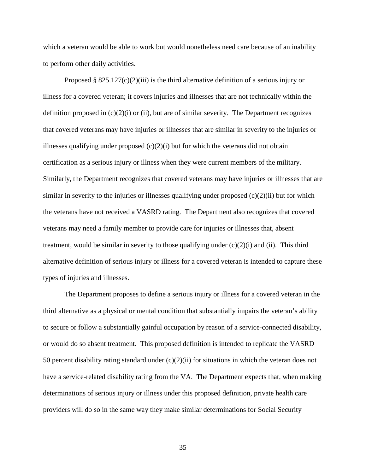which a veteran would be able to work but would nonetheless need care because of an inability to perform other daily activities.

Proposed § 825.127(c)(2)(iii) is the third alternative definition of a serious injury or illness for a covered veteran; it covers injuries and illnesses that are not technically within the definition proposed in  $(c)(2)(i)$  or (ii), but are of similar severity. The Department recognizes that covered veterans may have injuries or illnesses that are similar in severity to the injuries or illnesses qualifying under proposed  $(c)(2)(i)$  but for which the veterans did not obtain certification as a serious injury or illness when they were current members of the military. Similarly, the Department recognizes that covered veterans may have injuries or illnesses that are similar in severity to the injuries or illnesses qualifying under proposed  $(c)(2)(ii)$  but for which the veterans have not received a VASRD rating. The Department also recognizes that covered veterans may need a family member to provide care for injuries or illnesses that, absent treatment, would be similar in severity to those qualifying under  $(c)(2)(i)$  and (ii). This third alternative definition of serious injury or illness for a covered veteran is intended to capture these types of injuries and illnesses.

The Department proposes to define a serious injury or illness for a covered veteran in the third alternative as a physical or mental condition that substantially impairs the veteran's ability to secure or follow a substantially gainful occupation by reason of a service-connected disability, or would do so absent treatment. This proposed definition is intended to replicate the VASRD 50 percent disability rating standard under  $(c)(2)(ii)$  for situations in which the veteran does not have a service-related disability rating from the VA. The Department expects that, when making determinations of serious injury or illness under this proposed definition, private health care providers will do so in the same way they make similar determinations for Social Security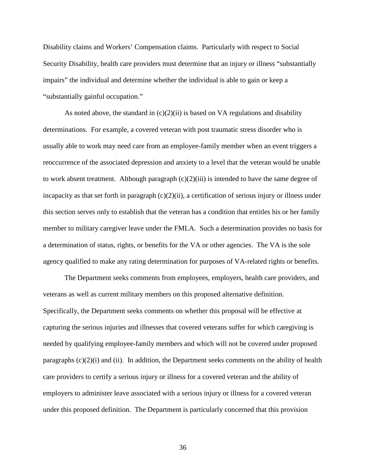Disability claims and Workers' Compensation claims. Particularly with respect to Social Security Disability, health care providers must determine that an injury or illness "substantially impairs" the individual and determine whether the individual is able to gain or keep a "substantially gainful occupation."

As noted above, the standard in  $(c)(2)(ii)$  is based on VA regulations and disability determinations. For example, a covered veteran with post traumatic stress disorder who is usually able to work may need care from an employee-family member when an event triggers a reoccurrence of the associated depression and anxiety to a level that the veteran would be unable to work absent treatment. Although paragraph  $(c)(2)(iii)$  is intended to have the same degree of incapacity as that set forth in paragraph  $(c)(2)(ii)$ , a certification of serious injury or illness under this section serves only to establish that the veteran has a condition that entitles his or her family member to military caregiver leave under the FMLA. Such a determination provides no basis for a determination of status, rights, or benefits for the VA or other agencies. The VA is the sole agency qualified to make any rating determination for purposes of VA-related rights or benefits.

The Department seeks comments from employees, employers, health care providers, and veterans as well as current military members on this proposed alternative definition. Specifically, the Department seeks comments on whether this proposal will be effective at capturing the serious injuries and illnesses that covered veterans suffer for which caregiving is needed by qualifying employee-family members and which will not be covered under proposed paragraphs  $(c)(2)(i)$  and  $(ii)$ . In addition, the Department seeks comments on the ability of health care providers to certify a serious injury or illness for a covered veteran and the ability of employers to administer leave associated with a serious injury or illness for a covered veteran under this proposed definition. The Department is particularly concerned that this provision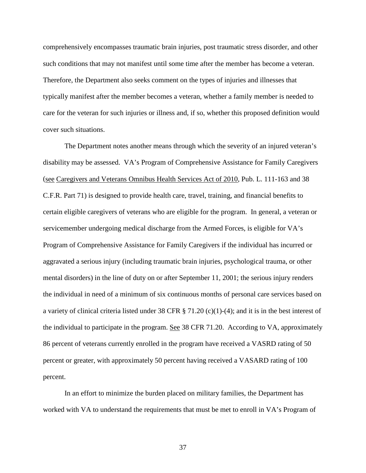comprehensively encompasses traumatic brain injuries, post traumatic stress disorder, and other such conditions that may not manifest until some time after the member has become a veteran. Therefore, the Department also seeks comment on the types of injuries and illnesses that typically manifest after the member becomes a veteran, whether a family member is needed to care for the veteran for such injuries or illness and, if so, whether this proposed definition would cover such situations.

The Department notes another means through which the severity of an injured veteran's disability may be assessed. VA's Program of Comprehensive Assistance for Family Caregivers (see Caregivers and Veterans Omnibus Health Services Act of 2010, Pub. L. 111-163 and 38 C.F.R. Part 71) is designed to provide health care, travel, training, and financial benefits to certain eligible caregivers of veterans who are eligible for the program. In general, a veteran or servicemember undergoing medical discharge from the Armed Forces, is eligible for VA's Program of Comprehensive Assistance for Family Caregivers if the individual has incurred or aggravated a serious injury (including traumatic brain injuries, psychological trauma, or other mental disorders) in the line of duty on or after September 11, 2001; the serious injury renders the individual in need of a minimum of six continuous months of personal care services based on a variety of clinical criteria listed under 38 CFR  $\S 71.20$  (c)(1)-(4); and it is in the best interest of the individual to participate in the program. See 38 CFR 71.20. According to VA, approximately 86 percent of veterans currently enrolled in the program have received a VASRD rating of 50 percent or greater, with approximately 50 percent having received a VASARD rating of 100 percent.

In an effort to minimize the burden placed on military families, the Department has worked with VA to understand the requirements that must be met to enroll in VA's Program of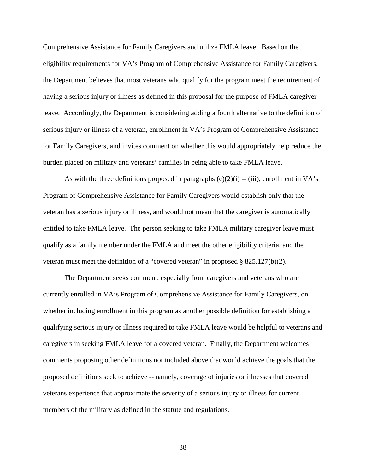Comprehensive Assistance for Family Caregivers and utilize FMLA leave. Based on the eligibility requirements for VA's Program of Comprehensive Assistance for Family Caregivers, the Department believes that most veterans who qualify for the program meet the requirement of having a serious injury or illness as defined in this proposal for the purpose of FMLA caregiver leave. Accordingly, the Department is considering adding a fourth alternative to the definition of serious injury or illness of a veteran, enrollment in VA's Program of Comprehensive Assistance for Family Caregivers, and invites comment on whether this would appropriately help reduce the burden placed on military and veterans' families in being able to take FMLA leave.

As with the three definitions proposed in paragraphs  $(c)(2)(i)$  -- (iii), enrollment in VA's Program of Comprehensive Assistance for Family Caregivers would establish only that the veteran has a serious injury or illness, and would not mean that the caregiver is automatically entitled to take FMLA leave. The person seeking to take FMLA military caregiver leave must qualify as a family member under the FMLA and meet the other eligibility criteria, and the veteran must meet the definition of a "covered veteran" in proposed § 825.127(b)(2).

The Department seeks comment, especially from caregivers and veterans who are currently enrolled in VA's Program of Comprehensive Assistance for Family Caregivers, on whether including enrollment in this program as another possible definition for establishing a qualifying serious injury or illness required to take FMLA leave would be helpful to veterans and caregivers in seeking FMLA leave for a covered veteran. Finally, the Department welcomes comments proposing other definitions not included above that would achieve the goals that the proposed definitions seek to achieve -- namely, coverage of injuries or illnesses that covered veterans experience that approximate the severity of a serious injury or illness for current members of the military as defined in the statute and regulations.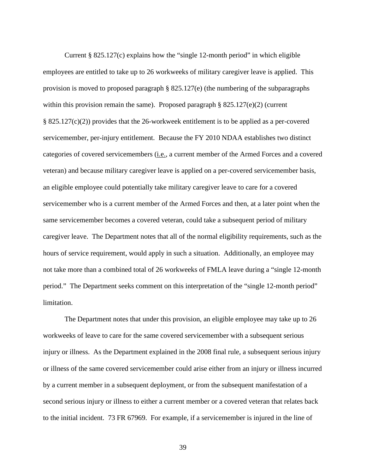Current § 825.127(c) explains how the "single 12-month period" in which eligible employees are entitled to take up to 26 workweeks of military caregiver leave is applied. This provision is moved to proposed paragraph § 825.127(e) (the numbering of the subparagraphs within this provision remain the same). Proposed paragraph § 825.127(e)(2) (current § 825.127(c)(2)) provides that the 26-workweek entitlement is to be applied as a per-covered servicemember, per-injury entitlement. Because the FY 2010 NDAA establishes two distinct categories of covered servicemembers (*i.e.*, a current member of the Armed Forces and a covered veteran) and because military caregiver leave is applied on a per-covered servicemember basis, an eligible employee could potentially take military caregiver leave to care for a covered servicemember who is a current member of the Armed Forces and then, at a later point when the same servicemember becomes a covered veteran, could take a subsequent period of military caregiver leave. The Department notes that all of the normal eligibility requirements, such as the hours of service requirement, would apply in such a situation. Additionally, an employee may not take more than a combined total of 26 workweeks of FMLA leave during a "single 12-month period." The Department seeks comment on this interpretation of the "single 12-month period" limitation.

The Department notes that under this provision, an eligible employee may take up to 26 workweeks of leave to care for the same covered servicemember with a subsequent serious injury or illness. As the Department explained in the 2008 final rule, a subsequent serious injury or illness of the same covered servicemember could arise either from an injury or illness incurred by a current member in a subsequent deployment, or from the subsequent manifestation of a second serious injury or illness to either a current member or a covered veteran that relates back to the initial incident. 73 FR 67969. For example, if a servicemember is injured in the line of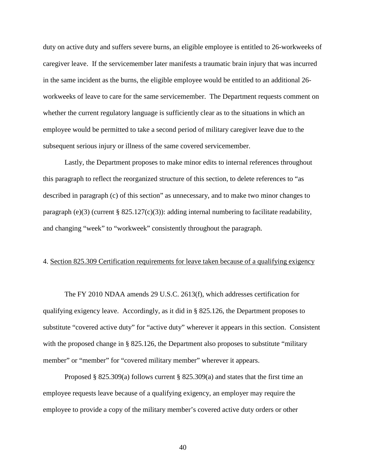duty on active duty and suffers severe burns, an eligible employee is entitled to 26-workweeks of caregiver leave. If the servicemember later manifests a traumatic brain injury that was incurred in the same incident as the burns, the eligible employee would be entitled to an additional 26 workweeks of leave to care for the same servicemember. The Department requests comment on whether the current regulatory language is sufficiently clear as to the situations in which an employee would be permitted to take a second period of military caregiver leave due to the subsequent serious injury or illness of the same covered servicemember.

Lastly, the Department proposes to make minor edits to internal references throughout this paragraph to reflect the reorganized structure of this section, to delete references to "as described in paragraph (c) of this section" as unnecessary, and to make two minor changes to paragraph (e)(3) (current § 825.127(c)(3)): adding internal numbering to facilitate readability, and changing "week" to "workweek" consistently throughout the paragraph.

## 4. Section 825.309 Certification requirements for leave taken because of a qualifying exigency

The FY 2010 NDAA amends 29 U.S.C. 2613(f), which addresses certification for qualifying exigency leave. Accordingly, as it did in § 825.126, the Department proposes to substitute "covered active duty" for "active duty" wherever it appears in this section. Consistent with the proposed change in § 825.126, the Department also proposes to substitute "military" member" or "member" for "covered military member" wherever it appears.

Proposed § 825.309(a) follows current § 825.309(a) and states that the first time an employee requests leave because of a qualifying exigency, an employer may require the employee to provide a copy of the military member's covered active duty orders or other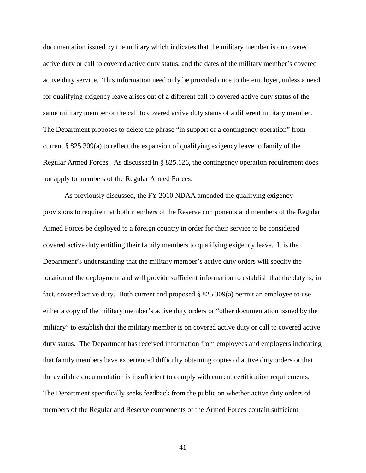documentation issued by the military which indicates that the military member is on covered active duty or call to covered active duty status, and the dates of the military member's covered active duty service. This information need only be provided once to the employer, unless a need for qualifying exigency leave arises out of a different call to covered active duty status of the same military member or the call to covered active duty status of a different military member. The Department proposes to delete the phrase "in support of a contingency operation" from current § 825.309(a) to reflect the expansion of qualifying exigency leave to family of the Regular Armed Forces. As discussed in § 825.126, the contingency operation requirement does not apply to members of the Regular Armed Forces.

As previously discussed, the FY 2010 NDAA amended the qualifying exigency provisions to require that both members of the Reserve components and members of the Regular Armed Forces be deployed to a foreign country in order for their service to be considered covered active duty entitling their family members to qualifying exigency leave. It is the Department's understanding that the military member's active duty orders will specify the location of the deployment and will provide sufficient information to establish that the duty is, in fact, covered active duty. Both current and proposed § 825.309(a) permit an employee to use either a copy of the military member's active duty orders or "other documentation issued by the military" to establish that the military member is on covered active duty or call to covered active duty status. The Department has received information from employees and employers indicating that family members have experienced difficulty obtaining copies of active duty orders or that the available documentation is insufficient to comply with current certification requirements. The Department specifically seeks feedback from the public on whether active duty orders of members of the Regular and Reserve components of the Armed Forces contain sufficient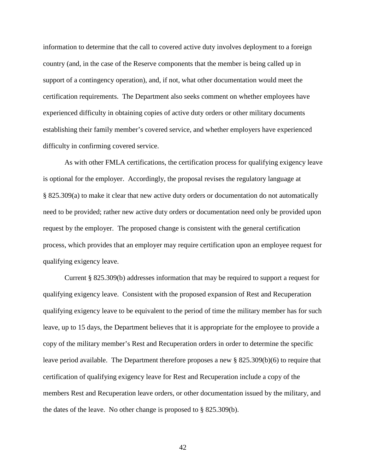information to determine that the call to covered active duty involves deployment to a foreign country (and, in the case of the Reserve components that the member is being called up in support of a contingency operation), and, if not, what other documentation would meet the certification requirements. The Department also seeks comment on whether employees have experienced difficulty in obtaining copies of active duty orders or other military documents establishing their family member's covered service, and whether employers have experienced difficulty in confirming covered service.

As with other FMLA certifications, the certification process for qualifying exigency leave is optional for the employer. Accordingly, the proposal revises the regulatory language at § 825.309(a) to make it clear that new active duty orders or documentation do not automatically need to be provided; rather new active duty orders or documentation need only be provided upon request by the employer. The proposed change is consistent with the general certification process, which provides that an employer may require certification upon an employee request for qualifying exigency leave.

Current § 825.309(b) addresses information that may be required to support a request for qualifying exigency leave. Consistent with the proposed expansion of Rest and Recuperation qualifying exigency leave to be equivalent to the period of time the military member has for such leave, up to 15 days, the Department believes that it is appropriate for the employee to provide a copy of the military member's Rest and Recuperation orders in order to determine the specific leave period available. The Department therefore proposes a new § 825.309(b)(6) to require that certification of qualifying exigency leave for Rest and Recuperation include a copy of the members Rest and Recuperation leave orders, or other documentation issued by the military, and the dates of the leave. No other change is proposed to § 825.309(b).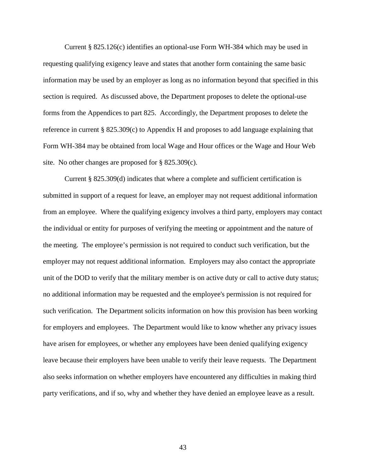Current § 825.126(c) identifies an optional-use Form WH-384 which may be used in requesting qualifying exigency leave and states that another form containing the same basic information may be used by an employer as long as no information beyond that specified in this section is required. As discussed above, the Department proposes to delete the optional-use forms from the Appendices to part 825. Accordingly, the Department proposes to delete the reference in current § 825.309(c) to Appendix H and proposes to add language explaining that Form WH-384 may be obtained from local Wage and Hour offices or the Wage and Hour Web site. No other changes are proposed for § 825.309(c).

Current § 825.309(d) indicates that where a complete and sufficient certification is submitted in support of a request for leave, an employer may not request additional information from an employee. Where the qualifying exigency involves a third party, employers may contact the individual or entity for purposes of verifying the meeting or appointment and the nature of the meeting. The employee's permission is not required to conduct such verification, but the employer may not request additional information. Employers may also contact the appropriate unit of the DOD to verify that the military member is on active duty or call to active duty status; no additional information may be requested and the employee's permission is not required for such verification. The Department solicits information on how this provision has been working for employers and employees. The Department would like to know whether any privacy issues have arisen for employees, or whether any employees have been denied qualifying exigency leave because their employers have been unable to verify their leave requests. The Department also seeks information on whether employers have encountered any difficulties in making third party verifications, and if so, why and whether they have denied an employee leave as a result.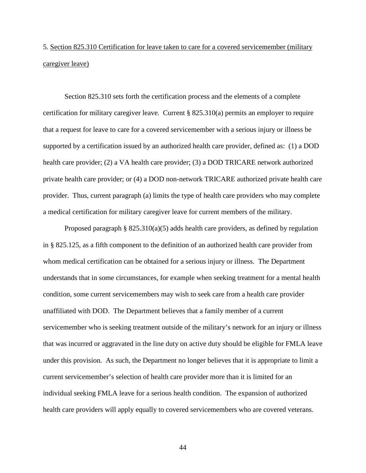5. Section 825.310 Certification for leave taken to care for a covered servicemember (military caregiver leave)

Section 825.310 sets forth the certification process and the elements of a complete certification for military caregiver leave. Current § 825.310(a) permits an employer to require that a request for leave to care for a covered servicemember with a serious injury or illness be supported by a certification issued by an authorized health care provider, defined as: (1) a DOD health care provider; (2) a VA health care provider; (3) a DOD TRICARE network authorized private health care provider; or (4) a DOD non-network TRICARE authorized private health care provider. Thus, current paragraph (a) limits the type of health care providers who may complete a medical certification for military caregiver leave for current members of the military.

Proposed paragraph  $\S 825.310(a)(5)$  adds health care providers, as defined by regulation in § 825.125, as a fifth component to the definition of an authorized health care provider from whom medical certification can be obtained for a serious injury or illness. The Department understands that in some circumstances, for example when seeking treatment for a mental health condition, some current servicemembers may wish to seek care from a health care provider unaffiliated with DOD. The Department believes that a family member of a current servicemember who is seeking treatment outside of the military's network for an injury or illness that was incurred or aggravated in the line duty on active duty should be eligible for FMLA leave under this provision. As such, the Department no longer believes that it is appropriate to limit a current servicemember's selection of health care provider more than it is limited for an individual seeking FMLA leave for a serious health condition. The expansion of authorized health care providers will apply equally to covered servicemembers who are covered veterans.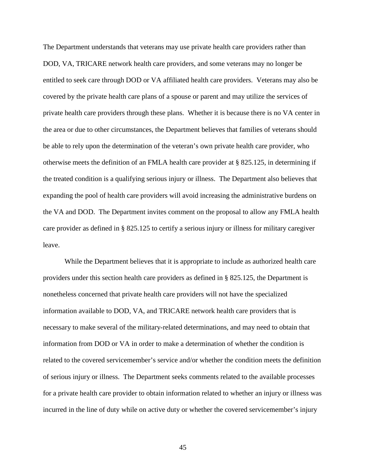The Department understands that veterans may use private health care providers rather than DOD, VA, TRICARE network health care providers, and some veterans may no longer be entitled to seek care through DOD or VA affiliated health care providers. Veterans may also be covered by the private health care plans of a spouse or parent and may utilize the services of private health care providers through these plans. Whether it is because there is no VA center in the area or due to other circumstances, the Department believes that families of veterans should be able to rely upon the determination of the veteran's own private health care provider, who otherwise meets the definition of an FMLA health care provider at § 825.125, in determining if the treated condition is a qualifying serious injury or illness. The Department also believes that expanding the pool of health care providers will avoid increasing the administrative burdens on the VA and DOD. The Department invites comment on the proposal to allow any FMLA health care provider as defined in § 825.125 to certify a serious injury or illness for military caregiver leave.

While the Department believes that it is appropriate to include as authorized health care providers under this section health care providers as defined in § 825.125, the Department is nonetheless concerned that private health care providers will not have the specialized information available to DOD, VA, and TRICARE network health care providers that is necessary to make several of the military-related determinations, and may need to obtain that information from DOD or VA in order to make a determination of whether the condition is related to the covered servicemember's service and/or whether the condition meets the definition of serious injury or illness. The Department seeks comments related to the available processes for a private health care provider to obtain information related to whether an injury or illness was incurred in the line of duty while on active duty or whether the covered servicemember's injury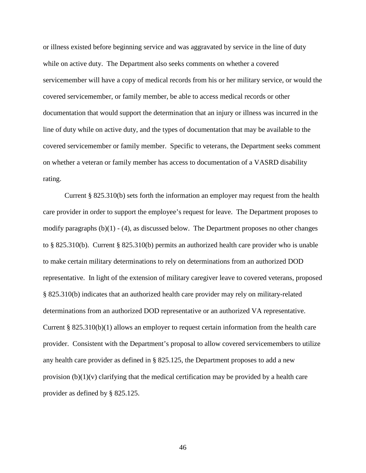or illness existed before beginning service and was aggravated by service in the line of duty while on active duty. The Department also seeks comments on whether a covered servicemember will have a copy of medical records from his or her military service, or would the covered servicemember, or family member, be able to access medical records or other documentation that would support the determination that an injury or illness was incurred in the line of duty while on active duty, and the types of documentation that may be available to the covered servicemember or family member. Specific to veterans, the Department seeks comment on whether a veteran or family member has access to documentation of a VASRD disability rating.

Current § 825.310(b) sets forth the information an employer may request from the health care provider in order to support the employee's request for leave. The Department proposes to modify paragraphs  $(b)(1) - (4)$ , as discussed below. The Department proposes no other changes to § 825.310(b). Current § 825.310(b) permits an authorized health care provider who is unable to make certain military determinations to rely on determinations from an authorized DOD representative. In light of the extension of military caregiver leave to covered veterans, proposed § 825.310(b) indicates that an authorized health care provider may rely on military-related determinations from an authorized DOD representative or an authorized VA representative. Current § 825.310(b)(1) allows an employer to request certain information from the health care provider. Consistent with the Department's proposal to allow covered servicemembers to utilize any health care provider as defined in § 825.125, the Department proposes to add a new provision  $(b)(1)(v)$  clarifying that the medical certification may be provided by a health care provider as defined by § 825.125.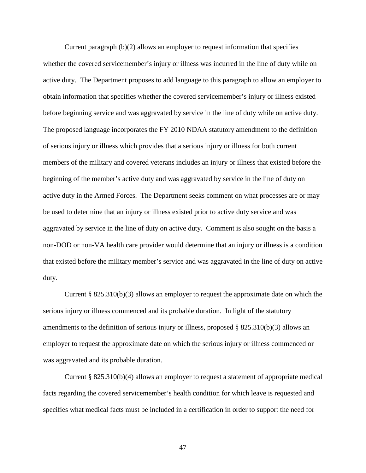Current paragraph  $(b)(2)$  allows an employer to request information that specifies whether the covered servicemember's injury or illness was incurred in the line of duty while on active duty. The Department proposes to add language to this paragraph to allow an employer to obtain information that specifies whether the covered servicemember's injury or illness existed before beginning service and was aggravated by service in the line of duty while on active duty. The proposed language incorporates the FY 2010 NDAA statutory amendment to the definition of serious injury or illness which provides that a serious injury or illness for both current members of the military and covered veterans includes an injury or illness that existed before the beginning of the member's active duty and was aggravated by service in the line of duty on active duty in the Armed Forces. The Department seeks comment on what processes are or may be used to determine that an injury or illness existed prior to active duty service and was aggravated by service in the line of duty on active duty. Comment is also sought on the basis a non-DOD or non-VA health care provider would determine that an injury or illness is a condition that existed before the military member's service and was aggravated in the line of duty on active duty.

Current § 825.310(b)(3) allows an employer to request the approximate date on which the serious injury or illness commenced and its probable duration. In light of the statutory amendments to the definition of serious injury or illness, proposed § 825.310(b)(3) allows an employer to request the approximate date on which the serious injury or illness commenced or was aggravated and its probable duration.

Current § 825.310(b)(4) allows an employer to request a statement of appropriate medical facts regarding the covered servicemember's health condition for which leave is requested and specifies what medical facts must be included in a certification in order to support the need for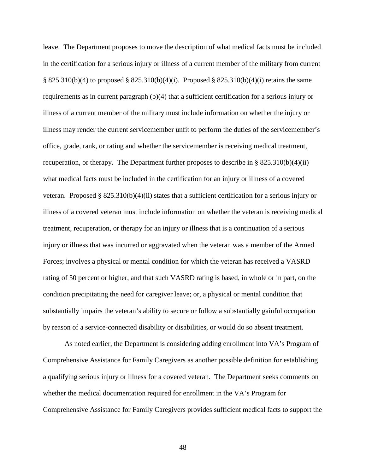leave. The Department proposes to move the description of what medical facts must be included in the certification for a serious injury or illness of a current member of the military from current  $§ 825.310(b)(4)$  to proposed §  $825.310(b)(4)(i)$ . Proposed §  $825.310(b)(4)(i)$  retains the same requirements as in current paragraph (b)(4) that a sufficient certification for a serious injury or illness of a current member of the military must include information on whether the injury or illness may render the current servicemember unfit to perform the duties of the servicemember's office, grade, rank, or rating and whether the servicemember is receiving medical treatment, recuperation, or therapy. The Department further proposes to describe in  $\S 825.310(b)(4)(ii)$ what medical facts must be included in the certification for an injury or illness of a covered veteran. Proposed § 825.310(b)(4)(ii) states that a sufficient certification for a serious injury or illness of a covered veteran must include information on whether the veteran is receiving medical treatment, recuperation, or therapy for an injury or illness that is a continuation of a serious injury or illness that was incurred or aggravated when the veteran was a member of the Armed Forces; involves a physical or mental condition for which the veteran has received a VASRD rating of 50 percent or higher, and that such VASRD rating is based, in whole or in part, on the condition precipitating the need for caregiver leave; or, a physical or mental condition that substantially impairs the veteran's ability to secure or follow a substantially gainful occupation by reason of a service-connected disability or disabilities, or would do so absent treatment.

As noted earlier, the Department is considering adding enrollment into VA's Program of Comprehensive Assistance for Family Caregivers as another possible definition for establishing a qualifying serious injury or illness for a covered veteran. The Department seeks comments on whether the medical documentation required for enrollment in the VA's Program for Comprehensive Assistance for Family Caregivers provides sufficient medical facts to support the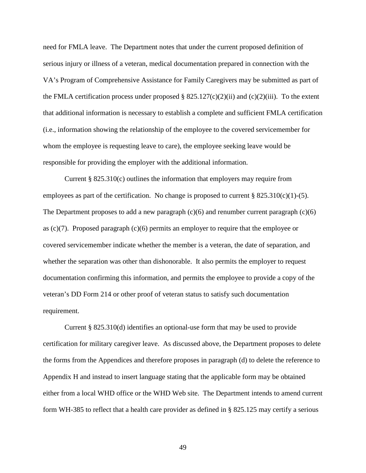need for FMLA leave. The Department notes that under the current proposed definition of serious injury or illness of a veteran, medical documentation prepared in connection with the VA's Program of Comprehensive Assistance for Family Caregivers may be submitted as part of the FMLA certification process under proposed  $\S$  825.127(c)(2)(ii) and (c)(2)(iii). To the extent that additional information is necessary to establish a complete and sufficient FMLA certification (i.e., information showing the relationship of the employee to the covered servicemember for whom the employee is requesting leave to care), the employee seeking leave would be responsible for providing the employer with the additional information.

Current  $\S 825.310(c)$  outlines the information that employers may require from employees as part of the certification. No change is proposed to current  $\S 825.310(c)(1)-(5)$ . The Department proposes to add a new paragraph  $(c)(6)$  and renumber current paragraph  $(c)(6)$ as  $(c)(7)$ . Proposed paragraph  $(c)(6)$  permits an employer to require that the employee or covered servicemember indicate whether the member is a veteran, the date of separation, and whether the separation was other than dishonorable. It also permits the employer to request documentation confirming this information, and permits the employee to provide a copy of the veteran's DD Form 214 or other proof of veteran status to satisfy such documentation requirement.

Current § 825.310(d) identifies an optional-use form that may be used to provide certification for military caregiver leave. As discussed above, the Department proposes to delete the forms from the Appendices and therefore proposes in paragraph (d) to delete the reference to Appendix H and instead to insert language stating that the applicable form may be obtained either from a local WHD office or the WHD Web site. The Department intends to amend current form WH-385 to reflect that a health care provider as defined in § 825.125 may certify a serious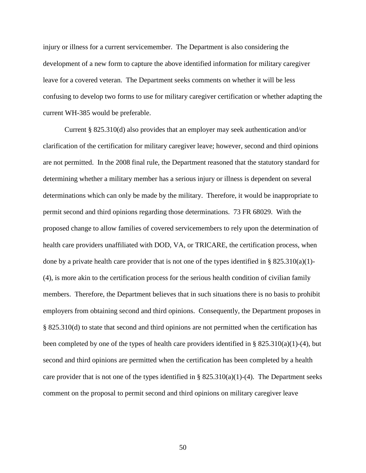injury or illness for a current servicemember. The Department is also considering the development of a new form to capture the above identified information for military caregiver leave for a covered veteran. The Department seeks comments on whether it will be less confusing to develop two forms to use for military caregiver certification or whether adapting the current WH-385 would be preferable.

Current § 825.310(d) also provides that an employer may seek authentication and/or clarification of the certification for military caregiver leave; however, second and third opinions are not permitted. In the 2008 final rule, the Department reasoned that the statutory standard for determining whether a military member has a serious injury or illness is dependent on several determinations which can only be made by the military. Therefore, it would be inappropriate to permit second and third opinions regarding those determinations. 73 FR 68029. With the proposed change to allow families of covered servicemembers to rely upon the determination of health care providers unaffiliated with DOD, VA, or TRICARE, the certification process, when done by a private health care provider that is not one of the types identified in § 825.310(a)(1)-(4), is more akin to the certification process for the serious health condition of civilian family members. Therefore, the Department believes that in such situations there is no basis to prohibit employers from obtaining second and third opinions. Consequently, the Department proposes in § 825.310(d) to state that second and third opinions are not permitted when the certification has been completed by one of the types of health care providers identified in §  $825.310(a)(1)-(4)$ , but second and third opinions are permitted when the certification has been completed by a health care provider that is not one of the types identified in §  $825.310(a)(1)-(4)$ . The Department seeks comment on the proposal to permit second and third opinions on military caregiver leave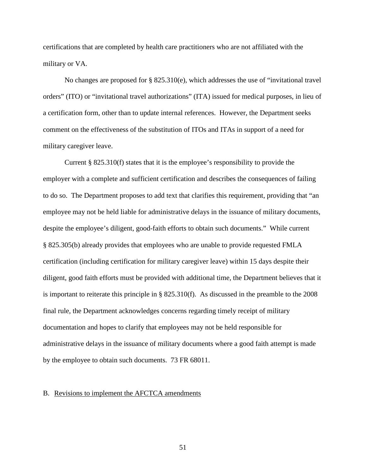certifications that are completed by health care practitioners who are not affiliated with the military or VA.

No changes are proposed for § 825.310(e), which addresses the use of "invitational travel orders" (ITO) or "invitational travel authorizations" (ITA) issued for medical purposes, in lieu of a certification form, other than to update internal references. However, the Department seeks comment on the effectiveness of the substitution of ITOs and ITAs in support of a need for military caregiver leave.

Current § 825.310(f) states that it is the employee's responsibility to provide the employer with a complete and sufficient certification and describes the consequences of failing to do so. The Department proposes to add text that clarifies this requirement, providing that "an employee may not be held liable for administrative delays in the issuance of military documents, despite the employee's diligent, good-faith efforts to obtain such documents." While current § 825.305(b) already provides that employees who are unable to provide requested FMLA certification (including certification for military caregiver leave) within 15 days despite their diligent, good faith efforts must be provided with additional time, the Department believes that it is important to reiterate this principle in § 825.310(f). As discussed in the preamble to the 2008 final rule, the Department acknowledges concerns regarding timely receipt of military documentation and hopes to clarify that employees may not be held responsible for administrative delays in the issuance of military documents where a good faith attempt is made by the employee to obtain such documents. 73 FR 68011.

## B. Revisions to implement the AFCTCA amendments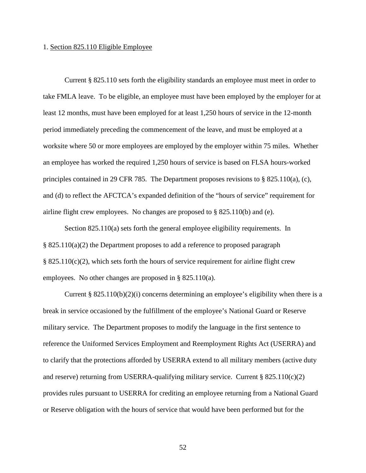#### 1. Section 825.110 Eligible Employee

Current § 825.110 sets forth the eligibility standards an employee must meet in order to take FMLA leave. To be eligible, an employee must have been employed by the employer for at least 12 months, must have been employed for at least 1,250 hours of service in the 12-month period immediately preceding the commencement of the leave, and must be employed at a worksite where 50 or more employees are employed by the employer within 75 miles. Whether an employee has worked the required 1,250 hours of service is based on FLSA hours-worked principles contained in 29 CFR 785. The Department proposes revisions to  $\S$  825.110(a), (c), and (d) to reflect the AFCTCA's expanded definition of the "hours of service" requirement for airline flight crew employees. No changes are proposed to § 825.110(b) and (e).

Section 825.110(a) sets forth the general employee eligibility requirements. In § 825.110(a)(2) the Department proposes to add a reference to proposed paragraph  $\S$  825.110(c)(2), which sets forth the hours of service requirement for airline flight crew employees. No other changes are proposed in § 825.110(a).

Current §  $825.110(b)(2)(i)$  concerns determining an employee's eligibility when there is a break in service occasioned by the fulfillment of the employee's National Guard or Reserve military service. The Department proposes to modify the language in the first sentence to reference the Uniformed Services Employment and Reemployment Rights Act (USERRA) and to clarify that the protections afforded by USERRA extend to all military members (active duty and reserve) returning from USERRA-qualifying military service. Current  $\S$  825.110(c)(2) provides rules pursuant to USERRA for crediting an employee returning from a National Guard or Reserve obligation with the hours of service that would have been performed but for the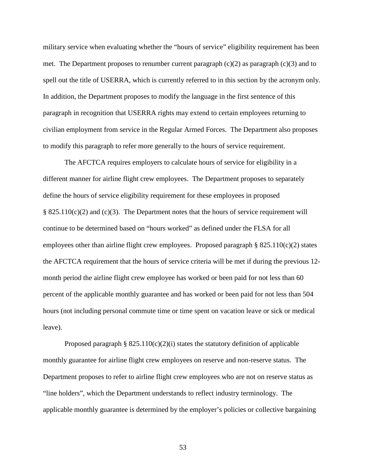military service when evaluating whether the "hours of service" eligibility requirement has been met. The Department proposes to renumber current paragraph  $(c)(2)$  as paragraph  $(c)(3)$  and to spell out the title of USERRA, which is currently referred to in this section by the acronym only. In addition, the Department proposes to modify the language in the first sentence of this paragraph in recognition that USERRA rights may extend to certain employees returning to civilian employment from service in the Regular Armed Forces. The Department also proposes to modify this paragraph to refer more generally to the hours of service requirement.

The AFCTCA requires employers to calculate hours of service for eligibility in a different manner for airline flight crew employees. The Department proposes to separately define the hours of service eligibility requirement for these employees in proposed  $§ 825.110(c)(2)$  and (c)(3). The Department notes that the hours of service requirement will continue to be determined based on "hours worked" as defined under the FLSA for all employees other than airline flight crew employees. Proposed paragraph  $\S$  825.110(c)(2) states the AFCTCA requirement that the hours of service criteria will be met if during the previous 12 month period the airline flight crew employee has worked or been paid for not less than 60 percent of the applicable monthly guarantee and has worked or been paid for not less than 504 hours (not including personal commute time or time spent on vacation leave or sick or medical leave).

Proposed paragraph § 825.110(c)(2)(i) states the statutory definition of applicable monthly guarantee for airline flight crew employees on reserve and non-reserve status. The Department proposes to refer to airline flight crew employees who are not on reserve status as "line holders", which the Department understands to reflect industry terminology. The applicable monthly guarantee is determined by the employer's policies or collective bargaining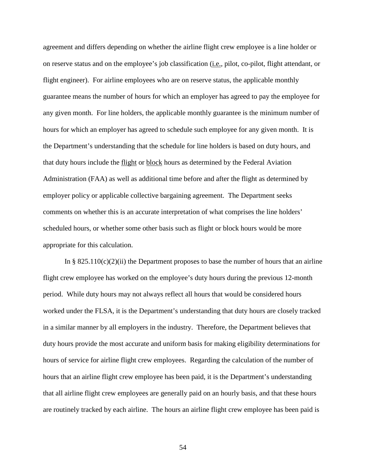agreement and differs depending on whether the airline flight crew employee is a line holder or on reserve status and on the employee's job classification (i.e., pilot, co-pilot, flight attendant, or flight engineer). For airline employees who are on reserve status, the applicable monthly guarantee means the number of hours for which an employer has agreed to pay the employee for any given month. For line holders, the applicable monthly guarantee is the minimum number of hours for which an employer has agreed to schedule such employee for any given month. It is the Department's understanding that the schedule for line holders is based on duty hours, and that duty hours include the **flight** or **block** hours as determined by the Federal Aviation Administration (FAA) as well as additional time before and after the flight as determined by employer policy or applicable collective bargaining agreement. The Department seeks comments on whether this is an accurate interpretation of what comprises the line holders' scheduled hours, or whether some other basis such as flight or block hours would be more appropriate for this calculation.

In § 825.110(c)(2)(ii) the Department proposes to base the number of hours that an airline flight crew employee has worked on the employee's duty hours during the previous 12-month period. While duty hours may not always reflect all hours that would be considered hours worked under the FLSA, it is the Department's understanding that duty hours are closely tracked in a similar manner by all employers in the industry. Therefore, the Department believes that duty hours provide the most accurate and uniform basis for making eligibility determinations for hours of service for airline flight crew employees. Regarding the calculation of the number of hours that an airline flight crew employee has been paid, it is the Department's understanding that all airline flight crew employees are generally paid on an hourly basis, and that these hours are routinely tracked by each airline. The hours an airline flight crew employee has been paid is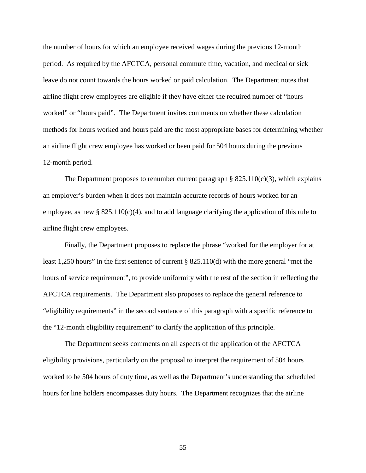the number of hours for which an employee received wages during the previous 12-month period. As required by the AFCTCA, personal commute time, vacation, and medical or sick leave do not count towards the hours worked or paid calculation. The Department notes that airline flight crew employees are eligible if they have either the required number of "hours worked" or "hours paid". The Department invites comments on whether these calculation methods for hours worked and hours paid are the most appropriate bases for determining whether an airline flight crew employee has worked or been paid for 504 hours during the previous 12-month period.

The Department proposes to renumber current paragraph  $\S$  825.110(c)(3), which explains an employer's burden when it does not maintain accurate records of hours worked for an employee, as new § 825.110(c)(4), and to add language clarifying the application of this rule to airline flight crew employees.

Finally, the Department proposes to replace the phrase "worked for the employer for at least 1,250 hours" in the first sentence of current § 825.110(d) with the more general "met the hours of service requirement", to provide uniformity with the rest of the section in reflecting the AFCTCA requirements. The Department also proposes to replace the general reference to "eligibility requirements" in the second sentence of this paragraph with a specific reference to the "12-month eligibility requirement" to clarify the application of this principle.

The Department seeks comments on all aspects of the application of the AFCTCA eligibility provisions, particularly on the proposal to interpret the requirement of 504 hours worked to be 504 hours of duty time, as well as the Department's understanding that scheduled hours for line holders encompasses duty hours. The Department recognizes that the airline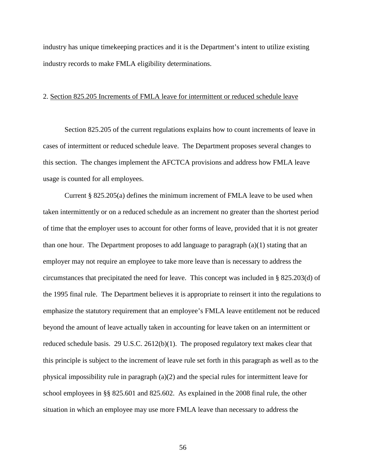industry has unique timekeeping practices and it is the Department's intent to utilize existing industry records to make FMLA eligibility determinations.

## 2. Section 825.205 Increments of FMLA leave for intermittent or reduced schedule leave

Section 825.205 of the current regulations explains how to count increments of leave in cases of intermittent or reduced schedule leave. The Department proposes several changes to this section. The changes implement the AFCTCA provisions and address how FMLA leave usage is counted for all employees.

Current § 825.205(a) defines the minimum increment of FMLA leave to be used when taken intermittently or on a reduced schedule as an increment no greater than the shortest period of time that the employer uses to account for other forms of leave, provided that it is not greater than one hour. The Department proposes to add language to paragraph (a)(1) stating that an employer may not require an employee to take more leave than is necessary to address the circumstances that precipitated the need for leave. This concept was included in § 825.203(d) of the 1995 final rule. The Department believes it is appropriate to reinsert it into the regulations to emphasize the statutory requirement that an employee's FMLA leave entitlement not be reduced beyond the amount of leave actually taken in accounting for leave taken on an intermittent or reduced schedule basis. 29 U.S.C. 2612(b)(1). The proposed regulatory text makes clear that this principle is subject to the increment of leave rule set forth in this paragraph as well as to the physical impossibility rule in paragraph  $(a)(2)$  and the special rules for intermittent leave for school employees in §§ 825.601 and 825.602. As explained in the 2008 final rule, the other situation in which an employee may use more FMLA leave than necessary to address the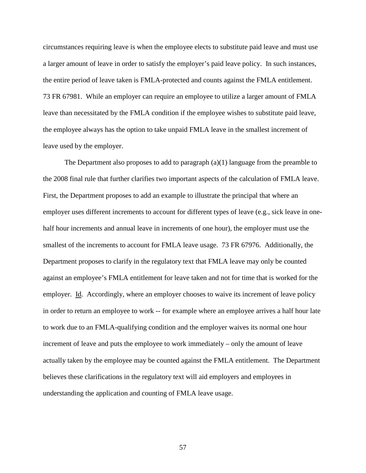circumstances requiring leave is when the employee elects to substitute paid leave and must use a larger amount of leave in order to satisfy the employer's paid leave policy. In such instances, the entire period of leave taken is FMLA-protected and counts against the FMLA entitlement. 73 FR 67981. While an employer can require an employee to utilize a larger amount of FMLA leave than necessitated by the FMLA condition if the employee wishes to substitute paid leave, the employee always has the option to take unpaid FMLA leave in the smallest increment of leave used by the employer.

The Department also proposes to add to paragraph  $(a)(1)$  language from the preamble to the 2008 final rule that further clarifies two important aspects of the calculation of FMLA leave. First, the Department proposes to add an example to illustrate the principal that where an employer uses different increments to account for different types of leave (e.g., sick leave in onehalf hour increments and annual leave in increments of one hour), the employer must use the smallest of the increments to account for FMLA leave usage. 73 FR 67976. Additionally, the Department proposes to clarify in the regulatory text that FMLA leave may only be counted against an employee's FMLA entitlement for leave taken and not for time that is worked for the employer. Id. Accordingly, where an employer chooses to waive its increment of leave policy in order to return an employee to work -- for example where an employee arrives a half hour late to work due to an FMLA-qualifying condition and the employer waives its normal one hour increment of leave and puts the employee to work immediately – only the amount of leave actually taken by the employee may be counted against the FMLA entitlement. The Department believes these clarifications in the regulatory text will aid employers and employees in understanding the application and counting of FMLA leave usage.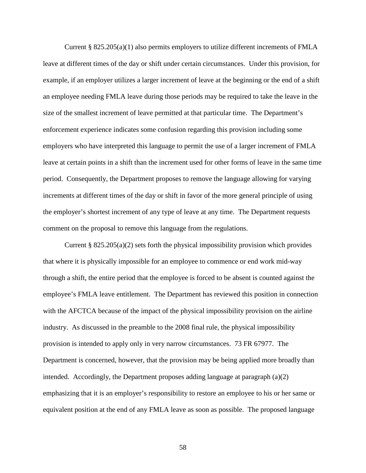Current  $\S$  825.205(a)(1) also permits employers to utilize different increments of FMLA leave at different times of the day or shift under certain circumstances. Under this provision, for example, if an employer utilizes a larger increment of leave at the beginning or the end of a shift an employee needing FMLA leave during those periods may be required to take the leave in the size of the smallest increment of leave permitted at that particular time. The Department's enforcement experience indicates some confusion regarding this provision including some employers who have interpreted this language to permit the use of a larger increment of FMLA leave at certain points in a shift than the increment used for other forms of leave in the same time period. Consequently, the Department proposes to remove the language allowing for varying increments at different times of the day or shift in favor of the more general principle of using the employer's shortest increment of any type of leave at any time. The Department requests comment on the proposal to remove this language from the regulations.

Current § 825.205(a)(2) sets forth the physical impossibility provision which provides that where it is physically impossible for an employee to commence or end work mid-way through a shift, the entire period that the employee is forced to be absent is counted against the employee's FMLA leave entitlement. The Department has reviewed this position in connection with the AFCTCA because of the impact of the physical impossibility provision on the airline industry. As discussed in the preamble to the 2008 final rule, the physical impossibility provision is intended to apply only in very narrow circumstances. 73 FR 67977. The Department is concerned, however, that the provision may be being applied more broadly than intended. Accordingly, the Department proposes adding language at paragraph (a)(2) emphasizing that it is an employer's responsibility to restore an employee to his or her same or equivalent position at the end of any FMLA leave as soon as possible. The proposed language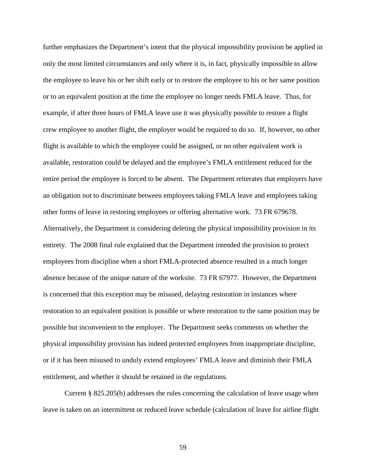further emphasizes the Department's intent that the physical impossibility provision be applied in only the most limited circumstances and only where it is, in fact, physically impossible to allow the employee to leave his or her shift early or to restore the employee to his or her same position or to an equivalent position at the time the employee no longer needs FMLA leave. Thus, for example, if after three hours of FMLA leave use it was physically possible to restore a flight crew employee to another flight, the employer would be required to do so. If, however, no other flight is available to which the employee could be assigned, or no other equivalent work is available, restoration could be delayed and the employee's FMLA entitlement reduced for the entire period the employee is forced to be absent. The Department reiterates that employers have an obligation not to discriminate between employees taking FMLA leave and employees taking other forms of leave in restoring employees or offering alternative work. 73 FR 679678. Alternatively, the Department is considering deleting the physical impossibility provision in its entirety. The 2008 final rule explained that the Department intended the provision to protect employees from discipline when a short FMLA-protected absence resulted in a much longer absence because of the unique nature of the worksite. 73 FR 67977. However, the Department is concerned that this exception may be misused, delaying restoration in instances where restoration to an equivalent position is possible or where restoration to the same position may be possible but inconvenient to the employer. The Department seeks comments on whether the physical impossibility provision has indeed protected employees from inappropriate discipline, or if it has been misused to unduly extend employees' FMLA leave and diminish their FMLA entitlement, and whether it should be retained in the regulations.

Current § 825.205(b) addresses the rules concerning the calculation of leave usage when leave is taken on an intermittent or reduced leave schedule (calculation of leave for airline flight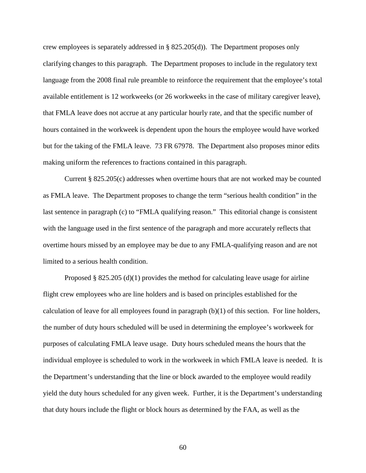crew employees is separately addressed in § 825.205(d)). The Department proposes only clarifying changes to this paragraph. The Department proposes to include in the regulatory text language from the 2008 final rule preamble to reinforce the requirement that the employee's total available entitlement is 12 workweeks (or 26 workweeks in the case of military caregiver leave), that FMLA leave does not accrue at any particular hourly rate, and that the specific number of hours contained in the workweek is dependent upon the hours the employee would have worked but for the taking of the FMLA leave. 73 FR 67978. The Department also proposes minor edits making uniform the references to fractions contained in this paragraph.

Current § 825.205(c) addresses when overtime hours that are not worked may be counted as FMLA leave. The Department proposes to change the term "serious health condition" in the last sentence in paragraph (c) to "FMLA qualifying reason." This editorial change is consistent with the language used in the first sentence of the paragraph and more accurately reflects that overtime hours missed by an employee may be due to any FMLA-qualifying reason and are not limited to a serious health condition.

Proposed § 825.205 (d)(1) provides the method for calculating leave usage for airline flight crew employees who are line holders and is based on principles established for the calculation of leave for all employees found in paragraph  $(b)(1)$  of this section. For line holders, the number of duty hours scheduled will be used in determining the employee's workweek for purposes of calculating FMLA leave usage. Duty hours scheduled means the hours that the individual employee is scheduled to work in the workweek in which FMLA leave is needed. It is the Department's understanding that the line or block awarded to the employee would readily yield the duty hours scheduled for any given week. Further, it is the Department's understanding that duty hours include the flight or block hours as determined by the FAA, as well as the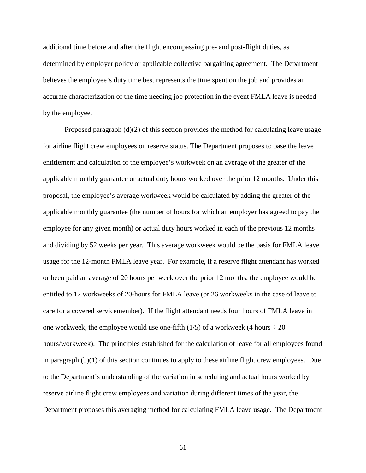additional time before and after the flight encompassing pre- and post-flight duties, as determined by employer policy or applicable collective bargaining agreement. The Department believes the employee's duty time best represents the time spent on the job and provides an accurate characterization of the time needing job protection in the event FMLA leave is needed by the employee.

Proposed paragraph  $(d)(2)$  of this section provides the method for calculating leave usage for airline flight crew employees on reserve status. The Department proposes to base the leave entitlement and calculation of the employee's workweek on an average of the greater of the applicable monthly guarantee or actual duty hours worked over the prior 12 months. Under this proposal, the employee's average workweek would be calculated by adding the greater of the applicable monthly guarantee (the number of hours for which an employer has agreed to pay the employee for any given month) or actual duty hours worked in each of the previous 12 months and dividing by 52 weeks per year. This average workweek would be the basis for FMLA leave usage for the 12-month FMLA leave year. For example, if a reserve flight attendant has worked or been paid an average of 20 hours per week over the prior 12 months, the employee would be entitled to 12 workweeks of 20-hours for FMLA leave (or 26 workweeks in the case of leave to care for a covered servicemember). If the flight attendant needs four hours of FMLA leave in one workweek, the employee would use one-fifth (1/5) of a workweek (4 hours  $\div 20$ hours/workweek). The principles established for the calculation of leave for all employees found in paragraph (b)(1) of this section continues to apply to these airline flight crew employees. Due to the Department's understanding of the variation in scheduling and actual hours worked by reserve airline flight crew employees and variation during different times of the year, the Department proposes this averaging method for calculating FMLA leave usage. The Department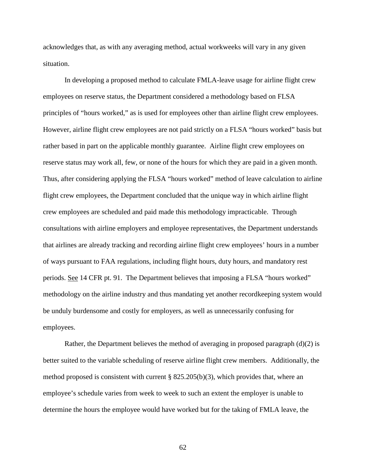acknowledges that, as with any averaging method, actual workweeks will vary in any given situation.

In developing a proposed method to calculate FMLA-leave usage for airline flight crew employees on reserve status, the Department considered a methodology based on FLSA principles of "hours worked," as is used for employees other than airline flight crew employees. However, airline flight crew employees are not paid strictly on a FLSA "hours worked" basis but rather based in part on the applicable monthly guarantee. Airline flight crew employees on reserve status may work all, few, or none of the hours for which they are paid in a given month. Thus, after considering applying the FLSA "hours worked" method of leave calculation to airline flight crew employees, the Department concluded that the unique way in which airline flight crew employees are scheduled and paid made this methodology impracticable. Through consultations with airline employers and employee representatives, the Department understands that airlines are already tracking and recording airline flight crew employees' hours in a number of ways pursuant to FAA regulations, including flight hours, duty hours, and mandatory rest periods. See 14 CFR pt. 91. The Department believes that imposing a FLSA "hours worked" methodology on the airline industry and thus mandating yet another recordkeeping system would be unduly burdensome and costly for employers, as well as unnecessarily confusing for employees.

Rather, the Department believes the method of averaging in proposed paragraph (d)(2) is better suited to the variable scheduling of reserve airline flight crew members. Additionally, the method proposed is consistent with current  $\S 825.205(b)(3)$ , which provides that, where an employee's schedule varies from week to week to such an extent the employer is unable to determine the hours the employee would have worked but for the taking of FMLA leave, the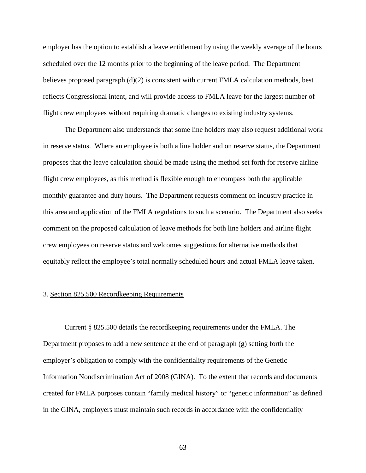employer has the option to establish a leave entitlement by using the weekly average of the hours scheduled over the 12 months prior to the beginning of the leave period. The Department believes proposed paragraph  $(d)(2)$  is consistent with current FMLA calculation methods, best reflects Congressional intent, and will provide access to FMLA leave for the largest number of flight crew employees without requiring dramatic changes to existing industry systems.

The Department also understands that some line holders may also request additional work in reserve status. Where an employee is both a line holder and on reserve status, the Department proposes that the leave calculation should be made using the method set forth for reserve airline flight crew employees, as this method is flexible enough to encompass both the applicable monthly guarantee and duty hours. The Department requests comment on industry practice in this area and application of the FMLA regulations to such a scenario. The Department also seeks comment on the proposed calculation of leave methods for both line holders and airline flight crew employees on reserve status and welcomes suggestions for alternative methods that equitably reflect the employee's total normally scheduled hours and actual FMLA leave taken.

## 3. Section 825.500 Recordkeeping Requirements

Current § 825.500 details the recordkeeping requirements under the FMLA. The Department proposes to add a new sentence at the end of paragraph (g) setting forth the employer's obligation to comply with the confidentiality requirements of the Genetic Information Nondiscrimination Act of 2008 (GINA). To the extent that records and documents created for FMLA purposes contain "family medical history" or "genetic information" as defined in the GINA, employers must maintain such records in accordance with the confidentiality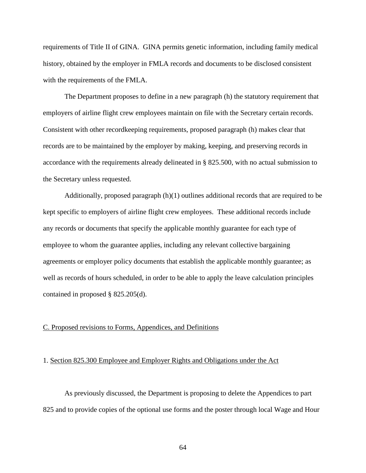requirements of Title II of GINA. GINA permits genetic information, including family medical history, obtained by the employer in FMLA records and documents to be disclosed consistent with the requirements of the FMLA.

The Department proposes to define in a new paragraph (h) the statutory requirement that employers of airline flight crew employees maintain on file with the Secretary certain records. Consistent with other recordkeeping requirements, proposed paragraph (h) makes clear that records are to be maintained by the employer by making, keeping, and preserving records in accordance with the requirements already delineated in § 825.500, with no actual submission to the Secretary unless requested.

Additionally, proposed paragraph (h)(1) outlines additional records that are required to be kept specific to employers of airline flight crew employees. These additional records include any records or documents that specify the applicable monthly guarantee for each type of employee to whom the guarantee applies, including any relevant collective bargaining agreements or employer policy documents that establish the applicable monthly guarantee; as well as records of hours scheduled, in order to be able to apply the leave calculation principles contained in proposed § 825.205(d).

# C. Proposed revisions to Forms, Appendices, and Definitions

#### 1. Section 825.300 Employee and Employer Rights and Obligations under the Act

As previously discussed, the Department is proposing to delete the Appendices to part 825 and to provide copies of the optional use forms and the poster through local Wage and Hour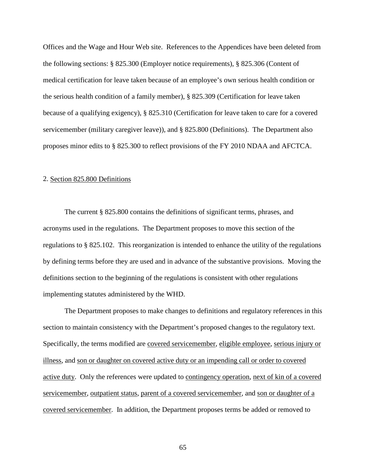Offices and the Wage and Hour Web site. References to the Appendices have been deleted from the following sections: § 825.300 (Employer notice requirements), § 825.306 (Content of medical certification for leave taken because of an employee's own serious health condition or the serious health condition of a family member), § 825.309 (Certification for leave taken because of a qualifying exigency), § 825.310 (Certification for leave taken to care for a covered servicemember (military caregiver leave)), and § 825.800 (Definitions). The Department also proposes minor edits to § 825.300 to reflect provisions of the FY 2010 NDAA and AFCTCA.

#### 2. Section 825.800 Definitions

The current § 825.800 contains the definitions of significant terms, phrases, and acronyms used in the regulations. The Department proposes to move this section of the regulations to § 825.102. This reorganization is intended to enhance the utility of the regulations by defining terms before they are used and in advance of the substantive provisions. Moving the definitions section to the beginning of the regulations is consistent with other regulations implementing statutes administered by the WHD.

The Department proposes to make changes to definitions and regulatory references in this section to maintain consistency with the Department's proposed changes to the regulatory text. Specifically, the terms modified are covered servicemember, eligible employee, serious injury or illness, and son or daughter on covered active duty or an impending call or order to covered active duty. Only the references were updated to contingency operation, next of kin of a covered servicemember, outpatient status, parent of a covered servicemember, and son or daughter of a covered servicemember. In addition, the Department proposes terms be added or removed to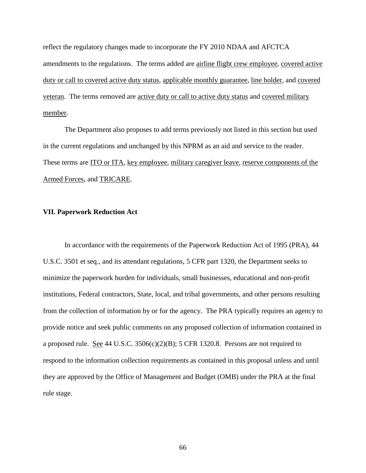reflect the regulatory changes made to incorporate the FY 2010 NDAA and AFCTCA amendments to the regulations. The terms added are airline flight crew employee, covered active duty or call to covered active duty status, applicable monthly guarantee, line holder, and covered veteran. The terms removed are active duty or call to active duty status and covered military member.

The Department also proposes to add terms previously not listed in this section but used in the current regulations and unchanged by this NPRM as an aid and service to the reader. These terms are ITO or ITA, key employee, military caregiver leave, reserve components of the Armed Forces, and TRICARE.

# **VII. Paperwork Reduction Act**

In accordance with the requirements of the Paperwork Reduction Act of 1995 (PRA), 44 U.S.C. 3501 et seq., and its attendant regulations, 5 CFR part 1320, the Department seeks to minimize the paperwork burden for individuals, small businesses, educational and non-profit institutions, Federal contractors, State, local, and tribal governments, and other persons resulting from the collection of information by or for the agency. The PRA typically requires an agency to provide notice and seek public comments on any proposed collection of information contained in a proposed rule. See 44 U.S.C.  $3506(c)(2)(B)$ ; 5 CFR 1320.8. Persons are not required to respond to the information collection requirements as contained in this proposal unless and until they are approved by the Office of Management and Budget (OMB) under the PRA at the final rule stage.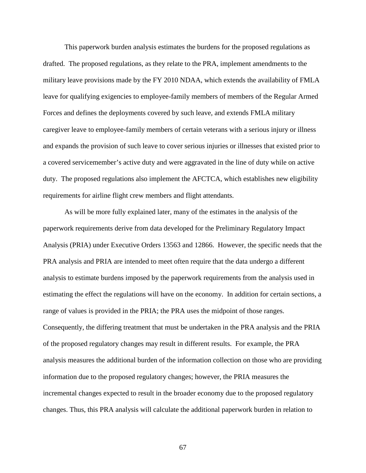This paperwork burden analysis estimates the burdens for the proposed regulations as drafted. The proposed regulations, as they relate to the PRA, implement amendments to the military leave provisions made by the FY 2010 NDAA, which extends the availability of FMLA leave for qualifying exigencies to employee-family members of members of the Regular Armed Forces and defines the deployments covered by such leave, and extends FMLA military caregiver leave to employee-family members of certain veterans with a serious injury or illness and expands the provision of such leave to cover serious injuries or illnesses that existed prior to a covered servicemember's active duty and were aggravated in the line of duty while on active duty. The proposed regulations also implement the AFCTCA, which establishes new eligibility requirements for airline flight crew members and flight attendants.

As will be more fully explained later, many of the estimates in the analysis of the paperwork requirements derive from data developed for the Preliminary Regulatory Impact Analysis (PRIA) under Executive Orders 13563 and 12866. However, the specific needs that the PRA analysis and PRIA are intended to meet often require that the data undergo a different analysis to estimate burdens imposed by the paperwork requirements from the analysis used in estimating the effect the regulations will have on the economy. In addition for certain sections, a range of values is provided in the PRIA; the PRA uses the midpoint of those ranges. Consequently, the differing treatment that must be undertaken in the PRA analysis and the PRIA of the proposed regulatory changes may result in different results. For example, the PRA analysis measures the additional burden of the information collection on those who are providing information due to the proposed regulatory changes; however, the PRIA measures the incremental changes expected to result in the broader economy due to the proposed regulatory changes. Thus, this PRA analysis will calculate the additional paperwork burden in relation to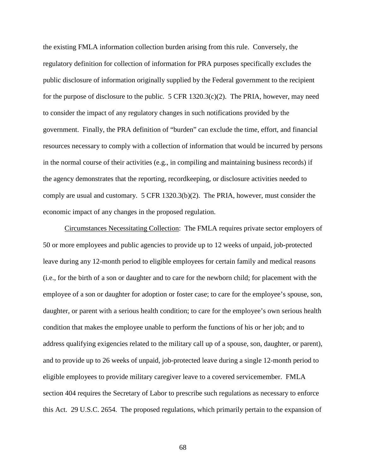the existing FMLA information collection burden arising from this rule. Conversely, the regulatory definition for collection of information for PRA purposes specifically excludes the public disclosure of information originally supplied by the Federal government to the recipient for the purpose of disclosure to the public. 5 CFR  $1320.3(c)(2)$ . The PRIA, however, may need to consider the impact of any regulatory changes in such notifications provided by the government. Finally, the PRA definition of "burden" can exclude the time, effort, and financial resources necessary to comply with a collection of information that would be incurred by persons in the normal course of their activities (e.g., in compiling and maintaining business records) if the agency demonstrates that the reporting, recordkeeping, or disclosure activities needed to comply are usual and customary. 5 CFR 1320.3(b)(2). The PRIA, however, must consider the economic impact of any changes in the proposed regulation.

Circumstances Necessitating Collection: The FMLA requires private sector employers of 50 or more employees and public agencies to provide up to 12 weeks of unpaid, job-protected leave during any 12-month period to eligible employees for certain family and medical reasons (i.e., for the birth of a son or daughter and to care for the newborn child; for placement with the employee of a son or daughter for adoption or foster case; to care for the employee's spouse, son, daughter, or parent with a serious health condition; to care for the employee's own serious health condition that makes the employee unable to perform the functions of his or her job; and to address qualifying exigencies related to the military call up of a spouse, son, daughter, or parent), and to provide up to 26 weeks of unpaid, job-protected leave during a single 12-month period to eligible employees to provide military caregiver leave to a covered servicemember. FMLA section 404 requires the Secretary of Labor to prescribe such regulations as necessary to enforce this Act. 29 U.S.C. 2654. The proposed regulations, which primarily pertain to the expansion of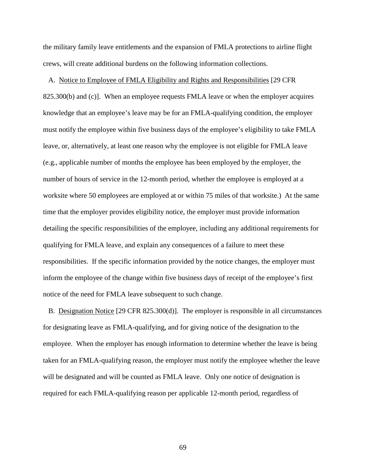the military family leave entitlements and the expansion of FMLA protections to airline flight crews, will create additional burdens on the following information collections.

 A. Notice to Employee of FMLA Eligibility and Rights and Responsibilities [29 CFR  $825.300(b)$  and (c). When an employee requests FMLA leave or when the employer acquires knowledge that an employee's leave may be for an FMLA-qualifying condition, the employer must notify the employee within five business days of the employee's eligibility to take FMLA leave, or, alternatively, at least one reason why the employee is not eligible for FMLA leave (e.g., applicable number of months the employee has been employed by the employer, the number of hours of service in the 12-month period, whether the employee is employed at a worksite where 50 employees are employed at or within 75 miles of that worksite.) At the same time that the employer provides eligibility notice, the employer must provide information detailing the specific responsibilities of the employee, including any additional requirements for qualifying for FMLA leave, and explain any consequences of a failure to meet these responsibilities. If the specific information provided by the notice changes, the employer must inform the employee of the change within five business days of receipt of the employee's first notice of the need for FMLA leave subsequent to such change.

B. Designation Notice [29 CFR 825.300(d)]. The employer is responsible in all circumstances for designating leave as FMLA-qualifying, and for giving notice of the designation to the employee. When the employer has enough information to determine whether the leave is being taken for an FMLA-qualifying reason, the employer must notify the employee whether the leave will be designated and will be counted as FMLA leave. Only one notice of designation is required for each FMLA-qualifying reason per applicable 12-month period, regardless of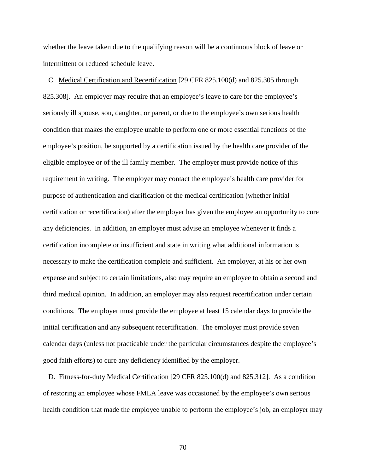whether the leave taken due to the qualifying reason will be a continuous block of leave or intermittent or reduced schedule leave.

 C. Medical Certification and Recertification [29 CFR 825.100(d) and 825.305 through 825.308]. An employer may require that an employee's leave to care for the employee's seriously ill spouse, son, daughter, or parent, or due to the employee's own serious health condition that makes the employee unable to perform one or more essential functions of the employee's position, be supported by a certification issued by the health care provider of the eligible employee or of the ill family member. The employer must provide notice of this requirement in writing. The employer may contact the employee's health care provider for purpose of authentication and clarification of the medical certification (whether initial certification or recertification) after the employer has given the employee an opportunity to cure any deficiencies. In addition, an employer must advise an employee whenever it finds a certification incomplete or insufficient and state in writing what additional information is necessary to make the certification complete and sufficient. An employer, at his or her own expense and subject to certain limitations, also may require an employee to obtain a second and third medical opinion. In addition, an employer may also request recertification under certain conditions. The employer must provide the employee at least 15 calendar days to provide the initial certification and any subsequent recertification. The employer must provide seven calendar days (unless not practicable under the particular circumstances despite the employee's good faith efforts) to cure any deficiency identified by the employer.

D. Fitness-for-duty Medical Certification [29 CFR 825.100(d) and 825.312]. As a condition of restoring an employee whose FMLA leave was occasioned by the employee's own serious health condition that made the employee unable to perform the employee's job, an employer may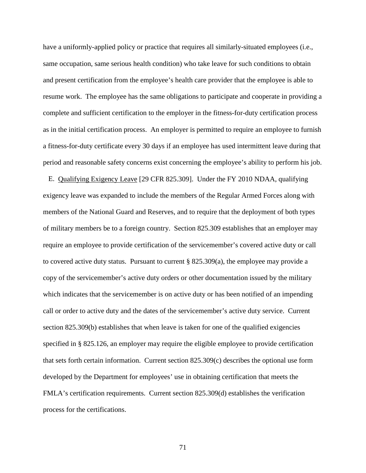have a uniformly-applied policy or practice that requires all similarly-situated employees (i.e., same occupation, same serious health condition) who take leave for such conditions to obtain and present certification from the employee's health care provider that the employee is able to resume work. The employee has the same obligations to participate and cooperate in providing a complete and sufficient certification to the employer in the fitness-for-duty certification process as in the initial certification process. An employer is permitted to require an employee to furnish a fitness-for-duty certificate every 30 days if an employee has used intermittent leave during that period and reasonable safety concerns exist concerning the employee's ability to perform his job.

 E. Qualifying Exigency Leave [29 CFR 825.309]. Under the FY 2010 NDAA, qualifying exigency leave was expanded to include the members of the Regular Armed Forces along with members of the National Guard and Reserves, and to require that the deployment of both types of military members be to a foreign country. Section 825.309 establishes that an employer may require an employee to provide certification of the servicemember's covered active duty or call to covered active duty status. Pursuant to current § 825.309(a), the employee may provide a copy of the servicemember's active duty orders or other documentation issued by the military which indicates that the servicemember is on active duty or has been notified of an impending call or order to active duty and the dates of the servicemember's active duty service. Current section 825.309(b) establishes that when leave is taken for one of the qualified exigencies specified in § 825.126, an employer may require the eligible employee to provide certification that sets forth certain information. Current section 825.309(c) describes the optional use form developed by the Department for employees' use in obtaining certification that meets the FMLA's certification requirements. Current section 825.309(d) establishes the verification process for the certifications.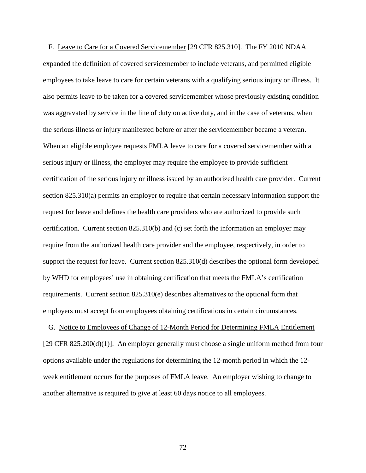F. Leave to Care for a Covered Servicemember [29 CFR 825.310]. The FY 2010 NDAA expanded the definition of covered servicemember to include veterans, and permitted eligible employees to take leave to care for certain veterans with a qualifying serious injury or illness. It also permits leave to be taken for a covered servicemember whose previously existing condition was aggravated by service in the line of duty on active duty, and in the case of veterans, when the serious illness or injury manifested before or after the servicemember became a veteran. When an eligible employee requests FMLA leave to care for a covered servicemember with a serious injury or illness, the employer may require the employee to provide sufficient certification of the serious injury or illness issued by an authorized health care provider. Current section 825.310(a) permits an employer to require that certain necessary information support the request for leave and defines the health care providers who are authorized to provide such certification. Current section 825.310(b) and (c) set forth the information an employer may require from the authorized health care provider and the employee, respectively, in order to support the request for leave. Current section 825.310(d) describes the optional form developed by WHD for employees' use in obtaining certification that meets the FMLA's certification requirements. Current section 825.310(e) describes alternatives to the optional form that employers must accept from employees obtaining certifications in certain circumstances.

 G. Notice to Employees of Change of 12-Month Period for Determining FMLA Entitlement  $[29 \text{ CFR } 825.200(d)(1)]$ . An employer generally must choose a single uniform method from four options available under the regulations for determining the 12-month period in which the 12 week entitlement occurs for the purposes of FMLA leave. An employer wishing to change to another alternative is required to give at least 60 days notice to all employees.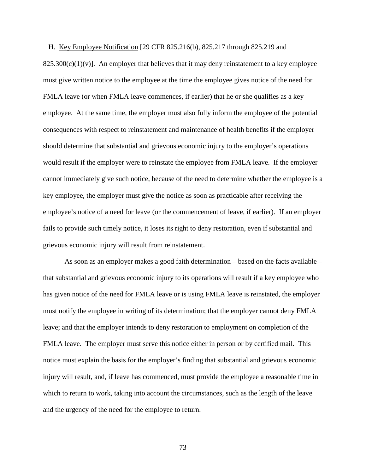H. Key Employee Notification [29 CFR 825.216(b), 825.217 through 825.219 and  $825.300(c)(1)(v)$ . An employer that believes that it may deny reinstatement to a key employee must give written notice to the employee at the time the employee gives notice of the need for FMLA leave (or when FMLA leave commences, if earlier) that he or she qualifies as a key employee. At the same time, the employer must also fully inform the employee of the potential consequences with respect to reinstatement and maintenance of health benefits if the employer should determine that substantial and grievous economic injury to the employer's operations would result if the employer were to reinstate the employee from FMLA leave. If the employer cannot immediately give such notice, because of the need to determine whether the employee is a key employee, the employer must give the notice as soon as practicable after receiving the employee's notice of a need for leave (or the commencement of leave, if earlier). If an employer fails to provide such timely notice, it loses its right to deny restoration, even if substantial and grievous economic injury will result from reinstatement.

As soon as an employer makes a good faith determination – based on the facts available – that substantial and grievous economic injury to its operations will result if a key employee who has given notice of the need for FMLA leave or is using FMLA leave is reinstated, the employer must notify the employee in writing of its determination; that the employer cannot deny FMLA leave; and that the employer intends to deny restoration to employment on completion of the FMLA leave. The employer must serve this notice either in person or by certified mail. This notice must explain the basis for the employer's finding that substantial and grievous economic injury will result, and, if leave has commenced, must provide the employee a reasonable time in which to return to work, taking into account the circumstances, such as the length of the leave and the urgency of the need for the employee to return.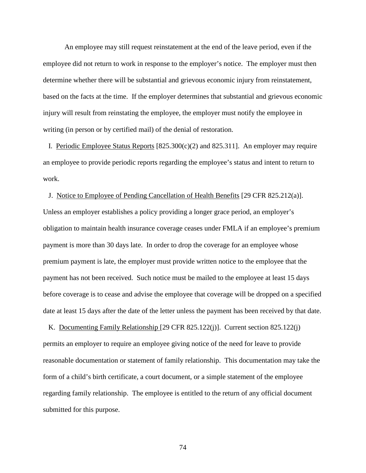An employee may still request reinstatement at the end of the leave period, even if the employee did not return to work in response to the employer's notice. The employer must then determine whether there will be substantial and grievous economic injury from reinstatement, based on the facts at the time. If the employer determines that substantial and grievous economic injury will result from reinstating the employee, the employer must notify the employee in writing (in person or by certified mail) of the denial of restoration.

I. Periodic Employee Status Reports [825.300(c)(2) and 825.311]. An employer may require an employee to provide periodic reports regarding the employee's status and intent to return to work.

 J. Notice to Employee of Pending Cancellation of Health Benefits [29 CFR 825.212(a)]. Unless an employer establishes a policy providing a longer grace period, an employer's obligation to maintain health insurance coverage ceases under FMLA if an employee's premium payment is more than 30 days late. In order to drop the coverage for an employee whose premium payment is late, the employer must provide written notice to the employee that the payment has not been received. Such notice must be mailed to the employee at least 15 days before coverage is to cease and advise the employee that coverage will be dropped on a specified date at least 15 days after the date of the letter unless the payment has been received by that date.

K. Documenting Family Relationship [29 CFR 825.122(j)]. Current section 825.122(j) permits an employer to require an employee giving notice of the need for leave to provide reasonable documentation or statement of family relationship. This documentation may take the form of a child's birth certificate, a court document, or a simple statement of the employee regarding family relationship. The employee is entitled to the return of any official document submitted for this purpose.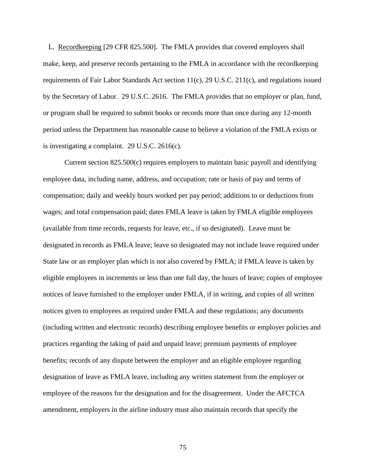L. Recordkeeping [29 CFR 825.500]. The FMLA provides that covered employers shall make, keep, and preserve records pertaining to the FMLA in accordance with the recordkeeping requirements of Fair Labor Standards Act section 11(c), 29 U.S.C. 211(c), and regulations issued by the Secretary of Labor. 29 U.S.C. 2616. The FMLA provides that no employer or plan, fund, or program shall be required to submit books or records more than once during any 12-month period unless the Department has reasonable cause to believe a violation of the FMLA exists or is investigating a complaint. 29 U.S.C. 2616(c).

Current section 825.500(c) requires employers to maintain basic payroll and identifying employee data, including name, address, and occupation; rate or basis of pay and terms of compensation; daily and weekly hours worked per pay period; additions to or deductions from wages; and total compensation paid; dates FMLA leave is taken by FMLA eligible employees (available from time records, requests for leave, etc., if so designated). Leave must be designated in records as FMLA leave; leave so designated may not include leave required under State law or an employer plan which is not also covered by FMLA; if FMLA leave is taken by eligible employees in increments or less than one full day, the hours of leave; copies of employee notices of leave furnished to the employer under FMLA, if in writing, and copies of all written notices given to employees as required under FMLA and these regulations; any documents (including written and electronic records) describing employee benefits or employer policies and practices regarding the taking of paid and unpaid leave; premium payments of employee benefits; records of any dispute between the employer and an eligible employee regarding designation of leave as FMLA leave, including any written statement from the employer or employee of the reasons for the designation and for the disagreement. Under the AFCTCA amendment, employers in the airline industry must also maintain records that specify the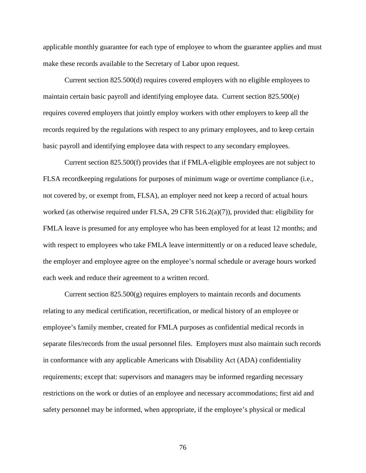applicable monthly guarantee for each type of employee to whom the guarantee applies and must make these records available to the Secretary of Labor upon request.

Current section 825.500(d) requires covered employers with no eligible employees to maintain certain basic payroll and identifying employee data. Current section 825.500(e) requires covered employers that jointly employ workers with other employers to keep all the records required by the regulations with respect to any primary employees, and to keep certain basic payroll and identifying employee data with respect to any secondary employees.

Current section 825.500(f) provides that if FMLA-eligible employees are not subject to FLSA recordkeeping regulations for purposes of minimum wage or overtime compliance (i.e., not covered by, or exempt from, FLSA), an employer need not keep a record of actual hours worked (as otherwise required under FLSA, 29 CFR 516.2(a)(7)), provided that: eligibility for FMLA leave is presumed for any employee who has been employed for at least 12 months; and with respect to employees who take FMLA leave intermittently or on a reduced leave schedule, the employer and employee agree on the employee's normal schedule or average hours worked each week and reduce their agreement to a written record.

Current section  $825.500(g)$  requires employers to maintain records and documents relating to any medical certification, recertification, or medical history of an employee or employee's family member, created for FMLA purposes as confidential medical records in separate files/records from the usual personnel files. Employers must also maintain such records in conformance with any applicable Americans with Disability Act (ADA) confidentiality requirements; except that: supervisors and managers may be informed regarding necessary restrictions on the work or duties of an employee and necessary accommodations; first aid and safety personnel may be informed, when appropriate, if the employee's physical or medical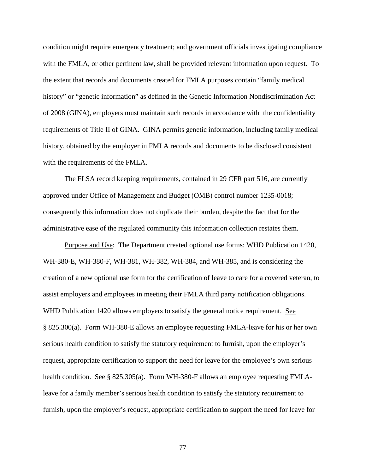condition might require emergency treatment; and government officials investigating compliance with the FMLA, or other pertinent law, shall be provided relevant information upon request. To the extent that records and documents created for FMLA purposes contain "family medical history" or "genetic information" as defined in the Genetic Information Nondiscrimination Act of 2008 (GINA), employers must maintain such records in accordance with the confidentiality requirements of Title II of GINA. GINA permits genetic information, including family medical history, obtained by the employer in FMLA records and documents to be disclosed consistent with the requirements of the FMLA.

The FLSA record keeping requirements, contained in 29 CFR part 516, are currently approved under Office of Management and Budget (OMB) control number 1235-0018; consequently this information does not duplicate their burden, despite the fact that for the administrative ease of the regulated community this information collection restates them.

Purpose and Use: The Department created optional use forms: WHD Publication 1420, WH-380-E, WH-380-F, WH-381, WH-382, WH-384, and WH-385, and is considering the creation of a new optional use form for the certification of leave to care for a covered veteran, to assist employers and employees in meeting their FMLA third party notification obligations. WHD Publication 1420 allows employers to satisfy the general notice requirement. See § 825.300(a). Form WH-380-E allows an employee requesting FMLA-leave for his or her own serious health condition to satisfy the statutory requirement to furnish, upon the employer's request, appropriate certification to support the need for leave for the employee's own serious health condition. See § 825.305(a). Form WH-380-F allows an employee requesting FMLAleave for a family member's serious health condition to satisfy the statutory requirement to furnish, upon the employer's request, appropriate certification to support the need for leave for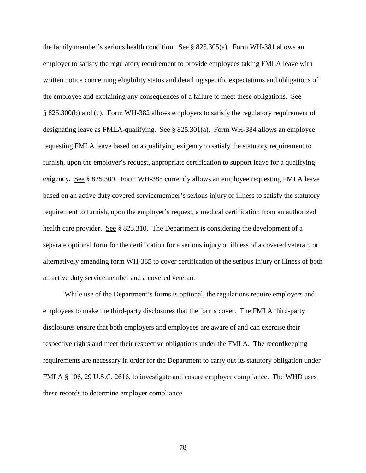the family member's serious health condition. See § 825.305(a). Form WH-381 allows an employer to satisfy the regulatory requirement to provide employees taking FMLA leave with written notice concerning eligibility status and detailing specific expectations and obligations of the employee and explaining any consequences of a failure to meet these obligations. See § 825.300(b) and (c). Form WH-382 allows employers to satisfy the regulatory requirement of designating leave as FMLA-qualifying. See § 825.301(a). Form WH-384 allows an employee requesting FMLA leave based on a qualifying exigency to satisfy the statutory requirement to furnish, upon the employer's request, appropriate certification to support leave for a qualifying exigency. See § 825.309. Form WH-385 currently allows an employee requesting FMLA leave based on an active duty covered servicemember's serious injury or illness to satisfy the statutory requirement to furnish, upon the employer's request, a medical certification from an authorized health care provider. See § 825.310. The Department is considering the development of a separate optional form for the certification for a serious injury or illness of a covered veteran, or alternatively amending form WH-385 to cover certification of the serious injury or illness of both an active duty servicemember and a covered veteran.

While use of the Department's forms is optional, the regulations require employers and employees to make the third-party disclosures that the forms cover. The FMLA third-party disclosures ensure that both employers and employees are aware of and can exercise their respective rights and meet their respective obligations under the FMLA. The recordkeeping requirements are necessary in order for the Department to carry out its statutory obligation under FMLA § 106, 29 U.S.C. 2616, to investigate and ensure employer compliance. The WHD uses these records to determine employer compliance.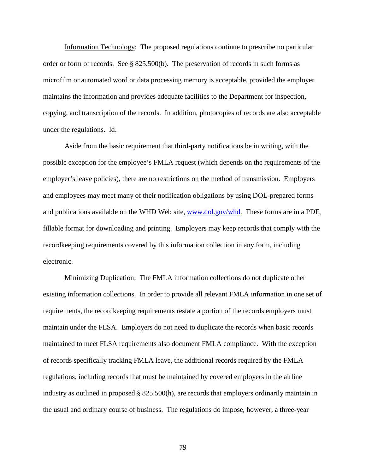Information Technology: The proposed regulations continue to prescribe no particular order or form of records. See § 825.500(b). The preservation of records in such forms as microfilm or automated word or data processing memory is acceptable, provided the employer maintains the information and provides adequate facilities to the Department for inspection, copying, and transcription of the records. In addition, photocopies of records are also acceptable under the regulations. Id.

Aside from the basic requirement that third-party notifications be in writing, with the possible exception for the employee's FMLA request (which depends on the requirements of the employer's leave policies), there are no restrictions on the method of transmission. Employers and employees may meet many of their notification obligations by using DOL-prepared forms and publications available on the WHD Web site, **[www.dol.gov/whd.](http://www.dol.gov/whd)** These forms are in a PDF, fillable format for downloading and printing. Employers may keep records that comply with the recordkeeping requirements covered by this information collection in any form, including electronic.

Minimizing Duplication: The FMLA information collections do not duplicate other existing information collections. In order to provide all relevant FMLA information in one set of requirements, the recordkeeping requirements restate a portion of the records employers must maintain under the FLSA. Employers do not need to duplicate the records when basic records maintained to meet FLSA requirements also document FMLA compliance. With the exception of records specifically tracking FMLA leave, the additional records required by the FMLA regulations, including records that must be maintained by covered employers in the airline industry as outlined in proposed § 825.500(h), are records that employers ordinarily maintain in the usual and ordinary course of business. The regulations do impose, however, a three-year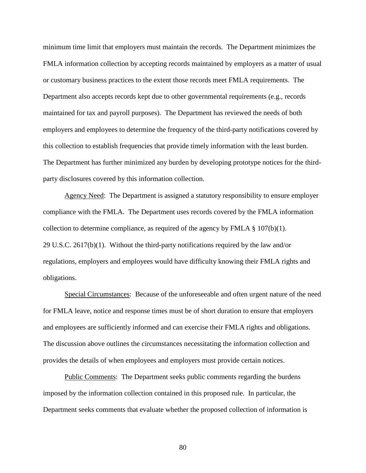minimum time limit that employers must maintain the records. The Department minimizes the FMLA information collection by accepting records maintained by employers as a matter of usual or customary business practices to the extent those records meet FMLA requirements. The Department also accepts records kept due to other governmental requirements (e.g., records maintained for tax and payroll purposes). The Department has reviewed the needs of both employers and employees to determine the frequency of the third-party notifications covered by this collection to establish frequencies that provide timely information with the least burden. The Department has further minimized any burden by developing prototype notices for the thirdparty disclosures covered by this information collection.

Agency Need: The Department is assigned a statutory responsibility to ensure employer compliance with the FMLA. The Department uses records covered by the FMLA information collection to determine compliance, as required of the agency by FMLA  $\S$  107(b)(1). 29 U.S.C. 2617(b)(1). Without the third-party notifications required by the law and/or regulations, employers and employees would have difficulty knowing their FMLA rights and obligations.

Special Circumstances: Because of the unforeseeable and often urgent nature of the need for FMLA leave, notice and response times must be of short duration to ensure that employers and employees are sufficiently informed and can exercise their FMLA rights and obligations. The discussion above outlines the circumstances necessitating the information collection and provides the details of when employees and employers must provide certain notices.

Public Comments: The Department seeks public comments regarding the burdens imposed by the information collection contained in this proposed rule. In particular, the Department seeks comments that evaluate whether the proposed collection of information is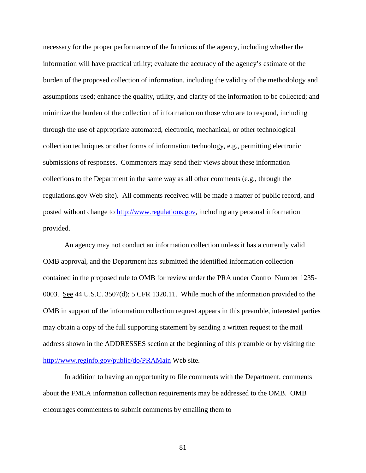necessary for the proper performance of the functions of the agency, including whether the information will have practical utility; evaluate the accuracy of the agency's estimate of the burden of the proposed collection of information, including the validity of the methodology and assumptions used; enhance the quality, utility, and clarity of the information to be collected; and minimize the burden of the collection of information on those who are to respond, including through the use of appropriate automated, electronic, mechanical, or other technological collection techniques or other forms of information technology, e.g., permitting electronic submissions of responses. Commenters may send their views about these information collections to the Department in the same way as all other comments (e.g., through the regulations.gov Web site). All comments received will be made a matter of public record, and posted without change to [http://www.regulations.gov,](http://www.regulations.gov/) including any personal information provided.

An agency may not conduct an information collection unless it has a currently valid OMB approval, and the Department has submitted the identified information collection contained in the proposed rule to OMB for review under the PRA under Control Number 1235- 0003. See 44 U.S.C. 3507(d); 5 CFR 1320.11. While much of the information provided to the OMB in support of the information collection request appears in this preamble, interested parties may obtain a copy of the full supporting statement by sending a written request to the mail address shown in the ADDRESSES section at the beginning of this preamble or by visiting the <http://www.reginfo.gov/public/do/PRAMain> Web site.

In addition to having an opportunity to file comments with the Department, comments about the FMLA information collection requirements may be addressed to the OMB. OMB encourages commenters to submit comments by emailing them to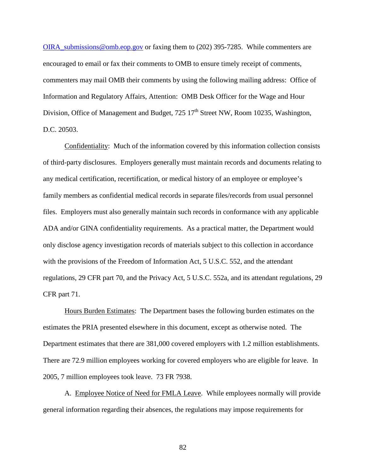OIRA submissions@omb.eop.gov or faxing them to (202) 395-7285. While commenters are encouraged to email or fax their comments to OMB to ensure timely receipt of comments, commenters may mail OMB their comments by using the following mailing address: Office of Information and Regulatory Affairs, Attention: OMB Desk Officer for the Wage and Hour Division, Office of Management and Budget, 725 17<sup>th</sup> Street NW, Room 10235, Washington, D.C. 20503.

Confidentiality: Much of the information covered by this information collection consists of third-party disclosures. Employers generally must maintain records and documents relating to any medical certification, recertification, or medical history of an employee or employee's family members as confidential medical records in separate files/records from usual personnel files. Employers must also generally maintain such records in conformance with any applicable ADA and/or GINA confidentiality requirements. As a practical matter, the Department would only disclose agency investigation records of materials subject to this collection in accordance with the provisions of the Freedom of Information Act, 5 U.S.C. 552, and the attendant regulations, 29 CFR part 70, and the Privacy Act, 5 U.S.C. 552a, and its attendant regulations, 29 CFR part 71.

Hours Burden Estimates: The Department bases the following burden estimates on the estimates the PRIA presented elsewhere in this document, except as otherwise noted. The Department estimates that there are 381,000 covered employers with 1.2 million establishments. There are 72.9 million employees working for covered employers who are eligible for leave. In 2005, 7 million employees took leave. 73 FR 7938.

A. Employee Notice of Need for FMLA Leave. While employees normally will provide general information regarding their absences, the regulations may impose requirements for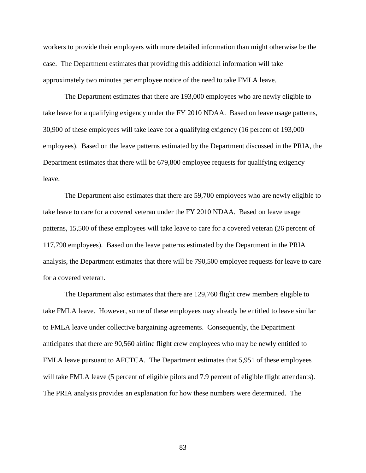workers to provide their employers with more detailed information than might otherwise be the case. The Department estimates that providing this additional information will take approximately two minutes per employee notice of the need to take FMLA leave.

The Department estimates that there are 193,000 employees who are newly eligible to take leave for a qualifying exigency under the FY 2010 NDAA. Based on leave usage patterns, 30,900 of these employees will take leave for a qualifying exigency (16 percent of 193,000 employees). Based on the leave patterns estimated by the Department discussed in the PRIA, the Department estimates that there will be 679,800 employee requests for qualifying exigency leave.

The Department also estimates that there are 59,700 employees who are newly eligible to take leave to care for a covered veteran under the FY 2010 NDAA. Based on leave usage patterns, 15,500 of these employees will take leave to care for a covered veteran (26 percent of 117,790 employees). Based on the leave patterns estimated by the Department in the PRIA analysis, the Department estimates that there will be 790,500 employee requests for leave to care for a covered veteran.

The Department also estimates that there are 129,760 flight crew members eligible to take FMLA leave. However, some of these employees may already be entitled to leave similar to FMLA leave under collective bargaining agreements. Consequently, the Department anticipates that there are 90,560 airline flight crew employees who may be newly entitled to FMLA leave pursuant to AFCTCA. The Department estimates that 5,951 of these employees will take FMLA leave (5 percent of eligible pilots and 7.9 percent of eligible flight attendants). The PRIA analysis provides an explanation for how these numbers were determined. The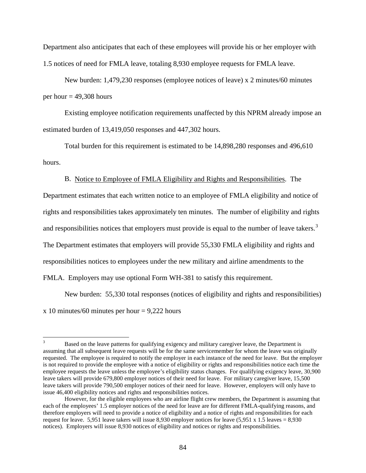Department also anticipates that each of these employees will provide his or her employer with 1.5 notices of need for FMLA leave, totaling 8,930 employee requests for FMLA leave.

New burden: 1,479,230 responses (employee notices of leave) x 2 minutes/60 minutes per hour  $= 49,308$  hours

Existing employee notification requirements unaffected by this NPRM already impose an estimated burden of 13,419,050 responses and 447,302 hours.

Total burden for this requirement is estimated to be 14,898,280 responses and 496,610 hours.

B. Notice to Employee of FMLA Eligibility and Rights and Responsibilities. The

Department estimates that each written notice to an employee of FMLA eligibility and notice of rights and responsibilities takes approximately ten minutes. The number of eligibility and rights and responsibilities notices that employers must provide is equal to the number of leave takers.<sup>[3](#page-83-0)</sup> The Department estimates that employers will provide 55,330 FMLA eligibility and rights and responsibilities notices to employees under the new military and airline amendments to the FMLA. Employers may use optional Form WH-381 to satisfy this requirement.

New burden: 55,330 total responses (notices of eligibility and rights and responsibilities)

x 10 minutes/60 minutes per hour  $= 9,222$  hours

<span id="page-83-0"></span><sup>&</sup>lt;sup>3</sup> Based on the leave patterns for qualifying exigency and military caregiver leave, the Department is assuming that all subsequent leave requests will be for the same servicemember for whom the leave was originally requested. The employee is required to notify the employer in each instance of the need for leave. But the employer is not required to provide the employee with a notice of eligibility or rights and responsibilities notice each time the employee requests the leave unless the employee's eligibility status changes. For qualifying exigency leave, 30,900 leave takers will provide 679,800 employer notices of their need for leave. For military caregiver leave, 15,500 leave takers will provide 790,500 employer notices of their need for leave. However, employers will only have to issue 46,400 eligibility notices and rights and responsibilities notices.

However, for the eligible employees who are airline flight crew members, the Department is assuming that each of the employees' 1.5 employer notices of the need for leave are for different FMLA-qualifying reasons, and therefore employers will need to provide a notice of eligibility and a notice of rights and responsibilities for each request for leave. 5,951 leave takers will issue 8,930 employer notices for leave (5,951 x 1.5 leaves = 8,930 notices). Employers will issue 8,930 notices of eligibility and notices or rights and responsibilities.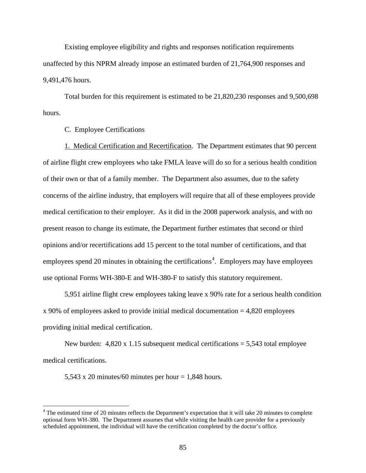Existing employee eligibility and rights and responses notification requirements unaffected by this NPRM already impose an estimated burden of 21,764,900 responses and 9,491,476 hours.

Total burden for this requirement is estimated to be 21,820,230 responses and 9,500,698 hours.

C. Employee Certifications

1. Medical Certification and Recertification. The Department estimates that 90 percent of airline flight crew employees who take FMLA leave will do so for a serious health condition of their own or that of a family member. The Department also assumes, due to the safety concerns of the airline industry, that employers will require that all of these employees provide medical certification to their employer. As it did in the 2008 paperwork analysis, and with no present reason to change its estimate, the Department further estimates that second or third opinions and/or recertifications add 15 percent to the total number of certifications, and that employees spend 20 minutes in obtaining the certifications<sup>[4](#page-84-0)</sup>. Employers may have employees use optional Forms WH-380-E and WH-380-F to satisfy this statutory requirement.

5,951 airline flight crew employees taking leave x 90% rate for a serious health condition x 90% of employees asked to provide initial medical documentation = 4,820 employees providing initial medical certification.

New burden:  $4,820 \times 1.15$  subsequent medical certifications =  $5,543$  total employee medical certifications.

5,543 x 20 minutes/60 minutes per hour  $= 1,848$  hours.

<span id="page-84-0"></span><sup>&</sup>lt;sup>4</sup> The estimated time of 20 minutes reflects the Department's expectation that it will take 20 minutes to complete optional form WH-380. The Department assumes that while visiting the health care provider for a previously scheduled appointment, the individual will have the certification completed by the doctor's office.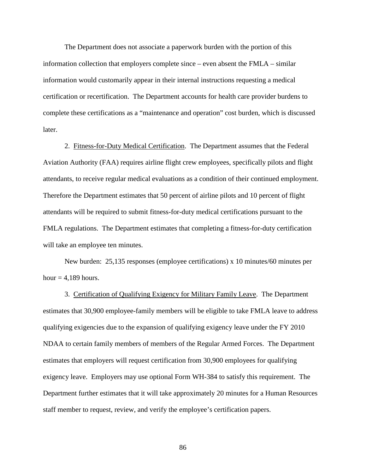The Department does not associate a paperwork burden with the portion of this information collection that employers complete since – even absent the FMLA – similar information would customarily appear in their internal instructions requesting a medical certification or recertification. The Department accounts for health care provider burdens to complete these certifications as a "maintenance and operation" cost burden, which is discussed later.

2. Fitness-for-Duty Medical Certification. The Department assumes that the Federal Aviation Authority (FAA) requires airline flight crew employees, specifically pilots and flight attendants, to receive regular medical evaluations as a condition of their continued employment. Therefore the Department estimates that 50 percent of airline pilots and 10 percent of flight attendants will be required to submit fitness-for-duty medical certifications pursuant to the FMLA regulations. The Department estimates that completing a fitness-for-duty certification will take an employee ten minutes.

New burden: 25,135 responses (employee certifications) x 10 minutes/60 minutes per hour  $= 4,189$  hours.

3. Certification of Qualifying Exigency for Military Family Leave. The Department estimates that 30,900 employee-family members will be eligible to take FMLA leave to address qualifying exigencies due to the expansion of qualifying exigency leave under the FY 2010 NDAA to certain family members of members of the Regular Armed Forces. The Department estimates that employers will request certification from 30,900 employees for qualifying exigency leave. Employers may use optional Form WH-384 to satisfy this requirement. The Department further estimates that it will take approximately 20 minutes for a Human Resources staff member to request, review, and verify the employee's certification papers.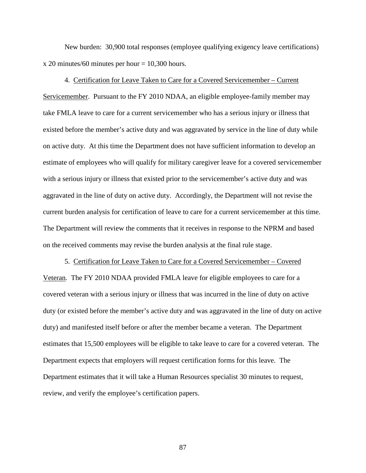New burden: 30,900 total responses (employee qualifying exigency leave certifications)  $x 20$  minutes/60 minutes per hour = 10,300 hours.

4. Certification for Leave Taken to Care for a Covered Servicemember – Current Servicemember. Pursuant to the FY 2010 NDAA, an eligible employee-family member may take FMLA leave to care for a current servicemember who has a serious injury or illness that existed before the member's active duty and was aggravated by service in the line of duty while on active duty. At this time the Department does not have sufficient information to develop an estimate of employees who will qualify for military caregiver leave for a covered servicemember with a serious injury or illness that existed prior to the servicemember's active duty and was aggravated in the line of duty on active duty. Accordingly, the Department will not revise the current burden analysis for certification of leave to care for a current servicemember at this time. The Department will review the comments that it receives in response to the NPRM and based on the received comments may revise the burden analysis at the final rule stage.

5. Certification for Leave Taken to Care for a Covered Servicemember – Covered Veteran. The FY 2010 NDAA provided FMLA leave for eligible employees to care for a covered veteran with a serious injury or illness that was incurred in the line of duty on active duty (or existed before the member's active duty and was aggravated in the line of duty on active duty) and manifested itself before or after the member became a veteran. The Department estimates that 15,500 employees will be eligible to take leave to care for a covered veteran. The Department expects that employers will request certification forms for this leave. The Department estimates that it will take a Human Resources specialist 30 minutes to request, review, and verify the employee's certification papers.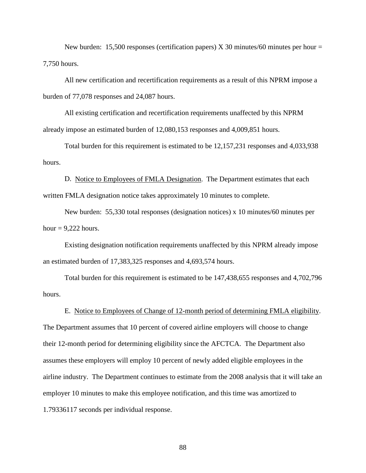New burden: 15,500 responses (certification papers) X 30 minutes/60 minutes per hour  $=$ 7,750 hours.

All new certification and recertification requirements as a result of this NPRM impose a burden of 77,078 responses and 24,087 hours.

All existing certification and recertification requirements unaffected by this NPRM already impose an estimated burden of 12,080,153 responses and 4,009,851 hours.

Total burden for this requirement is estimated to be 12,157,231 responses and 4,033,938 hours.

D. Notice to Employees of FMLA Designation. The Department estimates that each written FMLA designation notice takes approximately 10 minutes to complete.

New burden: 55,330 total responses (designation notices) x 10 minutes/60 minutes per hour  $= 9,222$  hours.

Existing designation notification requirements unaffected by this NPRM already impose an estimated burden of 17,383,325 responses and 4,693,574 hours.

Total burden for this requirement is estimated to be 147,438,655 responses and 4,702,796 hours.

E. Notice to Employees of Change of 12-month period of determining FMLA eligibility. The Department assumes that 10 percent of covered airline employers will choose to change their 12-month period for determining eligibility since the AFCTCA. The Department also assumes these employers will employ 10 percent of newly added eligible employees in the airline industry. The Department continues to estimate from the 2008 analysis that it will take an employer 10 minutes to make this employee notification, and this time was amortized to 1.79336117 seconds per individual response.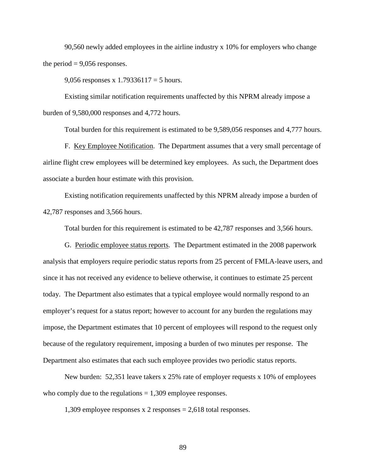90,560 newly added employees in the airline industry x 10% for employers who change the period  $= 9,056$  responses.

9,056 responses x 1.79336117 = 5 hours.

Existing similar notification requirements unaffected by this NPRM already impose a burden of 9,580,000 responses and 4,772 hours.

Total burden for this requirement is estimated to be 9,589,056 responses and 4,777 hours.

F. Key Employee Notification. The Department assumes that a very small percentage of airline flight crew employees will be determined key employees. As such, the Department does associate a burden hour estimate with this provision.

Existing notification requirements unaffected by this NPRM already impose a burden of 42,787 responses and 3,566 hours.

Total burden for this requirement is estimated to be 42,787 responses and 3,566 hours.

G. Periodic employee status reports. The Department estimated in the 2008 paperwork analysis that employers require periodic status reports from 25 percent of FMLA-leave users, and since it has not received any evidence to believe otherwise, it continues to estimate 25 percent today. The Department also estimates that a typical employee would normally respond to an employer's request for a status report; however to account for any burden the regulations may impose, the Department estimates that 10 percent of employees will respond to the request only because of the regulatory requirement, imposing a burden of two minutes per response. The Department also estimates that each such employee provides two periodic status reports.

New burden: 52,351 leave takers x 25% rate of employer requests x 10% of employees who comply due to the regulations  $= 1,309$  employee responses.

1,309 employee responses x 2 responses = 2,618 total responses.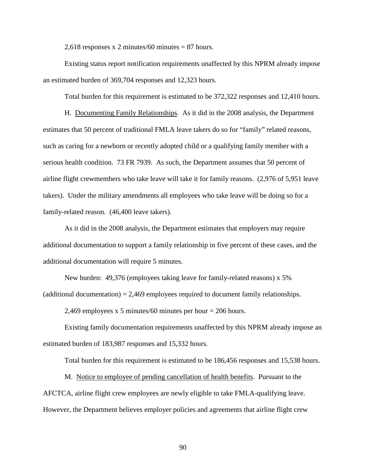2,618 responses x 2 minutes/60 minutes  $= 87$  hours.

Existing status report notification requirements unaffected by this NPRM already impose an estimated burden of 369,704 responses and 12,323 hours.

Total burden for this requirement is estimated to be 372,322 responses and 12,410 hours.

H. Documenting Family Relationships . As it did in the 2008 analysis, the Department estimates that 50 percent of traditional FMLA leave takers do so for "family" related reasons, such as caring for a newborn or recently adopted child or a qualifying family member with a serious health condition. 73 FR 7939. As such, the Department assumes that 50 percent of airline flight crewmembers who take leave will take it for family reasons. (2,976 of 5,951 leave takers). Under the military amendments all employees who take leave will be doing so for a family-related reason. (46,400 leave takers).

As it did in the 2008 analysis, the Department estimates that employers may require additional documentation to support a family relationship in five percent of these cases, and the additional documentation will require 5 minutes.

New burden: 49,376 (employees taking leave for family-related reasons) x 5% (additional documentation)  $= 2,469$  employees required to document family relationships.

2,469 employees x 5 minutes/60 minutes per hour = 206 hours.

Existing family documentation requirements unaffected by this NPRM already impose an estimated burden of 183,987 responses and 15,332 hours.

Total burden for this requirement is estimated to be 186,456 responses and 15,538 hours.

M. Notice to employee of pending cancellation of health benefits. Pursuant to the AFCTCA, airline flight crew employees are newly eligible to take FMLA-qualifying leave. However, the Department believes employer policies and agreements that airline flight crew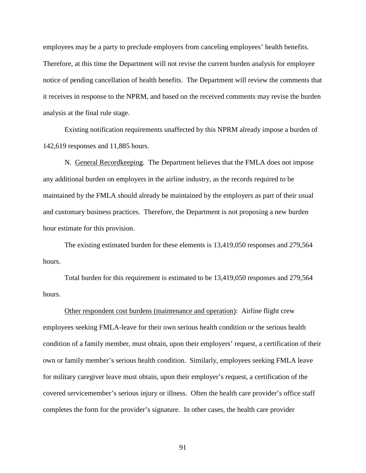employees may be a party to preclude employers from canceling employees' health benefits. Therefore, at this time the Department will not revise the current burden analysis for employee notice of pending cancellation of health benefits. The Department will review the comments that it receives in response to the NPRM, and based on the received comments may revise the burden analysis at the final rule stage.

Existing notification requirements unaffected by this NPRM already impose a burden of 142,619 responses and 11,885 hours.

N. General Recordkeeping. The Department believes that the FMLA does not impose any additional burden on employers in the airline industry, as the records required to be maintained by the FMLA should already be maintained by the employers as part of their usual and customary business practices. Therefore, the Department is not proposing a new burden hour estimate for this provision.

The existing estimated burden for these elements is 13,419,050 responses and 279,564 hours.

Total burden for this requirement is estimated to be 13,419,050 responses and 279,564 hours.

Other respondent cost burdens (maintenance and operation): Airline flight crew employees seeking FMLA-leave for their own serious health condition or the serious health condition of a family member, must obtain, upon their employers' request, a certification of their own or family member's serious health condition. Similarly, employees seeking FMLA leave for military caregiver leave must obtain, upon their employer's request, a certification of the covered servicemember's serious injury or illness. Often the health care provider's office staff completes the form for the provider's signature. In other cases, the health care provider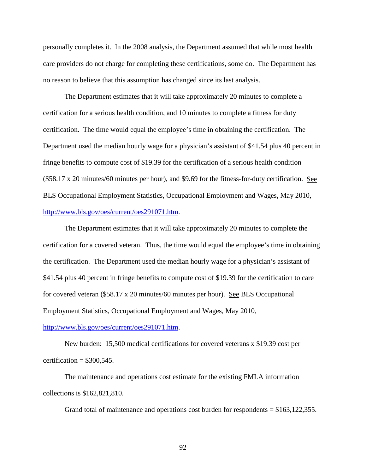personally completes it. In the 2008 analysis, the Department assumed that while most health care providers do not charge for completing these certifications, some do. The Department has no reason to believe that this assumption has changed since its last analysis.

The Department estimates that it will take approximately 20 minutes to complete a certification for a serious health condition, and 10 minutes to complete a fitness for duty certification. The time would equal the employee's time in obtaining the certification. The Department used the median hourly wage for a physician's assistant of \$41.54 plus 40 percent in fringe benefits to compute cost of \$19.39 for the certification of a serious health condition (\$58.17 x 20 minutes/60 minutes per hour), and \$9.69 for the fitness-for-duty certification. See BLS Occupational Employment Statistics, Occupational Employment and Wages, May 2010, [http://www.bls.gov/oes/current/oes291071.htm.](http://www.bls.gov/oes/current/oes291071.htm)

The Department estimates that it will take approximately 20 minutes to complete the certification for a covered veteran. Thus, the time would equal the employee's time in obtaining the certification. The Department used the median hourly wage for a physician's assistant of \$41.54 plus 40 percent in fringe benefits to compute cost of \$19.39 for the certification to care for covered veteran (\$58.17 x 20 minutes/60 minutes per hour). See BLS Occupational Employment Statistics, Occupational Employment and Wages, May 2010,

## [http://www.bls.gov/oes/current/oes291071.htm.](http://www.bls.gov/oes/current/oes291071.htm)

New burden: 15,500 medical certifications for covered veterans x \$19.39 cost per certification  $=$  \$300,545.

The maintenance and operations cost estimate for the existing FMLA information collections is \$162,821,810.

Grand total of maintenance and operations cost burden for respondents = \$163,122,355.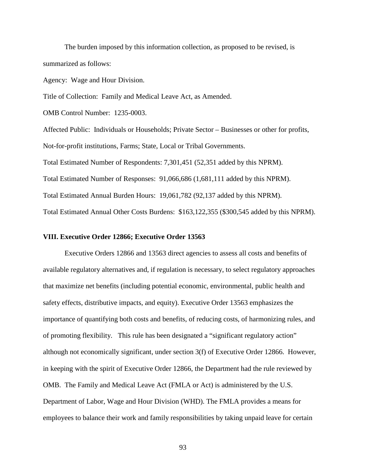The burden imposed by this information collection, as proposed to be revised, is summarized as follows:

Agency: Wage and Hour Division.

Title of Collection: Family and Medical Leave Act, as Amended.

OMB Control Number: 1235-0003.

Affected Public: Individuals or Households; Private Sector – Businesses or other for profits, Not-for-profit institutions, Farms; State, Local or Tribal Governments. Total Estimated Number of Respondents: 7,301,451 (52,351 added by this NPRM). Total Estimated Number of Responses: 91,066,686 (1,681,111 added by this NPRM). Total Estimated Annual Burden Hours: 19,061,782 (92,137 added by this NPRM).

Total Estimated Annual Other Costs Burdens: \$163,122,355 (\$300,545 added by this NPRM).

## **VIII. Executive Order 12866; Executive Order 13563**

Executive Orders 12866 and 13563 direct agencies to assess all costs and benefits of available regulatory alternatives and, if regulation is necessary, to select regulatory approaches that maximize net benefits (including potential economic, environmental, public health and safety effects, distributive impacts, and equity). Executive Order 13563 emphasizes the importance of quantifying both costs and benefits, of reducing costs, of harmonizing rules, and of promoting flexibility. This rule has been designated a "significant regulatory action" although not economically significant, under section 3(f) of Executive Order 12866. However, in keeping with the spirit of Executive Order 12866, the Department had the rule reviewed by OMB. The Family and Medical Leave Act (FMLA or Act) is administered by the U.S. Department of Labor, Wage and Hour Division (WHD). The FMLA provides a means for employees to balance their work and family responsibilities by taking unpaid leave for certain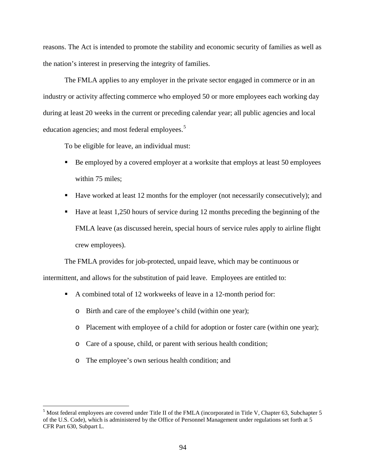reasons. The Act is intended to promote the stability and economic security of families as well as the nation's interest in preserving the integrity of families.

The FMLA applies to any employer in the private sector engaged in commerce or in an industry or activity affecting commerce who employed 50 or more employees each working day during at least 20 weeks in the current or preceding calendar year; all public agencies and local education agencies; and most federal employees.<sup>[5](#page-93-0)</sup>

To be eligible for leave, an individual must:

- Be employed by a covered employer at a worksite that employs at least 50 employees within 75 miles;
- Have worked at least 12 months for the employer (not necessarily consecutively); and
- Have at least 1,250 hours of service during 12 months preceding the beginning of the FMLA leave (as discussed herein, special hours of service rules apply to airline flight crew employees).

The FMLA provides for job-protected, unpaid leave, which may be continuous or intermittent, and allows for the substitution of paid leave. Employees are entitled to:

- A combined total of 12 workweeks of leave in a 12-month period for:
	- o Birth and care of the employee's child (within one year);
	- o Placement with employee of a child for adoption or foster care (within one year);
	- o Care of a spouse, child, or parent with serious health condition;
	- o The employee's own serious health condition; and

<span id="page-93-0"></span><sup>&</sup>lt;sup>5</sup> Most federal employees are covered under Title II of the FMLA (incorporated in Title V, Chapter 63, Subchapter 5 of the U.S. Code), which is administered by the Office of Personnel Management under regulations set forth at 5 CFR Part 630, Subpart L.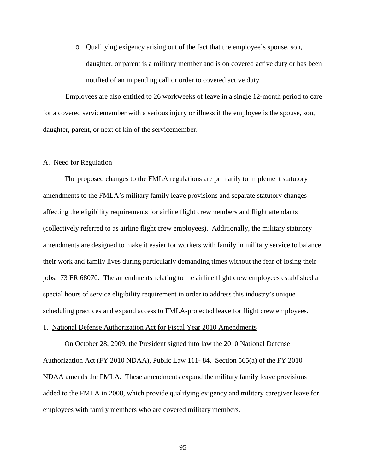o Qualifying exigency arising out of the fact that the employee's spouse, son, daughter, or parent is a military member and is on covered active duty or has been notified of an impending call or order to covered active duty

Employees are also entitled to 26 workweeks of leave in a single 12-month period to care for a covered servicemember with a serious injury or illness if the employee is the spouse, son, daughter, parent, or next of kin of the servicemember.

### A. Need for Regulation

The proposed changes to the FMLA regulations are primarily to implement statutory amendments to the FMLA's military family leave provisions and separate statutory changes affecting the eligibility requirements for airline flight crewmembers and flight attendants (collectively referred to as airline flight crew employees). Additionally, the military statutory amendments are designed to make it easier for workers with family in military service to balance their work and family lives during particularly demanding times without the fear of losing their jobs. 73 FR 68070. The amendments relating to the airline flight crew employees established a special hours of service eligibility requirement in order to address this industry's unique scheduling practices and expand access to FMLA-protected leave for flight crew employees.

### 1. National Defense Authorization Act for Fiscal Year 2010 Amendments

On October 28, 2009, the President signed into law the 2010 National Defense Authorization Act (FY 2010 NDAA), Public Law 111- 84. Section 565(a) of the FY 2010 NDAA amends the FMLA. These amendments expand the military family leave provisions added to the FMLA in 2008, which provide qualifying exigency and military caregiver leave for employees with family members who are covered military members.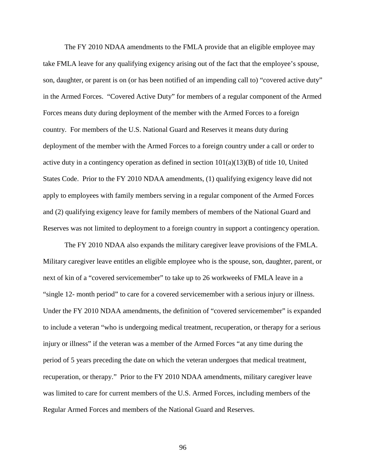The FY 2010 NDAA amendments to the FMLA provide that an eligible employee may take FMLA leave for any qualifying exigency arising out of the fact that the employee's spouse, son, daughter, or parent is on (or has been notified of an impending call to) "covered active duty" in the Armed Forces. "Covered Active Duty" for members of a regular component of the Armed Forces means duty during deployment of the member with the Armed Forces to a foreign country. For members of the U.S. National Guard and Reserves it means duty during deployment of the member with the Armed Forces to a foreign country under a call or order to active duty in a contingency operation as defined in section  $101(a)(13)(B)$  of title 10, United States Code. Prior to the FY 2010 NDAA amendments, (1) qualifying exigency leave did not apply to employees with family members serving in a regular component of the Armed Forces and (2) qualifying exigency leave for family members of members of the National Guard and Reserves was not limited to deployment to a foreign country in support a contingency operation.

The FY 2010 NDAA also expands the military caregiver leave provisions of the FMLA. Military caregiver leave entitles an eligible employee who is the spouse, son, daughter, parent, or next of kin of a "covered servicemember" to take up to 26 workweeks of FMLA leave in a "single 12- month period" to care for a covered servicemember with a serious injury or illness. Under the FY 2010 NDAA amendments, the definition of "covered servicemember" is expanded to include a veteran "who is undergoing medical treatment, recuperation, or therapy for a serious injury or illness" if the veteran was a member of the Armed Forces "at any time during the period of 5 years preceding the date on which the veteran undergoes that medical treatment, recuperation, or therapy." Prior to the FY 2010 NDAA amendments, military caregiver leave was limited to care for current members of the U.S. Armed Forces, including members of the Regular Armed Forces and members of the National Guard and Reserves.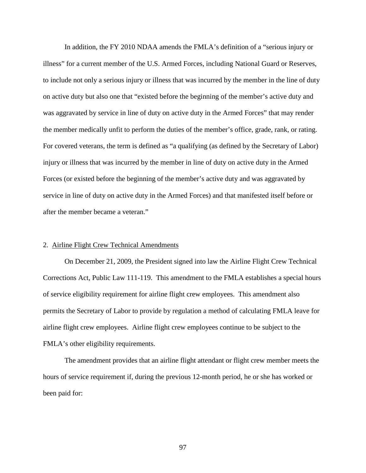In addition, the FY 2010 NDAA amends the FMLA's definition of a "serious injury or illness" for a current member of the U.S. Armed Forces, including National Guard or Reserves, to include not only a serious injury or illness that was incurred by the member in the line of duty on active duty but also one that "existed before the beginning of the member's active duty and was aggravated by service in line of duty on active duty in the Armed Forces" that may render the member medically unfit to perform the duties of the member's office, grade, rank, or rating. For covered veterans, the term is defined as "a qualifying (as defined by the Secretary of Labor) injury or illness that was incurred by the member in line of duty on active duty in the Armed Forces (or existed before the beginning of the member's active duty and was aggravated by service in line of duty on active duty in the Armed Forces) and that manifested itself before or after the member became a veteran."

### 2. **Airline Flight Crew Technical Amendments**

On December 21, 2009, the President signed into law the Airline Flight Crew Technical Corrections Act, Public Law 111-119. This amendment to the FMLA establishes a special hours of service eligibility requirement for airline flight crew employees. This amendment also permits the Secretary of Labor to provide by regulation a method of calculating FMLA leave for airline flight crew employees. Airline flight crew employees continue to be subject to the FMLA's other eligibility requirements.

The amendment provides that an airline flight attendant or flight crew member meets the hours of service requirement if, during the previous 12-month period, he or she has worked or been paid for: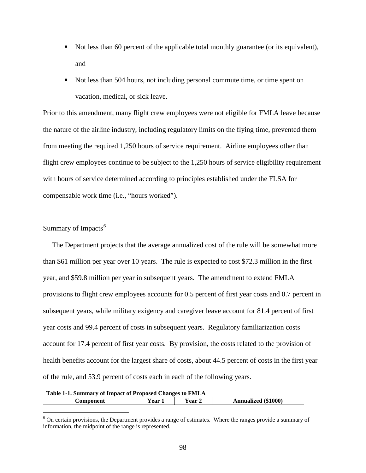- Not less than 60 percent of the applicable total monthly guarantee (or its equivalent), and
- Not less than 504 hours, not including personal commute time, or time spent on vacation, medical, or sick leave.

Prior to this amendment, many flight crew employees were not eligible for FMLA leave because the nature of the airline industry, including regulatory limits on the flying time, prevented them from meeting the required 1,250 hours of service requirement. Airline employees other than flight crew employees continue to be subject to the 1,250 hours of service eligibility requirement with hours of service determined according to principles established under the FLSA for compensable work time (i.e., "hours worked").

# Summary of Impacts<sup>[6](#page-97-0)</sup>

 The Department projects that the average annualized cost of the rule will be somewhat more than \$61 million per year over 10 years. The rule is expected to cost \$72.3 million in the first year, and \$59.8 million per year in subsequent years. The amendment to extend FMLA provisions to flight crew employees accounts for 0.5 percent of first year costs and 0.7 percent in subsequent years, while military exigency and caregiver leave account for 81.4 percent of first year costs and 99.4 percent of costs in subsequent years. Regulatory familiarization costs account for 17.4 percent of first year costs. By provision, the costs related to the provision of health benefits account for the largest share of costs, about 44.5 percent of costs in the first year of the rule, and 53.9 percent of costs each in each of the following years.

| Table 1-1. Summary of Impact of Proposed Changes to FMLA |        |        |                            |  |  |  |  |
|----------------------------------------------------------|--------|--------|----------------------------|--|--|--|--|
| Component                                                | Year 1 | Year 2 | <b>Annualized (\$1000)</b> |  |  |  |  |

<span id="page-97-0"></span> $6$  On certain provisions, the Department provides a range of estimates. Where the ranges provide a summary of information, the midpoint of the range is represented.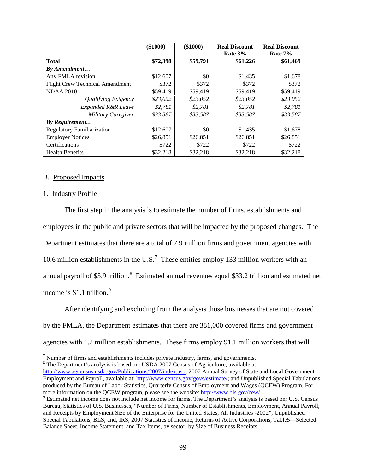|                                        | $(\$1000)$ | (\$1000) | <b>Real Discount</b><br>Rate $3%$ | <b>Real Discount</b><br>Rate $7%$ |
|----------------------------------------|------------|----------|-----------------------------------|-----------------------------------|
| <b>Total</b>                           | \$72,398   | \$59,791 | \$61,226                          | \$61,469                          |
| $Bv$ Amendment                         |            |          |                                   |                                   |
| Any FMLA revision                      | \$12,607   | \$0      | \$1,435                           | \$1,678                           |
| <b>Flight Crew Technical Amendment</b> | \$372      | \$372    | \$372                             | \$372                             |
| <b>NDAA 2010</b>                       | \$59,419   | \$59,419 | \$59,419                          | \$59,419                          |
| Qualifying Exigency                    | \$23,052   | \$23,052 | \$23,052                          | \$23,052                          |
| Expanded R&R Leave                     | \$2,781    | \$2,781  | \$2,781                           | \$2,781                           |
| <b>Military Caregiver</b>              | \$33,587   | \$33.587 | \$33,587                          | \$33.587                          |
| By Requirement                         |            |          |                                   |                                   |
| <b>Regulatory Familiarization</b>      | \$12,607   | \$0      | \$1,435                           | \$1,678                           |
| <b>Employer Notices</b>                | \$26,851   | \$26,851 | \$26,851                          | \$26,851                          |
| Certifications                         | \$722      | \$722    | \$722                             | \$722                             |
| <b>Health Benefits</b>                 | \$32,218   | \$32,218 | \$32,218                          | \$32,218                          |

## B. Proposed Impacts

# 1. Industry Profile

The first step in the analysis is to estimate the number of firms, establishments and employees in the public and private sectors that will be impacted by the proposed changes. The Department estimates that there are a total of 7.9 million firms and government agencies with 10.6 million establishments in the U.S.<sup>[7](#page-98-0)</sup> These entities employ 133 million workers with an annual payroll of \$5.9 trillion.<sup>[8](#page-98-1)</sup> Estimated annual revenues equal \$33.2 trillion and estimated net income is  $$1.1$  trillion.<sup>[9](#page-98-2)</sup>

After identifying and excluding from the analysis those businesses that are not covered by the FMLA, the Department estimates that there are 381,000 covered firms and government agencies with 1.2 million establishments. These firms employ 91.1 million workers that will

<span id="page-98-0"></span> $<sup>7</sup>$  Number of firms and establishments includes private industry, farms, and governments.</sup>

<span id="page-98-1"></span><sup>8</sup> The Department's analysis is based on: USDA 2007 Census of Agriculture, available at:

[http://www.agcensus.usda.gov/Publications/2007/index.asp;](http://www.agcensus.usda.gov/Publications/2007/index.asp) 2007 Annual Survey of State and Local Government Employment and Payroll, available at: [http://www.census.gov/govs/estimate/;](http://www.census.gov/govs/estimate/) and Unpublished Special Tabulations produced by the Bureau of Labor Statistics, Quarterly Census of Employment and Wages (QCEW) Program. For more information on the QCEW program, please see the website: [http://www.bls.gov/cew/.](http://www.bls.gov/cew/)<br><sup>9</sup> Estimated net income does not include net income for farms. The Department's analysis is based on: U.S. Census

<span id="page-98-2"></span>Bureau, Statistics of U.S. Businesses, "Number of Firms, Number of Establishments, Employment, Annual Payroll, and Receipts by Employment Size of the Enterprise for the United States, All Industries -2002"; Unpublished Special Tabulations, BLS; and, IRS, 2007 Statistics of Income, Returns of Active Corporations, Table5—Selected Balance Sheet, Income Statement, and Tax Items, by sector, by Size of Business Receipts.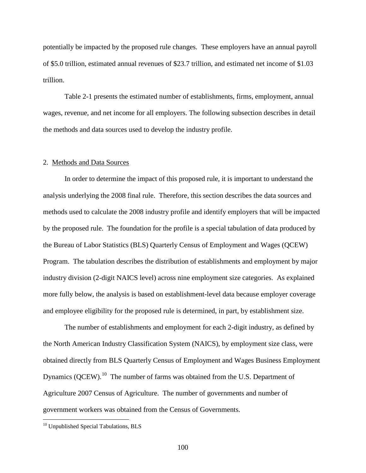potentially be impacted by the proposed rule changes. These employers have an annual payroll of \$5.0 trillion, estimated annual revenues of \$23.7 trillion, and estimated net income of \$1.03 trillion.

Table 2-1 presents the estimated number of establishments, firms, employment, annual wages, revenue, and net income for all employers. The following subsection describes in detail the methods and data sources used to develop the industry profile.

### 2. Methods and Data Sources

In order to determine the impact of this proposed rule, it is important to understand the analysis underlying the 2008 final rule. Therefore, this section describes the data sources and methods used to calculate the 2008 industry profile and identify employers that will be impacted by the proposed rule. The foundation for the profile is a special tabulation of data produced by the Bureau of Labor Statistics (BLS) Quarterly Census of Employment and Wages (QCEW) Program. The tabulation describes the distribution of establishments and employment by major industry division (2-digit NAICS level) across nine employment size categories. As explained more fully below, the analysis is based on establishment-level data because employer coverage and employee eligibility for the proposed rule is determined, in part, by establishment size.

The number of establishments and employment for each 2-digit industry, as defined by the North American Industry Classification System (NAICS), by employment size class, were obtained directly from BLS Quarterly Census of Employment and Wages Business Employment Dynamics (QCEW).<sup>[10](#page-99-0)</sup> The number of farms was obtained from the U.S. Department of Agriculture 2007 Census of Agriculture. The number of governments and number of government workers was obtained from the Census of Governments.

<span id="page-99-0"></span> <sup>10</sup> Unpublished Special Tabulations, BLS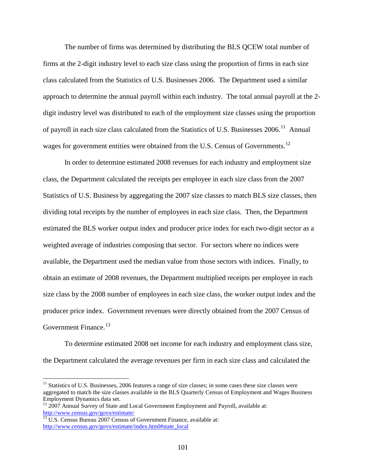The number of firms was determined by distributing the BLS QCEW total number of firms at the 2-digit industry level to each size class using the proportion of firms in each size class calculated from the Statistics of U.S. Businesses 2006. The Department used a similar approach to determine the annual payroll within each industry. The total annual payroll at the 2 digit industry level was distributed to each of the employment size classes using the proportion of payroll in each size class calculated from the Statistics of U.S. Businesses 2006.<sup>[11](#page-100-0)</sup> Annual wages for government entities were obtained from the U.S. Census of Governments.<sup>[12](#page-100-1)</sup>

In order to determine estimated 2008 revenues for each industry and employment size class, the Department calculated the receipts per employee in each size class from the 2007 Statistics of U.S. Business by aggregating the 2007 size classes to match BLS size classes, then dividing total receipts by the number of employees in each size class. Then, the Department estimated the BLS worker output index and producer price index for each two-digit sector as a weighted average of industries composing that sector. For sectors where no indices were available, the Department used the median value from those sectors with indices. Finally, to obtain an estimate of 2008 revenues, the Department multiplied receipts per employee in each size class by the 2008 number of employees in each size class, the worker output index and the producer price index. Government revenues were directly obtained from the 2007 Census of Government Finance.<sup>[13](#page-100-2)</sup>

To determine estimated 2008 net income for each industry and employment class size, the Department calculated the average revenues per firm in each size class and calculated the

<span id="page-100-0"></span><sup>&</sup>lt;sup>11</sup> Statistics of U.S. Businesses, 2006 features a range of size classes; in some cases these size classes were aggregated to match the size classes available in the BLS Quarterly Census of Employment and Wages Business Employment Dynamics data set.

<span id="page-100-1"></span> $12\,2007$  Annual Survey of State and Local Government Employment and Payroll, available at: <http://www.census.gov/govs/estimate/><br><sup>13</sup> U.S. Census Bureau 2007 Census of Government Finance, available at:

<span id="page-100-2"></span>[http://www.census.gov/govs/estimate/index.html#state\\_local](http://www.census.gov/govs/estimate/index.html#state_local)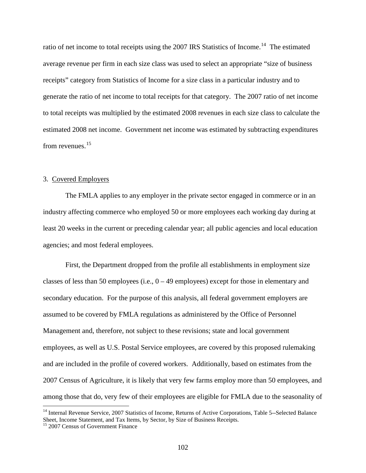ratio of net income to total receipts using the 2007 IRS Statistics of Income.<sup>[14](#page-101-0)</sup> The estimated average revenue per firm in each size class was used to select an appropriate "size of business receipts" category from Statistics of Income for a size class in a particular industry and to generate the ratio of net income to total receipts for that category. The 2007 ratio of net income to total receipts was multiplied by the estimated 2008 revenues in each size class to calculate the estimated 2008 net income. Government net income was estimated by subtracting expenditures from revenues.<sup>[15](#page-101-1)</sup>

### 3. Covered Employers

The FMLA applies to any employer in the private sector engaged in commerce or in an industry affecting commerce who employed 50 or more employees each working day during at least 20 weeks in the current or preceding calendar year; all public agencies and local education agencies; and most federal employees.

First, the Department dropped from the profile all establishments in employment size classes of less than 50 employees (i.e.,  $0 - 49$  employees) except for those in elementary and secondary education. For the purpose of this analysis, all federal government employers are assumed to be covered by FMLA regulations as administered by the Office of Personnel Management and, therefore, not subject to these revisions; state and local government employees, as well as U.S. Postal Service employees, are covered by this proposed rulemaking and are included in the profile of covered workers. Additionally, based on estimates from the 2007 Census of Agriculture, it is likely that very few farms employ more than 50 employees, and among those that do, very few of their employees are eligible for FMLA due to the seasonality of

<span id="page-101-0"></span><sup>&</sup>lt;sup>14</sup> Internal Revenue Service, 2007 Statistics of Income, Returns of Active Corporations, Table 5--Selected Balance Sheet, Income Statement, and Tax Items, by Sector, by Size of Business Receipts.

<span id="page-101-1"></span><sup>&</sup>lt;sup>15</sup> 2007 Census of Government Finance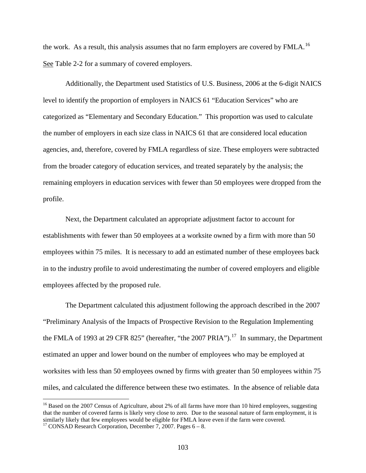the work. As a result, this analysis assumes that no farm employers are covered by FMLA.<sup>16</sup> See Table 2-2 for a summary of covered employers.

Additionally, the Department used Statistics of U.S. Business, 2006 at the 6-digit NAICS level to identify the proportion of employers in NAICS 61 "Education Services" who are categorized as "Elementary and Secondary Education." This proportion was used to calculate the number of employers in each size class in NAICS 61 that are considered local education agencies, and, therefore, covered by FMLA regardless of size. These employers were subtracted from the broader category of education services, and treated separately by the analysis; the remaining employers in education services with fewer than 50 employees were dropped from the profile.

Next, the Department calculated an appropriate adjustment factor to account for establishments with fewer than 50 employees at a worksite owned by a firm with more than 50 employees within 75 miles. It is necessary to add an estimated number of these employees back in to the industry profile to avoid underestimating the number of covered employers and eligible employees affected by the proposed rule.

The Department calculated this adjustment following the approach described in the 2007 "Preliminary Analysis of the Impacts of Prospective Revision to the Regulation Implementing the FMLA of 1993 at 29 CFR 825" (hereafter, "the 2007 PRIA").<sup>[17](#page-102-1)</sup> In summary, the Department estimated an upper and lower bound on the number of employees who may be employed at worksites with less than 50 employees owned by firms with greater than 50 employees within 75 miles, and calculated the difference between these two estimates. In the absence of reliable data

<span id="page-102-0"></span><sup>&</sup>lt;sup>16</sup> Based on the 2007 Census of Agriculture, about 2% of all farms have more than 10 hired employees, suggesting that the number of covered farms is likely very close to zero. Due to the seasonal nature of farm employment, it is similarly likely that few employees would be eligible for FMLA leave even if the farm were covered.

<span id="page-102-1"></span><sup>&</sup>lt;sup>17</sup> CONSAD Research Corporation, December 7, 2007. Pages  $6 - 8$ .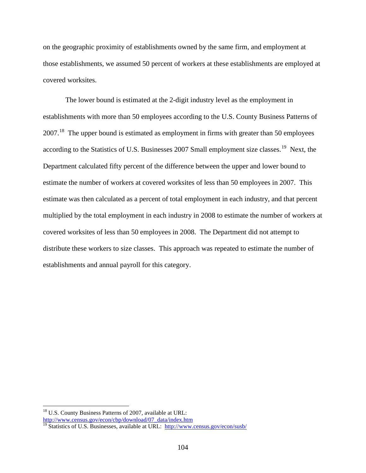on the geographic proximity of establishments owned by the same firm, and employment at those establishments, we assumed 50 percent of workers at these establishments are employed at covered worksites.

The lower bound is estimated at the 2-digit industry level as the employment in establishments with more than 50 employees according to the U.S. County Business Patterns of 2007.<sup>18</sup> The upper bound is estimated as employment in firms with greater than 50 employees according to the Statistics of U.S. Businesses 2007 Small employment size classes.<sup>[19](#page-103-1)</sup> Next, the Department calculated fifty percent of the difference between the upper and lower bound to estimate the number of workers at covered worksites of less than 50 employees in 2007. This estimate was then calculated as a percent of total employment in each industry, and that percent multiplied by the total employment in each industry in 2008 to estimate the number of workers at covered worksites of less than 50 employees in 2008. The Department did not attempt to distribute these workers to size classes. This approach was repeated to estimate the number of establishments and annual payroll for this category.

<span id="page-103-0"></span><sup>&</sup>lt;sup>18</sup> U.S. County Business Patterns of 2007, available at URL: [http://www.census.gov/econ/cbp/download/07\\_data/index.htm](http://www.census.gov/econ/cbp/download/07_data/index.htm)

<span id="page-103-1"></span><sup>&</sup>lt;sup>19</sup> Statistics of U.S. Businesses, available at URL: <http://www.census.gov/econ/susb/>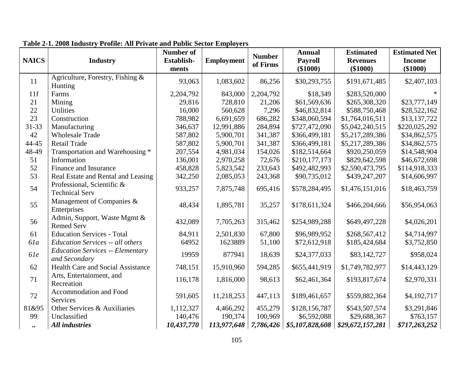|                      |                                                          | <b>Number of</b> |                   | <b>Number</b> | <b>Annual</b>   | <b>Estimated</b> | <b>Estimated Net</b> |
|----------------------|----------------------------------------------------------|------------------|-------------------|---------------|-----------------|------------------|----------------------|
| <b>NAICS</b>         | <b>Industry</b>                                          | Establish-       | <b>Employment</b> | of Firms      | <b>Payroll</b>  | <b>Revenues</b>  | <b>Income</b>        |
|                      |                                                          | ments            |                   |               | (\$1000)        | $(\$1000)$       | (\$1000)             |
| 11                   | Agriculture, Forestry, Fishing $\&$<br>Hunting           | 93,063           | 1,083,602         | 86,256        | \$30,293,755    | \$191,671,485    | \$2,407,103          |
| 11f                  | Farms                                                    | 2,204,792        | 843,000           | 2,204,792     | \$18,349        | \$283,520,000    |                      |
| 21                   | Mining                                                   | 29,816           | 728,810           | 21,206        | \$61,569,636    | \$265,308,320    | \$23,777,149         |
| 22                   | <b>Utilities</b>                                         | 16,000           | 560,628           | 7,296         | \$46,832,814    | \$588,750,468    | \$28,522,162         |
| 23                   | Construction                                             | 788,982          | 6,691,659         | 686,282       | \$348,060,594   | \$1,764,016,511  | \$13,137,722         |
| $31 - 33$            | Manufacturing                                            | 346,637          | 12,991,886        | 284,894       | \$727,472,090   | \$5,042,240,515  | \$220,025,292        |
| 42                   | <b>Wholesale Trade</b>                                   | 587,802          | 5,900,701         | 341,387       | \$366,499,181   | \$5,217,289,386  | \$34,862,575         |
| 44-45                | <b>Retail Trade</b>                                      | 587,802          | 5,900,701         | 341,387       | \$366,499,181   | \$5,217,289,386  | \$34,862,575         |
| 48-49                | Transportation and Warehousing *                         | 207,554          | 4,981,034         | 154,026       | \$182,514,664   | \$920,250,059    | \$14,548,904         |
| 51                   | Information                                              | 136,001          | 2,970,258         | 72,676        | \$210,177,173   | \$829,642,598    | \$46,672,698         |
| 52                   | Finance and Insurance                                    | 458,828          | 5,823,542         | 233,643       | \$492,482,993   | \$2,590,473,795  | \$114,918,333        |
| 53                   | Real Estate and Rental and Leasing                       | 342,250          | 2,085,053         | 243,368       | \$90,735,012    | \$439,247,207    | \$14,606,997         |
| 54                   | Professional, Scientific &<br><b>Technical Serv</b>      | 933,257          | 7,875,748         | 695,416       | \$578,284,495   | \$1,476,151,016  | \$18,463,759         |
| 55                   | Management of Companies &<br>Enterprises                 | 48,434           | 1,895,781         | 35,257        | \$178,611,324   | \$466,204,666    | \$56,954,063         |
| 56                   | Admin, Support, Waste Mgmt &<br><b>Remed Serv</b>        | 432,089          | 7,705,263         | 315,462       | \$254,989,288   | \$649,497,228    | \$4,026,201          |
| 61                   | <b>Education Services - Total</b>                        | 84,911           | 2,501,830         | 67,800        | \$96,989,952    | \$268,567,412    | \$4,714,997          |
| 61a                  | <b>Education Services -- all others</b>                  | 64952            | 1623889           | 51,100        | \$72,612,918    | \$185,424,684    | \$3,752,850          |
| 61e                  | <b>Education Services -- Elementary</b><br>and Secondary | 19959            | 877941            | 18,639        | \$24,377,033    | \$83,142,727     | \$958,024            |
| 62                   | <b>Health Care and Social Assistance</b>                 | 748,151          | 15,910,960        | 594,285       | \$655,441,919   | \$1,749,782,977  | \$14,443,129         |
| 71                   | Arts, Entertainment, and<br>Recreation                   | 116,178          | 1,816,000         | 98,613        | \$62,461,364    | \$193,817,674    | \$2,970,331          |
| 72                   | Accommodation and Food<br><b>Services</b>                | 591,605          | 11,218,253        | 447,113       | \$189,461,657   | \$559,882,364    | \$4,192,717          |
| 81&95                | Other Services & Auxiliaries                             | 1,112,327        | 4,466,292         | 455,279       | \$128,156,787   | \$543,507,574    | \$3,291,846          |
| 99                   | Unclassified                                             | 140,476          | 190,374           | 100,969       | \$6,592,088     | \$29,688,367     | \$763,157            |
| $\ddot{\phantom{0}}$ | <b>All industries</b>                                    | 10,437,770       | 113,977,648       | 7,786,426     | \$5,107,828,608 | \$29,672,157,281 | \$717,263,252        |

**Table 2-1. 2008 Industry Profile: All Private and Public Sector Employers**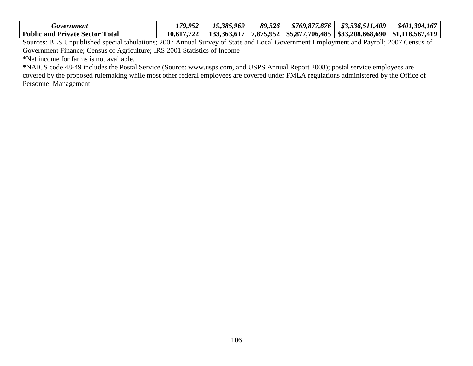| Government                             | 179,952 | 19,385,969 |  | $89,526$ $$769,877,876$ $$3,536,511,409$                                                      | \$401,304,167 |
|----------------------------------------|---------|------------|--|-----------------------------------------------------------------------------------------------|---------------|
| <b>Public and Private Sector Total</b> |         |            |  | $10,617,722$   133,363,617   7,875,952   \$5,877,706,485   \$33,208,668,690   \$1,118,567,419 |               |

Sources: BLS Unpublished special tabulations; 2007 Annual Survey of State and Local Government Employment and Payroll; 2007 Census of Government Finance; Census of Agriculture; IRS 2001 Statistics of Income

\*Net income for farms is not available.

\*NAICS code 48-49 includes the Postal Service (Source: www.usps.com, and USPS Annual Report 2008); postal service employees are covered by the proposed rulemaking while most other federal employees are covered under FMLA regulations administered by the Office of Personnel Management.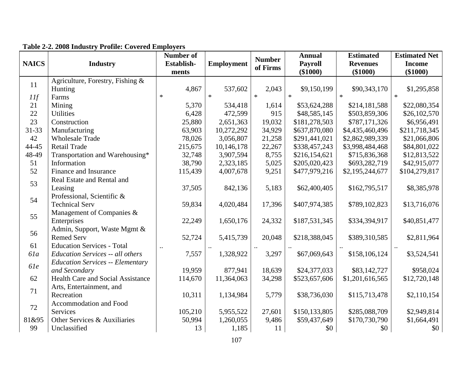|              |                                         | <b>Number of</b> |                   | <b>Number</b> | <b>Annual</b>  | <b>Estimated</b> | <b>Estimated Net</b> |
|--------------|-----------------------------------------|------------------|-------------------|---------------|----------------|------------------|----------------------|
| <b>NAICS</b> | <b>Industry</b>                         | Establish-       | <b>Employment</b> | of Firms      | <b>Payroll</b> | <b>Revenues</b>  | <b>Income</b>        |
|              |                                         | ments            |                   |               | $(\$1000)$     | $(\$1000)$       | (\$1000)             |
| 11           | Agriculture, Forestry, Fishing &        |                  |                   |               |                |                  |                      |
|              | Hunting                                 | 4,867            | 537,602           | 2,043         | \$9,150,199    | \$90,343,170     | \$1,295,858          |
| 11f          | Farms                                   | $\ast$           | $\ast$            | $\ast$        | $\ast$         | $\ast$           | $\ast$               |
| 21           | Mining                                  | 5,370            | 534,418           | 1,614         | \$53,624,288   | \$214,181,588    | \$22,080,354         |
| 22           | <b>Utilities</b>                        | 6,428            | 472,599           | 915           | \$48,585,145   | \$503,859,306    | \$26,102,570         |
| 23           | Construction                            | 25,880           | 2,651,363         | 19,032        | \$181,278,503  | \$787,171,326    | \$6,956,491          |
| 31-33        | Manufacturing                           | 63,903           | 10,272,292        | 34,929        | \$637,870,080  | \$4,435,460,496  | \$211,718,345        |
| 42           | <b>Wholesale Trade</b>                  | 78,026           | 3,056,807         | 21,258        | \$291,441,021  | \$2,862,989,339  | \$21,066,806         |
| 44-45        | <b>Retail Trade</b>                     | 215,675          | 10,146,178        | 22,267        | \$338,457,243  | \$3,998,484,468  | \$84,801,022         |
| 48-49        | Transportation and Warehousing*         | 32,748           | 3,907,594         | 8,755         | \$216,154,621  | \$715,836,368    | \$12,813,522         |
| 51           | Information                             | 38,790           | 2,323,185         | 5,025         | \$205,020,423  | \$693,282,719    | \$42,915,077         |
| 52           | Finance and Insurance                   | 115,439          | 4,007,678         | 9,251         | \$477,979,216  | \$2,195,244,677  | \$104,279,817        |
| 53           | Real Estate and Rental and              |                  |                   |               |                |                  |                      |
|              | Leasing                                 | 37,505           | 842,136           | 5,183         | \$62,400,405   | \$162,795,517    | \$8,385,978          |
| 54           | Professional, Scientific &              |                  |                   |               |                |                  |                      |
|              | <b>Technical Serv</b>                   | 59,834           | 4,020,484         | 17,396        | \$407,974,385  | \$789,102,823    | \$13,716,076         |
| 55           | Management of Companies &               |                  |                   |               |                |                  |                      |
|              | Enterprises                             | 22,249           | 1,650,176         | 24,332        | \$187,531,345  | \$334,394,917    | \$40,851,477         |
| 56           | Admin, Support, Waste Mgmt &            |                  |                   |               |                |                  |                      |
|              | <b>Remed Serv</b>                       | 52,724           | 5,415,739         | 20,048        | \$218,388,045  | \$389,310,585    | \$2,811,964          |
| 61           | <b>Education Services - Total</b>       | $\ddotsc$        |                   |               |                |                  |                      |
| 61a          | <b>Education Services -- all others</b> | 7,557            | 1,328,922         | 3,297         | \$67,069,643   | \$158,106,124    | \$3,524,541          |
| 61e          | <b>Education Services -- Elementary</b> |                  |                   |               |                |                  |                      |
|              | and Secondary                           | 19,959           | 877,941           | 18,639        | \$24,377,033   | \$83,142,727     | \$958,024            |
| 62           | Health Care and Social Assistance       | 114,670          | 11,364,063        | 34,298        | \$523,657,606  | \$1,201,616,565  | \$12,720,148         |
| 71           | Arts, Entertainment, and                |                  |                   |               |                |                  |                      |
|              | Recreation                              | 10,311           | 1,134,984         | 5,779         | \$38,736,030   | \$115,713,478    | \$2,110,154          |
| 72           | Accommodation and Food                  |                  |                   |               |                |                  |                      |
|              | Services                                | 105,210          | 5,955,522         | 27,601        | \$150,133,805  | \$285,088,709    | \$2,949,814          |
| 81&95        | Other Services & Auxiliaries            | 50,994           | 1,260,055         | 9,486         | \$59,437,649   | \$170,730,790    | \$1,664,491          |
| 99           | Unclassified                            | 13               | 1,185             | 11            | \$0            | \$0              | \$0                  |

**Table 2-2. 2008 Industry Profile: Covered Employers**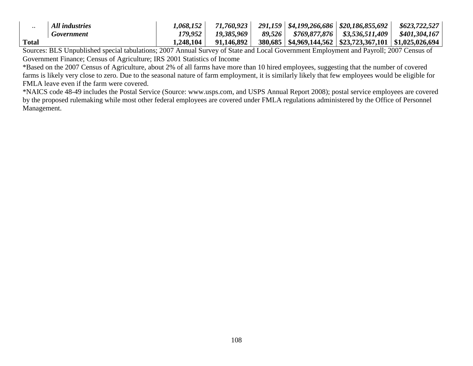| <b>Total</b>         |                | 1,248,104 | 91,146,892 |        | 380,685   \$4,969,144,562   \$23,723,367,101   \$1,025,026,694 |               |
|----------------------|----------------|-----------|------------|--------|----------------------------------------------------------------|---------------|
|                      |                |           |            |        |                                                                |               |
|                      | Government     | 179,952   | 19,385,969 | 89,526 | $$769,877,876$   $$3,536,511,409$                              | \$401,304,167 |
| $\ddot{\phantom{0}}$ | All industries | .068.152  | 71,760,923 |        | $291,159$   \$4,199,266,686   \$20,186,855,692                 | \$623,722,527 |

Sources: BLS Unpublished special tabulations; 2007 Annual Survey of State and Local Government Employment and Payroll; 2007 Census of Government Finance; Census of Agriculture; IRS 2001 Statistics of Income

\*Based on the 2007 Census of Agriculture, about 2% of all farms have more than 10 hired employees, suggesting that the number of covered farms is likely very close to zero. Due to the seasonal nature of farm employment, it is similarly likely that few employees would be eligible for FMLA leave even if the farm were covered.

\*NAICS code 48-49 includes the Postal Service (Source: www.usps.com, and USPS Annual Report 2008); postal service employees are covered by the proposed rulemaking while most other federal employees are covered under FMLA regulations administered by the Office of Personnel Management.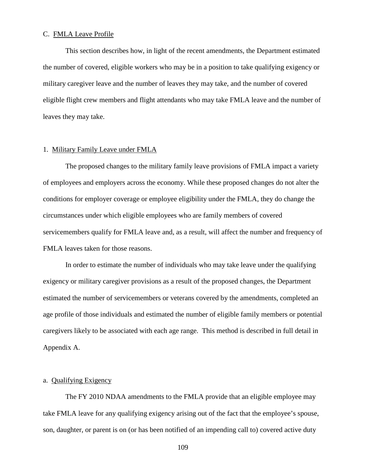#### C. FMLA Leave Profile

This section describes how, in light of the recent amendments, the Department estimated the number of covered, eligible workers who may be in a position to take qualifying exigency or military caregiver leave and the number of leaves they may take, and the number of covered eligible flight crew members and flight attendants who may take FMLA leave and the number of leaves they may take.

#### 1. Military Family Leave under FMLA

The proposed changes to the military family leave provisions of FMLA impact a variety of employees and employers across the economy. While these proposed changes do not alter the conditions for employer coverage or employee eligibility under the FMLA, they do change the circumstances under which eligible employees who are family members of covered servicemembers qualify for FMLA leave and, as a result, will affect the number and frequency of FMLA leaves taken for those reasons.

In order to estimate the number of individuals who may take leave under the qualifying exigency or military caregiver provisions as a result of the proposed changes, the Department estimated the number of servicemembers or veterans covered by the amendments, completed an age profile of those individuals and estimated the number of eligible family members or potential caregivers likely to be associated with each age range. This method is described in full detail in Appendix A.

#### a. Qualifying Exigency

The FY 2010 NDAA amendments to the FMLA provide that an eligible employee may take FMLA leave for any qualifying exigency arising out of the fact that the employee's spouse, son, daughter, or parent is on (or has been notified of an impending call to) covered active duty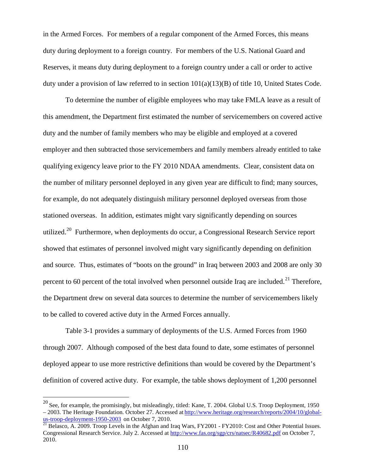in the Armed Forces. For members of a regular component of the Armed Forces, this means duty during deployment to a foreign country. For members of the U.S. National Guard and Reserves, it means duty during deployment to a foreign country under a call or order to active duty under a provision of law referred to in section  $101(a)(13)(B)$  of title 10, United States Code.

To determine the number of eligible employees who may take FMLA leave as a result of this amendment, the Department first estimated the number of servicemembers on covered active duty and the number of family members who may be eligible and employed at a covered employer and then subtracted those servicemembers and family members already entitled to take qualifying exigency leave prior to the FY 2010 NDAA amendments. Clear, consistent data on the number of military personnel deployed in any given year are difficult to find; many sources, for example, do not adequately distinguish military personnel deployed overseas from those stationed overseas. In addition, estimates might vary significantly depending on sources utilized.<sup>20</sup> Furthermore, when deployments do occur, a Congressional Research Service report showed that estimates of personnel involved might vary significantly depending on definition and source. Thus, estimates of "boots on the ground" in Iraq between 2003 and 2008 are only 30 percent to 60 percent of the total involved when personnel outside Iraq are included.<sup>[21](#page-109-1)</sup> Therefore, the Department drew on several data sources to determine the number of servicemembers likely to be called to covered active duty in the Armed Forces annually.

Table 3-1 provides a summary of deployments of the U.S. Armed Forces from 1960 through 2007. Although composed of the best data found to date, some estimates of personnel deployed appear to use more restrictive definitions than would be covered by the Department's definition of covered active duty. For example, the table shows deployment of 1,200 personnel

<span id="page-109-0"></span> $^{20}$  See, for example, the promisingly, but misleadingly, titled: Kane, T. 2004. Global U.S. Troop Deployment, 1950 – 2003. The Heritage Foundation. October 27. Accessed at http://www.heritage.org/research/reports/2004/10/global-<br>us-troop-deployment-1950-2003 on October 7, 2010.

<span id="page-109-1"></span>and Deployment-1950-2003 on October 1950-2003 on October 7, 2003 on October 7, 2010. And Other Potential Issues. Congressional Research Service. July 2. Accessed at<http://www.fas.org/sgp/crs/natsec/R40682.pdf> on October 7, 2010.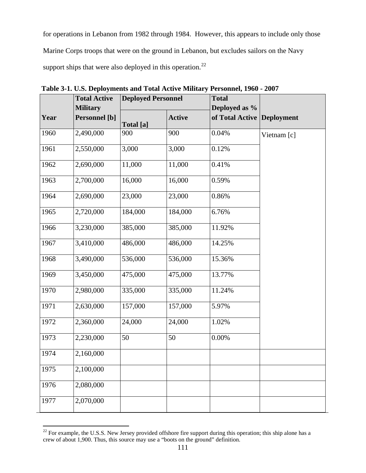for operations in Lebanon from 1982 through 1984. However, this appears to include only those Marine Corps troops that were on the ground in Lebanon, but excludes sailors on the Navy support ships that were also deployed in this operation.<sup>[22](#page-110-0)</sup>

|      | <b>Deployed Personnel</b><br><b>Total Active</b><br><b>Total</b> |           |               |                 |                   |
|------|------------------------------------------------------------------|-----------|---------------|-----------------|-------------------|
|      | <b>Military</b>                                                  |           |               | Deployed as %   |                   |
| Year | <b>Personnel</b> [b]                                             |           | <b>Active</b> | of Total Active | <b>Deployment</b> |
|      |                                                                  | Total [a] |               |                 |                   |
| 1960 | 2,490,000                                                        | 900       | 900           | 0.04%           | Vietnam [c]       |
| 1961 | 2,550,000                                                        | 3,000     | 3,000         | 0.12%           |                   |
| 1962 | 2,690,000                                                        | 11,000    | 11,000        | 0.41%           |                   |
| 1963 | 2,700,000                                                        | 16,000    | 16,000        | 0.59%           |                   |
| 1964 | 2,690,000                                                        | 23,000    | 23,000        | 0.86%           |                   |
| 1965 | 2,720,000                                                        | 184,000   | 184,000       | 6.76%           |                   |
| 1966 | 3,230,000                                                        | 385,000   | 385,000       | 11.92%          |                   |
| 1967 | 3,410,000                                                        | 486,000   | 486,000       | 14.25%          |                   |
| 1968 | 3,490,000                                                        | 536,000   | 536,000       | 15.36%          |                   |
| 1969 | 3,450,000                                                        | 475,000   | 475,000       | 13.77%          |                   |
| 1970 | 2,980,000                                                        | 335,000   | 335,000       | 11.24%          |                   |
| 1971 | 2,630,000                                                        | 157,000   | 157,000       | 5.97%           |                   |
| 1972 | 2,360,000                                                        | 24,000    | 24,000        | 1.02%           |                   |
| 1973 | 2,230,000                                                        | 50        | 50            | 0.00%           |                   |
| 1974 | 2,160,000                                                        |           |               |                 |                   |
| 1975 | 2,100,000                                                        |           |               |                 |                   |
| 1976 | 2,080,000                                                        |           |               |                 |                   |
| 1977 | 2,070,000                                                        |           |               |                 |                   |

**Table 3-1. U.S. Deployments and Total Active Military Personnel, 1960 - 2007**

<span id="page-110-0"></span> $22$  For example, the U.S.S. New Jersey provided offshore fire support during this operation; this ship alone has a crew of about 1,900. Thus, this source may use a "boots on the ground" definition.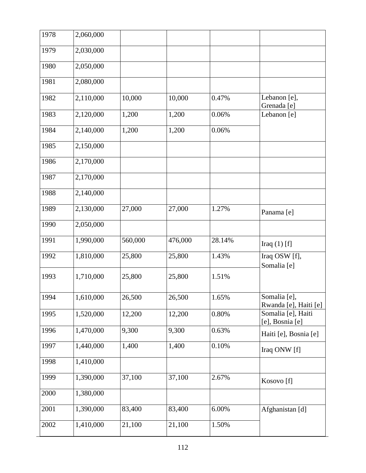| 1978 | 2,060,000 |         |         |        |                                       |
|------|-----------|---------|---------|--------|---------------------------------------|
| 1979 | 2,030,000 |         |         |        |                                       |
| 1980 | 2,050,000 |         |         |        |                                       |
| 1981 | 2,080,000 |         |         |        |                                       |
| 1982 | 2,110,000 | 10,000  | 10,000  | 0.47%  | Lebanon [e],<br>Grenada [e]           |
| 1983 | 2,120,000 | 1,200   | 1,200   | 0.06%  | Lebanon [e]                           |
| 1984 | 2,140,000 | 1,200   | 1,200   | 0.06%  |                                       |
| 1985 | 2,150,000 |         |         |        |                                       |
| 1986 | 2,170,000 |         |         |        |                                       |
| 1987 | 2,170,000 |         |         |        |                                       |
| 1988 | 2,140,000 |         |         |        |                                       |
| 1989 | 2,130,000 | 27,000  | 27,000  | 1.27%  | Panama [e]                            |
| 1990 | 2,050,000 |         |         |        |                                       |
| 1991 | 1,990,000 | 560,000 | 476,000 | 28.14% | Iraq $(1)$ [f]                        |
| 1992 | 1,810,000 | 25,800  | 25,800  | 1.43%  | Iraq OSW [f],<br>Somalia [e]          |
| 1993 | 1,710,000 | 25,800  | 25,800  | 1.51%  |                                       |
| 1994 | 1,610,000 | 26,500  | 26,500  | 1.65%  | Somalia [e],<br>Rwanda [e], Haiti [e] |
| 1995 | 1,520,000 | 12,200  | 12,200  | 0.80%  | Somalia [e], Haiti<br>[e], Bosnia [e] |
| 1996 | 1,470,000 | 9,300   | 9,300   | 0.63%  | Haiti [e], Bosnia [e]                 |
| 1997 | 1,440,000 | 1,400   | 1,400   | 0.10%  | Iraq ONW [f]                          |
| 1998 | 1,410,000 |         |         |        |                                       |
| 1999 | 1,390,000 | 37,100  | 37,100  | 2.67%  | Kosovo [f]                            |
| 2000 | 1,380,000 |         |         |        |                                       |
| 2001 | 1,390,000 | 83,400  | 83,400  | 6.00%  | Afghanistan [d]                       |
| 2002 | 1,410,000 | 21,100  | 21,100  | 1.50%  |                                       |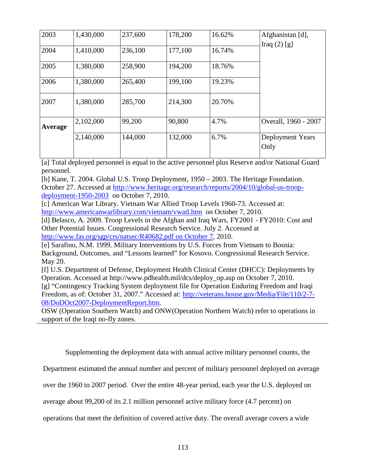| 2003    | 1,430,000 | 237,600 | 178,200 | 16.62% | Afghanistan [d],         |
|---------|-----------|---------|---------|--------|--------------------------|
| 2004    | 1,410,000 | 236,100 | 177,100 | 16.74% | Iraq $(2)$ [g]           |
| 2005    | 1,380,000 | 258,900 | 194,200 | 18.76% |                          |
| 2006    | 1,380,000 | 265,400 | 199,100 | 19.23% |                          |
| 2007    | 1,380,000 | 285,700 | 214,300 | 20.70% |                          |
| Average | 2,102,000 | 99,200  | 90,800  | 4.7%   | Overall, 1960 - 2007     |
|         | 2,140,000 | 144,000 | 132,000 | 6.7%   | Deployment Years<br>Only |

[a] Total deployed personnel is equal to the active personnel plus Reserve and/or National Guard personnel.

[b] Kane, T. 2004. Global U.S. Troop Deployment, 1950 – 2003. The Heritage Foundation. October 27. Accessed at [http://www.heritage.org/research/reports/2004/10/global-us-troop](http://www.heritage.org/research/reports/2004/10/global-us-troop-deployment-1950-2003)[deployment-1950-2003](http://www.heritage.org/research/reports/2004/10/global-us-troop-deployment-1950-2003) on October 7, 2010.

[c] American War Library. Vietnam War Allied Troop Levels 1960-73. Accessed at: <http://www.americanwarlibrary.com/vietnam/vwatl.htm>on October 7, 2010.

[d] Belasco, A. 2009. Troop Levels in the Afghan and Iraq Wars, FY2001 - FY2010: Cost and Other Potential Issues. Congressional Research Service. July 2. Accessed at [http://www.fas.org/sgp/crs/natsec/R40682.pdf on October 7,](http://www.fas.org/sgp/crs/natsec/R40682.pdf%20on%20October%207) 2010.

[e] Sarafino, N.M. 1999. Military Interventions by U.S. Forces from Vietnam to Bosnia: Background, Outcomes, and "Lessons learned" for Kosovo. Congressional Research Service. May 20.

[f] U.S. Department of Defense, Deployment Health Clinical Center (DHCC): Deployments by Operation. Accessed at http://www.pdhealth.mil/dcs/deploy\_op.asp on October 7, 2010.

[g] "Contingency Tracking System deployment file for Operation Enduring Freedom and Iraqi Freedom, as of: October 31, 2007." Accessed at: [http://veterans.house.gov/Media/File/110/2-7-](http://veterans.house.gov/Media/File/110/2-7-08/DoDOct2007-DeploymentReport.htm) [08/DoDOct2007-DeploymentReport.htm.](http://veterans.house.gov/Media/File/110/2-7-08/DoDOct2007-DeploymentReport.htm)

OSW (Operation Southern Watch) and ONW(Operation Northern Watch) refer to operations in support of the Iraqi no-fly zones.

Supplementing the deployment data with annual active military personnel counts, the

Department estimated the annual number and percent of military personnel deployed on average

over the 1960 to 2007 period. Over the entire 48-year period, each year the U.S. deployed on

average about 99,200 of its 2.1 million personnel active military force (4.7 percent) on

operations that meet the definition of covered active duty. The overall average covers a wide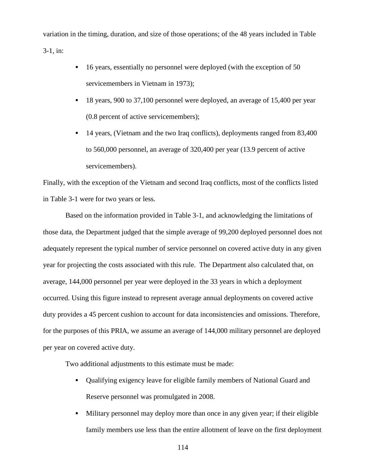variation in the timing, duration, and size of those operations; of the 48 years included in Table 3-1, in:

- 16 years, essentially no personnel were deployed (with the exception of 50 servicemembers in Vietnam in 1973);
- 18 years, 900 to 37,100 personnel were deployed, an average of 15,400 per year (0.8 percent of active servicemembers);
- <sup>1</sup> 14 years, (Vietnam and the two Iraq conflicts), deployments ranged from 83,400 to 560,000 personnel, an average of 320,400 per year (13.9 percent of active servicemembers).

Finally, with the exception of the Vietnam and second Iraq conflicts, most of the conflicts listed in Table 3-1 were for two years or less.

Based on the information provided in Table 3-1, and acknowledging the limitations of those data, the Department judged that the simple average of 99,200 deployed personnel does not adequately represent the typical number of service personnel on covered active duty in any given year for projecting the costs associated with this rule. The Department also calculated that, on average, 144,000 personnel per year were deployed in the 33 years in which a deployment occurred. Using this figure instead to represent average annual deployments on covered active duty provides a 45 percent cushion to account for data inconsistencies and omissions. Therefore, for the purposes of this PRIA, we assume an average of 144,000 military personnel are deployed per year on covered active duty.

Two additional adjustments to this estimate must be made:

- Qualifying exigency leave for eligible family members of National Guard and Reserve personnel was promulgated in 2008.
- Military personnel may deploy more than once in any given year; if their eligible family members use less than the entire allotment of leave on the first deployment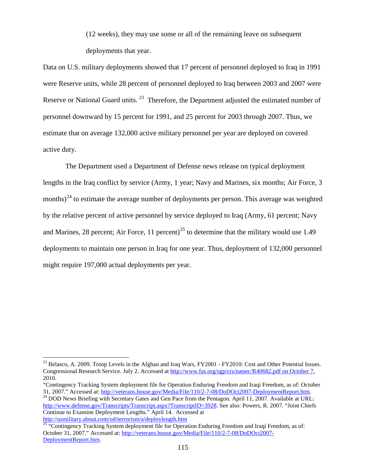(12 weeks), they may use some or all of the remaining leave on subsequent deployments that year.

Data on U.S. military deployments showed that 17 percent of personnel deployed to Iraq in 1991 were Reserve units, while 28 percent of personnel deployed to Iraq between 2003 and 2007 were Reserve or National Guard units.<sup>[23](#page-114-0)</sup> Therefore, the Department adjusted the estimated number of personnel downward by 15 percent for 1991, and 25 percent for 2003 through 2007. Thus, we estimate that on average 132,000 active military personnel per year are deployed on covered active duty.

The Department used a Department of Defense news release on typical deployment lengths in the Iraq conflict by service (Army, 1 year; Navy and Marines, six months; Air Force, 3 months)<sup>[24](#page-114-1)</sup> to estimate the average number of deployments per person. This average was weighted by the relative percent of active personnel by service deployed to Iraq (Army, 61 percent; Navy and Marines, 28 percent; Air Force, 11 percent)<sup>[25](#page-114-2)</sup> to determine that the military would use 1.49 deployments to maintain one person in Iraq for one year. Thus, deployment of 132,000 personnel might require 197,000 actual deployments per year.

<span id="page-114-0"></span><sup>&</sup>lt;sup>23</sup> Belasco, A. 2009. Troop Levels in the Afghan and Iraq Wars, FY2001 - FY2010: Cost and Other Potential Issues. Congressional Research Service. July 2. Accessed at [http://www.fas.org/sgp/crs/natsec/R40682.pdf on October 7,](http://www.fas.org/sgp/crs/natsec/R40682.pdf%20on%20October%207) 2010.

<sup>&</sup>quot;Contingency Tracking System deployment file for Operation Enduring Freedom and Iraqi Freedom, as of: October 31, 2007." Accessed at: http://veterans.house.gov/Media/File/110/2-7-08/DoDOct2007-DeploymentReport.htm.

<span id="page-114-1"></span> $34$  DOD News Briefing with Secretary Gates and Gen Pace from the Pentagon. April 11, 2007. Available at URL: [http://www.defense.gov/Transcripts/Transcript.aspx?TranscriptID=3928.](http://www.defense.gov/Transcripts/Transcript.aspx?TranscriptID=3928) See also: Powers, R. 2007. "Joint Chiefs Continue to Examine Deployment Lengths." April 14. Accessed at <http://usmilitary.about.com/od/terrorism/a/deploylength.htm>

<span id="page-114-2"></span><sup>25 &</sup>quot;Contingency Tracking System deployment file for Operation Enduring Freedom and Iraqi Freedom, as of: October 31, 2007." Accessed at: [http://veterans.house.gov/Media/File/110/2-7-08/DoDOct2007-](http://veterans.house.gov/Media/File/110/2-7-08/DoDOct2007-DeploymentReport.htm) [DeploymentReport.htm.](http://veterans.house.gov/Media/File/110/2-7-08/DoDOct2007-DeploymentReport.htm)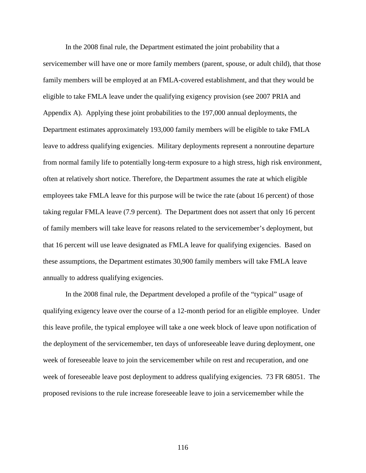In the 2008 final rule, the Department estimated the joint probability that a servicemember will have one or more family members (parent, spouse, or adult child), that those family members will be employed at an FMLA-covered establishment, and that they would be eligible to take FMLA leave under the qualifying exigency provision (see 2007 PRIA and Appendix A). Applying these joint probabilities to the 197,000 annual deployments, the Department estimates approximately 193,000 family members will be eligible to take FMLA leave to address qualifying exigencies. Military deployments represent a nonroutine departure from normal family life to potentially long-term exposure to a high stress, high risk environment, often at relatively short notice. Therefore, the Department assumes the rate at which eligible employees take FMLA leave for this purpose will be twice the rate (about 16 percent) of those taking regular FMLA leave (7.9 percent). The Department does not assert that only 16 percent of family members will take leave for reasons related to the servicemember's deployment, but that 16 percent will use leave designated as FMLA leave for qualifying exigencies. Based on these assumptions, the Department estimates 30,900 family members will take FMLA leave annually to address qualifying exigencies.

In the 2008 final rule, the Department developed a profile of the "typical" usage of qualifying exigency leave over the course of a 12-month period for an eligible employee. Under this leave profile, the typical employee will take a one week block of leave upon notification of the deployment of the servicemember, ten days of unforeseeable leave during deployment, one week of foreseeable leave to join the servicemember while on rest and recuperation, and one week of foreseeable leave post deployment to address qualifying exigencies. 73 FR 68051. The proposed revisions to the rule increase foreseeable leave to join a servicemember while the

116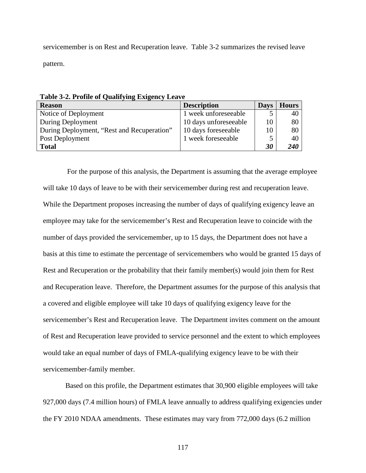servicemember is on Rest and Recuperation leave. Table 3-2 summarizes the revised leave pattern.

| <b>Reason</b>                              | <b>Description</b>    | <b>Days</b> | <b>Hours</b> |
|--------------------------------------------|-----------------------|-------------|--------------|
| Notice of Deployment                       | 1 week unforeseeable  |             | 40           |
| During Deployment                          | 10 days unforeseeable | 10          | 80           |
| During Deployment, "Rest and Recuperation" | 10 days foreseeable   | 10          | 80           |
| Post Deployment                            | 1 week foreseeable    | 5           | 40           |
| <b>Total</b>                               |                       | 30          | 240          |

**Table 3-2. Profile of Qualifying Exigency Leave**

For the purpose of this analysis, the Department is assuming that the average employee will take 10 days of leave to be with their servicemember during rest and recuperation leave. While the Department proposes increasing the number of days of qualifying exigency leave an employee may take for the servicemember's Rest and Recuperation leave to coincide with the number of days provided the servicemember, up to 15 days, the Department does not have a basis at this time to estimate the percentage of servicemembers who would be granted 15 days of Rest and Recuperation or the probability that their family member(s) would join them for Rest and Recuperation leave. Therefore, the Department assumes for the purpose of this analysis that a covered and eligible employee will take 10 days of qualifying exigency leave for the servicemember's Rest and Recuperation leave. The Department invites comment on the amount of Rest and Recuperation leave provided to service personnel and the extent to which employees would take an equal number of days of FMLA-qualifying exigency leave to be with their servicemember-family member.

Based on this profile, the Department estimates that 30,900 eligible employees will take 927,000 days (7.4 million hours) of FMLA leave annually to address qualifying exigencies under the FY 2010 NDAA amendments. These estimates may vary from 772,000 days (6.2 million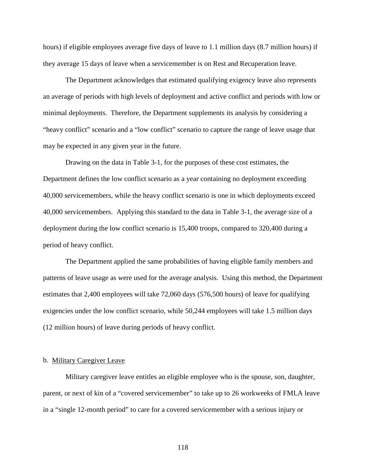hours) if eligible employees average five days of leave to 1.1 million days (8.7 million hours) if they average 15 days of leave when a servicemember is on Rest and Recuperation leave.

The Department acknowledges that estimated qualifying exigency leave also represents an average of periods with high levels of deployment and active conflict and periods with low or minimal deployments. Therefore, the Department supplements its analysis by considering a "heavy conflict" scenario and a "low conflict" scenario to capture the range of leave usage that may be expected in any given year in the future.

Drawing on the data in Table 3-1, for the purposes of these cost estimates, the Department defines the low conflict scenario as a year containing no deployment exceeding 40,000 servicemembers, while the heavy conflict scenario is one in which deployments exceed 40,000 servicemembers. Applying this standard to the data in Table 3-1, the average size of a deployment during the low conflict scenario is 15,400 troops, compared to 320,400 during a period of heavy conflict.

The Department applied the same probabilities of having eligible family members and patterns of leave usage as were used for the average analysis. Using this method, the Department estimates that 2,400 employees will take 72,060 days (576,500 hours) of leave for qualifying exigencies under the low conflict scenario, while 50,244 employees will take 1.5 million days (12 million hours) of leave during periods of heavy conflict.

#### b. Military Caregiver Leave

Military caregiver leave entitles an eligible employee who is the spouse, son, daughter, parent, or next of kin of a "covered servicemember" to take up to 26 workweeks of FMLA leave in a "single 12-month period" to care for a covered servicemember with a serious injury or

118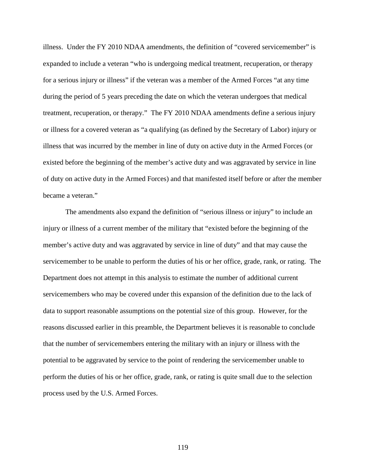illness. Under the FY 2010 NDAA amendments, the definition of "covered servicemember" is expanded to include a veteran "who is undergoing medical treatment, recuperation, or therapy for a serious injury or illness" if the veteran was a member of the Armed Forces "at any time during the period of 5 years preceding the date on which the veteran undergoes that medical treatment, recuperation, or therapy." The FY 2010 NDAA amendments define a serious injury or illness for a covered veteran as "a qualifying (as defined by the Secretary of Labor) injury or illness that was incurred by the member in line of duty on active duty in the Armed Forces (or existed before the beginning of the member's active duty and was aggravated by service in line of duty on active duty in the Armed Forces) and that manifested itself before or after the member became a veteran."

The amendments also expand the definition of "serious illness or injury" to include an injury or illness of a current member of the military that "existed before the beginning of the member's active duty and was aggravated by service in line of duty" and that may cause the servicemember to be unable to perform the duties of his or her office, grade, rank, or rating. The Department does not attempt in this analysis to estimate the number of additional current servicemembers who may be covered under this expansion of the definition due to the lack of data to support reasonable assumptions on the potential size of this group. However, for the reasons discussed earlier in this preamble, the Department believes it is reasonable to conclude that the number of servicemembers entering the military with an injury or illness with the potential to be aggravated by service to the point of rendering the servicemember unable to perform the duties of his or her office, grade, rank, or rating is quite small due to the selection process used by the U.S. Armed Forces.

119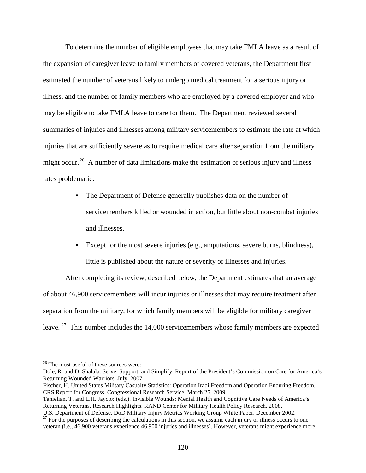To determine the number of eligible employees that may take FMLA leave as a result of the expansion of caregiver leave to family members of covered veterans, the Department first estimated the number of veterans likely to undergo medical treatment for a serious injury or illness, and the number of family members who are employed by a covered employer and who may be eligible to take FMLA leave to care for them. The Department reviewed several summaries of injuries and illnesses among military servicemembers to estimate the rate at which injuries that are sufficiently severe as to require medical care after separation from the military might occur.<sup>[26](#page-119-0)</sup> A number of data limitations make the estimation of serious injury and illness rates problematic:

- The Department of Defense generally publishes data on the number of servicemembers killed or wounded in action, but little about non-combat injuries and illnesses.
- Except for the most severe injuries (e.g., amputations, severe burns, blindness), little is published about the nature or severity of illnesses and injuries.

After completing its review, described below, the Department estimates that an average of about 46,900 servicemembers will incur injuries or illnesses that may require treatment after separation from the military, for which family members will be eligible for military caregiver leave.<sup>[27](#page-119-1)</sup> This number includes the 14,000 servicemembers whose family members are expected

Fischer, H. United States Military Casualty Statistics: Operation Iraqi Freedom and Operation Enduring Freedom. CRS Report for Congress. Congressional Research Service, March 25, 2009.

<span id="page-119-0"></span><sup>&</sup>lt;sup>26</sup> The most useful of these sources were:

Dole, R. and D. Shalala. Serve, Support, and Simplify. Report of the President's Commission on Care for America's Returning Wounded Warriors. July, 2007.

Tanielian, T. and L.H. Jaycox (eds.). Invisible Wounds: Mental Health and Cognitive Care Needs of America's Returning Veterans. Research Highlights. RAND Center for Military Health Policy Research. 2008.<br>U.S. Department of Defense. DoD Military Injury Metrics Working Group White Paper. December 2002.

<span id="page-119-1"></span> $\frac{27}{7}$  For the purposes of describing the calculations in this section, we assume each injury or illness occurs to one veteran (i.e., 46,900 veterans experience 46,900 injuries and illnesses). However, veterans might experience more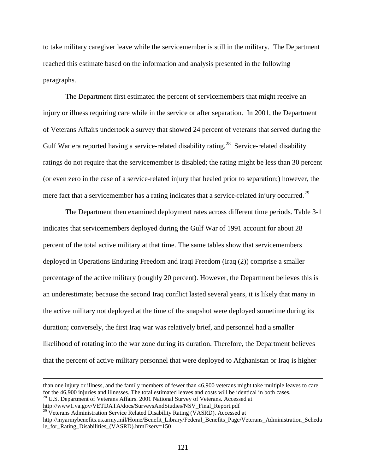to take military caregiver leave while the servicemember is still in the military. The Department reached this estimate based on the information and analysis presented in the following paragraphs.

The Department first estimated the percent of servicemembers that might receive an injury or illness requiring care while in the service or after separation. In 2001, the Department of Veterans Affairs undertook a survey that showed 24 percent of veterans that served during the Gulf War era reported having a service-related disability rating.<sup>[28](#page-120-0)</sup> Service-related disability ratings do not require that the servicemember is disabled; the rating might be less than 30 percent (or even zero in the case of a service-related injury that healed prior to separation;) however, the mere fact that a servicemember has a rating indicates that a service-related injury occurred.<sup>[29](#page-120-1)</sup>

The Department then examined deployment rates across different time periods. Table 3-1 indicates that servicemembers deployed during the Gulf War of 1991 account for about 28 percent of the total active military at that time. The same tables show that servicemembers deployed in Operations Enduring Freedom and Iraqi Freedom (Iraq (2)) comprise a smaller percentage of the active military (roughly 20 percent). However, the Department believes this is an underestimate; because the second Iraq conflict lasted several years, it is likely that many in the active military not deployed at the time of the snapshot were deployed sometime during its duration; conversely, the first Iraq war was relatively brief, and personnel had a smaller likelihood of rotating into the war zone during its duration. Therefore, the Department believes that the percent of active military personnel that were deployed to Afghanistan or Iraq is higher

http://www1.va.gov/VETDATA/docs/SurveysAndStudies/NSV\_Final\_Report.pdf

than one injury or illness, and the family members of fewer than 46,900 veterans might take multiple leaves to care for the 46,900 injuries and illnesses. The total estimated leaves and costs will be identical in both cases. 28 U.S. Department of Veterans Affairs. 2001 National Survey of Veterans. Accessed at

<span id="page-120-0"></span>

<span id="page-120-1"></span> $29$  Veterans Administration Service Related Disability Rating (VASRD). Accessed at

http://myarmybenefits.us.army.mil/Home/Benefit\_Library/Federal\_Benefits\_Page/Veterans\_Administration\_Schedu le\_for\_Rating\_Disabilities\_(VASRD).html?serv=150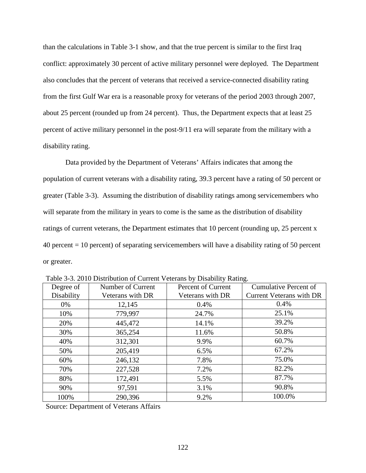than the calculations in Table 3-1 show, and that the true percent is similar to the first Iraq conflict: approximately 30 percent of active military personnel were deployed. The Department also concludes that the percent of veterans that received a service-connected disability rating from the first Gulf War era is a reasonable proxy for veterans of the period 2003 through 2007, about 25 percent (rounded up from 24 percent). Thus, the Department expects that at least 25 percent of active military personnel in the post-9/11 era will separate from the military with a disability rating.

Data provided by the Department of Veterans' Affairs indicates that among the population of current veterans with a disability rating, 39.3 percent have a rating of 50 percent or greater (Table 3-3). Assuming the distribution of disability ratings among servicemembers who will separate from the military in years to come is the same as the distribution of disability ratings of current veterans, the Department estimates that 10 percent (rounding up, 25 percent x 40 percent = 10 percent) of separating servicemembers will have a disability rating of 50 percent or greater.

| Degree of  | Number of Current | Percent of Current | Cumulative Percent of           |
|------------|-------------------|--------------------|---------------------------------|
| Disability | Veterans with DR  | Veterans with DR   | <b>Current Veterans with DR</b> |
| 0%         | 12,145            | 0.4%               | 0.4%                            |
| 10%        | 779,997           | 24.7%              | 25.1%                           |
| 20%        | 445,472           | 14.1%              | 39.2%                           |
| 30%        | 365,254           | 11.6%              | 50.8%                           |
| 40%        | 312,301           | 9.9%               | 60.7%                           |
| 50%        | 205,419           | 6.5%               | 67.2%                           |
| 60%        | 246,132           | 7.8%               | 75.0%                           |
| 70%        | 227,528           | 7.2%               | 82.2%                           |
| 80%        | 172,491           | 5.5%               | 87.7%                           |
| 90%        | 97,591            | 3.1%               | 90.8%                           |
| 100%       | 290,396           | 9.2%               | 100.0%                          |

Table 3-3. 2010 Distribution of Current Veterans by Disability Rating.

Source: Department of Veterans Affairs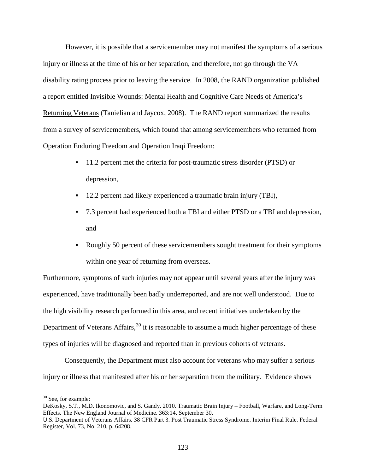However, it is possible that a servicemember may not manifest the symptoms of a serious injury or illness at the time of his or her separation, and therefore, not go through the VA disability rating process prior to leaving the service. In 2008, the RAND organization published a report entitled Invisible Wounds: Mental Health and Cognitive Care Needs of America's Returning Veterans (Tanielian and Jaycox, 2008). The RAND report summarized the results from a survey of servicemembers, which found that among servicemembers who returned from Operation Enduring Freedom and Operation Iraqi Freedom:

- 11.2 percent met the criteria for post-traumatic stress disorder (PTSD) or depression,
- 12.2 percent had likely experienced a traumatic brain injury (TBI),
- 7.3 percent had experienced both a TBI and either PTSD or a TBI and depression, and
- Roughly 50 percent of these servicemembers sought treatment for their symptoms within one year of returning from overseas.

Furthermore, symptoms of such injuries may not appear until several years after the injury was experienced, have traditionally been badly underreported, and are not well understood. Due to the high visibility research performed in this area, and recent initiatives undertaken by the Department of Veterans Affairs,  $30$  it is reasonable to assume a much higher percentage of these types of injuries will be diagnosed and reported than in previous cohorts of veterans.

Consequently, the Department must also account for veterans who may suffer a serious injury or illness that manifested after his or her separation from the military. Evidence shows

<span id="page-122-0"></span><sup>&</sup>lt;sup>30</sup> See, for example:

DeKosky, S.T., M.D. Ikonomovic, and S. Gandy. 2010. Traumatic Brain Injury – Football, Warfare, and Long-Term Effects. The New England Journal of Medicine. 363:14. September 30.

U.S. Department of Veterans Affairs. 38 CFR Part 3. Post Traumatic Stress Syndrome. Interim Final Rule. Federal Register, Vol. 73, No. 210, p. 64208.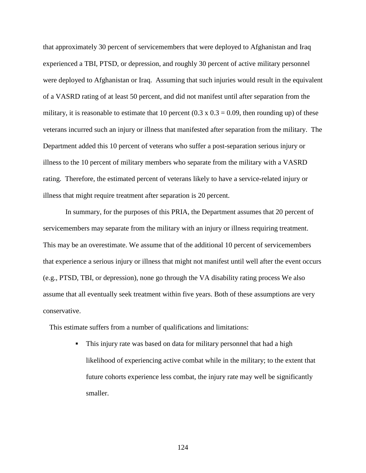that approximately 30 percent of servicemembers that were deployed to Afghanistan and Iraq experienced a TBI, PTSD, or depression, and roughly 30 percent of active military personnel were deployed to Afghanistan or Iraq. Assuming that such injuries would result in the equivalent of a VASRD rating of at least 50 percent, and did not manifest until after separation from the military, it is reasonable to estimate that 10 percent  $(0.3 \times 0.3 = 0.09)$ , then rounding up) of these veterans incurred such an injury or illness that manifested after separation from the military. The Department added this 10 percent of veterans who suffer a post-separation serious injury or illness to the 10 percent of military members who separate from the military with a VASRD rating. Therefore, the estimated percent of veterans likely to have a service-related injury or illness that might require treatment after separation is 20 percent.

In summary, for the purposes of this PRIA, the Department assumes that 20 percent of servicemembers may separate from the military with an injury or illness requiring treatment. This may be an overestimate. We assume that of the additional 10 percent of servicemembers that experience a serious injury or illness that might not manifest until well after the event occurs (e.g., PTSD, TBI, or depression), none go through the VA disability rating process We also assume that all eventually seek treatment within five years. Both of these assumptions are very conservative.

This estimate suffers from a number of qualifications and limitations:

• This injury rate was based on data for military personnel that had a high likelihood of experiencing active combat while in the military; to the extent that future cohorts experience less combat, the injury rate may well be significantly smaller.

124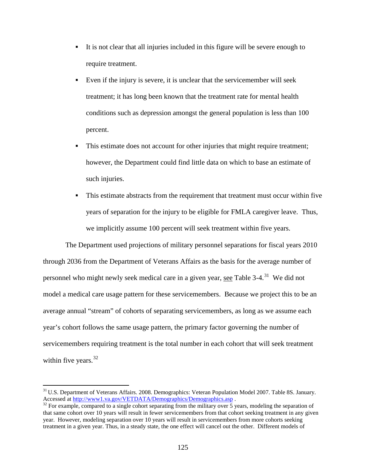- It is not clear that all injuries included in this figure will be severe enough to require treatment.
- Even if the injury is severe, it is unclear that the servicemember will seek treatment; it has long been known that the treatment rate for mental health conditions such as depression amongst the general population is less than 100 percent.
- This estimate does not account for other injuries that might require treatment; however, the Department could find little data on which to base an estimate of such injuries.
- This estimate abstracts from the requirement that treatment must occur within five years of separation for the injury to be eligible for FMLA caregiver leave. Thus, we implicitly assume 100 percent will seek treatment within five years.

The Department used projections of military personnel separations for fiscal years 2010 through 2036 from the Department of Veterans Affairs as the basis for the average number of personnel who might newly seek medical care in a given year, see Table 3-4.<sup>[31](#page-124-0)</sup> We did not model a medical care usage pattern for these servicemembers. Because we project this to be an average annual "stream" of cohorts of separating servicemembers, as long as we assume each year's cohort follows the same usage pattern, the primary factor governing the number of servicemembers requiring treatment is the total number in each cohort that will seek treatment within five years.<sup>[32](#page-124-1)</sup>

<span id="page-124-0"></span> $31$  U.S. Department of Veterans Affairs. 2008. Demographics: Veteran Population Model 2007. Table 8S. January.<br>Accessed at http://www1.va.gov/VETDATA/Demographics/Demographics.asp.

<span id="page-124-1"></span> $32$  For example, compared to a single cohort separating from the military over 5 years, modeling the separation of that same cohort over 10 years will result in fewer servicemembers from that cohort seeking treatment in any given year. However, modeling separation over 10 years will result in servicemembers from more cohorts seeking treatment in a given year. Thus, in a steady state, the one effect will cancel out the other. Different models of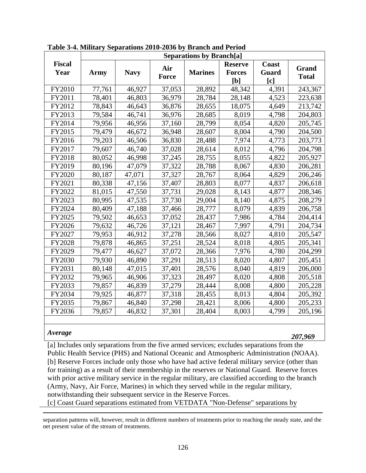|                       | <b>Separations by Branch[a]</b> |             |              |                |                                        |                              |                              |
|-----------------------|---------------------------------|-------------|--------------|----------------|----------------------------------------|------------------------------|------------------------------|
| <b>Fiscal</b><br>Year | <b>Army</b>                     | <b>Navy</b> | Air<br>Force | <b>Marines</b> | <b>Reserve</b><br><b>Forces</b><br>[b] | Coast<br><b>Guard</b><br>[c] | <b>Grand</b><br><b>Total</b> |
| FY2010                | 77,761                          | 46,927      | 37,053       | 28,892         | 48,342                                 | 4,391                        | 243,367                      |
| FY2011                | 78,401                          | 46,803      | 36,979       | 28,784         | 28,148                                 | 4,523                        | 223,638                      |
| FY2012                | 78,843                          | 46,643      | 36,876       | 28,655         | 18,075                                 | 4,649                        | 213,742                      |
| FY2013                | 79,584                          | 46,741      | 36,976       | 28,685         | 8,019                                  | 4,798                        | 204,803                      |
| FY2014                | 79,956                          | 46,956      | 37,160       | 28,799         | 8,054                                  | 4,820                        | 205,745                      |
| FY2015                | 79,479                          | 46,672      | 36,948       | 28,607         | 8,004                                  | 4,790                        | 204,500                      |
| FY2016                | 79,203                          | 46,506      | 36,830       | 28,488         | 7,974                                  | 4,773                        | 203,773                      |
| FY2017                | 79,607                          | 46,740      | 37,028       | 28,614         | 8,012                                  | 4,796                        | 204,798                      |
| FY2018                | 80,052                          | 46,998      | 37,245       | 28,755         | 8,055                                  | 4,822                        | 205,927                      |
| FY2019                | 80,196                          | 47,079      | 37,322       | 28,788         | 8,067                                  | 4,830                        | 206,281                      |
| <b>FY2020</b>         | 80,187                          | 47,071      | 37,327       | 28,767         | 8,064                                  | 4,829                        | 206,246                      |
| FY2021                | 80,338                          | 47,156      | 37,407       | 28,803         | 8,077                                  | 4,837                        | 206,618                      |
| FY2022                | 81,015                          | 47,550      | 37,731       | 29,028         | 8,143                                  | 4,877                        | 208,346                      |
| FY2023                | 80,995                          | 47,535      | 37,730       | 29,004         | 8,140                                  | 4,875                        | 208,279                      |
| FY2024                | 80,409                          | 47,188      | 37,466       | 28,777         | 8,079                                  | 4,839                        | 206,758                      |
| FY2025                | 79,502                          | 46,653      | 37,052       | 28,437         | 7,986                                  | 4,784                        | 204,414                      |
| FY2026                | 79,632                          | 46,726      | 37,121       | 28,467         | 7,997                                  | 4,791                        | 204,734                      |
| FY2027                | 79,953                          | 46,912      | 37,278       | 28,566         | 8,027                                  | 4,810                        | 205,547                      |
| FY2028                | 79,878                          | 46,865      | 37,251       | 28,524         | 8,018                                  | 4,805                        | 205,341                      |
| FY2029                | 79,477                          | 46,627      | 37,072       | 28,366         | 7,976                                  | 4,780                        | 204,299                      |
| FY2030                | 79,930                          | 46,890      | 37,291       | 28,513         | 8,020                                  | 4,807                        | 205,451                      |
| FY2031                | 80,148                          | 47,015      | 37,401       | 28,576         | 8,040                                  | 4,819                        | 206,000                      |
| FY2032                | 79,965                          | 46,906      | 37,323       | 28,497         | 8,020                                  | 4,808                        | 205,518                      |
| FY2033                | 79,857                          | 46,839      | 37,279       | 28,444         | 8,008                                  | 4,800                        | 205,228                      |
| FY2034                | 79,925                          | 46,877      | 37,318       | 28,455         | 8,013                                  | 4,804                        | 205,392                      |
| FY2035                | 79,867                          | 46,840      | 37,298       | 28,421         | 8,006                                  | 4,800                        | 205,233                      |
| FY2036                | 79,857                          | 46,832      | 37,301       | 28,404         | 8,003                                  | 4,799                        | 205,196                      |
|                       |                                 |             |              |                |                                        |                              |                              |

**Table 3-4. Military Separations 2010-2036 by Branch and Period**

# *Average*

*207,969* 

[a] Includes only separations from the five armed services; excludes separations from the Public Health Service (PHS) and National Oceanic and Atmospheric Administration (NOAA). [b] Reserve Forces include only those who have had active federal military service (other than for training) as a result of their membership in the reserves or National Guard. Reserve forces with prior active military service in the regular military, are classified according to the branch (Army, Navy, Air Force, Marines) in which they served while in the regular military, notwithstanding their subsequent service in the Reserve Forces. [c] Coast Guard separations estimated from VETDATA "Non-Defense" separations by

 $\overline{a}$ separation patterns will, however, result in different numbers of treatments prior to reaching the steady state, and the net present value of the stream of treatments.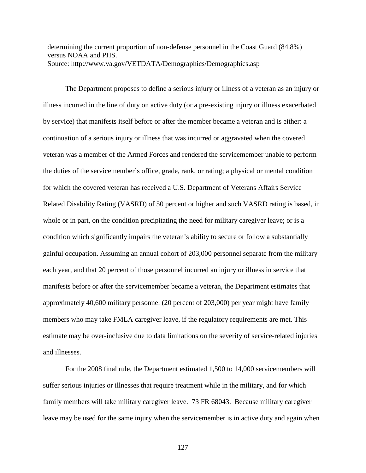determining the current proportion of non-defense personnel in the Coast Guard (84.8%) versus NOAA and PHS. Source: http://www.va.gov/VETDATA/Demographics/Demographics.asp

The Department proposes to define a serious injury or illness of a veteran as an injury or illness incurred in the line of duty on active duty (or a pre-existing injury or illness exacerbated by service) that manifests itself before or after the member became a veteran and is either: a continuation of a serious injury or illness that was incurred or aggravated when the covered veteran was a member of the Armed Forces and rendered the servicemember unable to perform the duties of the servicemember's office, grade, rank, or rating; a physical or mental condition for which the covered veteran has received a U.S. Department of Veterans Affairs Service Related Disability Rating (VASRD) of 50 percent or higher and such VASRD rating is based, in whole or in part, on the condition precipitating the need for military caregiver leave; or is a condition which significantly impairs the veteran's ability to secure or follow a substantially gainful occupation. Assuming an annual cohort of 203,000 personnel separate from the military each year, and that 20 percent of those personnel incurred an injury or illness in service that manifests before or after the servicemember became a veteran, the Department estimates that approximately 40,600 military personnel (20 percent of 203,000) per year might have family members who may take FMLA caregiver leave, if the regulatory requirements are met. This estimate may be over-inclusive due to data limitations on the severity of service-related injuries and illnesses.

For the 2008 final rule, the Department estimated 1,500 to 14,000 servicemembers will suffer serious injuries or illnesses that require treatment while in the military, and for which family members will take military caregiver leave. 73 FR 68043. Because military caregiver leave may be used for the same injury when the servicemember is in active duty and again when

127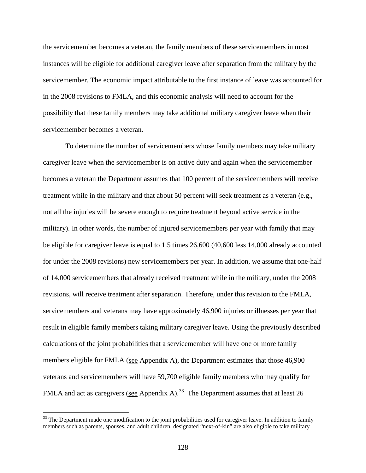the servicemember becomes a veteran, the family members of these servicemembers in most instances will be eligible for additional caregiver leave after separation from the military by the servicemember. The economic impact attributable to the first instance of leave was accounted for in the 2008 revisions to FMLA, and this economic analysis will need to account for the possibility that these family members may take additional military caregiver leave when their servicemember becomes a veteran.

To determine the number of servicemembers whose family members may take military caregiver leave when the servicemember is on active duty and again when the servicemember becomes a veteran the Department assumes that 100 percent of the servicemembers will receive treatment while in the military and that about 50 percent will seek treatment as a veteran (e.g., not all the injuries will be severe enough to require treatment beyond active service in the military). In other words, the number of injured servicemembers per year with family that may be eligible for caregiver leave is equal to 1.5 times 26,600 (40,600 less 14,000 already accounted for under the 2008 revisions) new servicemembers per year. In addition, we assume that one-half of 14,000 servicemembers that already received treatment while in the military, under the 2008 revisions, will receive treatment after separation. Therefore, under this revision to the FMLA, servicemembers and veterans may have approximately 46,900 injuries or illnesses per year that result in eligible family members taking military caregiver leave. Using the previously described calculations of the joint probabilities that a servicemember will have one or more family members eligible for FMLA (see Appendix A), the Department estimates that those 46,900 veterans and servicemembers will have 59,700 eligible family members who may qualify for FMLA and act as caregivers (see Appendix A).<sup>[33](#page-127-0)</sup> The Department assumes that at least 26

<span id="page-127-0"></span><sup>&</sup>lt;sup>33</sup> The Department made one modification to the joint probabilities used for caregiver leave. In addition to family members such as parents, spouses, and adult children, designated "next-of-kin" are also eligible to take military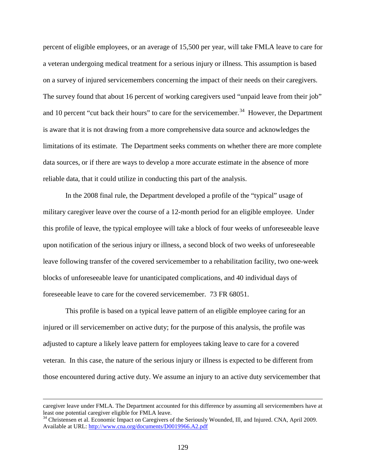percent of eligible employees, or an average of 15,500 per year, will take FMLA leave to care for a veteran undergoing medical treatment for a serious injury or illness. This assumption is based on a survey of injured servicemembers concerning the impact of their needs on their caregivers. The survey found that about 16 percent of working caregivers used "unpaid leave from their job" and 10 percent "cut back their hours" to care for the servicemember.<sup>[34](#page-128-0)</sup> However, the Department is aware that it is not drawing from a more comprehensive data source and acknowledges the limitations of its estimate. The Department seeks comments on whether there are more complete data sources, or if there are ways to develop a more accurate estimate in the absence of more reliable data, that it could utilize in conducting this part of the analysis.

In the 2008 final rule, the Department developed a profile of the "typical" usage of military caregiver leave over the course of a 12-month period for an eligible employee. Under this profile of leave, the typical employee will take a block of four weeks of unforeseeable leave upon notification of the serious injury or illness, a second block of two weeks of unforeseeable leave following transfer of the covered servicemember to a rehabilitation facility, two one-week blocks of unforeseeable leave for unanticipated complications, and 40 individual days of foreseeable leave to care for the covered servicemember. 73 FR 68051.

This profile is based on a typical leave pattern of an eligible employee caring for an injured or ill servicemember on active duty; for the purpose of this analysis, the profile was adjusted to capture a likely leave pattern for employees taking leave to care for a covered veteran. In this case, the nature of the serious injury or illness is expected to be different from those encountered during active duty. We assume an injury to an active duty servicemember that

 $\overline{a}$ 

caregiver leave under FMLA. The Department accounted for this difference by assuming all servicemembers have at least one potential caregiver eligible for FMLA leave.

<span id="page-128-0"></span><sup>&</sup>lt;sup>34</sup> Christensen et al. Economic Impact on Caregivers of the Seriously Wounded, Ill, and Injured. CNA, April 2009. Available at URL:<http://www.cna.org/documents/D0019966.A2.pdf>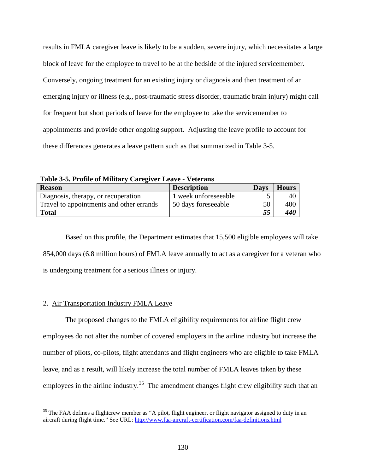results in FMLA caregiver leave is likely to be a sudden, severe injury, which necessitates a large block of leave for the employee to travel to be at the bedside of the injured servicemember. Conversely, ongoing treatment for an existing injury or diagnosis and then treatment of an emerging injury or illness (e.g., post-traumatic stress disorder, traumatic brain injury) might call for frequent but short periods of leave for the employee to take the servicemember to appointments and provide other ongoing support. Adjusting the leave profile to account for these differences generates a leave pattern such as that summarized in Table 3-5.

**Table 3-5. Profile of Military Caregiver Leave - Veterans**

| <b>Reason</b>                            | <b>Description</b>   | <b>Days</b> | <b>Hours</b>      |
|------------------------------------------|----------------------|-------------|-------------------|
| Diagnosis, therapy, or recuperation      | 1 week unforeseeable |             | 40                |
| Travel to appointments and other errands | 50 days foreseeable  | 50          | 400               |
| <b>Total</b>                             |                      |             | <i><b>440</b></i> |

Based on this profile, the Department estimates that 15,500 eligible employees will take 854,000 days (6.8 million hours) of FMLA leave annually to act as a caregiver for a veteran who is undergoing treatment for a serious illness or injury.

## 2. Air Transportation Industry FMLA Leave

The proposed changes to the FMLA eligibility requirements for airline flight crew employees do not alter the number of covered employers in the airline industry but increase the number of pilots, co-pilots, flight attendants and flight engineers who are eligible to take FMLA leave, and as a result, will likely increase the total number of FMLA leaves taken by these employees in the airline industry.<sup>[35](#page-129-0)</sup> The amendment changes flight crew eligibility such that an

<span id="page-129-0"></span> $35$  The FAA defines a flightcrew member as "A pilot, flight engineer, or flight navigator assigned to duty in an aircraft during flight time." See URL: http://www.faa-aircraft-certification.com/faa-definitions.html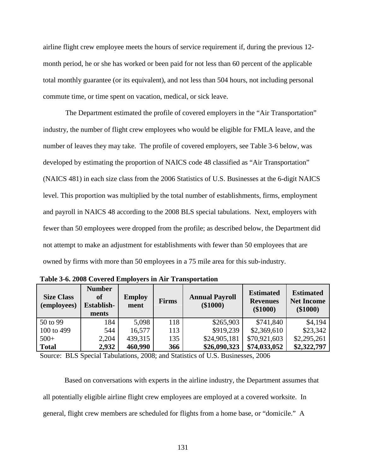airline flight crew employee meets the hours of service requirement if, during the previous 12 month period, he or she has worked or been paid for not less than 60 percent of the applicable total monthly guarantee (or its equivalent), and not less than 504 hours, not including personal commute time, or time spent on vacation, medical, or sick leave.

The Department estimated the profile of covered employers in the "Air Transportation" industry, the number of flight crew employees who would be eligible for FMLA leave, and the number of leaves they may take. The profile of covered employers, see Table 3-6 below, was developed by estimating the proportion of NAICS code 48 classified as "Air Transportation" (NAICS 481) in each size class from the 2006 Statistics of U.S. Businesses at the 6-digit NAICS level. This proportion was multiplied by the total number of establishments, firms, employment and payroll in NAICS 48 according to the 2008 BLS special tabulations. Next, employers with fewer than 50 employees were dropped from the profile; as described below, the Department did not attempt to make an adjustment for establishments with fewer than 50 employees that are owned by firms with more than 50 employees in a 75 mile area for this sub-industry.

| <b>Size Class</b><br>(employees) | <b>Number</b><br>оf<br>Establish-<br>ments | <b>Employ</b><br>ment | <b>Firms</b> | <b>Annual Payroll</b><br>(\$1000) | <b>Estimated</b><br><b>Revenues</b><br>(\$1000) | <b>Estimated</b><br><b>Net Income</b><br>(\$1000) |
|----------------------------------|--------------------------------------------|-----------------------|--------------|-----------------------------------|-------------------------------------------------|---------------------------------------------------|
| 50 to 99                         | 184                                        | 5,098                 | 118          | \$265,903                         | \$741,840                                       | \$4,194                                           |
| 100 to 499                       | 544                                        | 16,577                | 113          | \$919,239                         | \$2,369,610                                     | \$23,342                                          |
| $500+$                           | 2,204                                      | 439,315               | 135          | \$24,905,181                      | \$70,921,603                                    | \$2,295,261                                       |
| <b>Total</b>                     | 2,932                                      | 460,990               | 366          | \$26,090,323                      | \$74,033,052                                    | \$2,322,797                                       |

**Table 3-6. 2008 Covered Employers in Air Transportation**

Source: BLS Special Tabulations, 2008; and Statistics of U.S. Businesses, 2006

Based on conversations with experts in the airline industry, the Department assumes that all potentially eligible airline flight crew employees are employed at a covered worksite. In general, flight crew members are scheduled for flights from a home base, or "domicile." A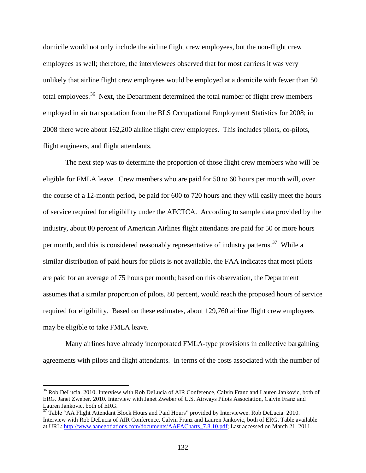domicile would not only include the airline flight crew employees, but the non-flight crew employees as well; therefore, the interviewees observed that for most carriers it was very unlikely that airline flight crew employees would be employed at a domicile with fewer than 50 total employees.<sup>[36](#page-131-0)</sup> Next, the Department determined the total number of flight crew members employed in air transportation from the BLS Occupational Employment Statistics for 2008; in 2008 there were about 162,200 airline flight crew employees. This includes pilots, co-pilots, flight engineers, and flight attendants.

The next step was to determine the proportion of those flight crew members who will be eligible for FMLA leave. Crew members who are paid for 50 to 60 hours per month will, over the course of a 12-month period, be paid for 600 to 720 hours and they will easily meet the hours of service required for eligibility under the AFCTCA. According to sample data provided by the industry, about 80 percent of American Airlines flight attendants are paid for 50 or more hours per month, and this is considered reasonably representative of industry patterns.<sup>[37](#page-131-1)</sup> While a similar distribution of paid hours for pilots is not available, the FAA indicates that most pilots are paid for an average of 75 hours per month; based on this observation, the Department assumes that a similar proportion of pilots, 80 percent, would reach the proposed hours of service required for eligibility. Based on these estimates, about 129,760 airline flight crew employees may be eligible to take FMLA leave.

Many airlines have already incorporated FMLA-type provisions in collective bargaining agreements with pilots and flight attendants. In terms of the costs associated with the number of

<span id="page-131-0"></span><sup>&</sup>lt;sup>36</sup> Rob DeLucia. 2010. Interview with Rob DeLucia of AIR Conference, Calvin Franz and Lauren Jankovic, both of ERG. Janet Zweber. 2010. Interview with Janet Zweber of U.S. Airways Pilots Association, Calvin Franz and Lauren Jankovic, both of ERG.

<span id="page-131-1"></span><sup>&</sup>lt;sup>37</sup> Table "AA Flight Attendant Block Hours and Paid Hours" provided by Interviewee. Rob DeLucia. 2010. Interview with Rob DeLucia of AIR Conference, Calvin Franz and Lauren Jankovic, both of ERG. Table available at URL: [http://www.aanegotiations.com/documents/AAFACharts\\_7.8.10.pdf;](http://www.aanegotiations.com/documents/AAFACharts_7.8.10.pdf) Last accessed on March 21, 2011.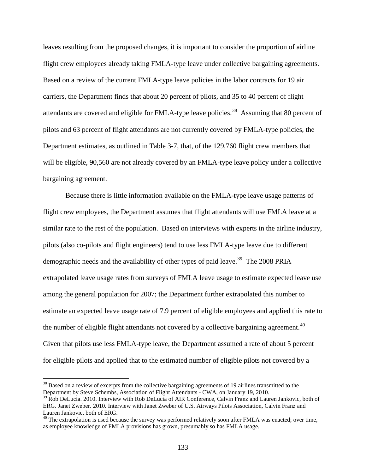leaves resulting from the proposed changes, it is important to consider the proportion of airline flight crew employees already taking FMLA-type leave under collective bargaining agreements. Based on a review of the current FMLA-type leave policies in the labor contracts for 19 air carriers, the Department finds that about 20 percent of pilots, and 35 to 40 percent of flight attendants are covered and eligible for FMLA-type leave policies.<sup>[38](#page-132-0)</sup> Assuming that 80 percent of pilots and 63 percent of flight attendants are not currently covered by FMLA-type policies, the Department estimates, as outlined in Table 3-7, that, of the 129,760 flight crew members that will be eligible, 90,560 are not already covered by an FMLA-type leave policy under a collective bargaining agreement.

Because there is little information available on the FMLA-type leave usage patterns of flight crew employees, the Department assumes that flight attendants will use FMLA leave at a similar rate to the rest of the population. Based on interviews with experts in the airline industry, pilots (also co-pilots and flight engineers) tend to use less FMLA-type leave due to different demographic needs and the availability of other types of paid leave.<sup>39</sup> The 2008 PRIA extrapolated leave usage rates from surveys of FMLA leave usage to estimate expected leave use among the general population for 2007; the Department further extrapolated this number to estimate an expected leave usage rate of 7.9 percent of eligible employees and applied this rate to the number of eligible flight attendants not covered by a collective bargaining agreement.<sup>[40](#page-132-2)</sup> Given that pilots use less FMLA-type leave, the Department assumed a rate of about 5 percent for eligible pilots and applied that to the estimated number of eligible pilots not covered by a

<span id="page-132-0"></span><sup>&</sup>lt;sup>38</sup> Based on a review of excerpts from the collective bargaining agreements of 19 airlines transmitted to the Department by Steve Schembs, Association of Flight Attendants - CWA, on January 19, 2010.

<span id="page-132-1"></span><sup>&</sup>lt;sup>39</sup> Rob DeLucia. 2010. Interview with Rob DeLucia of AIR Conference, Calvin Franz and Lauren Jankovic, both of ERG. Janet Zweber. 2010. Interview with Janet Zweber of U.S. Airways Pilots Association, Calvin Franz and

<span id="page-132-2"></span> $40$  The extrapolation is used because the survey was performed relatively soon after FMLA was enacted; over time, as employee knowledge of FMLA provisions has grown, presumably so has FMLA usage.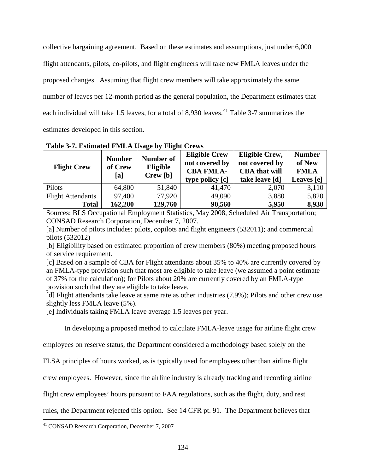collective bargaining agreement. Based on these estimates and assumptions, just under 6,000 flight attendants, pilots, co-pilots, and flight engineers will take new FMLA leaves under the proposed changes. Assuming that flight crew members will take approximately the same number of leaves per 12-month period as the general population, the Department estimates that each individual will take 1.5 leaves, for a total of 8,930 leaves.<sup>[41](#page-133-0)</sup> Table 3-7 summarizes the estimates developed in this section.

| <b>Flight Crew</b>       | <b>Number</b><br>of Crew<br>[a] | Number of<br>Eligible<br>Crew [b] | <b>Eligible Crew</b><br>not covered by<br><b>CBA FMLA-</b><br>type policy [c] | <b>Eligible Crew,</b><br>not covered by<br><b>CBA</b> that will<br>take leave [d] | <b>Number</b><br>of New<br><b>FMLA</b><br>Leaves [e] |
|--------------------------|---------------------------------|-----------------------------------|-------------------------------------------------------------------------------|-----------------------------------------------------------------------------------|------------------------------------------------------|
| Pilots                   | 64,800                          | 51,840                            | 41,470                                                                        | 2,070                                                                             | 3,110                                                |
| <b>Flight Attendants</b> | 97,400                          | 77,920                            | 49,090                                                                        | 3,880                                                                             | 5,820                                                |
| <b>Total</b>             | 162,200                         | 129,760                           | 90,560                                                                        | 5,950                                                                             | 8,930                                                |

**Table 3-7. Estimated FMLA Usage by Flight Crews**

Sources: BLS Occupational Employment Statistics, May 2008, Scheduled Air Transportation; CONSAD Research Corporation, December 7, 2007.

[a] Number of pilots includes: pilots, copilots and flight engineers (532011); and commercial pilots (532012)

[b] Eligibility based on estimated proportion of crew members (80%) meeting proposed hours of service requirement.

[c] Based on a sample of CBA for Flight attendants about 35% to 40% are currently covered by an FMLA-type provision such that most are eligible to take leave (we assumed a point estimate of 37% for the calculation); for Pilots about 20% are currently covered by an FMLA-type provision such that they are eligible to take leave.

[d] Flight attendants take leave at same rate as other industries (7.9%); Pilots and other crew use slightly less FMLA leave (5%).

[e] Individuals taking FMLA leave average 1.5 leaves per year.

In developing a proposed method to calculate FMLA-leave usage for airline flight crew

employees on reserve status, the Department considered a methodology based solely on the

FLSA principles of hours worked, as is typically used for employees other than airline flight

crew employees. However, since the airline industry is already tracking and recording airline

flight crew employees' hours pursuant to FAA regulations, such as the flight, duty, and rest

rules, the Department rejected this option. See 14 CFR pt. 91. The Department believes that

<span id="page-133-0"></span>41 CONSAD Research Corporation, December 7, 2007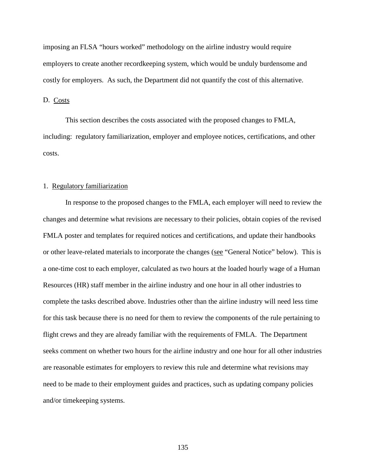imposing an FLSA "hours worked" methodology on the airline industry would require employers to create another recordkeeping system, which would be unduly burdensome and costly for employers. As such, the Department did not quantify the cost of this alternative.

D. Costs

This section describes the costs associated with the proposed changes to FMLA, including: regulatory familiarization, employer and employee notices, certifications, and other costs.

#### 1. Regulatory familiarization

In response to the proposed changes to the FMLA, each employer will need to review the changes and determine what revisions are necessary to their policies, obtain copies of the revised FMLA poster and templates for required notices and certifications, and update their handbooks or other leave-related materials to incorporate the changes (see "General Notice" below). This is a one-time cost to each employer, calculated as two hours at the loaded hourly wage of a Human Resources (HR) staff member in the airline industry and one hour in all other industries to complete the tasks described above. Industries other than the airline industry will need less time for this task because there is no need for them to review the components of the rule pertaining to flight crews and they are already familiar with the requirements of FMLA. The Department seeks comment on whether two hours for the airline industry and one hour for all other industries are reasonable estimates for employers to review this rule and determine what revisions may need to be made to their employment guides and practices, such as updating company policies and/or timekeeping systems.

135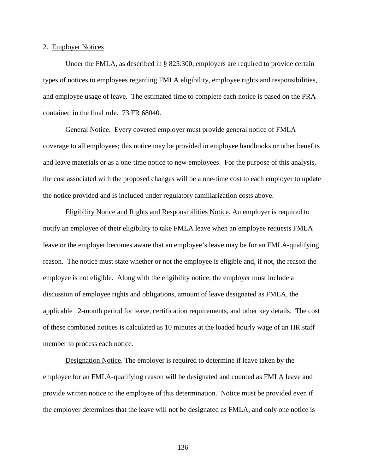#### 2. Employer Notices

Under the FMLA, as described in § 825.300, employers are required to provide certain types of notices to employees regarding FMLA eligibility, employee rights and responsibilities, and employee usage of leave. The estimated time to complete each notice is based on the PRA contained in the final rule. 73 FR 68040.

General Notice. Every covered employer must provide general notice of FMLA coverage to all employees; this notice may be provided in employee handbooks or other benefits and leave materials or as a one-time notice to new employees. For the purpose of this analysis, the cost associated with the proposed changes will be a one-time cost to each employer to update the notice provided and is included under regulatory familiarization costs above.

Eligibility Notice and Rights and Responsibilities Notice. An employer is required to notify an employee of their eligibility to take FMLA leave when an employee requests FMLA leave or the employer becomes aware that an employee's leave may be for an FMLA-qualifying reason. The notice must state whether or not the employee is eligible and, if not, the reason the employee is not eligible. Along with the eligibility notice, the employer must include a discussion of employee rights and obligations, amount of leave designated as FMLA, the applicable 12-month period for leave, certification requirements, and other key details. The cost of these combined notices is calculated as 10 minutes at the loaded hourly wage of an HR staff member to process each notice.

Designation Notice. The employer is required to determine if leave taken by the employee for an FMLA-qualifying reason will be designated and counted as FMLA leave and provide written notice to the employee of this determination. Notice must be provided even if the employer determines that the leave will not be designated as FMLA, and only one notice is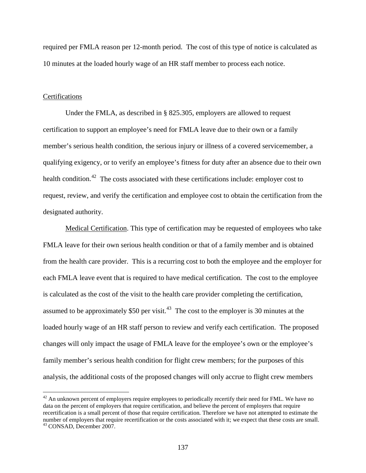required per FMLA reason per 12-month period. The cost of this type of notice is calculated as 10 minutes at the loaded hourly wage of an HR staff member to process each notice.

#### **Certifications**

Under the FMLA, as described in § 825.305, employers are allowed to request certification to support an employee's need for FMLA leave due to their own or a family member's serious health condition, the serious injury or illness of a covered servicemember, a qualifying exigency, or to verify an employee's fitness for duty after an absence due to their own health condition.<sup>[42](#page-136-0)</sup> The costs associated with these certifications include: employer cost to request, review, and verify the certification and employee cost to obtain the certification from the designated authority.

Medical Certification. This type of certification may be requested of employees who take FMLA leave for their own serious health condition or that of a family member and is obtained from the health care provider. This is a recurring cost to both the employee and the employer for each FMLA leave event that is required to have medical certification. The cost to the employee is calculated as the cost of the visit to the health care provider completing the certification, assumed to be approximately \$50 per visit.<sup>[43](#page-136-1)</sup> The cost to the employer is 30 minutes at the loaded hourly wage of an HR staff person to review and verify each certification. The proposed changes will only impact the usage of FMLA leave for the employee's own or the employee's family member's serious health condition for flight crew members; for the purposes of this analysis, the additional costs of the proposed changes will only accrue to flight crew members

<span id="page-136-1"></span><span id="page-136-0"></span> $42$  An unknown percent of employers require employees to periodically recertify their need for FML. We have no data on the percent of employers that require certification, and believe the percent of employers that require recertification is a small percent of those that require certification. Therefore we have not attempted to estimate the number of employers that require recertification or the costs associated with it; we expect that these costs are small. <sup>43</sup> CONSAD, December 2007.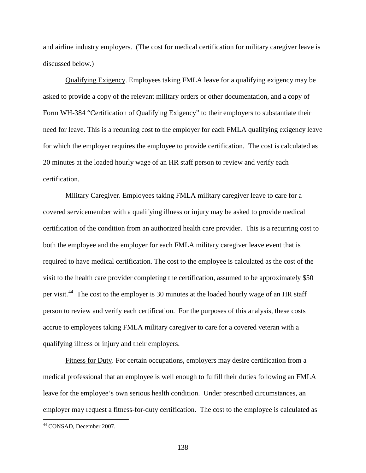and airline industry employers. (The cost for medical certification for military caregiver leave is discussed below.)

Qualifying Exigency. Employees taking FMLA leave for a qualifying exigency may be asked to provide a copy of the relevant military orders or other documentation, and a copy of Form WH-384 "Certification of Qualifying Exigency" to their employers to substantiate their need for leave. This is a recurring cost to the employer for each FMLA qualifying exigency leave for which the employer requires the employee to provide certification. The cost is calculated as 20 minutes at the loaded hourly wage of an HR staff person to review and verify each certification.

Military Caregiver. Employees taking FMLA military caregiver leave to care for a covered servicemember with a qualifying illness or injury may be asked to provide medical certification of the condition from an authorized health care provider. This is a recurring cost to both the employee and the employer for each FMLA military caregiver leave event that is required to have medical certification. The cost to the employee is calculated as the cost of the visit to the health care provider completing the certification, assumed to be approximately \$50 per visit.<sup>44</sup> The cost to the employer is 30 minutes at the loaded hourly wage of an HR staff person to review and verify each certification. For the purposes of this analysis, these costs accrue to employees taking FMLA military caregiver to care for a covered veteran with a qualifying illness or injury and their employers.

Fitness for Duty. For certain occupations, employers may desire certification from a medical professional that an employee is well enough to fulfill their duties following an FMLA leave for the employee's own serious health condition. Under prescribed circumstances, an employer may request a fitness-for-duty certification. The cost to the employee is calculated as

<span id="page-137-0"></span> <sup>44</sup> CONSAD, December 2007.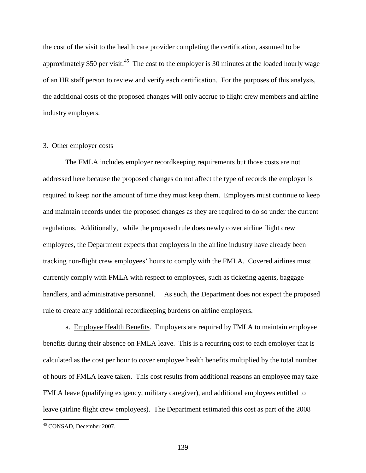the cost of the visit to the health care provider completing the certification, assumed to be approximately \$50 per visit.<sup>[45](#page-138-0)</sup> The cost to the employer is 30 minutes at the loaded hourly wage of an HR staff person to review and verify each certification. For the purposes of this analysis, the additional costs of the proposed changes will only accrue to flight crew members and airline industry employers.

### 3. Other employer costs

The FMLA includes employer recordkeeping requirements but those costs are not addressed here because the proposed changes do not affect the type of records the employer is required to keep nor the amount of time they must keep them. Employers must continue to keep and maintain records under the proposed changes as they are required to do so under the current regulations. Additionally, while the proposed rule does newly cover airline flight crew employees, the Department expects that employers in the airline industry have already been tracking non-flight crew employees' hours to comply with the FMLA. Covered airlines must currently comply with FMLA with respect to employees, such as ticketing agents, baggage handlers, and administrative personnel. As such, the Department does not expect the proposed rule to create any additional recordkeeping burdens on airline employers.

a. Employee Health Benefits. Employers are required by FMLA to maintain employee benefits during their absence on FMLA leave. This is a recurring cost to each employer that is calculated as the cost per hour to cover employee health benefits multiplied by the total number of hours of FMLA leave taken. This cost results from additional reasons an employee may take FMLA leave (qualifying exigency, military caregiver), and additional employees entitled to leave (airline flight crew employees). The Department estimated this cost as part of the 2008

<span id="page-138-0"></span> <sup>45</sup> CONSAD, December 2007.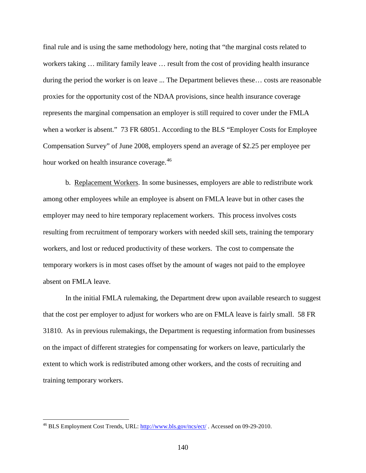final rule and is using the same methodology here, noting that "the marginal costs related to workers taking … military family leave … result from the cost of providing health insurance during the period the worker is on leave ... The Department believes these… costs are reasonable proxies for the opportunity cost of the NDAA provisions, since health insurance coverage represents the marginal compensation an employer is still required to cover under the FMLA when a worker is absent." 73 FR 68051. According to the BLS "Employer Costs for Employee Compensation Survey" of June 2008, employers spend an average of \$2.25 per employee per hour worked on health insurance coverage.<sup>[46](#page-139-0)</sup>

b. Replacement Workers. In some businesses, employers are able to redistribute work among other employees while an employee is absent on FMLA leave but in other cases the employer may need to hire temporary replacement workers. This process involves costs resulting from recruitment of temporary workers with needed skill sets, training the temporary workers, and lost or reduced productivity of these workers. The cost to compensate the temporary workers is in most cases offset by the amount of wages not paid to the employee absent on FMLA leave.

In the initial FMLA rulemaking, the Department drew upon available research to suggest that the cost per employer to adjust for workers who are on FMLA leave is fairly small. 58 FR 31810. As in previous rulemakings, the Department is requesting information from businesses on the impact of different strategies for compensating for workers on leave, particularly the extent to which work is redistributed among other workers, and the costs of recruiting and training temporary workers.

<span id="page-139-0"></span><sup>&</sup>lt;sup>46</sup> BLS Employment Cost Trends, URL:<http://www.bls.gov/ncs/ect/>. Accessed on 09-29-2010.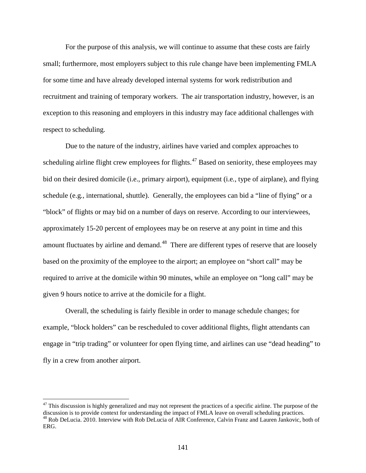For the purpose of this analysis, we will continue to assume that these costs are fairly small; furthermore, most employers subject to this rule change have been implementing FMLA for some time and have already developed internal systems for work redistribution and recruitment and training of temporary workers. The air transportation industry, however, is an exception to this reasoning and employers in this industry may face additional challenges with respect to scheduling.

Due to the nature of the industry, airlines have varied and complex approaches to scheduling airline flight crew employees for flights.<sup>[47](#page-140-0)</sup> Based on seniority, these employees may bid on their desired domicile (i.e., primary airport), equipment (i.e*.*, type of airplane), and flying schedule (e.g*.*, international, shuttle). Generally, the employees can bid a "line of flying" or a "block" of flights or may bid on a number of days on reserve. According to our interviewees, approximately 15-20 percent of employees may be on reserve at any point in time and this amount fluctuates by airline and demand.<sup>[48](#page-140-1)</sup> There are different types of reserve that are loosely based on the proximity of the employee to the airport; an employee on "short call" may be required to arrive at the domicile within 90 minutes, while an employee on "long call" may be given 9 hours notice to arrive at the domicile for a flight.

Overall, the scheduling is fairly flexible in order to manage schedule changes; for example, "block holders" can be rescheduled to cover additional flights, flight attendants can engage in "trip trading" or volunteer for open flying time, and airlines can use "dead heading" to fly in a crew from another airport.

<span id="page-140-1"></span><span id="page-140-0"></span> $47$  This discussion is highly generalized and may not represent the practices of a specific airline. The purpose of the discussion is to provide context for understanding the impact of FMLA leave on overall scheduling practices. <sup>48</sup> Rob DeLucia. 2010. Interview with Rob DeLucia of AIR Conference, Calvin Franz and Lauren Jankovic, both of ERG.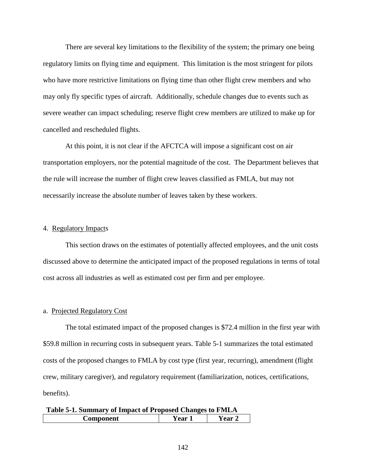There are several key limitations to the flexibility of the system; the primary one being regulatory limits on flying time and equipment. This limitation is the most stringent for pilots who have more restrictive limitations on flying time than other flight crew members and who may only fly specific types of aircraft. Additionally, schedule changes due to events such as severe weather can impact scheduling; reserve flight crew members are utilized to make up for cancelled and rescheduled flights.

At this point, it is not clear if the AFCTCA will impose a significant cost on air transportation employers, nor the potential magnitude of the cost. The Department believes that the rule will increase the number of flight crew leaves classified as FMLA, but may not necessarily increase the absolute number of leaves taken by these workers.

#### 4. Regulatory Impacts

This section draws on the estimates of potentially affected employees, and the unit costs discussed above to determine the anticipated impact of the proposed regulations in terms of total cost across all industries as well as estimated cost per firm and per employee.

#### a. Projected Regulatory Cost

The total estimated impact of the proposed changes is \$72.4 million in the first year with \$59.8 million in recurring costs in subsequent years. Table 5-1 summarizes the total estimated costs of the proposed changes to FMLA by cost type (first year, recurring), amendment (flight crew, military caregiver), and regulatory requirement (familiarization, notices, certifications, benefits).

| Table 5-1. Summary of Impact of Proposed Changes to FMLA |        |        |  |  |  |
|----------------------------------------------------------|--------|--------|--|--|--|
| Component                                                | Year 1 | Year 2 |  |  |  |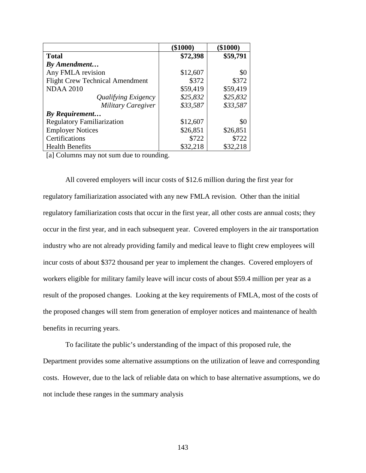|                                        | $(\$1000)$ | \$1000)  |
|----------------------------------------|------------|----------|
| <b>Total</b>                           | \$72,398   | \$59,791 |
| $By$ Amendment                         |            |          |
| Any FMLA revision                      | \$12,607   | \$0      |
| <b>Flight Crew Technical Amendment</b> | \$372      | \$372    |
| <b>NDAA 2010</b>                       | \$59,419   | \$59,419 |
| Qualifying Exigency                    | \$25,832   | \$25,832 |
| <b>Military Caregiver</b>              | \$33,587   | \$33,587 |
| By Requirement                         |            |          |
| <b>Regulatory Familiarization</b>      | \$12,607   | \$0      |
| <b>Employer Notices</b>                | \$26,851   | \$26,851 |
| Certifications                         | \$722      | \$722    |
| <b>Health Benefits</b>                 | \$32,218   | \$32,218 |

[a] Columns may not sum due to rounding.

All covered employers will incur costs of \$12.6 million during the first year for regulatory familiarization associated with any new FMLA revision. Other than the initial regulatory familiarization costs that occur in the first year, all other costs are annual costs; they occur in the first year, and in each subsequent year. Covered employers in the air transportation industry who are not already providing family and medical leave to flight crew employees will incur costs of about \$372 thousand per year to implement the changes. Covered employers of workers eligible for military family leave will incur costs of about \$59.4 million per year as a result of the proposed changes. Looking at the key requirements of FMLA, most of the costs of the proposed changes will stem from generation of employer notices and maintenance of health benefits in recurring years.

To facilitate the public's understanding of the impact of this proposed rule, the Department provides some alternative assumptions on the utilization of leave and corresponding costs. However, due to the lack of reliable data on which to base alternative assumptions, we do not include these ranges in the summary analysis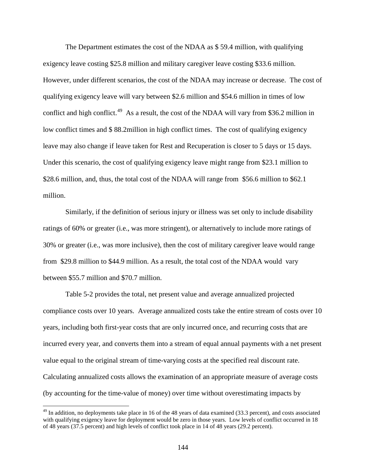The Department estimates the cost of the NDAA as \$ 59.4 million, with qualifying exigency leave costing \$25.8 million and military caregiver leave costing \$33.6 million. However, under different scenarios, the cost of the NDAA may increase or decrease. The cost of qualifying exigency leave will vary between \$2.6 million and \$54.6 million in times of low conflict and high conflict.<sup>[49](#page-143-0)</sup> As a result, the cost of the NDAA will vary from \$36.2 million in low conflict times and \$ 88.2million in high conflict times. The cost of qualifying exigency leave may also change if leave taken for Rest and Recuperation is closer to 5 days or 15 days. Under this scenario, the cost of qualifying exigency leave might range from \$23.1 million to \$28.6 million, and, thus, the total cost of the NDAA will range from \$56.6 million to \$62.1 million.

Similarly, if the definition of serious injury or illness was set only to include disability ratings of 60% or greater (i.e., was more stringent), or alternatively to include more ratings of 30% or greater (i.e., was more inclusive), then the cost of military caregiver leave would range from \$29.8 million to \$44.9 million. As a result, the total cost of the NDAA would vary between \$55.7 million and \$70.7 million.

Table 5-2 provides the total, net present value and average annualized projected compliance costs over 10 years. Average annualized costs take the entire stream of costs over 10 years, including both first-year costs that are only incurred once, and recurring costs that are incurred every year, and converts them into a stream of equal annual payments with a net present value equal to the original stream of time-varying costs at the specified real discount rate. Calculating annualized costs allows the examination of an appropriate measure of average costs (by accounting for the time-value of money) over time without overestimating impacts by

<span id="page-143-0"></span> $^{49}$  In addition, no deployments take place in 16 of the 48 years of data examined (33.3 percent), and costs associated with qualifying exigency leave for deployment would be zero in those years. Low levels of conflict occurred in 18 of 48 years (37.5 percent) and high levels of conflict took place in 14 of 48 years (29.2 percent).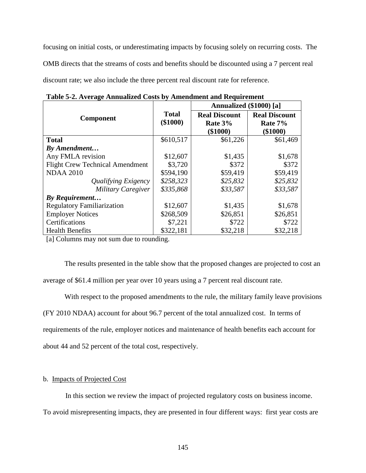focusing on initial costs, or underestimating impacts by focusing solely on recurring costs. The OMB directs that the streams of costs and benefits should be discounted using a 7 percent real discount rate; we also include the three percent real discount rate for reference.

|                                        |              | Annualized (\$1000) [a] |                      |  |  |
|----------------------------------------|--------------|-------------------------|----------------------|--|--|
| Component                              | <b>Total</b> | <b>Real Discount</b>    | <b>Real Discount</b> |  |  |
|                                        | $(\$1000)$   | Rate 3%                 | Rate 7%              |  |  |
|                                        |              | $(\$1000)$              | $(\$1000)$           |  |  |
| <b>Total</b>                           | \$610,517    | \$61,226                | \$61,469             |  |  |
| By Amendment                           |              |                         |                      |  |  |
| Any FMLA revision                      | \$12,607     | \$1,435                 | \$1,678              |  |  |
| <b>Flight Crew Technical Amendment</b> | \$3,720      | \$372                   | \$372                |  |  |
| <b>NDAA 2010</b>                       | \$594,190    | \$59,419                | \$59,419             |  |  |
| <i>Qualifying Exigency</i>             | \$258,323    | \$25,832                | \$25,832             |  |  |
| <b>Military Caregiver</b>              | \$335,868    | \$33,587                | \$33,587             |  |  |
| By Requirement                         |              |                         |                      |  |  |
| <b>Regulatory Familiarization</b>      | \$12,607     | \$1,435                 | \$1,678              |  |  |
| <b>Employer Notices</b>                | \$268,509    | \$26,851                | \$26,851             |  |  |
| Certifications                         | \$7,221      | \$722                   | \$722                |  |  |
| <b>Health Benefits</b>                 | \$322,181    | \$32,218                | \$32,218             |  |  |

**Table 5-2. Average Annualized Costs by Amendment and Requirement**

[a] Columns may not sum due to rounding.

The results presented in the table show that the proposed changes are projected to cost an average of \$61.4 million per year over 10 years using a 7 percent real discount rate.

With respect to the proposed amendments to the rule, the military family leave provisions (FY 2010 NDAA) account for about 96.7 percent of the total annualized cost. In terms of requirements of the rule, employer notices and maintenance of health benefits each account for about 44 and 52 percent of the total cost, respectively.

## b. Impacts of Projected Cost

In this section we review the impact of projected regulatory costs on business income.

To avoid misrepresenting impacts, they are presented in four different ways: first year costs are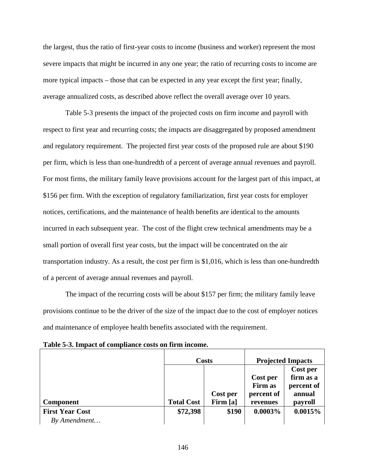the largest, thus the ratio of first-year costs to income (business and worker) represent the most severe impacts that might be incurred in any one year; the ratio of recurring costs to income are more typical impacts – those that can be expected in any year except the first year; finally, average annualized costs, as described above reflect the overall average over 10 years.

Table 5-3 presents the impact of the projected costs on firm income and payroll with respect to first year and recurring costs; the impacts are disaggregated by proposed amendment and regulatory requirement. The projected first year costs of the proposed rule are about \$190 per firm, which is less than one-hundredth of a percent of average annual revenues and payroll. For most firms, the military family leave provisions account for the largest part of this impact, at \$156 per firm. With the exception of regulatory familiarization, first year costs for employer notices, certifications, and the maintenance of health benefits are identical to the amounts incurred in each subsequent year. The cost of the flight crew technical amendments may be a small portion of overall first year costs, but the impact will be concentrated on the air transportation industry. As a result, the cost per firm is \$1,016, which is less than one-hundredth of a percent of average annual revenues and payroll.

The impact of the recurring costs will be about \$157 per firm; the military family leave provisions continue to be the driver of the size of the impact due to the cost of employer notices and maintenance of employee health benefits associated with the requirement.

|                        | <b>Costs</b>      |          | <b>Projected Impacts</b> |            |
|------------------------|-------------------|----------|--------------------------|------------|
|                        |                   |          |                          | Cost per   |
|                        |                   |          | Cost per                 | firm as a  |
|                        |                   |          | Firm as                  | percent of |
|                        |                   | Cost per | percent of               | annual     |
| <b>Component</b>       | <b>Total Cost</b> | Firm [a] | revenues                 | payroll    |
| <b>First Year Cost</b> | \$72,398          | \$190    | $0.0003\%$               | 0.0015%    |
| By Amendment           |                   |          |                          |            |

**Table 5-3. Impact of compliance costs on firm income.**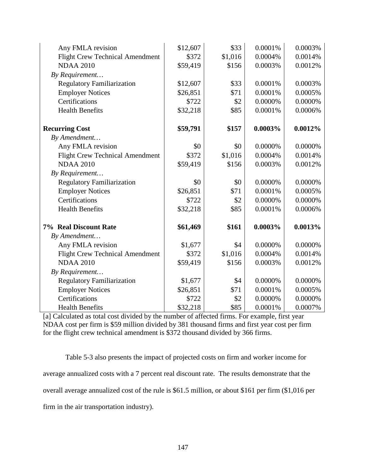| Any FMLA revision                      | \$12,607 | \$33    | 0.0001% | 0.0003% |
|----------------------------------------|----------|---------|---------|---------|
| <b>Flight Crew Technical Amendment</b> | \$372    | \$1,016 | 0.0004% | 0.0014% |
| <b>NDAA 2010</b>                       | \$59,419 | \$156   | 0.0003% | 0.0012% |
| By Requirement                         |          |         |         |         |
| <b>Regulatory Familiarization</b>      | \$12,607 | \$33    | 0.0001% | 0.0003% |
| <b>Employer Notices</b>                | \$26,851 | \$71    | 0.0001% | 0.0005% |
| Certifications                         | \$722    | \$2     | 0.0000% | 0.0000% |
| <b>Health Benefits</b>                 | \$32,218 | \$85    | 0.0001% | 0.0006% |
| <b>Recurring Cost</b>                  | \$59,791 | \$157   | 0.0003% | 0.0012% |
| By Amendment                           |          |         |         |         |
| Any FMLA revision                      | \$0      | \$0     | 0.0000% | 0.0000% |
| <b>Flight Crew Technical Amendment</b> | \$372    | \$1,016 | 0.0004% | 0.0014% |
| <b>NDAA 2010</b>                       | \$59,419 | \$156   | 0.0003% | 0.0012% |
| By Requirement                         |          |         |         |         |
| <b>Regulatory Familiarization</b>      | \$0      | \$0     | 0.0000% | 0.0000% |
| <b>Employer Notices</b>                | \$26,851 | \$71    | 0.0001% | 0.0005% |
| Certifications                         | \$722    | \$2     | 0.0000% | 0.0000% |
| <b>Health Benefits</b>                 | \$32,218 | \$85    | 0.0001% | 0.0006% |
| <b>7% Real Discount Rate</b>           | \$61,469 | \$161   | 0.0003% | 0.0013% |
| By Amendment                           |          |         |         |         |
| Any FMLA revision                      | \$1,677  | \$4     | 0.0000% | 0.0000% |
| <b>Flight Crew Technical Amendment</b> | \$372    | \$1,016 | 0.0004% | 0.0014% |
| <b>NDAA 2010</b>                       | \$59,419 | \$156   | 0.0003% | 0.0012% |
| By Requirement                         |          |         |         |         |
| <b>Regulatory Familiarization</b>      | \$1,677  | \$4     | 0.0000% | 0.0000% |
| <b>Employer Notices</b>                | \$26,851 | \$71    | 0.0001% | 0.0005% |
| Certifications                         | \$722    | \$2     | 0.0000% | 0.0000% |
| <b>Health Benefits</b>                 | \$32,218 | \$85    | 0.0001% | 0.0007% |

[a] Calculated as total cost divided by the number of affected firms. For example, first year NDAA cost per firm is \$59 million divided by 381 thousand firms and first year cost per firm for the flight crew technical amendment is \$372 thousand divided by 366 firms.

Table 5-3 also presents the impact of projected costs on firm and worker income for average annualized costs with a 7 percent real discount rate. The results demonstrate that the overall average annualized cost of the rule is \$61.5 million, or about \$161 per firm (\$1,016 per firm in the air transportation industry).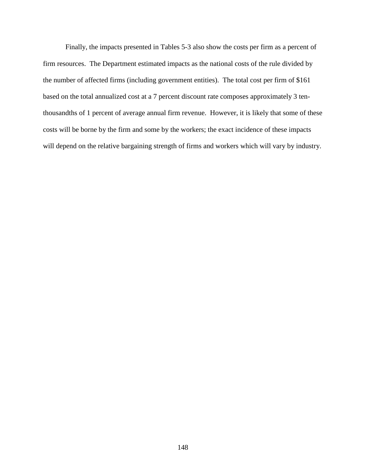Finally, the impacts presented in Tables 5-3 also show the costs per firm as a percent of firm resources. The Department estimated impacts as the national costs of the rule divided by the number of affected firms (including government entities). The total cost per firm of \$161 based on the total annualized cost at a 7 percent discount rate composes approximately 3 tenthousandths of 1 percent of average annual firm revenue. However, it is likely that some of these costs will be borne by the firm and some by the workers; the exact incidence of these impacts will depend on the relative bargaining strength of firms and workers which will vary by industry.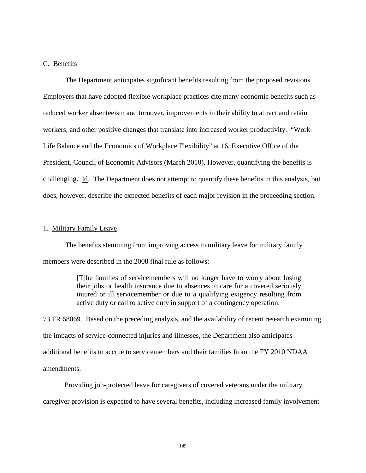#### C. <u>Benefits</u>

The Department anticipates significant benefits resulting from the proposed revisions. Employers that have adopted flexible workplace practices cite many economic benefits such as reduced worker absenteeism and turnover, improvements in their ability to attract and retain workers, and other positive changes that translate into increased worker productivity. "Work-Life Balance and the Economics of Workplace Flexibility" at 16, Executive Office of the President, Council of Economic Advisors (March 2010). However, quantifying the benefits is challenging. Id. The Department does not attempt to quantify these benefits in this analysis, but does, however, describe the expected benefits of each major revision in the proceeding section.

#### 1. Military Family Leave

The benefits stemming from improving access to military leave for military family members were described in the 2008 final rule as follows:

> [T]he families of servicemembers will no longer have to worry about losing their jobs or health insurance due to absences to care for a covered seriously injured or ill servicemember or due to a qualifying exigency resulting from active duty or call to active duty in support of a contingency operation.

73 FR 68069. Based on the preceding analysis, and the availability of recent research examining the impacts of service-connected injuries and illnesses, the Department also anticipates additional benefits to accrue to servicemembers and their families from the FY 2010 NDAA amendments.

Providing job-protected leave for caregivers of covered veterans under the military caregiver provision is expected to have several benefits, including increased family involvement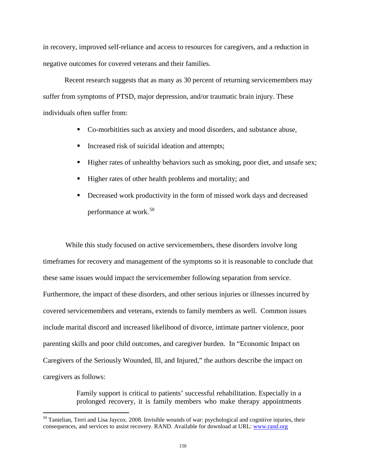in recovery, improved self-reliance and access to resources for caregivers, and a reduction in negative outcomes for covered veterans and their families.

Recent research suggests that as many as 30 percent of returning servicemembers may suffer from symptoms of PTSD, major depression, and/or traumatic brain injury. These individuals often suffer from:

- Co-morbitities such as anxiety and mood disorders, and substance abuse,
- Increased risk of suicidal ideation and attempts;
- Higher rates of unhealthy behaviors such as smoking, poor diet, and unsafe sex;
- Higher rates of other health problems and mortality; and
- Decreased work productivity in the form of missed work days and decreased performance at work.<sup>[50](#page-149-0)</sup>

While this study focused on active servicemembers, these disorders involve long timeframes for recovery and management of the symptoms so it is reasonable to conclude that these same issues would impact the servicemember following separation from service. Furthermore, the impact of these disorders, and other serious injuries or illnesses incurred by covered servicemembers and veterans, extends to family members as well. Common issues include marital discord and increased likelihood of divorce, intimate partner violence, poor parenting skills and poor child outcomes, and caregiver burden. In "Economic Impact on Caregivers of the Seriously Wounded, Ill, and Injured," the authors describe the impact on caregivers as follows:

> Family support is critical to patients' successful rehabilitation. Especially in a prolonged recovery, it is family members who make therapy appointments

<span id="page-149-0"></span><sup>&</sup>lt;sup>50</sup> Tanielian, Terri and Lisa Jaycox. 2008. Invisible wounds of war: psychological and cognitive injuries, their consequences, and services to assist recovery. RAND. Available for download at URL: [www.rand.org](http://www.rand.org/)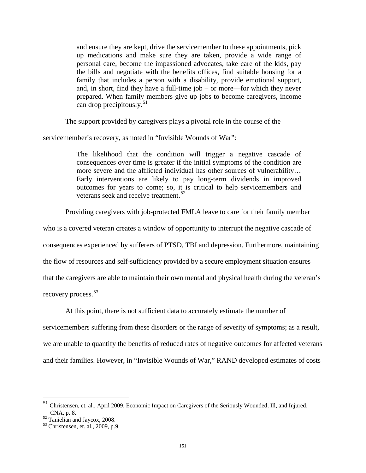and ensure they are kept, drive the servicemember to these appointments, pick up medications and make sure they are taken, provide a wide range of personal care, become the impassioned advocates, take care of the kids, pay the bills and negotiate with the benefits offices, find suitable housing for a family that includes a person with a disability, provide emotional support, and, in short, find they have a full-time job – or more—for which they never prepared. When family members give up jobs to become caregivers, income can drop precipitously.<sup>[51](#page-150-0)</sup>

The support provided by caregivers plays a pivotal role in the course of the

servicemember's recovery, as noted in "Invisible Wounds of War":

The likelihood that the condition will trigger a negative cascade of consequences over time is greater if the initial symptoms of the condition are more severe and the afflicted individual has other sources of vulnerability… Early interventions are likely to pay long-term dividends in improved outcomes for years to come; so, it is critical to help servicemembers and veterans seek and receive treatment.<sup>[52](#page-150-1)</sup>

Providing caregivers with job-protected FMLA leave to care for their family member

who is a covered veteran creates a window of opportunity to interrupt the negative cascade of

consequences experienced by sufferers of PTSD, TBI and depression. Furthermore, maintaining

the flow of resources and self-sufficiency provided by a secure employment situation ensures

that the caregivers are able to maintain their own mental and physical health during the veteran's

recovery process.<sup>[53](#page-150-2)</sup>

At this point, there is not sufficient data to accurately estimate the number of

servicemembers suffering from these disorders or the range of severity of symptoms; as a result,

we are unable to quantify the benefits of reduced rates of negative outcomes for affected veterans

and their families. However, in "Invisible Wounds of War," RAND developed estimates of costs

<span id="page-150-0"></span><sup>&</sup>lt;sup>51</sup> Christensen, et. al., April 2009, Economic Impact on Caregivers of the Seriously Wounded, Ill, and Injured, CNA. p. 8.

<span id="page-150-1"></span> $\frac{52}{53}$  Tanielian and Jaycox, 2008.<br> $\frac{53}{53}$  Christensen, et. al., 2009, p.9.

<span id="page-150-2"></span>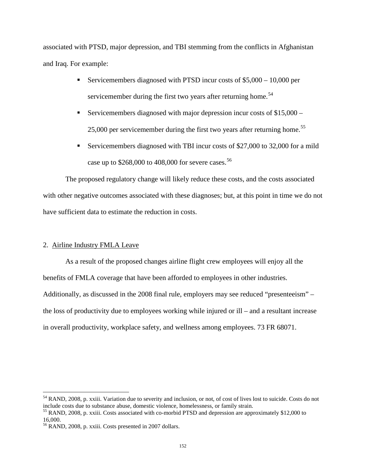associated with PTSD, major depression, and TBI stemming from the conflicts in Afghanistan and Iraq. For example:

- Servicemembers diagnosed with PTSD incur costs of \$5,000 10,000 per servicemember during the first two years after returning home.<sup>[54](#page-151-0)</sup>
- Servicemembers diagnosed with major depression incur costs of \$15,000 25,000 per servicemember during the first two years after returning home.<sup>[55](#page-151-1)</sup>
- Servicemembers diagnosed with TBI incur costs of \$27,000 to 32,000 for a mild case up to  $$268,000$  to  $408,000$  for severe cases.<sup>[56](#page-151-2)</sup>

The proposed regulatory change will likely reduce these costs, and the costs associated with other negative outcomes associated with these diagnoses; but, at this point in time we do not have sufficient data to estimate the reduction in costs.

# 2. Airline Industry FMLA Leave

As a result of the proposed changes airline flight crew employees will enjoy all the benefits of FMLA coverage that have been afforded to employees in other industries. Additionally, as discussed in the 2008 final rule, employers may see reduced "presenteeism" – the loss of productivity due to employees working while injured or ill – and a resultant increase in overall productivity, workplace safety, and wellness among employees. 73 FR 68071.

<span id="page-151-0"></span> <sup>54</sup> RAND, 2008, p. xxiii. Variation due to severity and inclusion, or not, of cost of lives lost to suicide. Costs do not include costs due to substance abuse, domestic violence, homelessness, or family strain.

<span id="page-151-1"></span><sup>55</sup> RAND, 2008, p. xxiii. Costs associated with co-morbid PTSD and depression are approximately \$12,000 to 16,000.

<span id="page-151-2"></span><sup>56</sup> RAND, 2008, p. xxiii. Costs presented in 2007 dollars.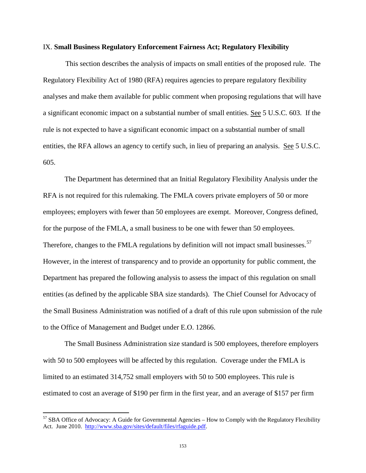#### IX. **Small Business Regulatory Enforcement Fairness Act; Regulatory Flexibility**

This section describes the analysis of impacts on small entities of the proposed rule. The Regulatory Flexibility Act of 1980 (RFA) requires agencies to prepare regulatory flexibility analyses and make them available for public comment when proposing regulations that will have a significant economic impact on a substantial number of small entities. See 5 U.S.C. 603. If the rule is not expected to have a significant economic impact on a substantial number of small entities, the RFA allows an agency to certify such, in lieu of preparing an analysis. See 5 U.S.C. 605.

The Department has determined that an Initial Regulatory Flexibility Analysis under the RFA is not required for this rulemaking. The FMLA covers private employers of 50 or more employees; employers with fewer than 50 employees are exempt. Moreover, Congress defined, for the purpose of the FMLA, a small business to be one with fewer than 50 employees. Therefore, changes to the FMLA regulations by definition will not impact small businesses.<sup>[57](#page-152-0)</sup> However, in the interest of transparency and to provide an opportunity for public comment, the Department has prepared the following analysis to assess the impact of this regulation on small entities (as defined by the applicable SBA size standards). The Chief Counsel for Advocacy of the Small Business Administration was notified of a draft of this rule upon submission of the rule to the Office of Management and Budget under E.O. 12866.

The Small Business Administration size standard is 500 employees, therefore employers with 50 to 500 employees will be affected by this regulation. Coverage under the FMLA is limited to an estimated 314,752 small employers with 50 to 500 employees. This rule is estimated to cost an average of \$190 per firm in the first year, and an average of \$157 per firm

<span id="page-152-0"></span><sup>&</sup>lt;sup>57</sup> SBA Office of Advocacy: A Guide for Governmental Agencies – How to Comply with the Regulatory Flexibility Act. June 2010. [http://www.sba.gov/sites/default/files/rfaguide.pdf.](http://www.sba.gov/sites/default/files/rfaguide.pdf)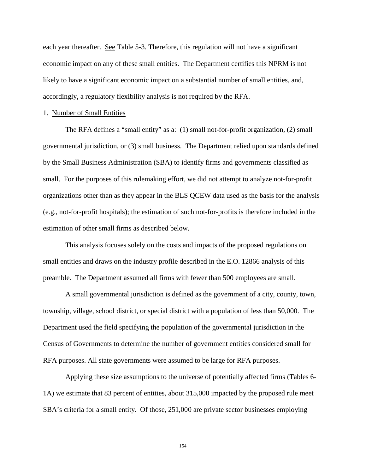each year thereafter. See Table 5-3. Therefore, this regulation will not have a significant economic impact on any of these small entities. The Department certifies this NPRM is not likely to have a significant economic impact on a substantial number of small entities, and, accordingly, a regulatory flexibility analysis is not required by the RFA.

#### 1. Number of Small Entities

The RFA defines a "small entity" as a: (1) small not-for-profit organization, (2) small governmental jurisdiction, or (3) small business. The Department relied upon standards defined by the Small Business Administration (SBA) to identify firms and governments classified as small. For the purposes of this rulemaking effort, we did not attempt to analyze not-for-profit organizations other than as they appear in the BLS QCEW data used as the basis for the analysis (e.g., not-for-profit hospitals); the estimation of such not-for-profits is therefore included in the estimation of other small firms as described below.

This analysis focuses solely on the costs and impacts of the proposed regulations on small entities and draws on the industry profile described in the E.O. 12866 analysis of this preamble. The Department assumed all firms with fewer than 500 employees are small.

A small governmental jurisdiction is defined as the government of a city, county, town, township, village, school district, or special district with a population of less than 50,000. The Department used the field specifying the population of the governmental jurisdiction in the Census of Governments to determine the number of government entities considered small for RFA purposes. All state governments were assumed to be large for RFA purposes.

Applying these size assumptions to the universe of potentially affected firms (Tables 6- 1A) we estimate that 83 percent of entities, about 315,000 impacted by the proposed rule meet SBA's criteria for a small entity. Of those, 251,000 are private sector businesses employing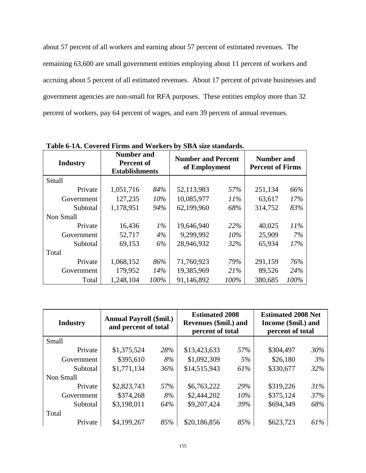about 57 percent of all workers and earning about 57 percent of estimated revenues. The remaining 63,600 are small government entities employing about 11 percent of workers and accruing about 5 percent of all estimated revenues. About 17 percent of private businesses and government agencies are non-small for RFA purposes. These entities employ more than 32 percent of workers, pay 64 percent of wages, and earn 39 percent of annual revenues.

| <b>Industry</b> |           | <b>Number and</b><br><b>Number and Percent</b><br><b>Number and</b><br><b>Percent of</b><br><b>Percent of Firms</b><br>of Employment<br><b>Establishments</b> |            |        |         |      |
|-----------------|-----------|---------------------------------------------------------------------------------------------------------------------------------------------------------------|------------|--------|---------|------|
| Small           |           |                                                                                                                                                               |            |        |         |      |
| Private         | 1,051,716 | 84%                                                                                                                                                           | 52,113,983 | 57%    | 251,134 | 66%  |
| Government      | 127,235   | 10%                                                                                                                                                           | 10,085,977 | $11\%$ | 63,617  | 17%  |
| Subtotal        | 1,178,951 | 94%                                                                                                                                                           | 62,199,960 | 68%    | 314,752 | 83%  |
| Non Small       |           |                                                                                                                                                               |            |        |         |      |
| Private         | 16,436    | $1\%$                                                                                                                                                         | 19,646,940 | 22%    | 40,025  | 11%  |
| Government      | 52,717    | 4%                                                                                                                                                            | 9,299,992  | $10\%$ | 25,909  | 7%   |
| Subtotal        | 69,153    | 6%                                                                                                                                                            | 28,946,932 | 32%    | 65,934  | 17%  |
| Total           |           |                                                                                                                                                               |            |        |         |      |
| Private         | 1,068,152 | 86%                                                                                                                                                           | 71,760,923 | 79%    | 291,159 | 76%  |
| Government      | 179,952   | 14%                                                                                                                                                           | 19,385,969 | 21%    | 89,526  | 24%  |
| Total           | 1,248,104 | 100%                                                                                                                                                          | 91,146,892 | 100%   | 380,685 | 100% |

**Table 6-1A. Covered Firms and Workers by SBA size standards.**

| <b>Industry</b> | <b>Annual Payroll (\$mil.)</b><br>and percent of total |     | <b>Estimated 2008</b><br>Revenues (\$mil.) and<br>percent of total |        | <b>Estimated 2008 Net</b><br>Income (\$mil.) and<br>percent of total |     |
|-----------------|--------------------------------------------------------|-----|--------------------------------------------------------------------|--------|----------------------------------------------------------------------|-----|
| Small           |                                                        |     |                                                                    |        |                                                                      |     |
| Private         | \$1,375,524                                            | 28% | \$13,423,633                                                       | 57%    | \$304,497                                                            | 30% |
| Government      | \$395,610                                              | 8%  | \$1,092,309                                                        | 5%     | \$26,180                                                             | 3%  |
| Subtotal        | \$1,771,134                                            | 36% | \$14,515,943                                                       | 61%    | \$330,677                                                            | 32% |
| Non Small       |                                                        |     |                                                                    |        |                                                                      |     |
| Private         | \$2,823,743                                            | 57% | \$6,763,222                                                        | 29%    | \$319,226                                                            | 31% |
| Government      | \$374,268                                              | 8%  | \$2,444,202                                                        | $10\%$ | \$375,124                                                            | 37% |
| Subtotal        | \$3,198,011                                            | 64% | \$9,207,424                                                        | 39%    | \$694,349                                                            | 68% |
| Total           |                                                        |     |                                                                    |        |                                                                      |     |
| Private         | \$4,199,267                                            | 85% | \$20,186,856                                                       | 85%    | \$623,723                                                            | 61% |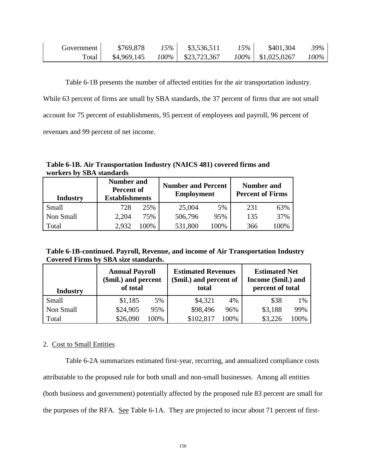| Government | \$769,878   | 15%  | \$3,536,511  | 15% | \$401,304              | $39\%$    |
|------------|-------------|------|--------------|-----|------------------------|-----------|
| Total      | \$4,969,145 | 100% | \$23,723,367 |     | $100\%$ \ \$1,025,0267 | $100\%$ . |

Table 6-1B presents the number of affected entities for the air transportation industry. While 63 percent of firms are small by SBA standards, the 37 percent of firms that are not small account for 75 percent of establishments, 95 percent of employees and payroll, 96 percent of revenues and 99 percent of net income.

**Table 6-1B. Air Transportation Industry (NAICS 481) covered firms and workers by SBA standards**

| <b>Industry</b> | <b>Number and</b><br>Percent of<br><b>Establishments</b> |      | <b>Number and Percent</b><br><b>Employment</b> |      | <b>Number and</b><br><b>Percent of Firms</b> |      |
|-----------------|----------------------------------------------------------|------|------------------------------------------------|------|----------------------------------------------|------|
| Small           | 728                                                      | 25%  | 25,004                                         | 5%   | 231                                          | 63%  |
| Non Small       | 2.204                                                    | 75%  | 506,796                                        | 95%  | 135                                          | 37%  |
| Total           | 2,932                                                    | 100% | 531,800                                        | 100% | 366                                          | 100% |

**Table 6-1B-continued. Payroll, Revenue, and income of Air Transportation Industry Covered Firms by SBA size standards.**

| <b>Industry</b> | <b>Annual Payroll</b><br>(\$mil.) and percent<br>of total |      | <b>Estimated Revenues</b><br>(\$mil.) and percent of<br>total |      | <b>Estimated Net</b><br>Income (\$mil.) and<br>percent of total |       |
|-----------------|-----------------------------------------------------------|------|---------------------------------------------------------------|------|-----------------------------------------------------------------|-------|
| Small           | \$1,185                                                   | 5%   | \$4,321                                                       | 4%   | \$38                                                            | $1\%$ |
| Non Small       | \$24,905                                                  | 95%  | \$98,496                                                      | 96%  | \$3,188                                                         | 99%   |
| Total           | \$26,090                                                  | 100% | \$102,817                                                     | 100% | \$3,226                                                         | 100%  |

## 2. Cost to Small Entities

Table 6-2A summarizes estimated first-year, recurring, and annualized compliance costs attributable to the proposed rule for both small and non-small businesses. Among all entities (both business and government) potentially affected by the proposed rule 83 percent are small for the purposes of the RFA. See Table 6-1A. They are projected to incur about 71 percent of first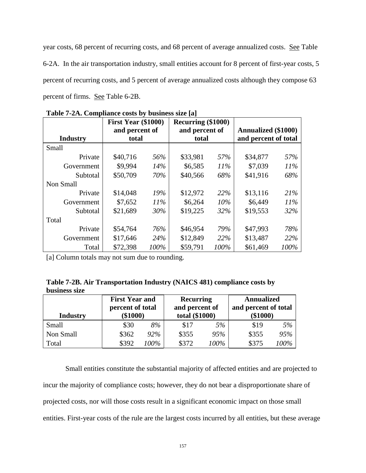year costs, 68 percent of recurring costs, and 68 percent of average annualized costs. See Table 6-2A. In the air transportation industry, small entities account for 8 percent of first-year costs, 5 percent of recurring costs, and 5 percent of average annualized costs although they compose 63 percent of firms. See Table 6-2B.

|                 | First Year (\$1000) |        | Recurring (\$1000) |        |                            |      |
|-----------------|---------------------|--------|--------------------|--------|----------------------------|------|
|                 | and percent of      |        | and percent of     |        | <b>Annualized (\$1000)</b> |      |
| <b>Industry</b> | total               |        | total              |        | and percent of total       |      |
| Small           |                     |        |                    |        |                            |      |
| Private         | \$40,716            | 56%    | \$33,981           | 57%    | \$34,877                   | 57%  |
| Government      | \$9,994             | 14%    | \$6,585            | $11\%$ | \$7,039                    | 11%  |
| Subtotal        | \$50,709            | 70%    | \$40,566           | 68%    | \$41,916                   | 68%  |
| Non Small       |                     |        |                    |        |                            |      |
| Private         | \$14,048            | 19%    | \$12,972           | 22%    | \$13,116                   | 21%  |
| Government      | \$7,652             | $11\%$ | \$6,264            | $10\%$ | \$6,449                    | 11%  |
| Subtotal        | \$21,689            | $30\%$ | \$19,225           | 32%    | \$19,553                   | 32%  |
| Total           |                     |        |                    |        |                            |      |
| Private         | \$54,764            | 76%    | \$46,954           | 79%    | \$47,993                   | 78%  |
| Government      | \$17,646            | 24%    | \$12,849           | 22%    | \$13,487                   | 22%  |
| Total           | \$72,398            | 100%   | \$59,791           | 100%   | \$61,469                   | 100% |

**Table 7-2A. Compliance costs by business size [a]**

[a] Column totals may not sum due to rounding.

**Table 7-2B. Air Transportation Industry (NAICS 481) compliance costs by business size**

| <b>Industry</b> | <b>First Year and</b><br>percent of total<br>(\$1000) |      | <b>Recurring</b><br>and percent of<br>total (\$1000) |      | <b>Annualized</b><br>and percent of total<br>(\$1000) |      |
|-----------------|-------------------------------------------------------|------|------------------------------------------------------|------|-------------------------------------------------------|------|
| Small           | \$30                                                  | 8%   | \$17                                                 | 5%   | \$19                                                  | 5%   |
| Non Small       | \$362                                                 | 92%  | \$355                                                | 95%  | \$355                                                 | 95%  |
| Total           | \$392                                                 | 100% | \$372                                                | 100% | \$375                                                 | 100% |

Small entities constitute the substantial majority of affected entities and are projected to incur the majority of compliance costs; however, they do not bear a disproportionate share of projected costs, nor will those costs result in a significant economic impact on those small entities. First-year costs of the rule are the largest costs incurred by all entities, but these average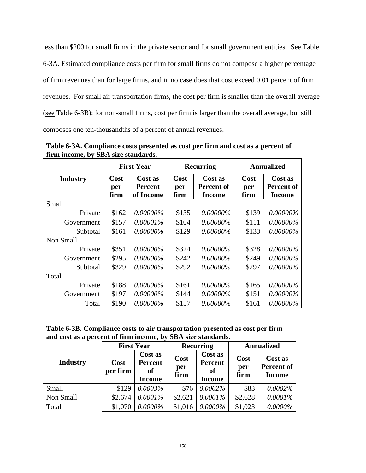less than \$200 for small firms in the private sector and for small government entities. See Table 6-3A. Estimated compliance costs per firm for small firms do not compose a higher percentage of firm revenues than for large firms, and in no case does that cost exceed 0.01 percent of firm revenues. For small air transportation firms, the cost per firm is smaller than the overall average (see Table 6-3B); for non-small firms, cost per firm is larger than the overall average, but still composes one ten-thousandths of a percent of annual revenues.

|                 |             | <b>First Year</b>         |             | <b>Recurring</b>             |             | <b>Annualized</b>            |
|-----------------|-------------|---------------------------|-------------|------------------------------|-------------|------------------------------|
| <b>Industry</b> | Cost<br>per | Cost as<br><b>Percent</b> | Cost<br>per | Cost as<br><b>Percent of</b> | Cost<br>per | Cost as<br><b>Percent of</b> |
|                 | firm        | of Income                 | firm        | Income                       | firm        | Income                       |
| Small           |             |                           |             |                              |             |                              |
| Private         | \$162       | 0.00000%                  | \$135       | $0.00000\%$                  | \$139       | $0.00000\%$                  |
| Government      | \$157       | $0.00001\%$               | \$104       | $0.00000\%$                  | \$111       | $0.00000\%$                  |
| Subtotal        | \$161       | $0.00000\%$               | \$129       | $0.00000\%$                  | \$133       | $0.00000\%$                  |
| Non Small       |             |                           |             |                              |             |                              |
| Private         | \$351       | 0.00000%                  | \$324       | $0.00000\%$                  | \$328       | $0.00000\%$                  |
| Government      | \$295       | $0.00000\%$               | \$242       | $0.00000\%$                  | \$249       | $0.00000\%$                  |
| Subtotal        | \$329       | $0.00000\%$               | \$292       | $0.00000\%$                  | \$297       | $0.00000\%$                  |
| Total           |             |                           |             |                              |             |                              |
| Private         | \$188       | 0.00000%                  | \$161       | $0.00000\%$                  | \$165       | $0.00000\%$                  |
| Government      | \$197       | $0.00000\%$               | \$144       | $0.00000\%$                  | \$151       | $0.00000\%$                  |
| Total           | \$190       | 0.00000%                  | \$157       | $0.00000\%$                  | \$161       | $0.00000\%$                  |

**Table 6-3A. Compliance costs presented as cost per firm and cost as a percent of firm income, by SBA size standards.**

| Table 6-3B. Compliance costs to air transportation presented as cost per firm |
|-------------------------------------------------------------------------------|
| and cost as a percent of firm income, by SBA size standards.                  |

|                 | <b>First Year</b> |                                                             |                     | <b>Recurring</b>                                 | <b>Annualized</b>   |                                        |
|-----------------|-------------------|-------------------------------------------------------------|---------------------|--------------------------------------------------|---------------------|----------------------------------------|
| <b>Industry</b> | Cost<br>per firm  | Cost as<br><b>Percent</b><br><sub>of</sub><br><b>Income</b> | Cost<br>per<br>firm | Cost as<br><b>Percent</b><br>of<br><b>Income</b> | Cost<br>per<br>firm | Cost as<br>Percent of<br><b>Income</b> |
| Small           | \$129             | $0.0003\%$                                                  | \$76                | $0.0002\%$                                       | \$83                | $0.0002\%$                             |
| Non Small       | \$2,674           | $0.0001\%$                                                  | \$2,621             | 0.0001%                                          | \$2,628             | 0.0001%                                |
| Total           | \$1,070           | $0.0000\%$                                                  | \$1,016             | $0.0000\%$                                       | \$1,023             | 0.0000%                                |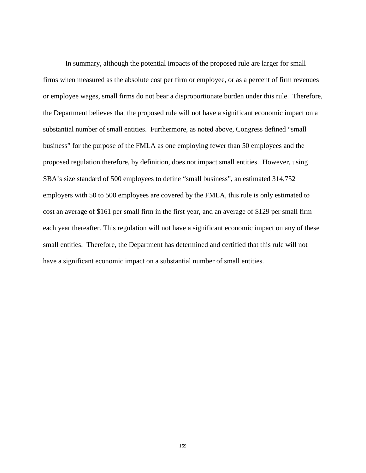In summary, although the potential impacts of the proposed rule are larger for small firms when measured as the absolute cost per firm or employee, or as a percent of firm revenues or employee wages, small firms do not bear a disproportionate burden under this rule. Therefore, the Department believes that the proposed rule will not have a significant economic impact on a substantial number of small entities. Furthermore, as noted above, Congress defined "small business" for the purpose of the FMLA as one employing fewer than 50 employees and the proposed regulation therefore, by definition, does not impact small entities. However, using SBA's size standard of 500 employees to define "small business", an estimated 314,752 employers with 50 to 500 employees are covered by the FMLA, this rule is only estimated to cost an average of \$161 per small firm in the first year, and an average of \$129 per small firm each year thereafter. This regulation will not have a significant economic impact on any of these small entities. Therefore, the Department has determined and certified that this rule will not have a significant economic impact on a substantial number of small entities.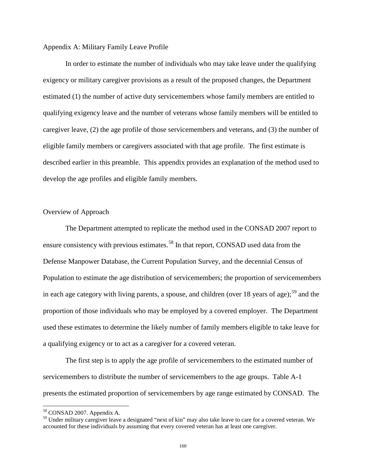### Appendix A: Military Family Leave Profile

In order to estimate the number of individuals who may take leave under the qualifying exigency or military caregiver provisions as a result of the proposed changes, the Department estimated (1) the number of active duty servicemembers whose family members are entitled to qualifying exigency leave and the number of veterans whose family members will be entitled to caregiver leave, (2) the age profile of those servicemembers and veterans, and (3) the number of eligible family members or caregivers associated with that age profile. The first estimate is described earlier in this preamble. This appendix provides an explanation of the method used to develop the age profiles and eligible family members.

### Overview of Approach

The Department attempted to replicate the method used in the CONSAD 2007 report to ensure consistency with previous estimates.<sup>[58](#page-159-0)</sup> In that report, CONSAD used data from the Defense Manpower Database, the Current Population Survey, and the decennial Census of Population to estimate the age distribution of servicemembers; the proportion of servicemembers in each age category with living parents, a spouse, and children (over 18 years of age);<sup>[59](#page-159-1)</sup> and the proportion of those individuals who may be employed by a covered employer. The Department used these estimates to determine the likely number of family members eligible to take leave for a qualifying exigency or to act as a caregiver for a covered veteran.

The first step is to apply the age profile of servicemembers to the estimated number of servicemembers to distribute the number of servicemembers to the age groups. Table A-1 presents the estimated proportion of servicemembers by age range estimated by CONSAD. The

<span id="page-159-0"></span> <sup>58</sup> CONSAD 2007. Appendix A.

<span id="page-159-1"></span><sup>&</sup>lt;sup>59</sup> Under military caregiver leave a designated "next of kin" may also take leave to care for a covered veteran. We accounted for these individuals by assuming that every covered veteran has at least one caregiver.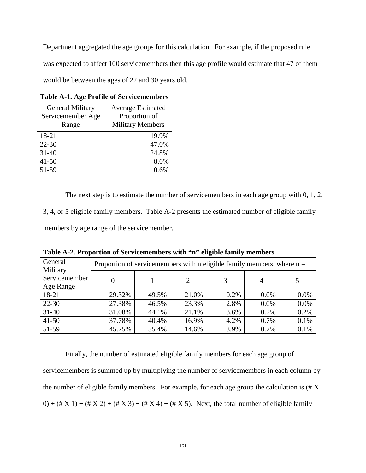Department aggregated the age groups for this calculation. For example, if the proposed rule was expected to affect 100 servicemembers then this age profile would estimate that 47 of them would be between the ages of 22 and 30 years old.

| <b>General Military</b><br>Servicemember Age<br>Range | <b>Average Estimated</b><br>Proportion of<br><b>Military Members</b> |
|-------------------------------------------------------|----------------------------------------------------------------------|
| 18-21                                                 | 19.9%                                                                |
| $22 - 30$                                             | 47.0%                                                                |
| $31 - 40$                                             | 24.8%                                                                |
| $41 - 50$                                             | 8.0%                                                                 |
| 51-59                                                 | 0.6%                                                                 |

**Table A-1. Age Profile of Servicemembers**

The next step is to estimate the number of servicemembers in each age group with 0, 1, 2, 3, 4, or 5 eligible family members. Table A-2 presents the estimated number of eligible family members by age range of the servicemember.

| General<br>Military | Proportion of servicemembers with n eligible family members, where $n =$ |       |       |         |         |      |  |
|---------------------|--------------------------------------------------------------------------|-------|-------|---------|---------|------|--|
| Servicemember       |                                                                          |       |       |         | 4       |      |  |
| Age Range           |                                                                          |       |       |         |         |      |  |
| 18-21               | 29.32%                                                                   | 49.5% | 21.0% | $0.2\%$ | $0.0\%$ | 0.0% |  |
| $22 - 30$           | 27.38%                                                                   | 46.5% | 23.3% | 2.8%    | 0.0%    | 0.0% |  |
| $31 - 40$           | 31.08%                                                                   | 44.1% | 21.1% | 3.6%    | 0.2%    | 0.2% |  |
| $41 - 50$           | 37.78%                                                                   | 40.4% | 16.9% | 4.2%    | 0.7%    | 0.1% |  |
| 51-59               | 45.25%                                                                   | 35.4% | 14.6% | 3.9%    | 0.7%    | 0.1% |  |

**Table A-2. Proportion of Servicemembers with "n" eligible family members**

Finally, the number of estimated eligible family members for each age group of servicemembers is summed up by multiplying the number of servicemembers in each column by the number of eligible family members. For example, for each age group the calculation is  $(\# X)$  $0) + (\# X 1) + (\# X 2) + (\# X 3) + (\# X 4) + (\# X 5)$ . Next, the total number of eligible family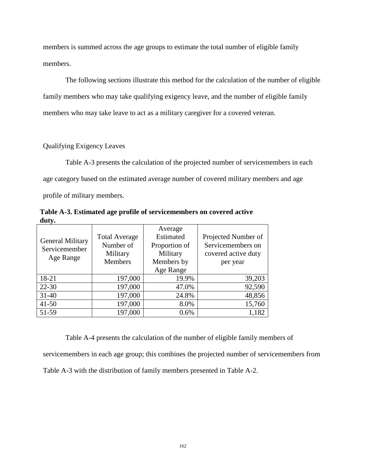members is summed across the age groups to estimate the total number of eligible family members.

The following sections illustrate this method for the calculation of the number of eligible family members who may take qualifying exigency leave, and the number of eligible family members who may take leave to act as a military caregiver for a covered veteran.

## Qualifying Exigency Leaves

Table A-3 presents the calculation of the projected number of servicemembers in each age category based on the estimated average number of covered military members and age profile of military members.

**Table A-3. Estimated age profile of servicemembers on covered active duty.**

| <b>General Military</b><br>Servicemember<br>Age Range | <b>Total Average</b><br>Number of<br>Military<br>Members | Average<br>Estimated<br>Proportion of<br>Military<br>Members by<br>Age Range | Projected Number of<br>Servicemembers on<br>covered active duty<br>per year |  |
|-------------------------------------------------------|----------------------------------------------------------|------------------------------------------------------------------------------|-----------------------------------------------------------------------------|--|
| 18-21                                                 | 197,000                                                  | 19.9%                                                                        | 39,203                                                                      |  |
| $22 - 30$                                             | 197,000                                                  | 47.0%                                                                        | 92,590                                                                      |  |
| $31 - 40$                                             | 197,000                                                  | 24.8%                                                                        | 48,856                                                                      |  |
| $41 - 50$                                             | 197,000                                                  | 8.0%                                                                         | 15,760                                                                      |  |
| 51-59                                                 | 197,000                                                  | 0.6%                                                                         | 1,182                                                                       |  |

Table A-4 presents the calculation of the number of eligible family members of servicemembers in each age group; this combines the projected number of servicemembers from

Table A-3 with the distribution of family members presented in Table A-2.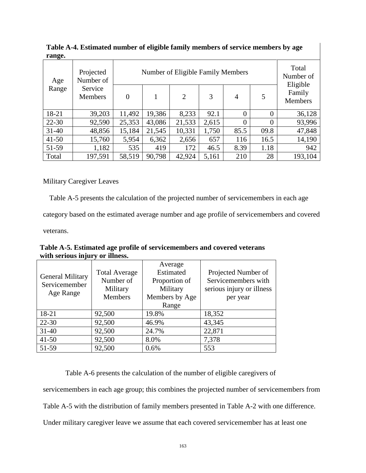| o<br>Age  | Projected<br>Number of    | Number of Eligible Family Members |        |                |       |                |          | Total<br>Number of                   |
|-----------|---------------------------|-----------------------------------|--------|----------------|-------|----------------|----------|--------------------------------------|
| Range     | Service<br><b>Members</b> | $\overline{0}$                    | 1      | $\overline{2}$ | 3     | $\overline{4}$ | 5        | Eligible<br>Family<br><b>Members</b> |
| 18-21     | 39,203                    | 11,492                            | 19,386 | 8,233          | 92.1  | $\overline{0}$ | $\theta$ | 36,128                               |
| $22 - 30$ | 92,590                    | 25,353                            | 43,086 | 21,533         | 2,615 | $\overline{0}$ | $\Omega$ | 93,996                               |
| $31 - 40$ | 48,856                    | 15,184                            | 21,545 | 10,331         | 1,750 | 85.5           | 09.8     | 47,848                               |
| $41 - 50$ | 15,760                    | 5,954                             | 6,362  | 2,656          | 657   | 116            | 16.5     | 14,190                               |
| 51-59     | 1,182                     | 535                               | 419    | 172            | 46.5  | 8.39           | 1.18     | 942                                  |
| Total     | 197,591                   | 58,519                            | 90,798 | 42,924         | 5,161 | 210            | 28       | 193,104                              |

**Table A-4. Estimated number of eligible family members of service members by age range.**

Military Caregiver Leaves

Table A-5 presents the calculation of the projected number of servicemembers in each age

category based on the estimated average number and age profile of servicemembers and covered

veterans.

| $m$ and $m$ $m$ and $m$ $m$ $m$ and $m$  |                                   |                                       |                                                                         |  |  |  |  |
|------------------------------------------|-----------------------------------|---------------------------------------|-------------------------------------------------------------------------|--|--|--|--|
| <b>General Military</b><br>Servicemember | <b>Total Average</b><br>Number of | Average<br>Estimated<br>Proportion of | Projected Number of<br>Servicemembers with<br>serious injury or illness |  |  |  |  |
| Age Range                                | Military                          | Military                              |                                                                         |  |  |  |  |
|                                          | <b>Members</b>                    | Members by Age                        | per year                                                                |  |  |  |  |
|                                          |                                   | Range                                 |                                                                         |  |  |  |  |
| 18-21                                    | 92,500                            | 19.8%                                 | 18,352                                                                  |  |  |  |  |
| $22 - 30$                                | 92,500                            | 46.9%                                 | 43,345                                                                  |  |  |  |  |
| $31 - 40$                                | 92,500                            | 24.7%                                 | 22,871                                                                  |  |  |  |  |
| $41 - 50$                                | 92,500                            | 8.0%                                  | 7,378                                                                   |  |  |  |  |
| 51-59                                    | 92,500                            | 0.6%                                  | 553                                                                     |  |  |  |  |

**Table A-5. Estimated age profile of servicemembers and covered veterans with serious injury or illness.**

Table A-6 presents the calculation of the number of eligible caregivers of

servicemembers in each age group; this combines the projected number of servicemembers from

Table A-5 with the distribution of family members presented in Table A-2 with one difference.

Under military caregiver leave we assume that each covered servicemember has at least one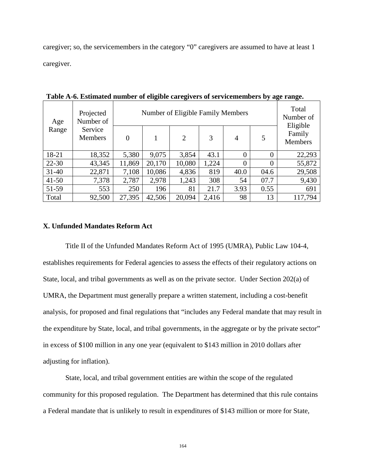caregiver; so, the servicemembers in the category "0" caregivers are assumed to have at least 1 caregiver.

| Age       | Projected<br>Number of    | Number of Eligible Family Members | Total<br>Number of |                |       |                |                |                                      |
|-----------|---------------------------|-----------------------------------|--------------------|----------------|-------|----------------|----------------|--------------------------------------|
| Range     | Service<br><b>Members</b> | $\overline{0}$                    |                    | $\overline{2}$ | 3     | 4              | 5              | Eligible<br>Family<br><b>Members</b> |
| 18-21     | 18,352                    | 5,380                             | 9,075              | 3,854          | 43.1  | $\overline{0}$ | $\overline{0}$ | 22,293                               |
| $22 - 30$ | 43,345                    | 11,869                            | 20,170             | 10,080         | 1,224 | $\theta$       | 0              | 55,872                               |
| $31 - 40$ | 22,871                    | 7,108                             | 10,086             | 4,836          | 819   | 40.0           | 04.6           | 29,508                               |
| $41 - 50$ | 7,378                     | 2,787                             | 2,978              | 1,243          | 308   | 54             | 07.7           | 9,430                                |
| 51-59     | 553                       | 250                               | 196                | 81             | 21.7  | 3.93           | 0.55           | 691                                  |
| Total     | 92,500                    | 27,395                            | 42,506             | 20,094         | 2,416 | 98             | 13             | 117,794                              |

**Table A-6. Estimated number of eligible caregivers of servicemembers by age range.**

#### **X. Unfunded Mandates Reform Act**

Title II of the Unfunded Mandates Reform Act of 1995 (UMRA), Public Law 104-4, establishes requirements for Federal agencies to assess the effects of their regulatory actions on State, local, and tribal governments as well as on the private sector. Under Section 202(a) of UMRA, the Department must generally prepare a written statement, including a cost-benefit analysis, for proposed and final regulations that "includes any Federal mandate that may result in the expenditure by State, local, and tribal governments, in the aggregate or by the private sector" in excess of \$100 million in any one year (equivalent to \$143 million in 2010 dollars after adjusting for inflation).

State, local, and tribal government entities are within the scope of the regulated community for this proposed regulation. The Department has determined that this rule contains a Federal mandate that is unlikely to result in expenditures of \$143 million or more for State,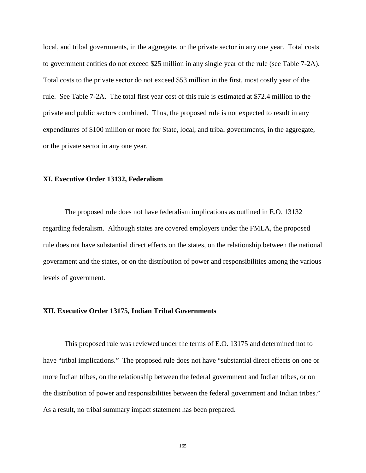local, and tribal governments, in the aggregate, or the private sector in any one year. Total costs to government entities do not exceed \$25 million in any single year of the rule (see Table 7-2A). Total costs to the private sector do not exceed \$53 million in the first, most costly year of the rule. See Table 7-2A. The total first year cost of this rule is estimated at \$72.4 million to the private and public sectors combined. Thus, the proposed rule is not expected to result in any expenditures of \$100 million or more for State, local, and tribal governments, in the aggregate, or the private sector in any one year.

#### **XI. Executive Order 13132, Federalism**

The proposed rule does not have federalism implications as outlined in E.O. 13132 regarding federalism. Although states are covered employers under the FMLA, the proposed rule does not have substantial direct effects on the states, on the relationship between the national government and the states, or on the distribution of power and responsibilities among the various levels of government.

#### **XII. Executive Order 13175, Indian Tribal Governments**

This proposed rule was reviewed under the terms of E.O. 13175 and determined not to have "tribal implications." The proposed rule does not have "substantial direct effects on one or more Indian tribes, on the relationship between the federal government and Indian tribes, or on the distribution of power and responsibilities between the federal government and Indian tribes." As a result, no tribal summary impact statement has been prepared.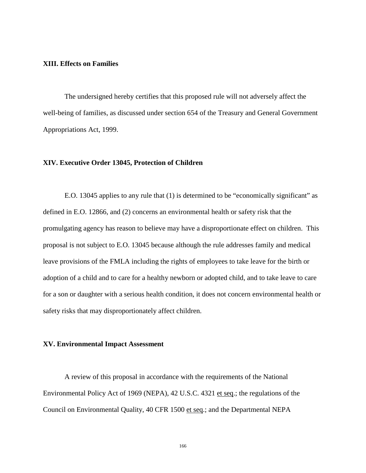#### **XIII. Effects on Families**

The undersigned hereby certifies that this proposed rule will not adversely affect the well-being of families, as discussed under section 654 of the Treasury and General Government Appropriations Act, 1999.

#### **XIV. Executive Order 13045, Protection of Children**

E.O. 13045 applies to any rule that (1) is determined to be "economically significant" as defined in E.O. 12866, and (2) concerns an environmental health or safety risk that the promulgating agency has reason to believe may have a disproportionate effect on children. This proposal is not subject to E.O. 13045 because although the rule addresses family and medical leave provisions of the FMLA including the rights of employees to take leave for the birth or adoption of a child and to care for a healthy newborn or adopted child, and to take leave to care for a son or daughter with a serious health condition, it does not concern environmental health or safety risks that may disproportionately affect children.

#### **XV. Environmental Impact Assessment**

A review of this proposal in accordance with the requirements of the National Environmental Policy Act of 1969 (NEPA), 42 U.S.C. 4321 et seq.; the regulations of the Council on Environmental Quality, 40 CFR 1500 et seq.; and the Departmental NEPA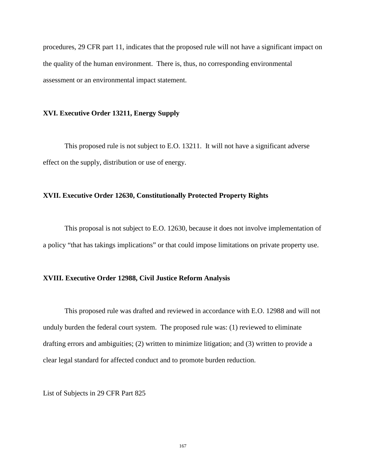procedures, 29 CFR part 11, indicates that the proposed rule will not have a significant impact on the quality of the human environment. There is, thus, no corresponding environmental assessment or an environmental impact statement.

#### **XVI. Executive Order 13211, Energy Supply**

This proposed rule is not subject to E.O. 13211. It will not have a significant adverse effect on the supply, distribution or use of energy.

### **XVII. Executive Order 12630, Constitutionally Protected Property Rights**

This proposal is not subject to E.O. 12630, because it does not involve implementation of a policy "that has takings implications" or that could impose limitations on private property use.

### **XVIII. Executive Order 12988, Civil Justice Reform Analysis**

This proposed rule was drafted and reviewed in accordance with E.O. 12988 and will not unduly burden the federal court system. The proposed rule was: (1) reviewed to eliminate drafting errors and ambiguities; (2) written to minimize litigation; and (3) written to provide a clear legal standard for affected conduct and to promote burden reduction.

List of Subjects in 29 CFR Part 825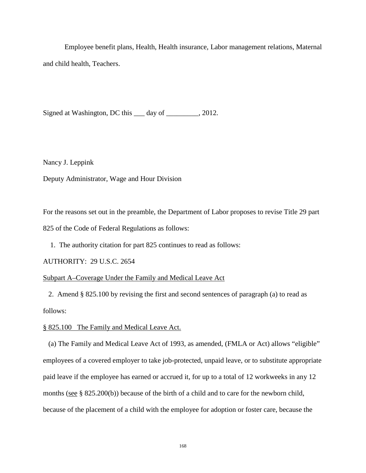Employee benefit plans, Health, Health insurance, Labor management relations, Maternal and child health, Teachers.

Signed at Washington, DC this \_\_\_ day of \_\_\_\_\_\_\_\_, 2012.

Nancy J. Leppink

Deputy Administrator, Wage and Hour Division

For the reasons set out in the preamble, the Department of Labor proposes to revise Title 29 part 825 of the Code of Federal Regulations as follows:

1. The authority citation for part 825 continues to read as follows:

AUTHORITY: 29 U.S.C. 2654

### Subpart A–Coverage Under the Family and Medical Leave Act

 2. Amend § 825.100 by revising the first and second sentences of paragraph (a) to read as follows:

#### § 825.100 The Family and Medical Leave Act.

 (a) The Family and Medical Leave Act of 1993, as amended, (FMLA or Act) allows "eligible" employees of a covered employer to take job-protected, unpaid leave, or to substitute appropriate paid leave if the employee has earned or accrued it, for up to a total of 12 workweeks in any 12 months (see § 825.200(b)) because of the birth of a child and to care for the newborn child, because of the placement of a child with the employee for adoption or foster care, because the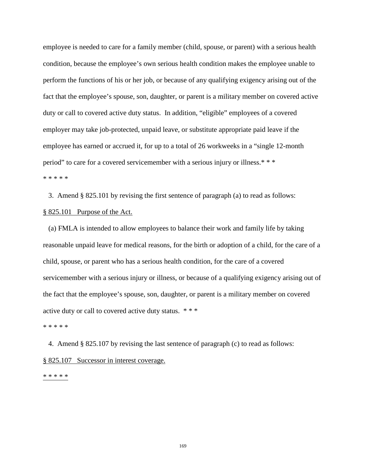employee is needed to care for a family member (child, spouse, or parent) with a serious health condition, because the employee's own serious health condition makes the employee unable to perform the functions of his or her job, or because of any qualifying exigency arising out of the fact that the employee's spouse, son, daughter, or parent is a military member on covered active duty or call to covered active duty status. In addition, "eligible" employees of a covered employer may take job-protected, unpaid leave, or substitute appropriate paid leave if the employee has earned or accrued it, for up to a total of 26 workweeks in a "single 12-month period" to care for a covered servicemember with a serious injury or illness.\* \* \* \* \* \* \* \*

 3. Amend § 825.101 by revising the first sentence of paragraph (a) to read as follows: § 825.101 Purpose of the Act.

 (a) FMLA is intended to allow employees to balance their work and family life by taking reasonable unpaid leave for medical reasons, for the birth or adoption of a child, for the care of a child, spouse, or parent who has a serious health condition, for the care of a covered servicemember with a serious injury or illness, or because of a qualifying exigency arising out of the fact that the employee's spouse, son, daughter, or parent is a military member on covered active duty or call to covered active duty status. \* \* \*

\* \* \* \* \*

 4. Amend § 825.107 by revising the last sentence of paragraph (c) to read as follows: § 825.107 Successor in interest coverage.

\* \* \* \* \*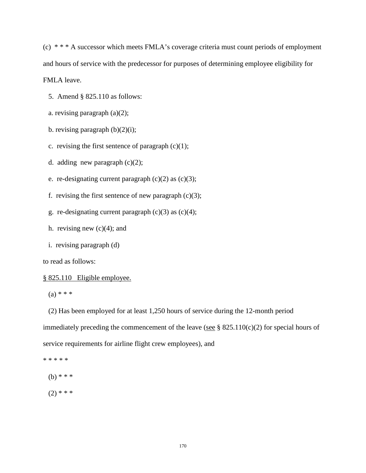(c) \* \* \* A successor which meets FMLA's coverage criteria must count periods of employment and hours of service with the predecessor for purposes of determining employee eligibility for FMLA leave.

- 5. Amend § 825.110 as follows:
- a. revising paragraph (a)(2);
- b. revising paragraph  $(b)(2)(i)$ ;
- c. revising the first sentence of paragraph  $(c)(1)$ ;
- d. adding new paragraph  $(c)(2)$ ;
- e. re-designating current paragraph  $(c)(2)$  as  $(c)(3)$ ;
- f. revising the first sentence of new paragraph  $(c)(3)$ ;
- g. re-designating current paragraph  $(c)(3)$  as  $(c)(4)$ ;
- h. revising new  $(c)(4)$ ; and
- i. revising paragraph (d)

to read as follows:

## § 825.110 Eligible employee.

 $(a) * * *$ 

 (2) Has been employed for at least 1,250 hours of service during the 12-month period immediately preceding the commencement of the leave (see  $\S$  825.110(c)(2) for special hours of service requirements for airline flight crew employees), and

\* \* \* \* \*

- (b) \* \* \*
- $(2)$  \* \* \*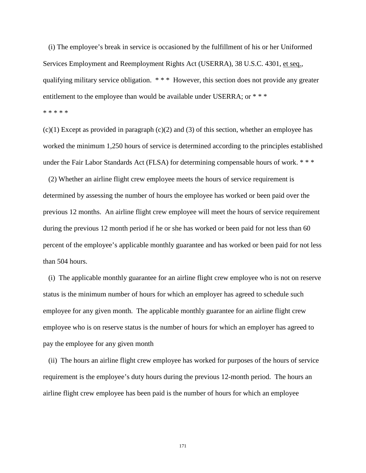(i) The employee's break in service is occasioned by the fulfillment of his or her Uniformed Services Employment and Reemployment Rights Act (USERRA), 38 U.S.C. 4301, et seq., qualifying military service obligation. \* \* \* However, this section does not provide any greater entitlement to the employee than would be available under USERRA; or \*\*\*

\* \* \* \* \*

 $(c)(1)$  Except as provided in paragraph  $(c)(2)$  and  $(3)$  of this section, whether an employee has worked the minimum 1,250 hours of service is determined according to the principles established under the Fair Labor Standards Act (FLSA) for determining compensable hours of work. \* \* \*

 (2) Whether an airline flight crew employee meets the hours of service requirement is determined by assessing the number of hours the employee has worked or been paid over the previous 12 months. An airline flight crew employee will meet the hours of service requirement during the previous 12 month period if he or she has worked or been paid for not less than 60 percent of the employee's applicable monthly guarantee and has worked or been paid for not less than 504 hours.

 (i) The applicable monthly guarantee for an airline flight crew employee who is not on reserve status is the minimum number of hours for which an employer has agreed to schedule such employee for any given month. The applicable monthly guarantee for an airline flight crew employee who is on reserve status is the number of hours for which an employer has agreed to pay the employee for any given month

 (ii) The hours an airline flight crew employee has worked for purposes of the hours of service requirement is the employee's duty hours during the previous 12-month period. The hours an airline flight crew employee has been paid is the number of hours for which an employee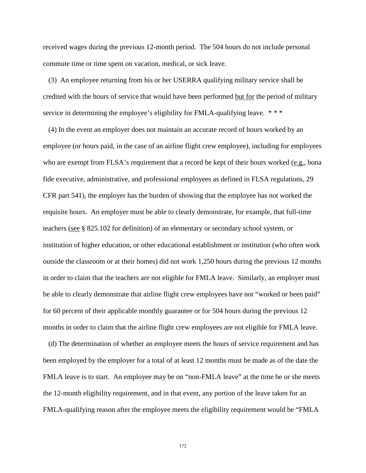received wages during the previous 12-month period. The 504 hours do not include personal commute time or time spent on vacation, medical, or sick leave.

 (3) An employee returning from his or her USERRA qualifying military service shall be credited with the hours of service that would have been performed but for the period of military service in determining the employee's eligibility for FMLA-qualifying leave. \*\*\*

 (4) In the event an employer does not maintain an accurate record of hours worked by an employee (or hours paid, in the case of an airline flight crew employee), including for employees who are exempt from FLSA's requirement that a record be kept of their hours worked (e.g., bona fide executive, administrative, and professional employees as defined in FLSA regulations, 29 CFR part 541), the employer has the burden of showing that the employee has not worked the requisite hours. An employer must be able to clearly demonstrate, for example, that full-time teachers (see § 825.102 for definition) of an elementary or secondary school system, or institution of higher education, or other educational establishment or institution (who often work outside the classroom or at their homes) did not work 1,250 hours during the previous 12 months in order to claim that the teachers are not eligible for FMLA leave. Similarly, an employer must be able to clearly demonstrate that airline flight crew employees have not "worked or been paid" for 60 percent of their applicable monthly guarantee or for 504 hours during the previous 12 months in order to claim that the airline flight crew employees are not eligible for FMLA leave.

 (d) The determination of whether an employee meets the hours of service requirement and has been employed by the employer for a total of at least 12 months must be made as of the date the FMLA leave is to start. An employee may be on "non-FMLA leave" at the time he or she meets the 12-month eligibility requirement, and in that event, any portion of the leave taken for an FMLA-qualifying reason after the employee meets the eligibility requirement would be "FMLA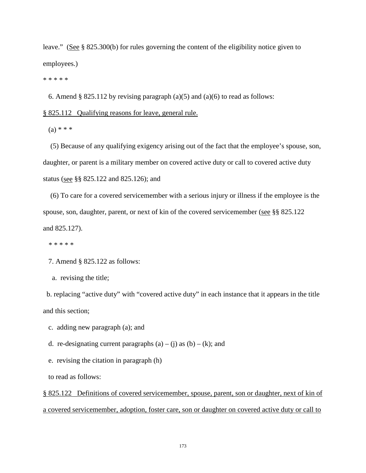leave." (See § 825.300(b) for rules governing the content of the eligibility notice given to employees.)

\* \* \* \* \*

6. Amend § 825.112 by revising paragraph (a)(5) and (a)(6) to read as follows:

§ 825.112 Qualifying reasons for leave, general rule.

 $(a) * * *$ 

(5) Because of any qualifying exigency arising out of the fact that the employee's spouse, son, daughter, or parent is a military member on covered active duty or call to covered active duty status (see §§ 825.122 and 825.126); and

(6) To care for a covered servicemember with a serious injury or illness if the employee is the spouse, son, daughter, parent, or next of kin of the covered servicemember (see §§ 825.122 and 825.127).

\* \* \* \* \*

7. Amend § 825.122 as follows:

a. revising the title;

 b. replacing "active duty" with "covered active duty" in each instance that it appears in the title and this section;

c. adding new paragraph (a); and

d. re-designating current paragraphs  $(a) - (i)$  as  $(b) - (k)$ ; and

e. revising the citation in paragraph (h)

to read as follows:

§ 825.122 Definitions of covered servicemember, spouse, parent, son or daughter, next of kin of a covered servicemember, adoption, foster care, son or daughter on covered active duty or call to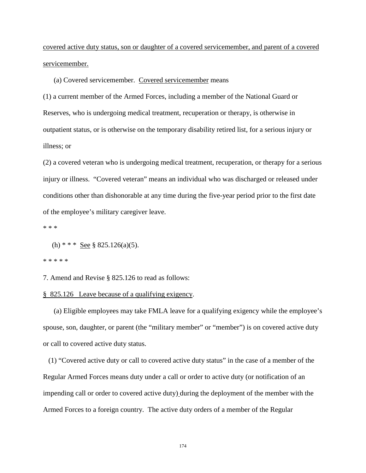covered active duty status, son or daughter of a covered servicemember, and parent of a covered servicemember.

(a) Covered servicemember. Covered servicemember means

(1) a current member of the Armed Forces, including a member of the National Guard or Reserves, who is undergoing medical treatment, recuperation or therapy, is otherwise in outpatient status, or is otherwise on the temporary disability retired list, for a serious injury or illness; or

(2) a covered veteran who is undergoing medical treatment, recuperation, or therapy for a serious injury or illness. "Covered veteran" means an individual who was discharged or released under conditions other than dishonorable at any time during the five-year period prior to the first date of the employee's military caregiver leave.

\* \* \*

(h) \* \* \* <u>See</u> § 825.126(a)(5).

\* \* \* \* \*

7. Amend and Revise § 825.126 to read as follows:

#### § 825.126 Leave because of a qualifying exigency .

 (a) Eligible employees may take FMLA leave for a qualifying exigency while the employee's spouse, son, daughter, or parent (the "military member" or "member") is on covered active duty or call to covered active duty status.

 (1) "Covered active duty or call to covered active duty status" in the case of a member of the Regular Armed Forces means duty under a call or order to active duty (or notification of an impending call or order to covered active duty) during the deployment of the member with the Armed Forces to a foreign country. The active duty orders of a member of the Regular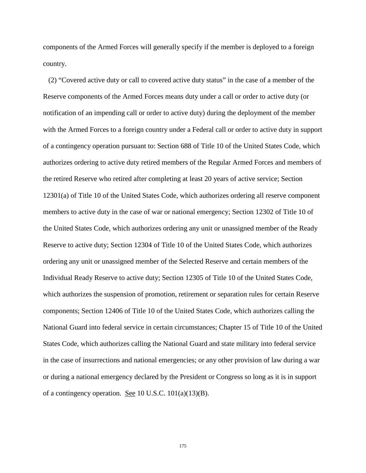components of the Armed Forces will generally specify if the member is deployed to a foreign country.

 (2) "Covered active duty or call to covered active duty status" in the case of a member of the Reserve components of the Armed Forces means duty under a call or order to active duty (or notification of an impending call or order to active duty) during the deployment of the member with the Armed Forces to a foreign country under a Federal call or order to active duty in support of a contingency operation pursuant to: Section 688 of Title 10 of the United States Code, which authorizes ordering to active duty retired members of the Regular Armed Forces and members of the retired Reserve who retired after completing at least 20 years of active service; Section 12301(a) of Title 10 of the United States Code, which authorizes ordering all reserve component members to active duty in the case of war or national emergency; Section 12302 of Title 10 of the United States Code, which authorizes ordering any unit or unassigned member of the Ready Reserve to active duty; Section 12304 of Title 10 of the United States Code, which authorizes ordering any unit or unassigned member of the Selected Reserve and certain members of the Individual Ready Reserve to active duty; Section 12305 of Title 10 of the United States Code, which authorizes the suspension of promotion, retirement or separation rules for certain Reserve components; Section 12406 of Title 10 of the United States Code, which authorizes calling the National Guard into federal service in certain circumstances; Chapter 15 of Title 10 of the United States Code, which authorizes calling the National Guard and state military into federal service in the case of insurrections and national emergencies; or any other provision of law during a war or during a national emergency declared by the President or Congress so long as it is in support of a contingency operation. See 10 U.S.C.  $101(a)(13)(B)$ .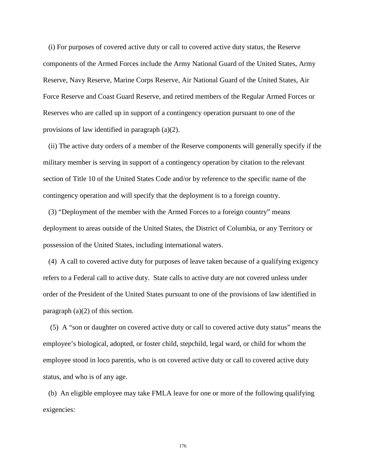(i) For purposes of covered active duty or call to covered active duty status, the Reserve components of the Armed Forces include the Army National Guard of the United States, Army Reserve, Navy Reserve, Marine Corps Reserve, Air National Guard of the United States, Air Force Reserve and Coast Guard Reserve, and retired members of the Regular Armed Forces or Reserves who are called up in support of a contingency operation pursuant to one of the provisions of law identified in paragraph (a)(2).

 (ii) The active duty orders of a member of the Reserve components will generally specify if the military member is serving in support of a contingency operation by citation to the relevant section of Title 10 of the United States Code and/or by reference to the specific name of the contingency operation and will specify that the deployment is to a foreign country.

 (3) "Deployment of the member with the Armed Forces to a foreign country" means deployment to areas outside of the United States, the District of Columbia, or any Territory or possession of the United States, including international waters.

 (4) A call to covered active duty for purposes of leave taken because of a qualifying exigency refers to a Federal call to active duty. State calls to active duty are not covered unless under order of the President of the United States pursuant to one of the provisions of law identified in paragraph (a)(2) of this section.

 (5) A "son or daughter on covered active duty or call to covered active duty status" means the employee's biological, adopted, or foster child, stepchild, legal ward, or child for whom the employee stood in loco parentis, who is on covered active duty or call to covered active duty status, and who is of any age.

 (b) An eligible employee may take FMLA leave for one or more of the following qualifying exigencies: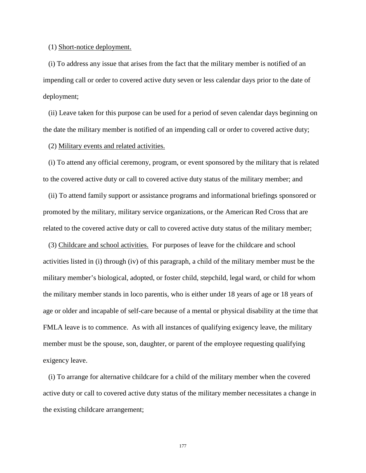#### (1) Short-notice deployment.

 (i) To address any issue that arises from the fact that the military member is notified of an impending call or order to covered active duty seven or less calendar days prior to the date of deployment;

 (ii) Leave taken for this purpose can be used for a period of seven calendar days beginning on the date the military member is notified of an impending call or order to covered active duty;

(2) Military events and related activities.

 (i) To attend any official ceremony, program, or event sponsored by the military that is related to the covered active duty or call to covered active duty status of the military member; and

 (ii) To attend family support or assistance programs and informational briefings sponsored or promoted by the military, military service organizations, or the American Red Cross that are related to the covered active duty or call to covered active duty status of the military member;

 (3) Childcare and school activities. For purposes of leave for the childcare and school activities listed in (i) through (iv) of this paragraph, a child of the military member must be the military member's biological, adopted, or foster child, stepchild, legal ward, or child for whom the military member stands in loco parentis, who is either under 18 years of age or 18 years of age or older and incapable of self-care because of a mental or physical disability at the time that FMLA leave is to commence. As with all instances of qualifying exigency leave, the military member must be the spouse, son, daughter, or parent of the employee requesting qualifying exigency leave.

 (i) To arrange for alternative childcare for a child of the military member when the covered active duty or call to covered active duty status of the military member necessitates a change in the existing childcare arrangement;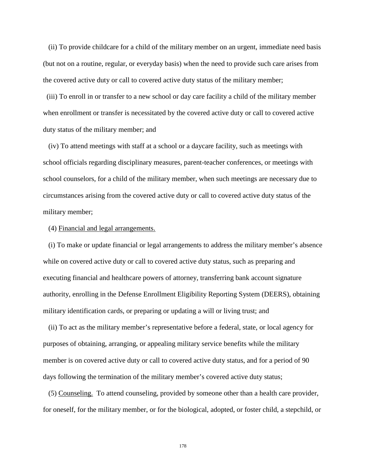(ii) To provide childcare for a child of the military member on an urgent, immediate need basis (but not on a routine, regular, or everyday basis) when the need to provide such care arises from the covered active duty or call to covered active duty status of the military member;

 (iii) To enroll in or transfer to a new school or day care facility a child of the military member when enrollment or transfer is necessitated by the covered active duty or call to covered active duty status of the military member; and

 (iv) To attend meetings with staff at a school or a daycare facility, such as meetings with school officials regarding disciplinary measures, parent-teacher conferences, or meetings with school counselors, for a child of the military member, when such meetings are necessary due to circumstances arising from the covered active duty or call to covered active duty status of the military member;

#### (4) Financial and legal arrangements.

 (i) To make or update financial or legal arrangements to address the military member's absence while on covered active duty or call to covered active duty status, such as preparing and executing financial and healthcare powers of attorney, transferring bank account signature authority, enrolling in the Defense Enrollment Eligibility Reporting System (DEERS), obtaining military identification cards, or preparing or updating a will or living trust; and

 (ii) To act as the military member's representative before a federal, state, or local agency for purposes of obtaining, arranging, or appealing military service benefits while the military member is on covered active duty or call to covered active duty status, and for a period of 90 days following the termination of the military member's covered active duty status;

 (5) Counseling. To attend counseling, provided by someone other than a health care provider, for oneself, for the military member, or for the biological, adopted, or foster child, a stepchild, or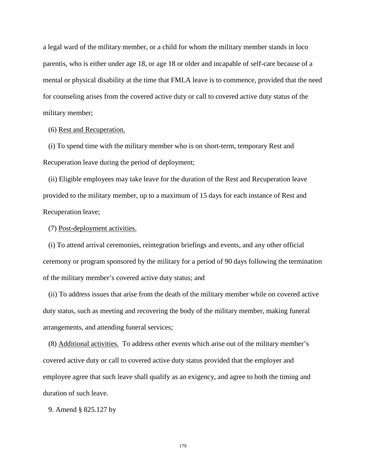a legal ward of the military member, or a child for whom the military member stands in loco parentis, who is either under age 18, or age 18 or older and incapable of self-care because of a mental or physical disability at the time that FMLA leave is to commence, provided that the need for counseling arises from the covered active duty or call to covered active duty status of the military member;

#### (6) Rest and Recuperation.

 (i) To spend time with the military member who is on short-term, temporary Rest and Recuperation leave during the period of deployment;

 (ii) Eligible employees may take leave for the duration of the Rest and Recuperation leave provided to the military member, up to a maximum of 15 days for each instance of Rest and Recuperation leave;

#### (7) Post-deployment activities.

 (i) To attend arrival ceremonies, reintegration briefings and events, and any other official ceremony or program sponsored by the military for a period of 90 days following the termination of the military member's covered active duty status; and

 (ii) To address issues that arise from the death of the military member while on covered active duty status, such as meeting and recovering the body of the military member, making funeral arrangements, and attending funeral services;

 (8) Additional activities. To address other events which arise out of the military member's covered active duty or call to covered active duty status provided that the employer and employee agree that such leave shall qualify as an exigency, and agree to both the timing and duration of such leave.

9. Amend § 825.127 by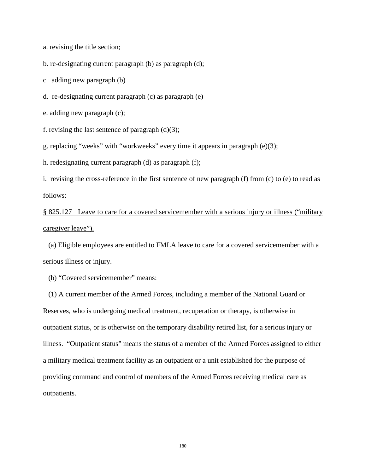a. revising the title section;

b. re-designating current paragraph (b) as paragraph (d);

c. adding new paragraph (b)

d. re-designating current paragraph (c) as paragraph (e)

e. adding new paragraph (c);

f. revising the last sentence of paragraph  $(d)(3)$ ;

g. replacing "weeks" with "workweeks" every time it appears in paragraph (e)(3);

h. redesignating current paragraph (d) as paragraph (f);

i. revising the cross-reference in the first sentence of new paragraph (f) from (c) to (e) to read as follows:

§ 825.127 Leave to care for a covered servicemember with a serious injury or illness ("military caregiver leave").

 (a) Eligible employees are entitled to FMLA leave to care for a covered servicemember with a serious illness or injury.

(b) "Covered servicemember" means:

 (1) A current member of the Armed Forces, including a member of the National Guard or Reserves, who is undergoing medical treatment, recuperation or therapy, is otherwise in outpatient status, or is otherwise on the temporary disability retired list, for a serious injury or illness. "Outpatient status" means the status of a member of the Armed Forces assigned to either a military medical treatment facility as an outpatient or a unit established for the purpose of providing command and control of members of the Armed Forces receiving medical care as outpatients.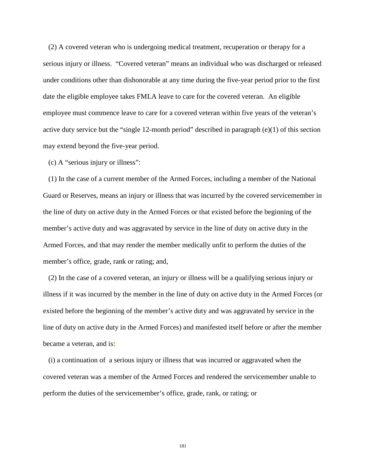(2) A covered veteran who is undergoing medical treatment, recuperation or therapy for a serious injury or illness. "Covered veteran" means an individual who was discharged or released under conditions other than dishonorable at any time during the five-year period prior to the first date the eligible employee takes FMLA leave to care for the covered veteran. An eligible employee must commence leave to care for a covered veteran within five years of the veteran's active duty service but the "single 12-month period" described in paragraph (e)(1) of this section may extend beyond the five-year period.

(c) A "serious injury or illness":

 (1) In the case of a current member of the Armed Forces, including a member of the National Guard or Reserves, means an injury or illness that was incurred by the covered servicemember in the line of duty on active duty in the Armed Forces or that existed before the beginning of the member's active duty and was aggravated by service in the line of duty on active duty in the Armed Forces, and that may render the member medically unfit to perform the duties of the member's office, grade, rank or rating; and,

 (2) In the case of a covered veteran, an injury or illness will be a qualifying serious injury or illness if it was incurred by the member in the line of duty on active duty in the Armed Forces (or existed before the beginning of the member's active duty and was aggravated by service in the line of duty on active duty in the Armed Forces) and manifested itself before or after the member became a veteran, and is:

 (i) a continuation of a serious injury or illness that was incurred or aggravated when the covered veteran was a member of the Armed Forces and rendered the servicemember unable to perform the duties of the servicemember's office, grade, rank, or rating; or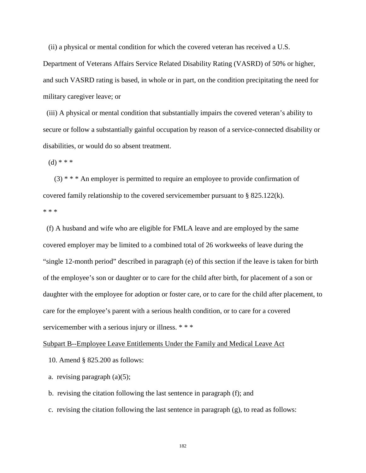(ii) a physical or mental condition for which the covered veteran has received a U.S.

Department of Veterans Affairs Service Related Disability Rating (VASRD) of 50% or higher, and such VASRD rating is based, in whole or in part, on the condition precipitating the need for military caregiver leave; or

 (iii) A physical or mental condition that substantially impairs the covered veteran's ability to secure or follow a substantially gainful occupation by reason of a service-connected disability or disabilities, or would do so absent treatment.

(d) \* \* \*

 $(3)$  \* \* \* An employer is permitted to require an employee to provide confirmation of covered family relationship to the covered servicemember pursuant to  $\S$  825.122(k). \* \* \*

 (f) A husband and wife who are eligible for FMLA leave and are employed by the same covered employer may be limited to a combined total of 26 workweeks of leave during the "single 12-month period" described in paragraph (e) of this section if the leave is taken for birth of the employee's son or daughter or to care for the child after birth, for placement of a son or daughter with the employee for adoption or foster care, or to care for the child after placement, to care for the employee's parent with a serious health condition, or to care for a covered servicemember with a serious injury or illness. \* \* \*

# Subpart B--Employee Leave Entitlements Under the Family and Medical Leave Act

10. Amend § 825.200 as follows:

a. revising paragraph  $(a)(5)$ ;

b. revising the citation following the last sentence in paragraph (f); and

c. revising the citation following the last sentence in paragraph (g), to read as follows: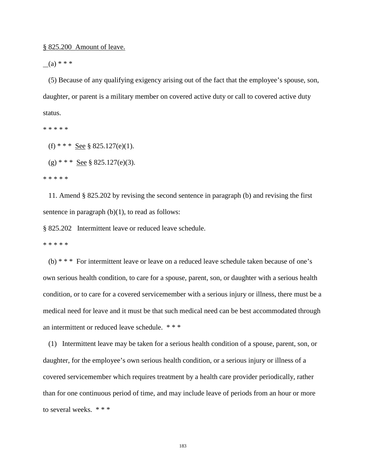#### § 825.200 Amount of leave.

 $(a) * * * *$ 

 (5) Because of any qualifying exigency arising out of the fact that the employee's spouse, son, daughter, or parent is a military member on covered active duty or call to covered active duty status.

\* \* \* \* \*

(f) \* \* \* <u>See</u> § 825.127(e)(1).

(g) \* \* \* <u>See</u> § 825.127(e)(3).

\* \* \* \* \*

 11. Amend § 825.202 by revising the second sentence in paragraph (b) and revising the first sentence in paragraph  $(b)(1)$ , to read as follows:

§ 825.202 Intermittent leave or reduced leave schedule.

\* \* \* \* \*

 (b) \* \* \* For intermittent leave or leave on a reduced leave schedule taken because of one's own serious health condition, to care for a spouse, parent, son, or daughter with a serious health condition, or to care for a covered servicemember with a serious injury or illness, there must be a medical need for leave and it must be that such medical need can be best accommodated through an intermittent or reduced leave schedule. \* \* \*

 (1) Intermittent leave may be taken for a serious health condition of a spouse, parent, son, or daughter, for the employee's own serious health condition, or a serious injury or illness of a covered servicemember which requires treatment by a health care provider periodically, rather than for one continuous period of time, and may include leave of periods from an hour or more to several weeks. \* \* \*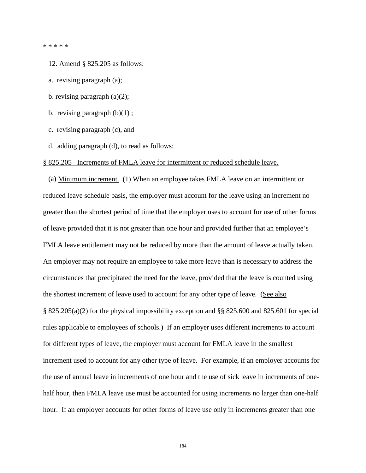#### \* \* \* \* \*

- 12. Amend § 825.205 as follows:
- a. revising paragraph (a);
- b. revising paragraph  $(a)(2)$ ;
- b. revising paragraph  $(b)(1)$ ;
- c. revising paragraph (c), and
- d. adding paragraph (d), to read as follows:

#### § 825.205 Increments of FMLA leave for intermittent or reduced schedule leave.

 (a) Minimum increment. (1) When an employee takes FMLA leave on an intermittent or reduced leave schedule basis, the employer must account for the leave using an increment no greater than the shortest period of time that the employer uses to account for use of other forms of leave provided that it is not greater than one hour and provided further that an employee's FMLA leave entitlement may not be reduced by more than the amount of leave actually taken. An employer may not require an employee to take more leave than is necessary to address the circumstances that precipitated the need for the leave, provided that the leave is counted using the shortest increment of leave used to account for any other type of leave. (See also § 825.205(a)(2) for the physical impossibility exception and §§ 825.600 and 825.601 for special rules applicable to employees of schools.) If an employer uses different increments to account for different types of leave, the employer must account for FMLA leave in the smallest increment used to account for any other type of leave. For example, if an employer accounts for the use of annual leave in increments of one hour and the use of sick leave in increments of onehalf hour, then FMLA leave use must be accounted for using increments no larger than one-half hour. If an employer accounts for other forms of leave use only in increments greater than one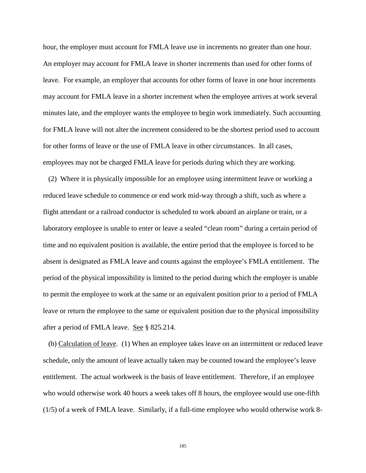hour, the employer must account for FMLA leave use in increments no greater than one hour. An employer may account for FMLA leave in shorter increments than used for other forms of leave. For example, an employer that accounts for other forms of leave in one hour increments may account for FMLA leave in a shorter increment when the employee arrives at work several minutes late, and the employer wants the employee to begin work immediately. Such accounting for FMLA leave will not alter the increment considered to be the shortest period used to account for other forms of leave or the use of FMLA leave in other circumstances. In all cases, employees may not be charged FMLA leave for periods during which they are working.

 (2) Where it is physically impossible for an employee using intermittent leave or working a reduced leave schedule to commence or end work mid-way through a shift, such as where a flight attendant or a railroad conductor is scheduled to work aboard an airplane or train, or a laboratory employee is unable to enter or leave a sealed "clean room" during a certain period of time and no equivalent position is available, the entire period that the employee is forced to be absent is designated as FMLA leave and counts against the employee's FMLA entitlement. The period of the physical impossibility is limited to the period during which the employer is unable to permit the employee to work at the same or an equivalent position prior to a period of FMLA leave or return the employee to the same or equivalent position due to the physical impossibility after a period of FMLA leave. See § 825.214.

 (b) Calculation of leave. (1) When an employee takes leave on an intermittent or reduced leave schedule, only the amount of leave actually taken may be counted toward the employee's leave entitlement. The actual workweek is the basis of leave entitlement. Therefore, if an employee who would otherwise work 40 hours a week takes off 8 hours, the employee would use one-fifth (1/5) of a week of FMLA leave. Similarly, if a full-time employee who would otherwise work 8-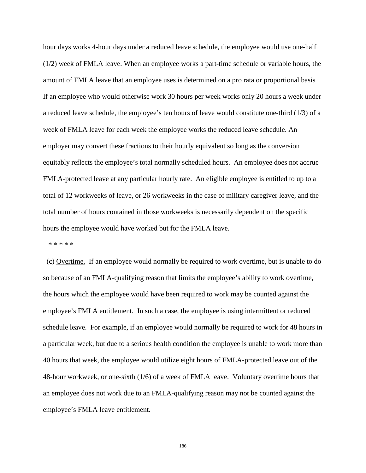hour days works 4-hour days under a reduced leave schedule, the employee would use one-half (1/2) week of FMLA leave. When an employee works a part-time schedule or variable hours, the amount of FMLA leave that an employee uses is determined on a pro rata or proportional basis If an employee who would otherwise work 30 hours per week works only 20 hours a week under a reduced leave schedule, the employee's ten hours of leave would constitute one-third (1/3) of a week of FMLA leave for each week the employee works the reduced leave schedule. An employer may convert these fractions to their hourly equivalent so long as the conversion equitably reflects the employee's total normally scheduled hours. An employee does not accrue FMLA-protected leave at any particular hourly rate. An eligible employee is entitled to up to a total of 12 workweeks of leave, or 26 workweeks in the case of military caregiver leave, and the total number of hours contained in those workweeks is necessarily dependent on the specific hours the employee would have worked but for the FMLA leave.

\* \* \* \* \*

 (c) Overtime. If an employee would normally be required to work overtime, but is unable to do so because of an FMLA-qualifying reason that limits the employee's ability to work overtime, the hours which the employee would have been required to work may be counted against the employee's FMLA entitlement. In such a case, the employee is using intermittent or reduced schedule leave. For example, if an employee would normally be required to work for 48 hours in a particular week, but due to a serious health condition the employee is unable to work more than 40 hours that week, the employee would utilize eight hours of FMLA-protected leave out of the 48-hour workweek, or one-sixth (1/6) of a week of FMLA leave. Voluntary overtime hours that an employee does not work due to an FMLA-qualifying reason may not be counted against the employee's FMLA leave entitlement.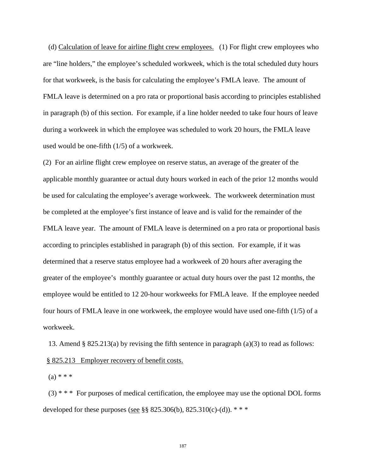(d) Calculation of leave for airline flight crew employees. (1) For flight crew employees who are "line holders," the employee's scheduled workweek, which is the total scheduled duty hours for that workweek, is the basis for calculating the employee's FMLA leave. The amount of FMLA leave is determined on a pro rata or proportional basis according to principles established in paragraph (b) of this section. For example, if a line holder needed to take four hours of leave during a workweek in which the employee was scheduled to work 20 hours, the FMLA leave used would be one-fifth (1/5) of a workweek.

(2) For an airline flight crew employee on reserve status, an average of the greater of the applicable monthly guarantee or actual duty hours worked in each of the prior 12 months would be used for calculating the employee's average workweek. The workweek determination must be completed at the employee's first instance of leave and is valid for the remainder of the FMLA leave year. The amount of FMLA leave is determined on a pro rata or proportional basis according to principles established in paragraph (b) of this section. For example, if it was determined that a reserve status employee had a workweek of 20 hours after averaging the greater of the employee's monthly guarantee or actual duty hours over the past 12 months, the employee would be entitled to 12 20-hour workweeks for FMLA leave. If the employee needed four hours of FMLA leave in one workweek, the employee would have used one-fifth (1/5) of a workweek.

13. Amend § 825.213(a) by revising the fifth sentence in paragraph (a)(3) to read as follows: § 825.213 Employer recovery of benefit costs.

 $(a) * * *$ 

 $(3)$  \* \*  $*$  For purposes of medical certification, the employee may use the optional DOL forms developed for these purposes (see §§ 825.306(b), 825.310(c)-(d)).  $***$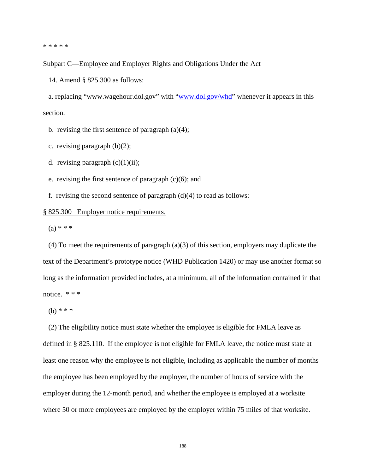\* \* \* \* \*

## Subpart C—Employee and Employer Rights and Obligations Under the Act

14. Amend § 825.300 as follows:

a. replacing "www.wagehour.dol.gov" with ["www.dol.gov/whd"](http://www.dol.gov/whd) whenever it appears in this section.

b. revising the first sentence of paragraph  $(a)(4)$ ;

c. revising paragraph (b)(2);

- d. revising paragraph  $(c)(1)(ii)$ ;
- e. revising the first sentence of paragraph (c)(6); and

f. revising the second sentence of paragraph  $(d)(4)$  to read as follows:

## § 825.300 Employer notice requirements.

 $(a) * * *$ 

 (4) To meet the requirements of paragraph (a)(3) of this section, employers may duplicate the text of the Department's prototype notice (WHD Publication 1420) or may use another format so long as the information provided includes, at a minimum, all of the information contained in that notice. \* \* \*

(b)  $* * *$ 

 (2) The eligibility notice must state whether the employee is eligible for FMLA leave as defined in § 825.110. If the employee is not eligible for FMLA leave, the notice must state at least one reason why the employee is not eligible, including as applicable the number of months the employee has been employed by the employer, the number of hours of service with the employer during the 12-month period, and whether the employee is employed at a worksite where 50 or more employees are employed by the employer within 75 miles of that worksite.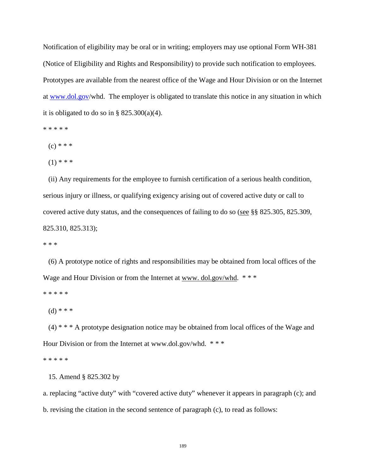Notification of eligibility may be oral or in writing; employers may use optional Form WH-381 (Notice of Eligibility and Rights and Responsibility) to provide such notification to employees. Prototypes are available from the nearest office of the Wage and Hour Division or on the Internet at [www.dol.gov/](http://www.wagehour.dol.gov/)whd. The employer is obligated to translate this notice in any situation in which it is obligated to do so in  $\S$  825.300(a)(4).

\* \* \* \* \*

- $(c)$  \* \* \*
- $(1)$  \* \* \*

 (ii) Any requirements for the employee to furnish certification of a serious health condition, serious injury or illness, or qualifying exigency arising out of covered active duty or call to covered active duty status, and the consequences of failing to do so (see §§ 825.305, 825.309, 825.310, 825.313);

\* \* \*

 (6) A prototype notice of rights and responsibilities may be obtained from local offices of the Wage and Hour Division or from the Internet at www. dol.gov/whd. \*\*\*

\* \* \* \* \*

(d) \* \* \*

 (4) \* \* \* A prototype designation notice may be obtained from local offices of the Wage and Hour Division or from the Internet at www.dol.gov/whd. \*\*\*

\* \* \* \* \*

15. Amend § 825.302 by

a. replacing "active duty" with "covered active duty" whenever it appears in paragraph (c); and b. revising the citation in the second sentence of paragraph (c), to read as follows: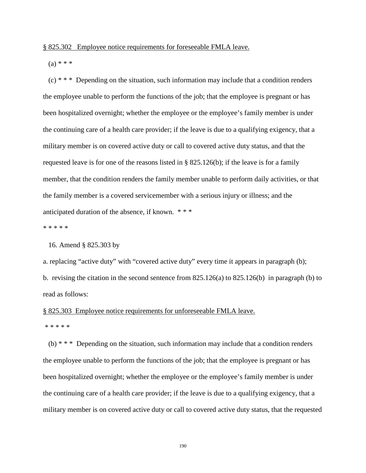## § 825.302 Employee notice requirements for foreseeable FMLA leave.

 $(a) * * *$ 

 (c) \* \* \* Depending on the situation, such information may include that a condition renders the employee unable to perform the functions of the job; that the employee is pregnant or has been hospitalized overnight; whether the employee or the employee's family member is under the continuing care of a health care provider; if the leave is due to a qualifying exigency, that a military member is on covered active duty or call to covered active duty status, and that the requested leave is for one of the reasons listed in § 825.126(b); if the leave is for a family member, that the condition renders the family member unable to perform daily activities, or that the family member is a covered servicemember with a serious injury or illness; and the anticipated duration of the absence, if known. \* \* \*

\* \* \* \* \*

16. Amend § 825.303 by

a. replacing "active duty" with "covered active duty" every time it appears in paragraph (b); b. revising the citation in the second sentence from  $825.126(a)$  to  $825.126(b)$  in paragraph (b) to read as follows:

#### § 825.303 Employee notice requirements for unforeseeable FMLA leave.

\* \* \* \* \*

(b)  $***$  Depending on the situation, such information may include that a condition renders the employee unable to perform the functions of the job; that the employee is pregnant or has been hospitalized overnight; whether the employee or the employee's family member is under the continuing care of a health care provider; if the leave is due to a qualifying exigency, that a military member is on covered active duty or call to covered active duty status, that the requested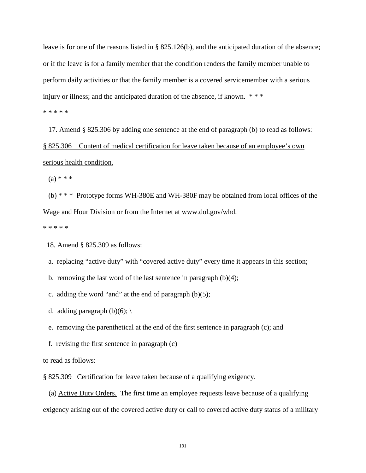leave is for one of the reasons listed in § 825.126(b), and the anticipated duration of the absence; or if the leave is for a family member that the condition renders the family member unable to perform daily activities or that the family member is a covered servicemember with a serious injury or illness; and the anticipated duration of the absence, if known. \* \* \*

\* \* \* \* \*

17. Amend § 825.306 by adding one sentence at the end of paragraph (b) to read as follows:

§ 825.306 Content of medical certification for leave taken because of an employee's own

serious health condition.

 $(a) * * * *$ 

 (b) \* \* \* Prototype forms WH-380E and WH-380F may be obtained from local offices of the Wage and Hour Division or from the Internet at www.dol.gov/whd.

\* \* \* \* \*

18. Amend § 825.309 as follows:

a. replacing "active duty" with "covered active duty" every time it appears in this section;

b. removing the last word of the last sentence in paragraph  $(b)(4)$ ;

c. adding the word "and" at the end of paragraph  $(b)(5)$ ;

d. adding paragraph (b)(6);  $\setminus$ 

e. removing the parenthetical at the end of the first sentence in paragraph (c); and

f. revising the first sentence in paragraph (c)

to read as follows:

§ 825.309 Certification for leave taken because of a qualifying exigency.

(a) Active Duty Orders. The first time an employee requests leave because of a qualifying exigency arising out of the covered active duty or call to covered active duty status of a military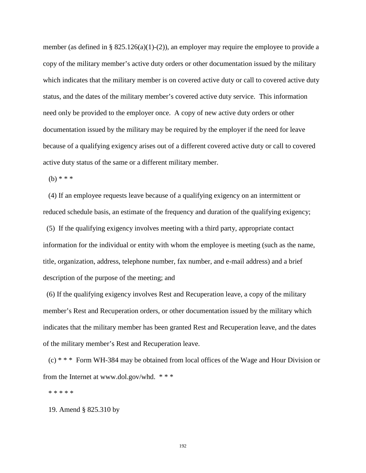member (as defined in § 825.126(a)(1)-(2)), an employer may require the employee to provide a copy of the military member's active duty orders or other documentation issued by the military which indicates that the military member is on covered active duty or call to covered active duty status, and the dates of the military member's covered active duty service. This information need only be provided to the employer once. A copy of new active duty orders or other documentation issued by the military may be required by the employer if the need for leave because of a qualifying exigency arises out of a different covered active duty or call to covered active duty status of the same or a different military member.

(b)  $* * *$ 

 (4) If an employee requests leave because of a qualifying exigency on an intermittent or reduced schedule basis, an estimate of the frequency and duration of the qualifying exigency;

 (5) If the qualifying exigency involves meeting with a third party, appropriate contact information for the individual or entity with whom the employee is meeting (such as the name, title, organization, address, telephone number, fax number, and e-mail address) and a brief description of the purpose of the meeting; and

 (6) If the qualifying exigency involves Rest and Recuperation leave, a copy of the military member's Rest and Recuperation orders, or other documentation issued by the military which indicates that the military member has been granted Rest and Recuperation leave, and the dates of the military member's Rest and Recuperation leave.

 (c) \* \* \* Form WH-384 may be obtained from local offices of the Wage and Hour Division or from the Internet at www.dol.gov/whd. \* \* \*

\* \* \* \* \*

19. Amend § 825.310 by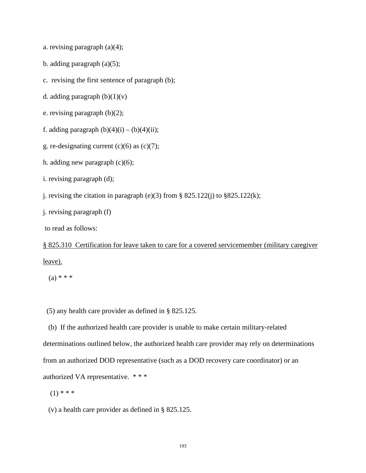a. revising paragraph (a)(4);

b. adding paragraph (a)(5);

c. revising the first sentence of paragraph (b);

d. adding paragraph  $(b)(1)(v)$ 

e. revising paragraph (b)(2);

f. adding paragraph  $(b)(4)(i) - (b)(4)(ii)$ ;

g. re-designating current  $(c)(6)$  as  $(c)(7)$ ;

h. adding new paragraph (c)(6);

i. revising paragraph (d);

j. revising the citation in paragraph (e)(3) from  $\S$  825.122(j) to  $\S$ 825.122(k);

j. revising paragraph (f)

to read as follows:

§ 825.310 Certification for leave taken to care for a covered servicemember (military caregiver leave).

$$
(a) * * *
$$

(5) any health care provider as defined in § 825.125.

 (b) If the authorized health care provider is unable to make certain military-related determinations outlined below, the authorized health care provider may rely on determinations from an authorized DOD representative (such as a DOD recovery care coordinator) or an authorized VA representative. \* \* \*

$$
(1) * * *
$$

(v) a health care provider as defined in § 825.125.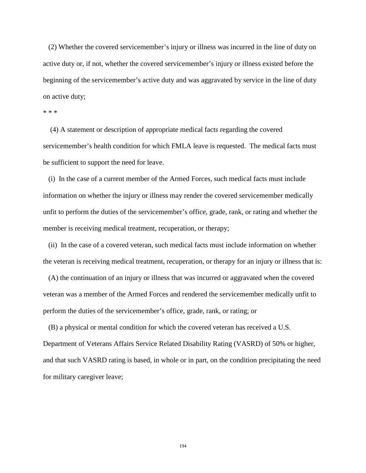(2) Whether the covered servicemember's injury or illness was incurred in the line of duty on active duty or, if not, whether the covered servicemember's injury or illness existed before the beginning of the servicemember's active duty and was aggravated by service in the line of duty on active duty;

#### \* \* \*

(4) A statement or description of appropriate medical facts regarding the covered servicemember's health condition for which FMLA leave is requested. The medical facts must be sufficient to support the need for leave.

(i) In the case of a current member of the Armed Forces, such medical facts must include information on whether the injury or illness may render the covered servicemember medically unfit to perform the duties of the servicemember's office, grade, rank, or rating and whether the member is receiving medical treatment, recuperation, or therapy;

(ii) In the case of a covered veteran, such medical facts must include information on whether the veteran is receiving medical treatment, recuperation, or therapy for an injury or illness that is:

(A) the continuation of an injury or illness that was incurred or aggravated when the covered veteran was a member of the Armed Forces and rendered the servicemember medically unfit to perform the duties of the servicemember's office, grade, rank, or rating; or

(B) a physical or mental condition for which the covered veteran has received a U.S. Department of Veterans Affairs Service Related Disability Rating (VASRD) of 50% or higher, and that such VASRD rating is based, in whole or in part, on the condition precipitating the need for military caregiver leave;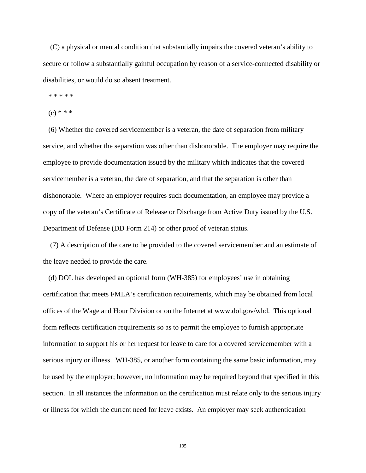(C) a physical or mental condition that substantially impairs the covered veteran's ability to secure or follow a substantially gainful occupation by reason of a service-connected disability or disabilities, or would do so absent treatment.

\* \* \* \* \*

$$
(c) * * *
$$

(6) Whether the covered servicemember is a veteran, the date of separation from military service, and whether the separation was other than dishonorable. The employer may require the employee to provide documentation issued by the military which indicates that the covered servicemember is a veteran, the date of separation, and that the separation is other than dishonorable. Where an employer requires such documentation, an employee may provide a copy of the veteran's Certificate of Release or Discharge from Active Duty issued by the U.S. Department of Defense (DD Form 214) or other proof of veteran status.

 (7) A description of the care to be provided to the covered servicemember and an estimate of the leave needed to provide the care.

(d) DOL has developed an optional form (WH-385) for employees' use in obtaining certification that meets FMLA's certification requirements, which may be obtained from local offices of the Wage and Hour Division or on the Internet at www.dol.gov/whd. This optional form reflects certification requirements so as to permit the employee to furnish appropriate information to support his or her request for leave to care for a covered servicemember with a serious injury or illness. WH-385, or another form containing the same basic information, may be used by the employer; however, no information may be required beyond that specified in this section. In all instances the information on the certification must relate only to the serious injury or illness for which the current need for leave exists. An employer may seek authentication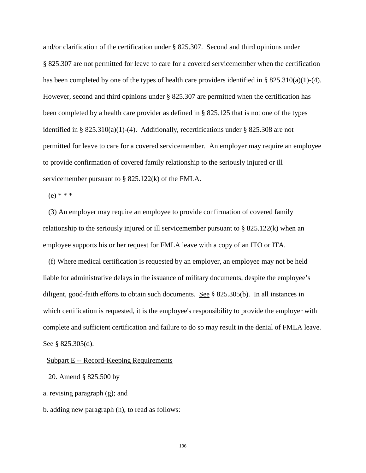and/or clarification of the certification under § 825.307. Second and third opinions under § 825.307 are not permitted for leave to care for a covered servicemember when the certification has been completed by one of the types of health care providers identified in §  $825.310(a)(1)-(4)$ . However, second and third opinions under § 825.307 are permitted when the certification has been completed by a health care provider as defined in § 825.125 that is not one of the types identified in § 825.310(a)(1)-(4). Additionally, recertifications under § 825.308 are not permitted for leave to care for a covered servicemember. An employer may require an employee to provide confirmation of covered family relationship to the seriously injured or ill servicemember pursuant to § 825.122(k) of the FMLA.

 $(e) * * *$ 

 (3) An employer may require an employee to provide confirmation of covered family relationship to the seriously injured or ill servicemember pursuant to  $\S$  825.122(k) when an employee supports his or her request for FMLA leave with a copy of an ITO or ITA.

 (f) Where medical certification is requested by an employer, an employee may not be held liable for administrative delays in the issuance of military documents, despite the employee's diligent, good-faith efforts to obtain such documents. See § 825.305(b). In all instances in which certification is requested, it is the employee's responsibility to provide the employer with complete and sufficient certification and failure to do so may result in the denial of FMLA leave. See § 825.305(d).

Subpart E -- Record-Keeping Requirements

20. Amend § 825.500 by

a. revising paragraph (g); and

b. adding new paragraph (h), to read as follows: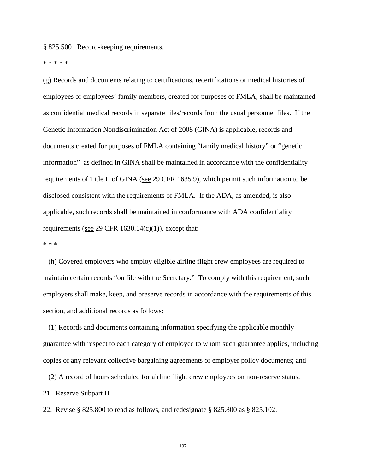#### § 825.500 Record-keeping requirements.

\* \* \* \* \*

(g) Records and documents relating to certifications, recertifications or medical histories of employees or employees' family members, created for purposes of FMLA, shall be maintained as confidential medical records in separate files/records from the usual personnel files. If the Genetic Information Nondiscrimination Act of 2008 (GINA) is applicable, records and documents created for purposes of FMLA containing "family medical history" or "genetic information" as defined in GINA shall be maintained in accordance with the confidentiality requirements of Title II of GINA (see 29 CFR 1635.9), which permit such information to be disclosed consistent with the requirements of FMLA. If the ADA, as amended, is also applicable, such records shall be maintained in conformance with ADA confidentiality requirements (see 29 CFR  $1630.14(c)(1)$ ), except that:

\* \* \*

 (h) Covered employers who employ eligible airline flight crew employees are required to maintain certain records "on file with the Secretary." To comply with this requirement, such employers shall make, keep, and preserve records in accordance with the requirements of this section, and additional records as follows:

 (1) Records and documents containing information specifying the applicable monthly guarantee with respect to each category of employee to whom such guarantee applies, including copies of any relevant collective bargaining agreements or employer policy documents; and

(2) A record of hours scheduled for airline flight crew employees on non-reserve status.

21. Reserve Subpart H

22. Revise § 825.800 to read as follows, and redesignate § 825.800 as § 825.102.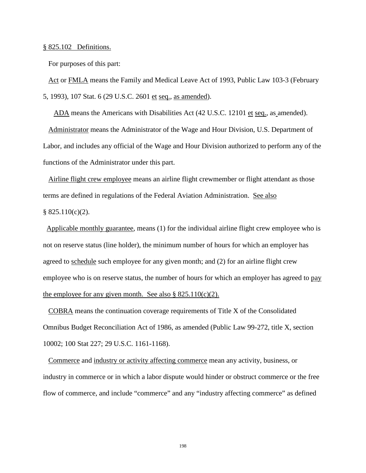## § 825.102 Definitions.

For purposes of this part:

 Act or FMLA means the Family and Medical Leave Act of 1993, Public Law 103-3 (February 5, 1993), 107 Stat. 6 (29 U.S.C. 2601 et seq., as amended).

ADA means the Americans with Disabilities Act (42 U.S.C. 12101 et seq., as amended).

Administrator means the Administrator of the Wage and Hour Division, U.S. Department of Labor, and includes any official of the Wage and Hour Division authorized to perform any of the functions of the Administrator under this part.

Airline flight crew employee means an airline flight crewmember or flight attendant as those terms are defined in regulations of the Federal Aviation Administration. See also  $§ 825.110(c)(2).$ 

Applicable monthly guarantee, means (1) for the individual airline flight crew employee who is not on reserve status (line holder), the minimum number of hours for which an employer has agreed to schedule such employee for any given month; and (2) for an airline flight crew employee who is on reserve status, the number of hours for which an employer has agreed to pay the employee for any given month. See also  $\S 825.110(c)(2)$ .

COBRA means the continuation coverage requirements of Title X of the Consolidated Omnibus Budget Reconciliation Act of 1986, as amended (Public Law 99-272, title X, section 10002; 100 Stat 227; 29 U.S.C. 1161-1168).

Commerce and industry or activity affecting commerce mean any activity, business, or industry in commerce or in which a labor dispute would hinder or obstruct commerce or the free flow of commerce, and include "commerce" and any "industry affecting commerce" as defined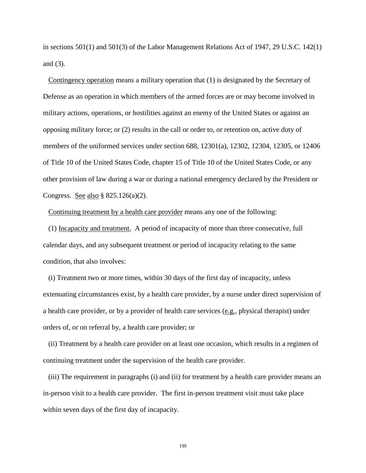in sections 501(1) and 501(3) of the Labor Management Relations Act of 1947, 29 U.S.C. 142(1) and (3).

 Contingency operation means a military operation that (1) is designated by the Secretary of Defense as an operation in which members of the armed forces are or may become involved in military actions, operations, or hostilities against an enemy of the United States or against an opposing military force; or (2) results in the call or order to, or retention on, active duty of members of the uniformed services under section 688, 12301(a), 12302, 12304, 12305, or 12406 of Title 10 of the United States Code, chapter 15 of Title 10 of the United States Code, or any other provision of law during a war or during a national emergency declared by the President or Congress. See also § 825.126(a)(2).

Continuing treatment by a health care provider means any one of the following:

 (1) Incapacity and treatment. A period of incapacity of more than three consecutive, full calendar days, and any subsequent treatment or period of incapacity relating to the same condition, that also involves:

 (i) Treatment two or more times, within 30 days of the first day of incapacity, unless extenuating circumstances exist, by a health care provider, by a nurse under direct supervision of a health care provider, or by a provider of health care services (e.g., physical therapist) under orders of, or on referral by, a health care provider; or

 (ii) Treatment by a health care provider on at least one occasion, which results in a regimen of continuing treatment under the supervision of the health care provider.

 (iii) The requirement in paragraphs (i) and (ii) for treatment by a health care provider means an in-person visit to a health care provider. The first in-person treatment visit must take place within seven days of the first day of incapacity.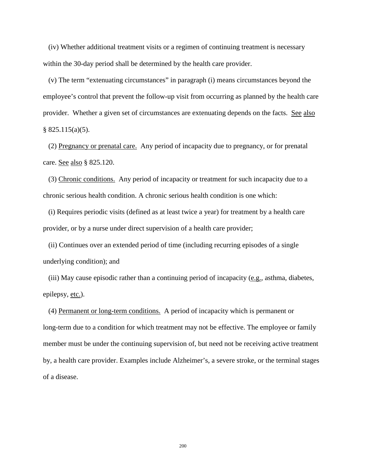(iv) Whether additional treatment visits or a regimen of continuing treatment is necessary within the 30-day period shall be determined by the health care provider.

 (v) The term "extenuating circumstances" in paragraph (i) means circumstances beyond the employee's control that prevent the follow-up visit from occurring as planned by the health care provider. Whether a given set of circumstances are extenuating depends on the facts. See also  $§$  825.115(a)(5).

 (2) Pregnancy or prenatal care. Any period of incapacity due to pregnancy, or for prenatal care. <u>See also</u> § 825.120.

 (3) Chronic conditions. Any period of incapacity or treatment for such incapacity due to a chronic serious health condition. A chronic serious health condition is one which:

 (i) Requires periodic visits (defined as at least twice a year) for treatment by a health care provider, or by a nurse under direct supervision of a health care provider;

 (ii) Continues over an extended period of time (including recurring episodes of a single underlying condition); and

(iii) May cause episodic rather than a continuing period of incapacity  $(e.g.,$  asthma, diabetes, epilepsy, etc.).

 (4) Permanent or long-term conditions. A period of incapacity which is permanent or long-term due to a condition for which treatment may not be effective. The employee or family member must be under the continuing supervision of, but need not be receiving active treatment by, a health care provider. Examples include Alzheimer's, a severe stroke, or the terminal stages of a disease.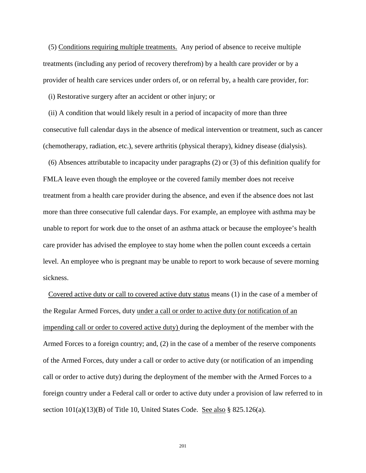(5) Conditions requiring multiple treatments. Any period of absence to receive multiple treatments (including any period of recovery therefrom) by a health care provider or by a provider of health care services under orders of, or on referral by, a health care provider, for:

(i) Restorative surgery after an accident or other injury; or

 (ii) A condition that would likely result in a period of incapacity of more than three consecutive full calendar days in the absence of medical intervention or treatment, such as cancer (chemotherapy, radiation, etc.), severe arthritis (physical therapy), kidney disease (dialysis).

 (6) Absences attributable to incapacity under paragraphs (2) or (3) of this definition qualify for FMLA leave even though the employee or the covered family member does not receive treatment from a health care provider during the absence, and even if the absence does not last more than three consecutive full calendar days. For example, an employee with asthma may be unable to report for work due to the onset of an asthma attack or because the employee's health care provider has advised the employee to stay home when the pollen count exceeds a certain level. An employee who is pregnant may be unable to report to work because of severe morning sickness.

 Covered active duty or call to covered active duty status means (1) in the case of a member of the Regular Armed Forces, duty under a call or order to active duty (or notification of an impending call or order to covered active duty) during the deployment of the member with the Armed Forces to a foreign country; and, (2) in the case of a member of the reserve components of the Armed Forces, duty under a call or order to active duty (or notification of an impending call or order to active duty) during the deployment of the member with the Armed Forces to a foreign country under a Federal call or order to active duty under a provision of law referred to in section  $101(a)(13)(B)$  of Title 10, United States Code. See also § 825.126(a).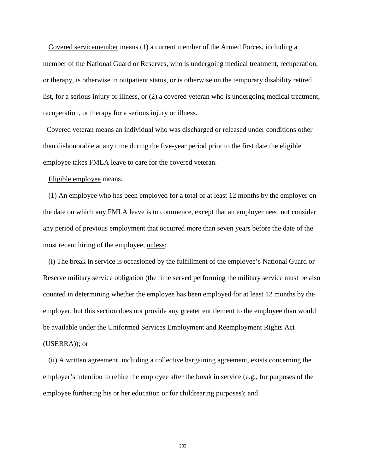Covered servicemember means (1) a current member of the Armed Forces, including a member of the National Guard or Reserves, who is undergoing medical treatment, recuperation, or therapy, is otherwise in outpatient status, or is otherwise on the temporary disability retired list, for a serious injury or illness, or (2) a covered veteran who is undergoing medical treatment, recuperation, or therapy for a serious injury or illness.

Covered veteran means an individual who was discharged or released under conditions other than dishonorable at any time during the five-year period prior to the first date the eligible employee takes FMLA leave to care for the covered veteran.

Eligible employee means:

 (1) An employee who has been employed for a total of at least 12 months by the employer on the date on which any FMLA leave is to commence, except that an employer need not consider any period of previous employment that occurred more than seven years before the date of the most recent hiring of the employee, unless:

 (i) The break in service is occasioned by the fulfillment of the employee's National Guard or Reserve military service obligation (the time served performing the military service must be also counted in determining whether the employee has been employed for at least 12 months by the employer, but this section does not provide any greater entitlement to the employee than would be available under the Uniformed Services Employment and Reemployment Rights Act (USERRA)); or

 (ii) A written agreement, including a collective bargaining agreement, exists concerning the employer's intention to rehire the employee after the break in service (e.g., for purposes of the employee furthering his or her education or for childrearing purposes); and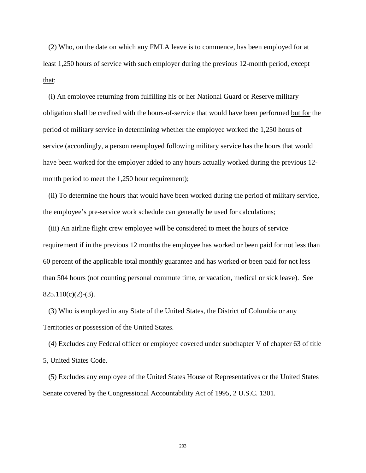(2) Who, on the date on which any FMLA leave is to commence, has been employed for at least 1,250 hours of service with such employer during the previous 12-month period, except th<u>at</u>:

 (i) An employee returning from fulfilling his or her National Guard or Reserve military obligation shall be credited with the hours-of-service that would have been performed but for the period of military service in determining whether the employee worked the 1,250 hours of service (accordingly, a person reemployed following military service has the hours that would have been worked for the employer added to any hours actually worked during the previous 12 month period to meet the 1,250 hour requirement);

 (ii) To determine the hours that would have been worked during the period of military service, the employee's pre-service work schedule can generally be used for calculations;

 (iii) An airline flight crew employee will be considered to meet the hours of service requirement if in the previous 12 months the employee has worked or been paid for not less than 60 percent of the applicable total monthly guarantee and has worked or been paid for not less than 504 hours (not counting personal commute time, or vacation, medical or sick leave). See  $825.110(c)(2)-(3)$ .

 (3) Who is employed in any State of the United States, the District of Columbia or any Territories or possession of the United States.

 (4) Excludes any Federal officer or employee covered under subchapter V of chapter 63 of title 5, United States Code.

 (5) Excludes any employee of the United States House of Representatives or the United States Senate covered by the Congressional Accountability Act of 1995, 2 U.S.C. 1301.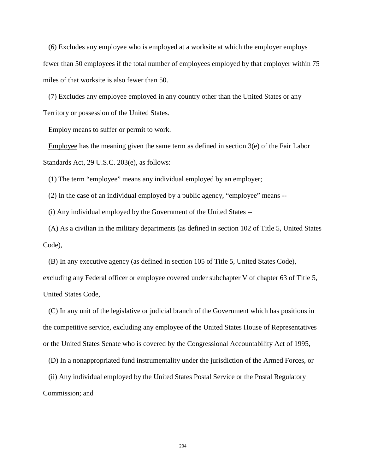(6) Excludes any employee who is employed at a worksite at which the employer employs fewer than 50 employees if the total number of employees employed by that employer within 75 miles of that worksite is also fewer than 50.

 (7) Excludes any employee employed in any country other than the United States or any Territory or possession of the United States.

Employ means to suffer or permit to work.

Employee has the meaning given the same term as defined in section 3(e) of the Fair Labor Standards Act, 29 U.S.C. 203(e), as follows:

(1) The term "employee" means any individual employed by an employer;

(2) In the case of an individual employed by a public agency, "employee" means --

(i) Any individual employed by the Government of the United States --

 (A) As a civilian in the military departments (as defined in section 102 of Title 5, United States Code),

 (B) In any executive agency (as defined in section 105 of Title 5, United States Code), excluding any Federal officer or employee covered under subchapter V of chapter 63 of Title 5, United States Code,

 (C) In any unit of the legislative or judicial branch of the Government which has positions in the competitive service, excluding any employee of the United States House of Representatives or the United States Senate who is covered by the Congressional Accountability Act of 1995,

(D) In a nonappropriated fund instrumentality under the jurisdiction of the Armed Forces, or

 (ii) Any individual employed by the United States Postal Service or the Postal Regulatory Commission; and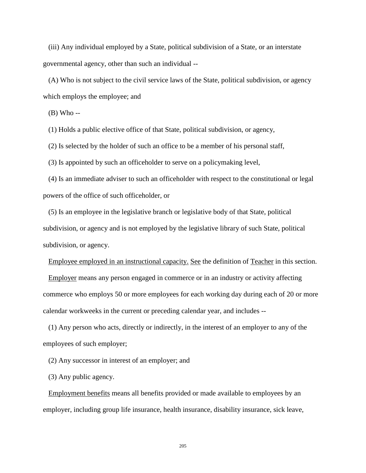(iii) Any individual employed by a State, political subdivision of a State, or an interstate governmental agency, other than such an individual --

 (A) Who is not subject to the civil service laws of the State, political subdivision, or agency which employs the employee; and

(B) Who --

(1) Holds a public elective office of that State, political subdivision, or agency,

(2) Is selected by the holder of such an office to be a member of his personal staff,

(3) Is appointed by such an officeholder to serve on a policymaking level,

 (4) Is an immediate adviser to such an officeholder with respect to the constitutional or legal powers of the office of such officeholder, or

 (5) Is an employee in the legislative branch or legislative body of that State, political subdivision, or agency and is not employed by the legislative library of such State, political subdivision, or agency.

Employee employed in an instructional capacity. See the definition of Teacher in this section.

Employer means any person engaged in commerce or in an industry or activity affecting commerce who employs 50 or more employees for each working day during each of 20 or more calendar workweeks in the current or preceding calendar year, and includes --

 (1) Any person who acts, directly or indirectly, in the interest of an employer to any of the employees of such employer;

(2) Any successor in interest of an employer; and

(3) Any public agency.

 Employment benefits means all benefits provided or made available to employees by an employer, including group life insurance, health insurance, disability insurance, sick leave,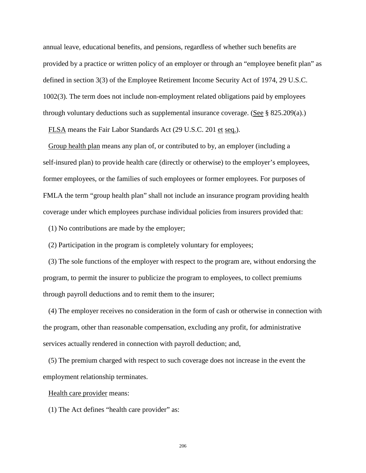annual leave, educational benefits, and pensions, regardless of whether such benefits are provided by a practice or written policy of an employer or through an "employee benefit plan" as defined in section 3(3) of the Employee Retirement Income Security Act of 1974, 29 U.S.C. 1002(3). The term does not include non-employment related obligations paid by employees through voluntary deductions such as supplemental insurance coverage. (See  $\S 825.209(a)$ .)

FLSA means the Fair Labor Standards Act (29 U.S.C. 201 et seq.).

Group health plan means any plan of, or contributed to by, an employer (including a self-insured plan) to provide health care (directly or otherwise) to the employer's employees, former employees, or the families of such employees or former employees. For purposes of FMLA the term "group health plan" shall not include an insurance program providing health coverage under which employees purchase individual policies from insurers provided that:

(1) No contributions are made by the employer;

(2) Participation in the program is completely voluntary for employees;

 (3) The sole functions of the employer with respect to the program are, without endorsing the program, to permit the insurer to publicize the program to employees, to collect premiums through payroll deductions and to remit them to the insurer;

 (4) The employer receives no consideration in the form of cash or otherwise in connection with the program, other than reasonable compensation, excluding any profit, for administrative services actually rendered in connection with payroll deduction; and,

 (5) The premium charged with respect to such coverage does not increase in the event the employment relationship terminates.

Health care provider means:

(1) The Act defines "health care provider" as: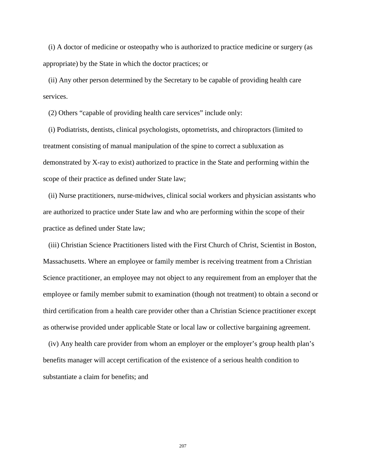(i) A doctor of medicine or osteopathy who is authorized to practice medicine or surgery (as appropriate) by the State in which the doctor practices; or

 (ii) Any other person determined by the Secretary to be capable of providing health care services.

(2) Others "capable of providing health care services" include only:

 (i) Podiatrists, dentists, clinical psychologists, optometrists, and chiropractors (limited to treatment consisting of manual manipulation of the spine to correct a subluxation as demonstrated by X-ray to exist) authorized to practice in the State and performing within the scope of their practice as defined under State law;

 (ii) Nurse practitioners, nurse-midwives, clinical social workers and physician assistants who are authorized to practice under State law and who are performing within the scope of their practice as defined under State law;

 (iii) Christian Science Practitioners listed with the First Church of Christ, Scientist in Boston, Massachusetts. Where an employee or family member is receiving treatment from a Christian Science practitioner, an employee may not object to any requirement from an employer that the employee or family member submit to examination (though not treatment) to obtain a second or third certification from a health care provider other than a Christian Science practitioner except as otherwise provided under applicable State or local law or collective bargaining agreement.

 (iv) Any health care provider from whom an employer or the employer's group health plan's benefits manager will accept certification of the existence of a serious health condition to substantiate a claim for benefits; and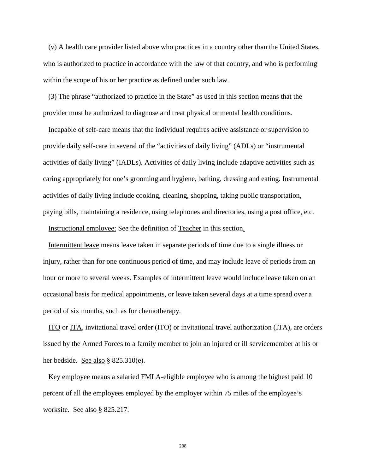(v) A health care provider listed above who practices in a country other than the United States, who is authorized to practice in accordance with the law of that country, and who is performing within the scope of his or her practice as defined under such law.

 (3) The phrase "authorized to practice in the State" as used in this section means that the provider must be authorized to diagnose and treat physical or mental health conditions.

Incapable of self-care means that the individual requires active assistance or supervision to provide daily self-care in several of the "activities of daily living" (ADLs) or "instrumental activities of daily living" (IADLs). Activities of daily living include adaptive activities such as caring appropriately for one's grooming and hygiene, bathing, dressing and eating. Instrumental activities of daily living include cooking, cleaning, shopping, taking public transportation, paying bills, maintaining a residence, using telephones and directories, using a post office, etc. Instructional employee: See the definition of Teacher in this section.

Intermittent leave means leave taken in separate periods of time due to a single illness or injury, rather than for one continuous period of time, and may include leave of periods from an hour or more to several weeks. Examples of intermittent leave would include leave taken on an occasional basis for medical appointments, or leave taken several days at a time spread over a period of six months, such as for chemotherapy.

ITO or ITA, invitational travel order (ITO) or invitational travel authorization (ITA), are orders issued by the Armed Forces to a family member to join an injured or ill servicemember at his or her bedside. See also § 825.310(e).

Key employee means a salaried FMLA-eligible employee who is among the highest paid 10 percent of all the employees employed by the employer within 75 miles of the employee's worksite. See also § 825.217.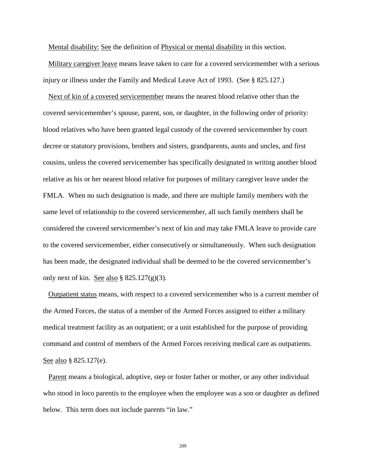Mental disability: See the definition of Physical or mental disability in this section.

Military caregiver leave means leave taken to care for a covered servicemember with a serious injury or illness under the Family and Medical Leave Act of 1993. (See § 825.127.)

Next of kin of a covered servicemember means the nearest blood relative other than the covered servicemember's spouse, parent, son, or daughter, in the following order of priority: blood relatives who have been granted legal custody of the covered servicemember by court decree or statutory provisions, brothers and sisters, grandparents, aunts and uncles, and first cousins, unless the covered servicemember has specifically designated in writing another blood relative as his or her nearest blood relative for purposes of military caregiver leave under the FMLA. When no such designation is made, and there are multiple family members with the same level of relationship to the covered servicemember, all such family members shall be considered the covered servicemember's next of kin and may take FMLA leave to provide care to the covered servicemember, either consecutively or simultaneously. When such designation has been made, the designated individual shall be deemed to be the covered servicemember's only next of kin. See also  $\S 825.127(g)(3)$ .

Outpatient status means, with respect to a covered servicemember who is a current member of the Armed Forces, the status of a member of the Armed Forces assigned to either a military medical treatment facility as an outpatient; or a unit established for the purpose of providing command and control of members of the Armed Forces receiving medical care as outpatients. See also § 825.127(e).

Parent means a biological, adoptive, step or foster father or mother, or any other individual who stood in loco parentis to the employee when the employee was a son or daughter as defined below. This term does not include parents "in law."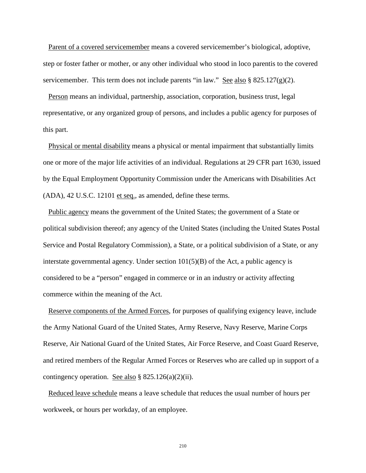Parent of a covered servicemember means a covered servicemember's biological, adoptive, step or foster father or mother, or any other individual who stood in loco parentis to the covered servicemember. This term does not include parents "in law." See  $\frac{\text{also}}{\text{8}}$   $\frac{825.127(g)(2)}{2}$ .

Person means an individual, partnership, association, corporation, business trust, legal representative, or any organized group of persons, and includes a public agency for purposes of this part.

Physical or mental disability means a physical or mental impairment that substantially limits one or more of the major life activities of an individual. Regulations at 29 CFR part 1630, issued by the Equal Employment Opportunity Commission under the Americans with Disabilities Act (ADA), 42 U.S.C. 12101 et seq., as amended, define these terms.

Public agency means the government of the United States; the government of a State or political subdivision thereof; any agency of the United States (including the United States Postal Service and Postal Regulatory Commission), a State, or a political subdivision of a State, or any interstate governmental agency. Under section  $101(5)(B)$  of the Act, a public agency is considered to be a "person" engaged in commerce or in an industry or activity affecting commerce within the meaning of the Act.

Reserve components of the Armed Forces, for purposes of qualifying exigency leave, include the Army National Guard of the United States, Army Reserve, Navy Reserve, Marine Corps Reserve, Air National Guard of the United States, Air Force Reserve, and Coast Guard Reserve, and retired members of the Regular Armed Forces or Reserves who are called up in support of a contingency operation. See also  $\S$  825.126(a)(2)(ii).

Reduced leave schedule means a leave schedule that reduces the usual number of hours per workweek, or hours per workday, of an employee.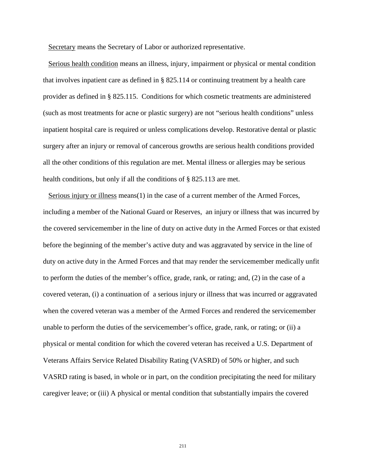Secretary means the Secretary of Labor or authorized representative.

Serious health condition means an illness, injury, impairment or physical or mental condition that involves inpatient care as defined in § 825.114 or continuing treatment by a health care provider as defined in § 825.115. Conditions for which cosmetic treatments are administered (such as most treatments for acne or plastic surgery) are not "serious health conditions" unless inpatient hospital care is required or unless complications develop. Restorative dental or plastic surgery after an injury or removal of cancerous growths are serious health conditions provided all the other conditions of this regulation are met. Mental illness or allergies may be serious health conditions, but only if all the conditions of § 825.113 are met.

Serious injury or illness means(1) in the case of a current member of the Armed Forces, including a member of the National Guard or Reserves, an injury or illness that was incurred by the covered servicemember in the line of duty on active duty in the Armed Forces or that existed before the beginning of the member's active duty and was aggravated by service in the line of duty on active duty in the Armed Forces and that may render the servicemember medically unfit to perform the duties of the member's office, grade, rank, or rating; and, (2) in the case of a covered veteran, (i) a continuation of a serious injury or illness that was incurred or aggravated when the covered veteran was a member of the Armed Forces and rendered the servicemember unable to perform the duties of the servicemember's office, grade, rank, or rating; or (ii) a physical or mental condition for which the covered veteran has received a U.S. Department of Veterans Affairs Service Related Disability Rating (VASRD) of 50% or higher, and such VASRD rating is based, in whole or in part, on the condition precipitating the need for military caregiver leave; or (iii) A physical or mental condition that substantially impairs the covered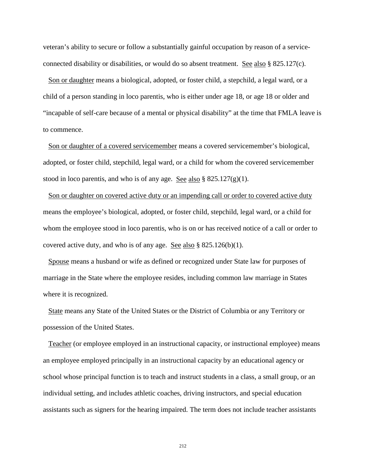veteran's ability to secure or follow a substantially gainful occupation by reason of a serviceconnected disability or disabilities, or would do so absent treatment. See also § 825.127(c).

Son or daughter means a biological, adopted, or foster child, a stepchild, a legal ward, or a child of a person standing in loco parentis, who is either under age 18, or age 18 or older and "incapable of self-care because of a mental or physical disability" at the time that FMLA leave is to commence.

Son or daughter of a covered servicemember means a covered servicemember's biological, adopted, or foster child, stepchild, legal ward, or a child for whom the covered servicemember stood in loco parentis, and who is of any age. See also § 825.127(g)(1).

Son or daughter on covered active duty or an impending call or order to covered active duty means the employee's biological, adopted, or foster child, stepchild, legal ward, or a child for whom the employee stood in loco parentis, who is on or has received notice of a call or order to covered active duty, and who is of any age. See also  $\S 825.126(b)(1)$ .

Spouse means a husband or wife as defined or recognized under State law for purposes of marriage in the State where the employee resides, including common law marriage in States where it is recognized.

State means any State of the United States or the District of Columbia or any Territory or possession of the United States.

Teacher (or employee employed in an instructional capacity, or instructional employee) means an employee employed principally in an instructional capacity by an educational agency or school whose principal function is to teach and instruct students in a class, a small group, or an individual setting, and includes athletic coaches, driving instructors, and special education assistants such as signers for the hearing impaired. The term does not include teacher assistants